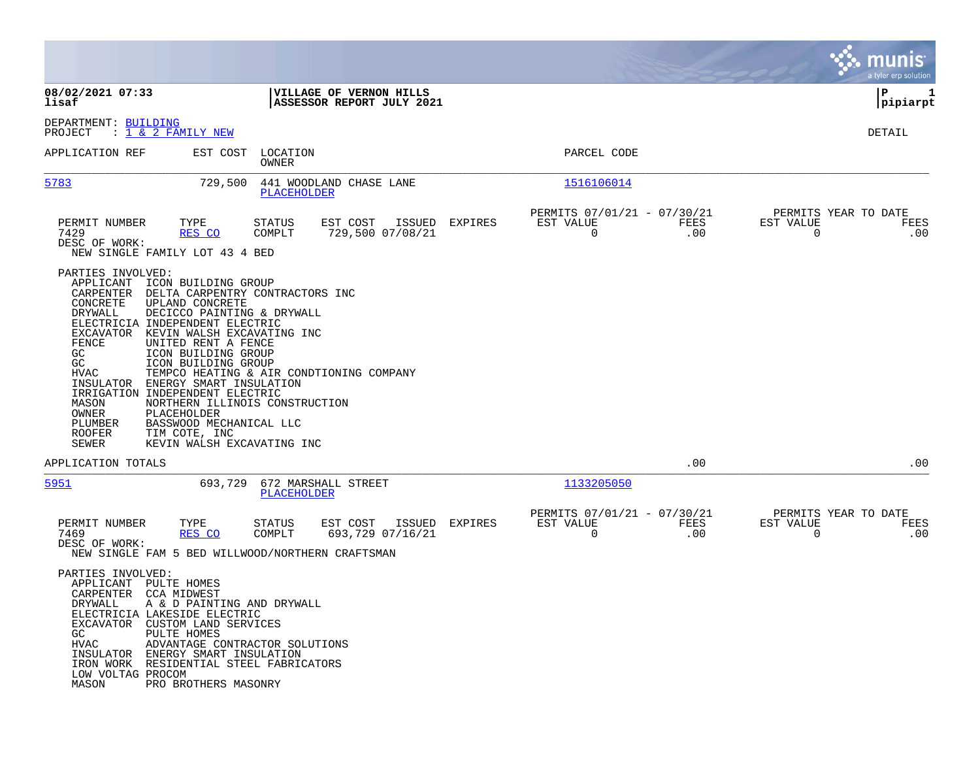|                                                                                                                                                                                  |                                                                                                                                                                                                                                                                                                                                                                                                                                        |                                                                                                                       |         |                                                            |             |                                                  | munis<br>a tyler erp solution |
|----------------------------------------------------------------------------------------------------------------------------------------------------------------------------------|----------------------------------------------------------------------------------------------------------------------------------------------------------------------------------------------------------------------------------------------------------------------------------------------------------------------------------------------------------------------------------------------------------------------------------------|-----------------------------------------------------------------------------------------------------------------------|---------|------------------------------------------------------------|-------------|--------------------------------------------------|-------------------------------|
| 08/02/2021 07:33<br>lisaf                                                                                                                                                        |                                                                                                                                                                                                                                                                                                                                                                                                                                        | VILLAGE OF VERNON HILLS<br>ASSESSOR REPORT JULY 2021                                                                  |         |                                                            |             |                                                  | ΙP<br>1<br> pipiarpt          |
| DEPARTMENT: BUILDING<br>PROJECT                                                                                                                                                  | : <u>1 &amp; 2 FAMILY NEW</u>                                                                                                                                                                                                                                                                                                                                                                                                          |                                                                                                                       |         |                                                            |             |                                                  | DETAIL                        |
| APPLICATION REF                                                                                                                                                                  | EST COST                                                                                                                                                                                                                                                                                                                                                                                                                               | LOCATION<br>OWNER                                                                                                     |         | PARCEL CODE                                                |             |                                                  |                               |
| 5783                                                                                                                                                                             | 729,500                                                                                                                                                                                                                                                                                                                                                                                                                                | 441 WOODLAND CHASE LANE<br><b>PLACEHOLDER</b>                                                                         |         | 1516106014                                                 |             |                                                  |                               |
| PERMIT NUMBER<br>7429<br>DESC OF WORK:                                                                                                                                           | TYPE<br>RES CO<br>NEW SINGLE FAMILY LOT 43 4 BED                                                                                                                                                                                                                                                                                                                                                                                       | EST COST<br>ISSUED<br>STATUS<br>COMPLT<br>729,500 07/08/21                                                            | EXPIRES | PERMITS 07/01/21 - 07/30/21<br>EST VALUE<br>$\overline{0}$ | FEES<br>.00 | PERMITS YEAR TO DATE<br>EST VALUE<br>$\Omega$    | FEES<br>.00                   |
| PARTIES INVOLVED:<br>APPLICANT<br>CARPENTER<br>CONCRETE<br>DRYWALL<br>EXCAVATOR<br>FENCE<br>GC<br>GC<br>HVAC<br>INSULATOR<br>MASON<br>OWNER<br>PLUMBER<br><b>ROOFER</b><br>SEWER | ICON BUILDING GROUP<br>DELTA CARPENTRY CONTRACTORS INC<br>UPLAND CONCRETE<br>DECICCO PAINTING & DRYWALL<br>ELECTRICIA INDEPENDENT ELECTRIC<br>KEVIN WALSH EXCAVATING INC<br>UNITED RENT A FENCE<br>ICON BUILDING GROUP<br>ICON BUILDING GROUP<br>ENERGY SMART INSULATION<br>IRRIGATION INDEPENDENT ELECTRIC<br>NORTHERN ILLINOIS CONSTRUCTION<br>PLACEHOLDER<br>BASSWOOD MECHANICAL LLC<br>TIM COTE, INC<br>KEVIN WALSH EXCAVATING INC | TEMPCO HEATING & AIR CONDTIONING COMPANY                                                                              |         |                                                            |             |                                                  |                               |
| APPLICATION TOTALS                                                                                                                                                               |                                                                                                                                                                                                                                                                                                                                                                                                                                        |                                                                                                                       |         |                                                            | .00         |                                                  | .00                           |
| 5951                                                                                                                                                                             | 693,729                                                                                                                                                                                                                                                                                                                                                                                                                                | 672 MARSHALL STREET<br>PLACEHOLDER                                                                                    |         | 1133205050                                                 |             |                                                  |                               |
| PERMIT NUMBER<br>7469<br>DESC OF WORK:                                                                                                                                           | TYPE<br>RES CO                                                                                                                                                                                                                                                                                                                                                                                                                         | EST COST<br>ISSUED<br><b>STATUS</b><br>693,729 07/16/21<br>COMPLT<br>NEW SINGLE FAM 5 BED WILLWOOD/NORTHERN CRAFTSMAN | EXPIRES | PERMITS 07/01/21 - 07/30/21<br>EST VALUE<br>0              | FEES<br>.00 | PERMITS YEAR TO DATE<br>EST VALUE<br>$\mathbf 0$ | FEES<br>.00                   |
| PARTIES INVOLVED:<br>APPLICANT PULTE HOMES<br>CARPENTER CCA MIDWEST<br>GC<br>HVAC<br>LOW VOLTAG PROCOM<br>MASON                                                                  | DRYWALL A & D PAINTING AND DRYWALL<br>ELECTRICIA LAKESIDE ELECTRIC<br>EXCAVATOR CUSTOM LAND SERVICES<br>PULTE HOMES<br>ADVANTAGE CONTRACTOR SOLUTIONS<br>INSULATOR ENERGY SMART INSULATION<br>IRON WORK RESIDENTIAL STEEL FABRICATORS<br>PRO BROTHERS MASONRY                                                                                                                                                                          |                                                                                                                       |         |                                                            |             |                                                  |                               |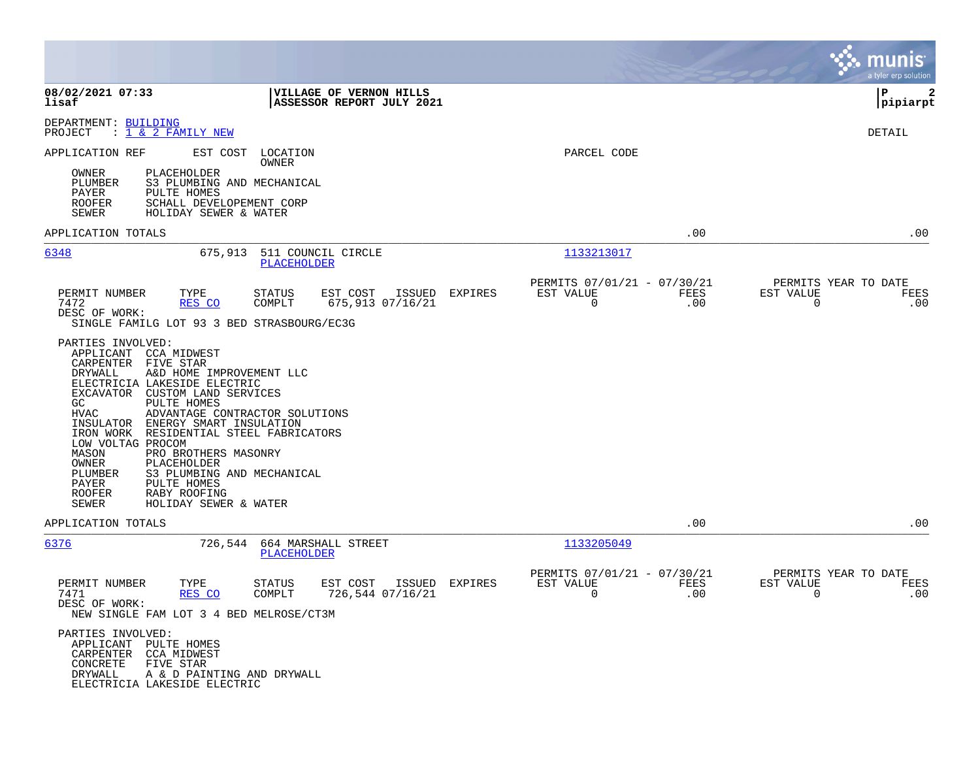|                                                                                                                                                                                                                                                                                                                                                                                                                                                                                                                                                                                                                                           |                                                            |         |                                                         |             | munis<br>a tyler erp solution                                   |
|-------------------------------------------------------------------------------------------------------------------------------------------------------------------------------------------------------------------------------------------------------------------------------------------------------------------------------------------------------------------------------------------------------------------------------------------------------------------------------------------------------------------------------------------------------------------------------------------------------------------------------------------|------------------------------------------------------------|---------|---------------------------------------------------------|-------------|-----------------------------------------------------------------|
| 08/02/2021 07:33<br>lisaf                                                                                                                                                                                                                                                                                                                                                                                                                                                                                                                                                                                                                 | VILLAGE OF VERNON HILLS<br>ASSESSOR REPORT JULY 2021       |         |                                                         |             | P<br>2<br> pipiarpt                                             |
| DEPARTMENT: BUILDING<br>PROJECT<br>: <u>1 &amp; 2 FAMILY NEW</u>                                                                                                                                                                                                                                                                                                                                                                                                                                                                                                                                                                          |                                                            |         |                                                         |             | DETAIL                                                          |
| APPLICATION REF<br>EST COST<br>PLACEHOLDER<br>OWNER<br><b>PLUMBER</b><br>S3 PLUMBING AND MECHANICAL<br>PAYER<br>PULTE HOMES<br>ROOFER<br>SCHALL DEVELOPEMENT CORP<br>SEWER<br>HOLIDAY SEWER & WATER                                                                                                                                                                                                                                                                                                                                                                                                                                       | LOCATION<br>OWNER                                          |         | PARCEL CODE                                             |             |                                                                 |
| APPLICATION TOTALS                                                                                                                                                                                                                                                                                                                                                                                                                                                                                                                                                                                                                        |                                                            |         |                                                         | .00         | .00                                                             |
| 6348<br>675,913                                                                                                                                                                                                                                                                                                                                                                                                                                                                                                                                                                                                                           | 511 COUNCIL CIRCLE<br>PLACEHOLDER                          |         | 1133213017                                              |             |                                                                 |
| PERMIT NUMBER<br>TYPE<br>7472<br>RES CO<br>DESC OF WORK:<br>SINGLE FAMILG LOT 93 3 BED STRASBOURG/EC3G<br>PARTIES INVOLVED:<br>APPLICANT<br>CCA MIDWEST<br>CARPENTER<br>FIVE STAR<br><b>DRYWALL</b><br>A&D HOME IMPROVEMENT LLC<br>ELECTRICIA LAKESIDE ELECTRIC<br>EXCAVATOR<br>CUSTOM LAND SERVICES<br><b>PULTE HOMES</b><br>GC<br>HVAC<br>ADVANTAGE CONTRACTOR SOLUTIONS<br>INSULATOR<br>ENERGY SMART INSULATION<br>RESIDENTIAL STEEL FABRICATORS<br>IRON WORK<br>LOW VOLTAG PROCOM<br>MASON<br>PRO BROTHERS MASONRY<br>OWNER<br>PLACEHOLDER<br>PLUMBER<br>S3 PLUMBING AND MECHANICAL<br>PAYER<br>PULTE HOMES<br>RABY ROOFING<br>ROOFER | STATUS<br>EST COST<br>ISSUED<br>COMPLT<br>675,913 07/16/21 | EXPIRES | PERMITS 07/01/21 - 07/30/21<br>EST VALUE<br>$\mathbf 0$ | FEES<br>.00 | PERMITS YEAR TO DATE<br>EST VALUE<br>FEES<br>$\mathbf 0$<br>.00 |
| SEWER<br>HOLIDAY SEWER & WATER                                                                                                                                                                                                                                                                                                                                                                                                                                                                                                                                                                                                            |                                                            |         |                                                         |             |                                                                 |
| APPLICATION TOTALS                                                                                                                                                                                                                                                                                                                                                                                                                                                                                                                                                                                                                        |                                                            |         |                                                         | .00         | .00                                                             |
| 6376<br>726,544                                                                                                                                                                                                                                                                                                                                                                                                                                                                                                                                                                                                                           | 664 MARSHALL STREET<br>PLACEHOLDER                         |         | 1133205049                                              |             |                                                                 |
| PERMIT NUMBER<br>TYPE<br>7471<br>RES CO<br>DESC OF WORK:<br>NEW SINGLE FAM LOT 3 4 BED MELROSE/CT3M                                                                                                                                                                                                                                                                                                                                                                                                                                                                                                                                       | EST COST<br>ISSUED<br>STATUS<br>COMPLT<br>726,544 07/16/21 | EXPIRES | PERMITS 07/01/21 - 07/30/21<br>EST VALUE<br>$\mathbf 0$ | FEES<br>.00 | PERMITS YEAR TO DATE<br>EST VALUE<br>FEES<br>.00<br>0           |
| PARTIES INVOLVED:<br>APPLICANT PULTE HOMES<br>CARPENTER CCA MIDWEST<br>CONCRETE<br>FIVE STAR<br>DRYWALL<br>A & D PAINTING AND DRYWALL<br>ELECTRICIA LAKESIDE ELECTRIC                                                                                                                                                                                                                                                                                                                                                                                                                                                                     |                                                            |         |                                                         |             |                                                                 |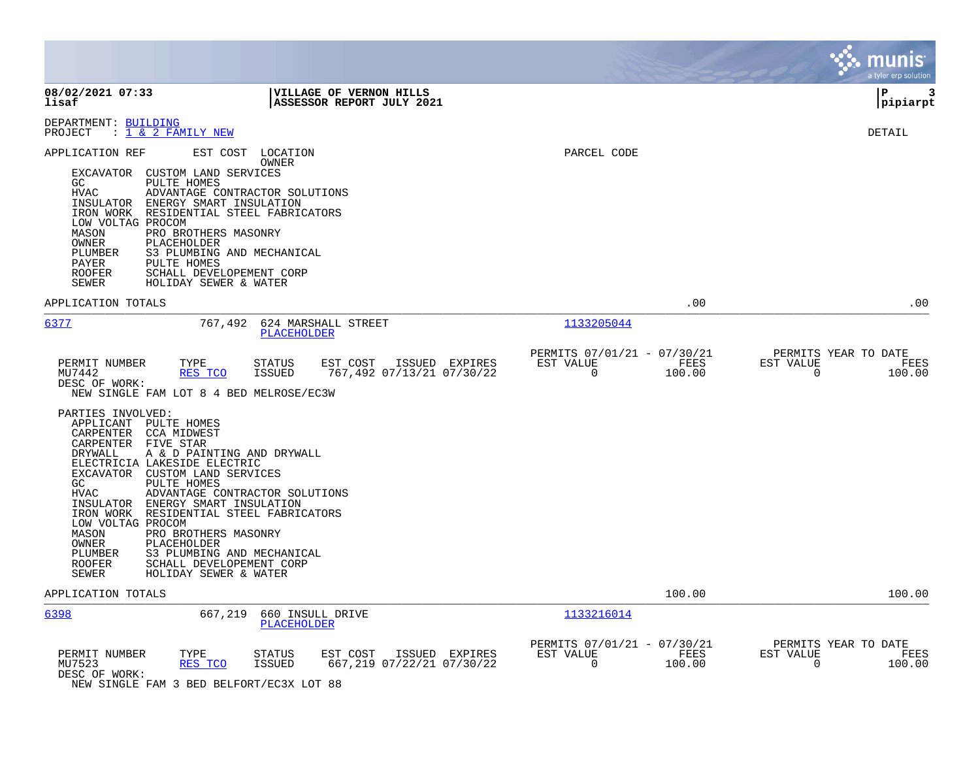|                                                                                                                                                                                                                                                                                                                                                                                                                                                                                                                                                                                                                                                                                                                                                                |                                                                            | munis<br>a tyler erp solution                                         |
|----------------------------------------------------------------------------------------------------------------------------------------------------------------------------------------------------------------------------------------------------------------------------------------------------------------------------------------------------------------------------------------------------------------------------------------------------------------------------------------------------------------------------------------------------------------------------------------------------------------------------------------------------------------------------------------------------------------------------------------------------------------|----------------------------------------------------------------------------|-----------------------------------------------------------------------|
| 08/02/2021 07:33<br><b>VILLAGE OF VERNON HILLS</b><br>lisaf<br>ASSESSOR REPORT JULY 2021                                                                                                                                                                                                                                                                                                                                                                                                                                                                                                                                                                                                                                                                       |                                                                            | l P<br>3<br> pipiarpt                                                 |
| DEPARTMENT: BUILDING<br>: 1 & 2 FAMILY NEW<br>PROJECT                                                                                                                                                                                                                                                                                                                                                                                                                                                                                                                                                                                                                                                                                                          |                                                                            | <b>DETAIL</b>                                                         |
| APPLICATION REF<br>EST COST LOCATION<br>OWNER<br>EXCAVATOR CUSTOM LAND SERVICES<br>GC<br>PULTE HOMES<br><b>HVAC</b><br>ADVANTAGE CONTRACTOR SOLUTIONS<br>INSULATOR ENERGY SMART INSULATION<br>IRON WORK RESIDENTIAL STEEL FABRICATORS<br>LOW VOLTAG PROCOM<br>MASON<br>PRO BROTHERS MASONRY<br>OWNER<br>PLACEHOLDER<br>PLUMBER<br>S3 PLUMBING AND MECHANICAL<br>PULTE HOMES<br>PAYER<br>SCHALL DEVELOPEMENT CORP<br><b>ROOFER</b><br>SEWER<br>HOLIDAY SEWER & WATER                                                                                                                                                                                                                                                                                            | PARCEL CODE                                                                |                                                                       |
| APPLICATION TOTALS                                                                                                                                                                                                                                                                                                                                                                                                                                                                                                                                                                                                                                                                                                                                             | .00                                                                        | .00                                                                   |
| 6377<br>767,492<br>624 MARSHALL STREET<br><b>PLACEHOLDER</b>                                                                                                                                                                                                                                                                                                                                                                                                                                                                                                                                                                                                                                                                                                   | 1133205044                                                                 |                                                                       |
| PERMIT NUMBER<br>TYPE<br>STATUS<br>EST COST ISSUED EXPIRES<br>MU7442<br>RES TCO<br><b>ISSUED</b><br>767,492 07/13/21 07/30/22<br>DESC OF WORK:<br>NEW SINGLE FAM LOT 8 4 BED MELROSE/EC3W<br>PARTIES INVOLVED:<br>APPLICANT PULTE HOMES<br>CARPENTER CCA MIDWEST<br>CARPENTER FIVE STAR<br>A & D PAINTING AND DRYWALL<br>DRYWALL<br>ELECTRICIA LAKESIDE ELECTRIC<br>EXCAVATOR CUSTOM LAND SERVICES<br>GC<br>PULTE HOMES<br><b>HVAC</b><br>ADVANTAGE CONTRACTOR SOLUTIONS<br>INSULATOR ENERGY SMART INSULATION<br>IRON WORK RESIDENTIAL STEEL FABRICATORS<br>LOW VOLTAG PROCOM<br>MASON<br>PRO BROTHERS MASONRY<br>PLACEHOLDER<br>OWNER<br>PLUMBER<br>S3 PLUMBING AND MECHANICAL<br><b>ROOFER</b><br>SCHALL DEVELOPEMENT CORP<br>SEWER<br>HOLIDAY SEWER & WATER | PERMITS 07/01/21 - 07/30/21<br>EST VALUE<br>FEES<br>$\mathsf{O}$<br>100.00 | PERMITS YEAR TO DATE<br>EST VALUE<br>FEES<br>$\overline{0}$<br>100.00 |
| APPLICATION TOTALS                                                                                                                                                                                                                                                                                                                                                                                                                                                                                                                                                                                                                                                                                                                                             | 100.00                                                                     | 100.00                                                                |
| 6398<br>667,219<br>660 INSULL DRIVE<br><b>PLACEHOLDER</b>                                                                                                                                                                                                                                                                                                                                                                                                                                                                                                                                                                                                                                                                                                      | 1133216014                                                                 |                                                                       |
| PERMIT NUMBER<br>EST COST<br>ISSUED EXPIRES<br>TYPE<br>STATUS<br>667,219 07/22/21 07/30/22<br>MU7523<br><b>ISSUED</b><br>RES TCO<br>DESC OF WORK:<br>NEW SINGLE FAM 3 BED BELFORT/EC3X LOT 88                                                                                                                                                                                                                                                                                                                                                                                                                                                                                                                                                                  | PERMITS 07/01/21 - 07/30/21<br>EST VALUE<br>FEES<br>$\mathbf 0$<br>100.00  | PERMITS YEAR TO DATE<br>EST VALUE<br>FEES<br>0<br>100.00              |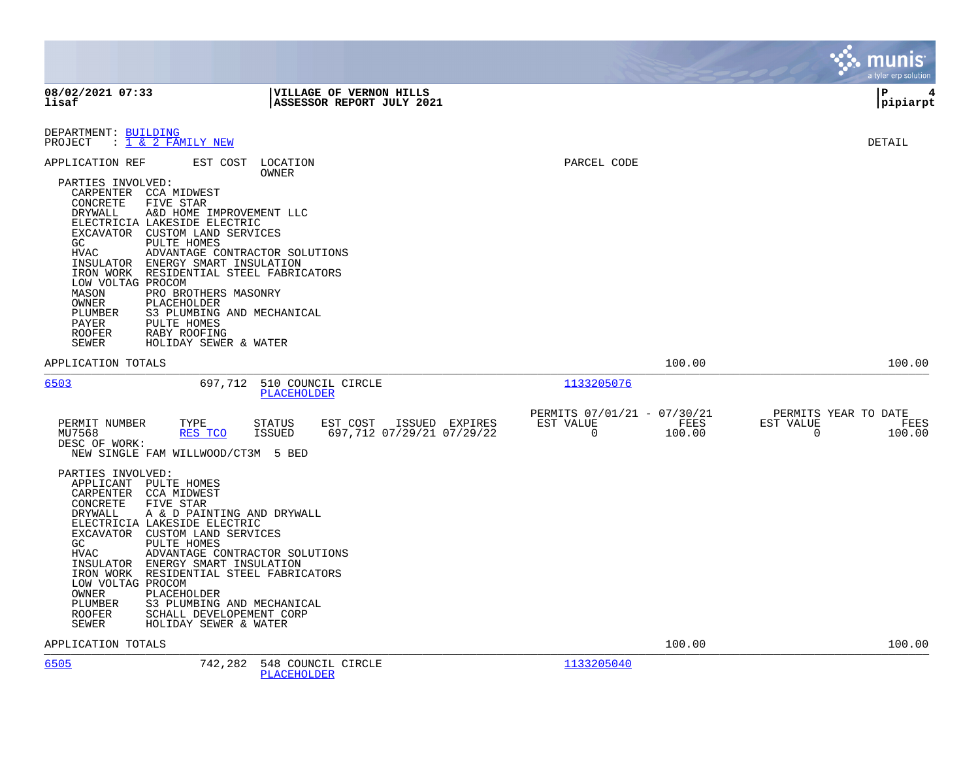|                                                                                                                                                                                                                                                                                                                                                                                                                                                                                                                                                    |                                                                                           |                                                         | munis<br>a tyler erp solution                                                        |
|----------------------------------------------------------------------------------------------------------------------------------------------------------------------------------------------------------------------------------------------------------------------------------------------------------------------------------------------------------------------------------------------------------------------------------------------------------------------------------------------------------------------------------------------------|-------------------------------------------------------------------------------------------|---------------------------------------------------------|--------------------------------------------------------------------------------------|
| 08/02/2021 07:33<br>lisaf                                                                                                                                                                                                                                                                                                                                                                                                                                                                                                                          | VILLAGE OF VERNON HILLS<br>ASSESSOR REPORT JULY 2021                                      |                                                         | l P<br> pipiarpt                                                                     |
| DEPARTMENT: BUILDING<br>PROJECT : 1 & 2 FAMILY NEW                                                                                                                                                                                                                                                                                                                                                                                                                                                                                                 |                                                                                           |                                                         | <b>DETAIL</b>                                                                        |
| APPLICATION REF<br>PARTIES INVOLVED:<br>CARPENTER CCA MIDWEST<br>CONCRETE<br>FIVE STAR<br>DRYWALL<br>A&D HOME IMPROVEMENT LLC<br>ELECTRICIA LAKESIDE ELECTRIC<br>EXCAVATOR CUSTOM LAND SERVICES<br>GC<br><b>PULTE HOMES</b><br><b>HVAC</b><br>INSULATOR<br>ENERGY SMART INSULATION<br>RESIDENTIAL STEEL FABRICATORS<br>IRON WORK<br>LOW VOLTAG PROCOM<br>MASON<br>PRO BROTHERS MASONRY<br>OWNER<br>PLACEHOLDER<br>PLUMBER<br>S3 PLUMBING AND MECHANICAL<br>PULTE HOMES<br>PAYER<br><b>ROOFER</b><br>RABY ROOFING<br>SEWER<br>HOLIDAY SEWER & WATER | EST COST LOCATION<br><b>OWNER</b><br>ADVANTAGE CONTRACTOR SOLUTIONS                       | PARCEL CODE                                             |                                                                                      |
| APPLICATION TOTALS                                                                                                                                                                                                                                                                                                                                                                                                                                                                                                                                 |                                                                                           |                                                         | 100.00<br>100.00                                                                     |
| 6503                                                                                                                                                                                                                                                                                                                                                                                                                                                                                                                                               | 697,712 510 COUNCIL CIRCLE<br><b>PLACEHOLDER</b>                                          | 1133205076                                              |                                                                                      |
| PERMIT NUMBER<br>TYPE<br>MU7568<br>RES TCO<br>DESC OF WORK:<br>NEW SINGLE FAM WILLWOOD/CT3M 5 BED<br>PARTIES INVOLVED:<br>APPLICANT<br>PULTE HOMES<br>CARPENTER<br>CCA MIDWEST<br>CONCRETE<br>FIVE STAR<br>DRYWALL<br>A & D PAINTING AND DRYWALL<br>ELECTRICIA LAKESIDE ELECTRIC                                                                                                                                                                                                                                                                   | ISSUED EXPIRES<br><b>STATUS</b><br>EST COST<br><b>ISSUED</b><br>697,712 07/29/21 07/29/22 | PERMITS 07/01/21 - 07/30/21<br>EST VALUE<br>$\mathbf 0$ | PERMITS YEAR TO DATE<br>EST VALUE<br>FEES<br>FEES<br>100.00<br>$\mathbf 0$<br>100.00 |
| EXCAVATOR CUSTOM LAND SERVICES<br>PULTE HOMES<br>GC<br><b>HVAC</b><br>INSULATOR ENERGY SMART INSULATION<br>RESIDENTIAL STEEL FABRICATORS<br>IRON WORK<br>LOW VOLTAG PROCOM<br>OWNER<br>PLACEHOLDER<br>PLUMBER<br>S3 PLUMBING AND MECHANICAL<br>ROOFER<br>SCHALL DEVELOPEMENT CORP<br>SEWER<br>HOLIDAY SEWER & WATER                                                                                                                                                                                                                                | ADVANTAGE CONTRACTOR SOLUTIONS                                                            |                                                         |                                                                                      |
| APPLICATION TOTALS                                                                                                                                                                                                                                                                                                                                                                                                                                                                                                                                 |                                                                                           |                                                         | 100.00<br>100.00                                                                     |
| 6505<br>742,282                                                                                                                                                                                                                                                                                                                                                                                                                                                                                                                                    | 548 COUNCIL CIRCLE<br>PLACEHOLDER                                                         | 1133205040                                              |                                                                                      |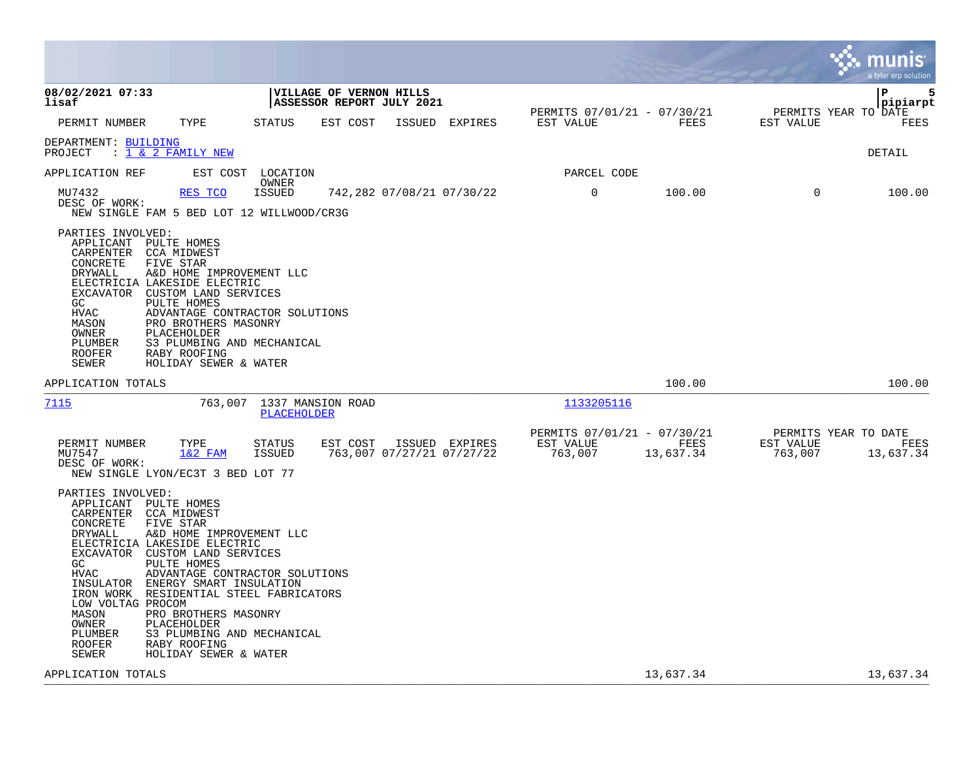|                                                                                                                                                                                                                            |                                                                                                                                                                                                                                                                                                                        |                                                             |                |                                                     |                   |                                              | a tyler erp solution |
|----------------------------------------------------------------------------------------------------------------------------------------------------------------------------------------------------------------------------|------------------------------------------------------------------------------------------------------------------------------------------------------------------------------------------------------------------------------------------------------------------------------------------------------------------------|-------------------------------------------------------------|----------------|-----------------------------------------------------|-------------------|----------------------------------------------|----------------------|
| 08/02/2021 07:33<br>lisaf                                                                                                                                                                                                  |                                                                                                                                                                                                                                                                                                                        | <b>VILLAGE OF VERNON HILLS</b><br>ASSESSOR REPORT JULY 2021 |                | PERMITS 07/01/21 - 07/30/21                         |                   | PERMITS YEAR TO DATE                         | 5<br>ΙP<br> pipiarpt |
| PERMIT NUMBER                                                                                                                                                                                                              | TYPE<br><b>STATUS</b>                                                                                                                                                                                                                                                                                                  | EST COST                                                    | ISSUED EXPIRES | EST VALUE                                           | FEES              | EST VALUE                                    | FEES                 |
| DEPARTMENT: BUILDING<br>: 1 & 2 FAMILY NEW<br>PROJECT                                                                                                                                                                      |                                                                                                                                                                                                                                                                                                                        |                                                             |                |                                                     |                   |                                              | DETAIL               |
| APPLICATION REF                                                                                                                                                                                                            | EST COST LOCATION<br>OWNER                                                                                                                                                                                                                                                                                             |                                                             |                | PARCEL CODE                                         |                   |                                              |                      |
| MU7432<br>DESC OF WORK:                                                                                                                                                                                                    | RES TCO<br><b>ISSUED</b><br>NEW SINGLE FAM 5 BED LOT 12 WILLWOOD/CR3G                                                                                                                                                                                                                                                  | 742,282 07/08/21 07/30/22                                   |                | $\mathbf 0$                                         | 100.00            | $\Omega$                                     | 100.00               |
| PARTIES INVOLVED:<br>APPLICANT PULTE HOMES<br>CARPENTER CCA MIDWEST<br>CONCRETE<br>DRYWALL<br>ELECTRICIA LAKESIDE ELECTRIC<br>EXCAVATOR<br>GC<br><b>HVAC</b><br>MASON<br>OWNER<br>PLUMBER<br><b>ROOFER</b><br><b>SEWER</b> | FIVE STAR<br>A&D HOME IMPROVEMENT LLC<br>CUSTOM LAND SERVICES<br>PULTE HOMES<br>ADVANTAGE CONTRACTOR SOLUTIONS<br>PRO BROTHERS MASONRY<br>PLACEHOLDER<br>S3 PLUMBING AND MECHANICAL<br>RABY ROOFING<br>HOLIDAY SEWER & WATER                                                                                           |                                                             |                |                                                     |                   |                                              |                      |
| APPLICATION TOTALS                                                                                                                                                                                                         |                                                                                                                                                                                                                                                                                                                        |                                                             |                |                                                     | 100.00            |                                              | 100.00               |
| 7115                                                                                                                                                                                                                       | 763,007 1337 MANSION ROAD<br>PLACEHOLDER                                                                                                                                                                                                                                                                               |                                                             |                | 1133205116                                          |                   |                                              |                      |
| PERMIT NUMBER<br>MU7547<br>DESC OF WORK:                                                                                                                                                                                   | TYPE<br><b>STATUS</b><br>$1&2$ FAM<br>ISSUED<br>NEW SINGLE LYON/EC3T 3 BED LOT 77                                                                                                                                                                                                                                      | EST COST ISSUED EXPIRES<br>763,007 07/27/21 07/27/22        |                | PERMITS 07/01/21 - 07/30/21<br>EST VALUE<br>763,007 | FEES<br>13,637.34 | PERMITS YEAR TO DATE<br>EST VALUE<br>763,007 | FEES<br>13,637.34    |
| PARTIES INVOLVED:<br>APPLICANT PULTE HOMES<br>CARPENTER CCA MIDWEST<br>CONCRETE<br>DRYWALL<br>ELECTRICIA LAKESIDE ELECTRIC<br>GC<br>HVAC<br>LOW VOLTAG PROCOM<br>MASON<br>OWNER<br>PLUMBER<br><b>ROOFER</b><br>SEWER       | FIVE STAR<br>A&D HOME IMPROVEMENT LLC<br>EXCAVATOR CUSTOM LAND SERVICES<br>PULTE HOMES<br>ADVANTAGE CONTRACTOR SOLUTIONS<br>INSULATOR ENERGY SMART INSULATION<br>IRON WORK RESIDENTIAL STEEL FABRICATORS<br>PRO BROTHERS MASONRY<br>PLACEHOLDER<br>S3 PLUMBING AND MECHANICAL<br>RABY ROOFING<br>HOLIDAY SEWER & WATER |                                                             |                |                                                     |                   |                                              |                      |
| APPLICATION TOTALS                                                                                                                                                                                                         |                                                                                                                                                                                                                                                                                                                        |                                                             |                |                                                     | 13,637.34         |                                              | 13,637.34            |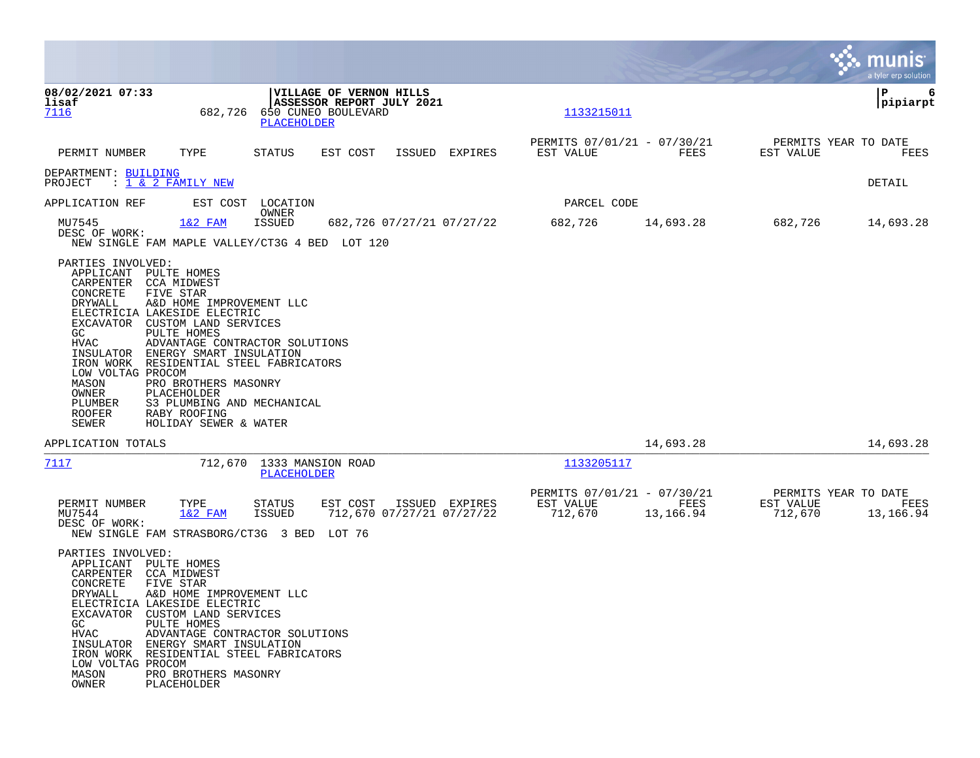|                                                                                                                                                                                                    |                                                                                                                                                                                                                                                                                                            |                                                                                                   |                           |                |                                                     |                   |                                              | munis<br>a tyler erp solution |
|----------------------------------------------------------------------------------------------------------------------------------------------------------------------------------------------------|------------------------------------------------------------------------------------------------------------------------------------------------------------------------------------------------------------------------------------------------------------------------------------------------------------|---------------------------------------------------------------------------------------------------|---------------------------|----------------|-----------------------------------------------------|-------------------|----------------------------------------------|-------------------------------|
| 08/02/2021 07:33<br>lisaf<br>7116                                                                                                                                                                  | 682,726                                                                                                                                                                                                                                                                                                    | <b>VILLAGE OF VERNON HILLS</b><br>ASSESSOR REPORT JULY 2021<br>650 CUNEO BOULEVARD<br>PLACEHOLDER |                           |                | 1133215011                                          |                   |                                              | 6<br>IΡ<br> pipiarpt          |
| PERMIT NUMBER                                                                                                                                                                                      | TYPE                                                                                                                                                                                                                                                                                                       | EST COST<br>STATUS                                                                                |                           | ISSUED EXPIRES | PERMITS 07/01/21 - 07/30/21<br>EST VALUE            | FEES              | PERMITS YEAR TO DATE<br>EST VALUE            | FEES                          |
| DEPARTMENT: BUILDING<br>PROJECT                                                                                                                                                                    | : <u>1 &amp; 2 FAMILY NEW</u>                                                                                                                                                                                                                                                                              |                                                                                                   |                           |                |                                                     |                   |                                              | DETAIL                        |
| APPLICATION REF                                                                                                                                                                                    |                                                                                                                                                                                                                                                                                                            | EST COST LOCATION                                                                                 |                           |                | PARCEL CODE                                         |                   |                                              |                               |
| MU7545<br>DESC OF WORK:                                                                                                                                                                            | $1&2$ FAM                                                                                                                                                                                                                                                                                                  | OWNER<br>ISSUED<br>NEW SINGLE FAM MAPLE VALLEY/CT3G 4 BED LOT 120                                 | 682,726 07/27/21 07/27/22 |                | 682,726                                             | 14,693.28         | 682,726                                      | 14,693.28                     |
| PARTIES INVOLVED:<br>APPLICANT PULTE HOMES<br>CARPENTER CCA MIDWEST<br>CONCRETE<br>DRYWALL<br>EXCAVATOR<br>GC.<br>HVAC<br>LOW VOLTAG PROCOM<br>MASON<br>OWNER<br>PLUMBER<br><b>ROOFER</b><br>SEWER | FIVE STAR<br>A&D HOME IMPROVEMENT LLC<br>ELECTRICIA LAKESIDE ELECTRIC<br>CUSTOM LAND SERVICES<br>PULTE HOMES<br>INSULATOR ENERGY SMART INSULATION<br>IRON WORK RESIDENTIAL STEEL FABRICATORS<br>PRO BROTHERS MASONRY<br>PLACEHOLDER<br>S3 PLUMBING AND MECHANICAL<br>RABY ROOFING<br>HOLIDAY SEWER & WATER | ADVANTAGE CONTRACTOR SOLUTIONS                                                                    |                           |                |                                                     |                   |                                              |                               |
| APPLICATION TOTALS                                                                                                                                                                                 |                                                                                                                                                                                                                                                                                                            |                                                                                                   |                           |                |                                                     | 14,693.28         |                                              | 14,693.28                     |
| 7117                                                                                                                                                                                               |                                                                                                                                                                                                                                                                                                            | 712,670 1333 MANSION ROAD<br>PLACEHOLDER                                                          |                           |                | <u> 1133205117</u>                                  |                   |                                              |                               |
| PERMIT NUMBER<br>MU7544<br>DESC OF WORK:                                                                                                                                                           | TYPE<br>$1&2$ FAM                                                                                                                                                                                                                                                                                          | EST COST<br>STATUS<br><b>ISSUED</b><br>NEW SINGLE FAM STRASBORG/CT3G 3 BED LOT 76                 | 712,670 07/27/21 07/27/22 | ISSUED EXPIRES | PERMITS 07/01/21 - 07/30/21<br>EST VALUE<br>712,670 | FEES<br>13,166.94 | PERMITS YEAR TO DATE<br>EST VALUE<br>712,670 | FEES<br>13,166.94             |
| PARTIES INVOLVED:<br>APPLICANT<br>CARPENTER<br>CONCRETE<br>DRYWALL<br>GC<br>HVAC<br>LOW VOLTAG PROCOM<br>MASON<br>OWNER                                                                            | PULTE HOMES<br>CCA MIDWEST<br>FIVE STAR<br>A&D HOME IMPROVEMENT LLC<br>ELECTRICIA LAKESIDE ELECTRIC<br>EXCAVATOR CUSTOM LAND SERVICES<br>PULTE HOMES<br>INSULATOR ENERGY SMART INSULATION<br>IRON WORK RESIDENTIAL STEEL FABRICATORS<br>PRO BROTHERS MASONRY<br>PLACEHOLDER                                | ADVANTAGE CONTRACTOR SOLUTIONS                                                                    |                           |                |                                                     |                   |                                              |                               |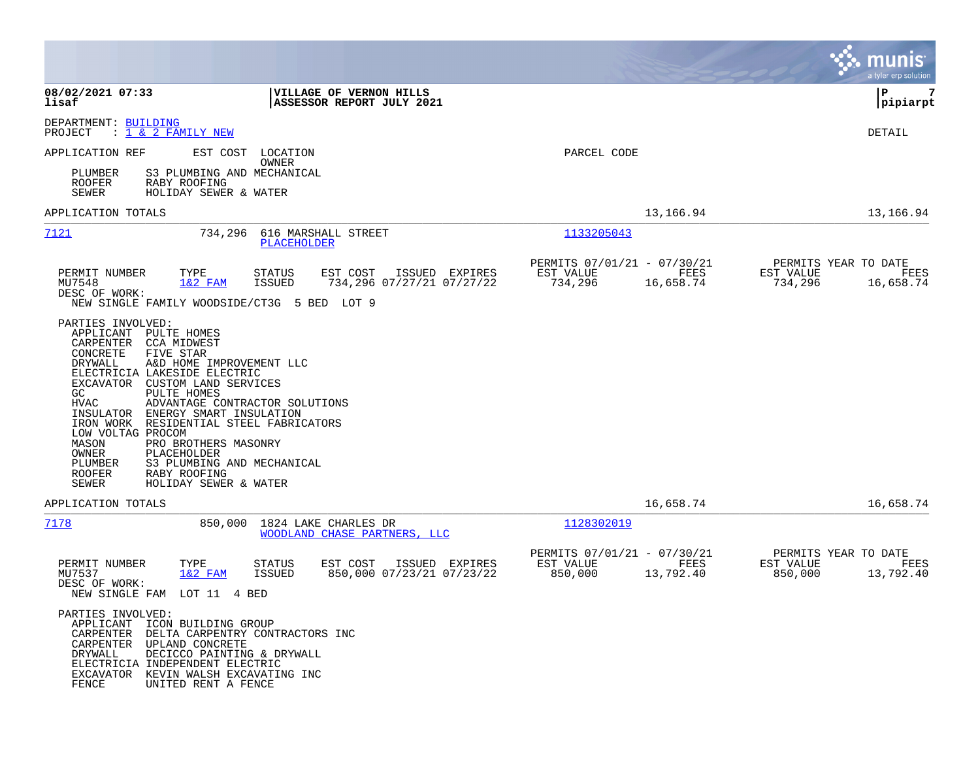|                                                                                                                                                                                                                                                                                                                                                                                                                                                                                                                                                                              |                                                                                                    | munis<br>a tyler erp solution                                                          |
|------------------------------------------------------------------------------------------------------------------------------------------------------------------------------------------------------------------------------------------------------------------------------------------------------------------------------------------------------------------------------------------------------------------------------------------------------------------------------------------------------------------------------------------------------------------------------|----------------------------------------------------------------------------------------------------|----------------------------------------------------------------------------------------|
| 08/02/2021 07:33<br>VILLAGE OF VERNON HILLS<br>lisaf<br>ASSESSOR REPORT JULY 2021                                                                                                                                                                                                                                                                                                                                                                                                                                                                                            |                                                                                                    | l P<br>7<br> pipiarpt                                                                  |
| DEPARTMENT: BUILDING<br>PROJECT<br>: <u>1 &amp; 2 FAMILY NEW</u>                                                                                                                                                                                                                                                                                                                                                                                                                                                                                                             |                                                                                                    | DETAIL                                                                                 |
| APPLICATION REF<br>EST COST<br>LOCATION<br>OWNER                                                                                                                                                                                                                                                                                                                                                                                                                                                                                                                             | PARCEL CODE                                                                                        |                                                                                        |
| S3 PLUMBING AND MECHANICAL<br>PLUMBER<br><b>ROOFER</b><br>RABY ROOFING<br>HOLIDAY SEWER & WATER<br>SEWER                                                                                                                                                                                                                                                                                                                                                                                                                                                                     |                                                                                                    |                                                                                        |
| APPLICATION TOTALS                                                                                                                                                                                                                                                                                                                                                                                                                                                                                                                                                           |                                                                                                    | 13,166.94<br>13,166.94                                                                 |
| 7121<br>734,296<br>616 MARSHALL STREET<br>PLACEHOLDER                                                                                                                                                                                                                                                                                                                                                                                                                                                                                                                        | 1133205043                                                                                         |                                                                                        |
| PERMIT NUMBER<br>TYPE<br>STATUS<br>EST COST<br>$1&2$ FAM<br>MU7548<br>ISSUED<br>DESC OF WORK:                                                                                                                                                                                                                                                                                                                                                                                                                                                                                | PERMITS 07/01/21 - 07/30/21<br>ISSUED EXPIRES<br>EST VALUE<br>734,296 07/27/21 07/27/22<br>734,296 | PERMITS YEAR TO DATE<br>FEES<br>EST VALUE<br>FEES<br>734,296<br>16,658.74<br>16,658.74 |
| NEW SINGLE FAMILY WOODSIDE/CT3G 5 BED LOT 9                                                                                                                                                                                                                                                                                                                                                                                                                                                                                                                                  |                                                                                                    |                                                                                        |
| PARTIES INVOLVED:<br>APPLICANT<br>PULTE HOMES<br>CARPENTER<br><b>CCA MIDWEST</b><br>CONCRETE<br>FIVE STAR<br>DRYWALL<br>A&D HOME IMPROVEMENT LLC<br>ELECTRICIA LAKESIDE ELECTRIC<br><b>EXCAVATOR</b><br>CUSTOM LAND SERVICES<br>GC.<br>PULTE HOMES<br><b>HVAC</b><br>ADVANTAGE CONTRACTOR SOLUTIONS<br>INSULATOR<br>ENERGY SMART INSULATION<br>IRON WORK<br>RESIDENTIAL STEEL FABRICATORS<br>LOW VOLTAG PROCOM<br>PRO BROTHERS MASONRY<br>MASON<br>OWNER<br>PLACEHOLDER<br>S3 PLUMBING AND MECHANICAL<br>PLUMBER<br>RABY ROOFING<br>ROOFER<br>SEWER<br>HOLIDAY SEWER & WATER |                                                                                                    |                                                                                        |
| APPLICATION TOTALS                                                                                                                                                                                                                                                                                                                                                                                                                                                                                                                                                           |                                                                                                    | 16,658.74<br>16,658.74                                                                 |
| 7178<br>850,000<br>1824 LAKE CHARLES DR<br><b>WOODLAND CHASE PARTNERS, LLC</b>                                                                                                                                                                                                                                                                                                                                                                                                                                                                                               | 1128302019                                                                                         |                                                                                        |
| PERMIT NUMBER<br>TYPE<br>STATUS<br>EST COST<br>MU7537<br>$1&2$ FAM<br><b>ISSUED</b><br>DESC OF WORK:<br>NEW SINGLE FAM LOT 11 4 BED                                                                                                                                                                                                                                                                                                                                                                                                                                          | PERMITS 07/01/21 - 07/30/21<br>EST VALUE<br>ISSUED EXPIRES<br>850,000 07/23/21 07/23/22<br>850,000 | PERMITS YEAR TO DATE<br>FEES<br>EST VALUE<br>FEES<br>13,792.40<br>850,000<br>13,792.40 |
| PARTIES INVOLVED:<br>APPLICANT ICON BUILDING GROUP<br>CARPENTER<br>DELTA CARPENTRY CONTRACTORS INC<br>CARPENTER<br>UPLAND CONCRETE<br>DECICCO PAINTING & DRYWALL<br>DRYWALL<br>ELECTRICIA INDEPENDENT ELECTRIC<br>EXCAVATOR KEVIN WALSH EXCAVATING INC<br>FENCE<br>UNITED RENT A FENCE                                                                                                                                                                                                                                                                                       |                                                                                                    |                                                                                        |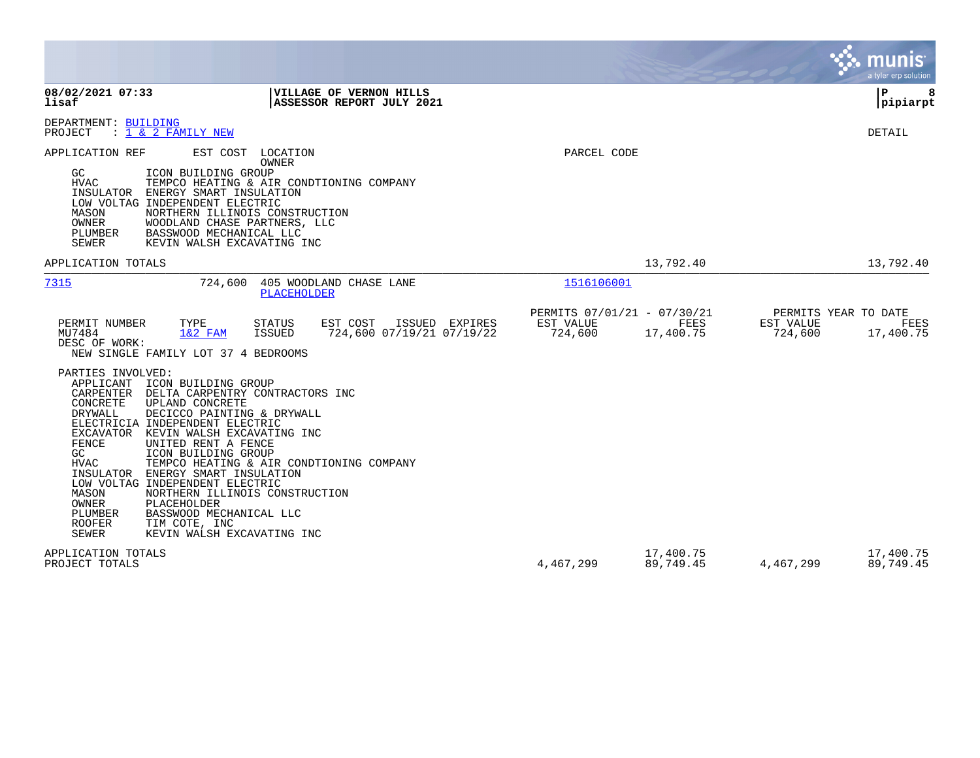|                                                                                                                                                                                                                                                                                                                                                                                                                                                                                                                                                                                             |                                                         |                                                     |                        |                                              | a tyler erp solution   |
|---------------------------------------------------------------------------------------------------------------------------------------------------------------------------------------------------------------------------------------------------------------------------------------------------------------------------------------------------------------------------------------------------------------------------------------------------------------------------------------------------------------------------------------------------------------------------------------------|---------------------------------------------------------|-----------------------------------------------------|------------------------|----------------------------------------------|------------------------|
| 08/02/2021 07:33<br>lisaf                                                                                                                                                                                                                                                                                                                                                                                                                                                                                                                                                                   | VILLAGE OF VERNON HILLS<br>ASSESSOR REPORT JULY 2021    |                                                     |                        |                                              | l P<br> pipiarpt       |
| DEPARTMENT: BUILDING<br>: 1 & 2 FAMILY NEW<br>PROJECT                                                                                                                                                                                                                                                                                                                                                                                                                                                                                                                                       |                                                         |                                                     |                        |                                              | DETAIL                 |
| APPLICATION REF<br>EST COST<br>LOCATION<br>OWNER<br>GC<br>ICON BUILDING GROUP<br>HVAC<br>TEMPCO HEATING & AIR CONDTIONING COMPANY<br>INSULATOR<br>ENERGY SMART INSULATION<br>LOW VOLTAG INDEPENDENT ELECTRIC<br>NORTHERN ILLINOIS CONSTRUCTION<br>MASON<br>OWNER<br>WOODLAND CHASE PARTNERS, LLC<br>PLUMBER<br>BASSWOOD MECHANICAL LLC<br><b>SEWER</b><br>KEVIN WALSH EXCAVATING INC                                                                                                                                                                                                        |                                                         | PARCEL CODE                                         |                        |                                              |                        |
| APPLICATION TOTALS                                                                                                                                                                                                                                                                                                                                                                                                                                                                                                                                                                          |                                                         |                                                     | 13,792.40              |                                              | 13,792.40              |
| 724,600<br>7315<br>PLACEHOLDER                                                                                                                                                                                                                                                                                                                                                                                                                                                                                                                                                              | 405 WOODLAND CHASE LANE                                 | 1516106001                                          |                        |                                              |                        |
| TYPE<br>PERMIT NUMBER<br><b>STATUS</b><br>MU7484<br>$1&2$ FAM<br>ISSUED<br>DESC OF WORK:<br>NEW SINGLE FAMILY LOT 37 4 BEDROOMS<br>PARTIES INVOLVED:<br>APPLICANT<br>ICON BUILDING GROUP                                                                                                                                                                                                                                                                                                                                                                                                    | EST COST<br>ISSUED EXPIRES<br>724,600 07/19/21 07/19/22 | PERMITS 07/01/21 - 07/30/21<br>EST VALUE<br>724,600 | FEES<br>17,400.75      | PERMITS YEAR TO DATE<br>EST VALUE<br>724,600 | FEES<br>17,400.75      |
| DELTA CARPENTRY CONTRACTORS INC<br>CARPENTER<br>CONCRETE<br>UPLAND CONCRETE<br>DRYWALL<br>DECICCO PAINTING & DRYWALL<br>ELECTRICIA INDEPENDENT ELECTRIC<br>EXCAVATOR<br>KEVIN WALSH EXCAVATING INC<br>FENCE<br>UNITED RENT A FENCE<br>GC<br>ICON BUILDING GROUP<br><b>HVAC</b><br>TEMPCO HEATING & AIR CONDTIONING COMPANY<br>INSULATOR ENERGY SMART INSULATION<br>LOW VOLTAG INDEPENDENT ELECTRIC<br>NORTHERN ILLINOIS CONSTRUCTION<br>MASON<br>OWNER<br>PLACEHOLDER<br>PLUMBER<br>BASSWOOD MECHANICAL LLC<br><b>ROOFER</b><br>TIM COTE, INC<br><b>SEWER</b><br>KEVIN WALSH EXCAVATING INC |                                                         |                                                     |                        |                                              |                        |
| APPLICATION TOTALS<br>PROJECT TOTALS                                                                                                                                                                                                                                                                                                                                                                                                                                                                                                                                                        |                                                         | 4,467,299                                           | 17,400.75<br>89,749.45 | 4,467,299                                    | 17,400.75<br>89,749.45 |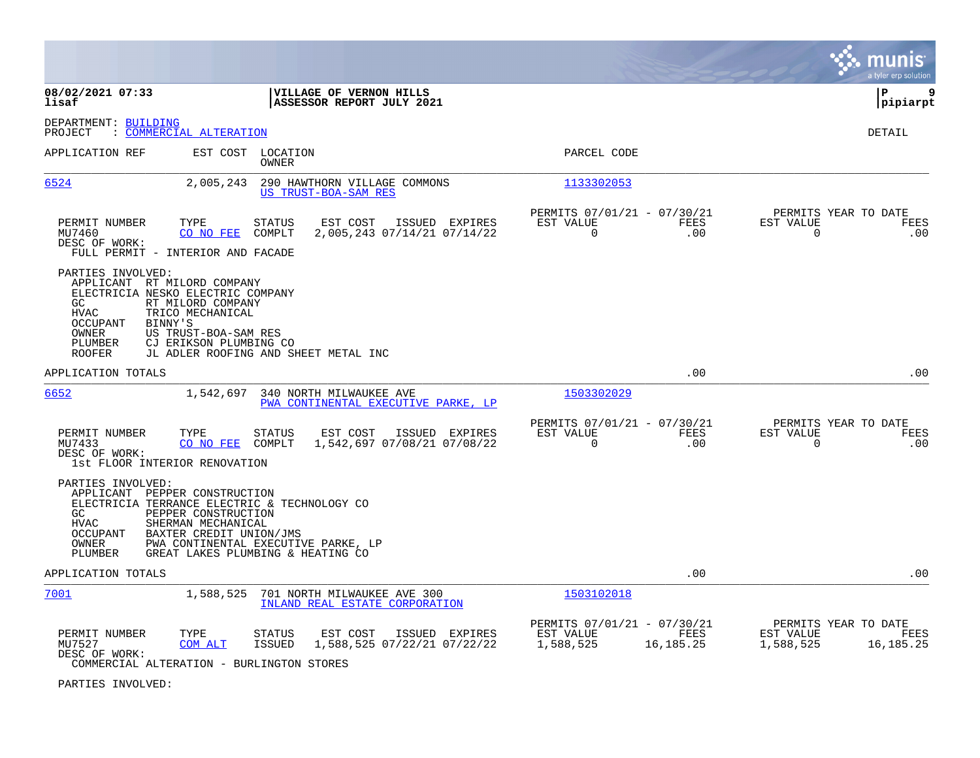|                                                                                                                                                                                                                                                                                                      |                                                                                   | munis<br>a tyler erp solution                                       |
|------------------------------------------------------------------------------------------------------------------------------------------------------------------------------------------------------------------------------------------------------------------------------------------------------|-----------------------------------------------------------------------------------|---------------------------------------------------------------------|
| 08/02/2021 07:33<br>VILLAGE OF VERNON HILLS<br>lisaf<br>ASSESSOR REPORT JULY 2021                                                                                                                                                                                                                    |                                                                                   | ΙP<br>9<br>pipiarpt                                                 |
| DEPARTMENT: BUILDING<br>: COMMERCIAL ALTERATION<br>PROJECT                                                                                                                                                                                                                                           |                                                                                   | <b>DETAIL</b>                                                       |
| APPLICATION REF<br>EST COST LOCATION<br>OWNER                                                                                                                                                                                                                                                        | PARCEL CODE                                                                       |                                                                     |
| 6524<br>2,005,243<br>290 HAWTHORN VILLAGE COMMONS<br>US TRUST-BOA-SAM RES                                                                                                                                                                                                                            | 1133302053                                                                        |                                                                     |
| PERMIT NUMBER<br>TYPE<br>STATUS<br>EST COST<br>ISSUED EXPIRES<br>MU7460<br>CO NO FEE<br>COMPLT<br>2,005,243 07/14/21 07/14/22<br>DESC OF WORK:<br>FULL PERMIT - INTERIOR AND FACADE                                                                                                                  | PERMITS 07/01/21 - 07/30/21<br>EST VALUE<br>FEES<br>$\Omega$<br>.00               | PERMITS YEAR TO DATE<br>EST VALUE<br>FEES<br>$\Omega$<br>.00        |
| PARTIES INVOLVED:<br>APPLICANT RT MILORD COMPANY<br>ELECTRICIA NESKO ELECTRIC COMPANY<br>RT MILORD COMPANY<br>GC.<br><b>HVAC</b><br>TRICO MECHANICAL<br>OCCUPANT<br>BINNY'S<br>OWNER<br>US TRUST-BOA-SAM RES<br>CJ ERIKSON PLUMBING CO<br>PLUMBER<br>JL ADLER ROOFING AND SHEET METAL INC<br>ROOFER  |                                                                                   |                                                                     |
| APPLICATION TOTALS                                                                                                                                                                                                                                                                                   | .00                                                                               | .00                                                                 |
| 6652<br>1,542,697<br>340 NORTH MILWAUKEE AVE<br>PWA CONTINENTAL EXECUTIVE PARKE, LP                                                                                                                                                                                                                  | 1503302029                                                                        |                                                                     |
| PERMIT NUMBER<br>TYPE<br><b>STATUS</b><br>EST COST<br>ISSUED EXPIRES<br>1,542,697 07/08/21 07/08/22<br>MU7433<br>CO NO FEE<br>COMPLT<br>DESC OF WORK:<br>1st FLOOR INTERIOR RENOVATION                                                                                                               | PERMITS 07/01/21 - 07/30/21<br>EST VALUE<br>FEES<br>$\Omega$<br>.00               | PERMITS YEAR TO DATE<br>EST VALUE<br>FEES<br>$\mathbf 0$<br>.00     |
| PARTIES INVOLVED:<br>APPLICANT PEPPER CONSTRUCTION<br>ELECTRICIA TERRANCE ELECTRIC & TECHNOLOGY CO<br>PEPPER CONSTRUCTION<br>GC<br>SHERMAN MECHANICAL<br>HVAC<br>BAXTER CREDIT UNION/JMS<br>OCCUPANT<br>OWNER<br>PWA CONTINENTAL EXECUTIVE PARKE, LP<br>PLUMBER<br>GREAT LAKES PLUMBING & HEATING CO |                                                                                   |                                                                     |
| APPLICATION TOTALS                                                                                                                                                                                                                                                                                   | .00                                                                               | .00                                                                 |
| 7001<br>1,588,525<br>701 NORTH MILWAUKEE AVE 300<br>INLAND REAL ESTATE CORPORATION                                                                                                                                                                                                                   | 1503102018                                                                        |                                                                     |
| TYPE<br>PERMIT NUMBER<br>STATUS<br>EST COST<br>ISSUED EXPIRES<br>1,588,525 07/22/21 07/22/22<br>MU7527<br>COM ALT<br>ISSUED<br>DESC OF WORK:<br>COMMERCIAL ALTERATION - BURLINGTON STORES                                                                                                            | PERMITS 07/01/21 - 07/30/21<br>EST VALUE<br><b>FEES</b><br>1,588,525<br>16,185.25 | PERMITS YEAR TO DATE<br>EST VALUE<br>FEES<br>1,588,525<br>16,185.25 |

PARTIES INVOLVED: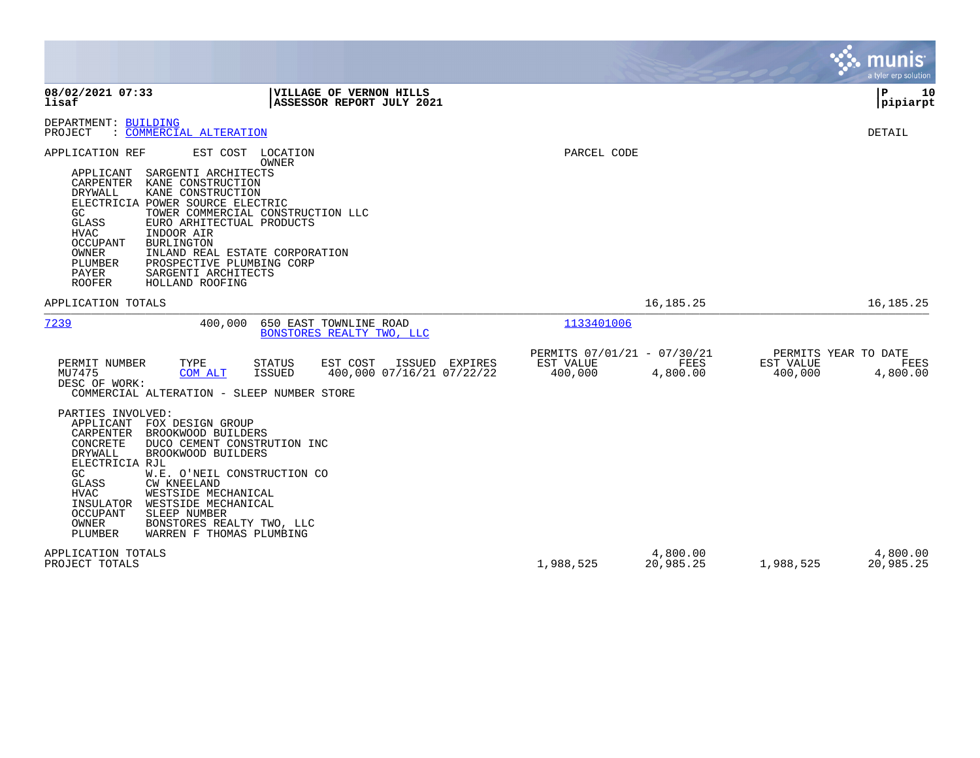|                                                                                                                                                                                                                                                                                                                                                                                                                                                                                               |                                                     |                         |                                              | munis<br>a tyler erp solution |
|-----------------------------------------------------------------------------------------------------------------------------------------------------------------------------------------------------------------------------------------------------------------------------------------------------------------------------------------------------------------------------------------------------------------------------------------------------------------------------------------------|-----------------------------------------------------|-------------------------|----------------------------------------------|-------------------------------|
| 08/02/2021 07:33<br>VILLAGE OF VERNON HILLS<br>lisaf<br>ASSESSOR REPORT JULY 2021                                                                                                                                                                                                                                                                                                                                                                                                             |                                                     |                         |                                              | ${\bf P}$<br>10<br> pipiarpt  |
| DEPARTMENT: BUILDING<br>PROJECT<br>: COMMERCIAL ALTERATION                                                                                                                                                                                                                                                                                                                                                                                                                                    |                                                     |                         |                                              | <b>DETAIL</b>                 |
| APPLICATION REF<br>EST COST LOCATION<br>OWNER<br>APPLICANT<br>SARGENTI ARCHITECTS<br>CARPENTER<br>KANE CONSTRUCTION<br>KANE CONSTRUCTION<br>DRYWALL<br>ELECTRICIA POWER SOURCE ELECTRIC<br>GC<br>TOWER COMMERCIAL CONSTRUCTION LLC<br>GLASS<br>EURO ARHITECTUAL PRODUCTS<br>HVAC<br>INDOOR AIR<br><b>OCCUPANT</b><br><b>BURLINGTON</b><br>OWNER<br>INLAND REAL ESTATE CORPORATION<br>PLUMBER<br>PROSPECTIVE PLUMBING CORP<br>PAYER<br>SARGENTI ARCHITECTS<br><b>ROOFER</b><br>HOLLAND ROOFING | PARCEL CODE                                         |                         |                                              |                               |
| APPLICATION TOTALS                                                                                                                                                                                                                                                                                                                                                                                                                                                                            |                                                     | 16, 185. 25             |                                              | 16, 185. 25                   |
| 7239<br>400,000<br>650 EAST TOWNLINE ROAD<br>BONSTORES REALTY TWO, LLC                                                                                                                                                                                                                                                                                                                                                                                                                        | 1133401006                                          |                         |                                              |                               |
| EST COST<br>EXPIRES<br>PERMIT NUMBER<br>TYPE<br>STATUS<br>ISSUED<br>MU7475<br><b>ISSUED</b><br>400,000 07/16/21 07/22/22<br>COM ALT<br>DESC OF WORK:<br>COMMERCIAL ALTERATION - SLEEP NUMBER STORE                                                                                                                                                                                                                                                                                            | PERMITS 07/01/21 - 07/30/21<br>EST VALUE<br>400,000 | <b>FEES</b><br>4,800.00 | PERMITS YEAR TO DATE<br>EST VALUE<br>400,000 | FEES<br>4,800.00              |
| PARTIES INVOLVED:<br>APPLICANT<br>FOX DESIGN GROUP<br>CARPENTER<br>BROOKWOOD BUILDERS<br>CONCRETE<br>DUCO CEMENT CONSTRUTION INC<br>DRYWALL<br>BROOKWOOD BUILDERS<br>ELECTRICIA RJL<br>GC<br>W.E. O'NEIL CONSTRUCTION CO<br>GLASS<br><b>CW KNEELAND</b><br>HVAC<br>WESTSIDE MECHANICAL<br>INSULATOR<br>WESTSIDE MECHANICAL<br><b>OCCUPANT</b><br>SLEEP NUMBER<br>OWNER<br>BONSTORES REALTY TWO, LLC<br>PLUMBER<br>WARREN F THOMAS PLUMBING                                                    |                                                     |                         |                                              |                               |
| APPLICATION TOTALS<br>PROJECT TOTALS                                                                                                                                                                                                                                                                                                                                                                                                                                                          | 1,988,525                                           | 4,800.00<br>20,985.25   | 1,988,525                                    | 4,800.00<br>20,985.25         |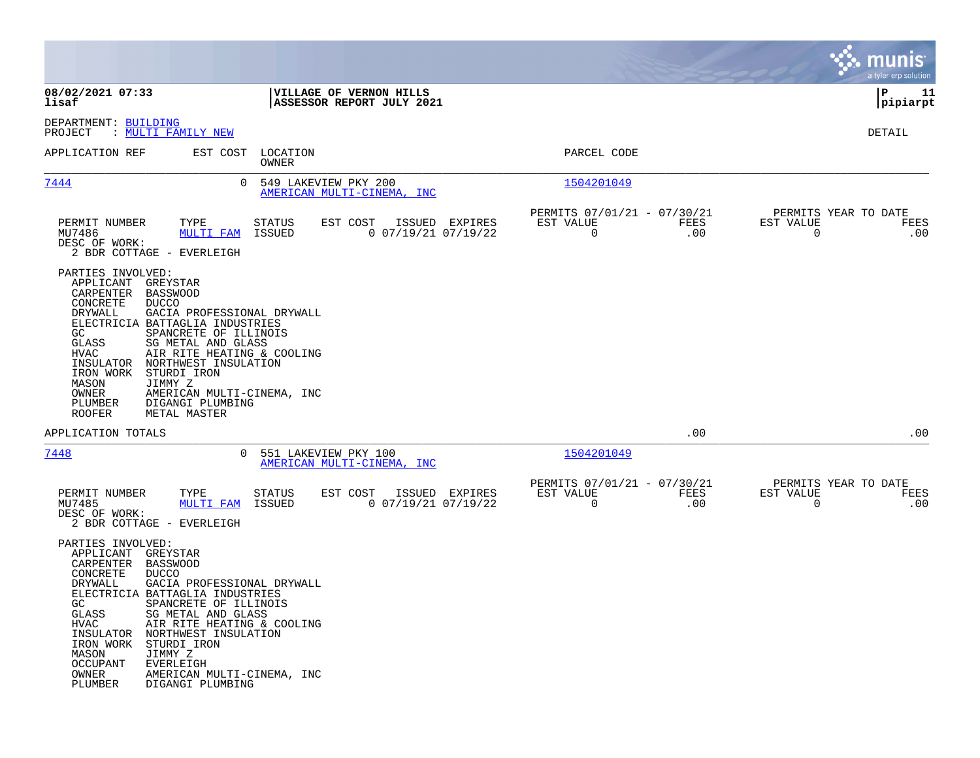|                                                                                                                                                                                                                   |                                                                                                                                                                                                                                                                                              |                                                      |                                                            |             | munis<br>a tyler erp solution                 |             |
|-------------------------------------------------------------------------------------------------------------------------------------------------------------------------------------------------------------------|----------------------------------------------------------------------------------------------------------------------------------------------------------------------------------------------------------------------------------------------------------------------------------------------|------------------------------------------------------|------------------------------------------------------------|-------------|-----------------------------------------------|-------------|
| 08/02/2021 07:33<br>lisaf                                                                                                                                                                                         |                                                                                                                                                                                                                                                                                              | VILLAGE OF VERNON HILLS<br>ASSESSOR REPORT JULY 2021 |                                                            |             | l P<br> pipiarpt                              | 11          |
| DEPARTMENT: BUILDING<br>PROJECT<br>: MULTI FAMILY NEW                                                                                                                                                             |                                                                                                                                                                                                                                                                                              |                                                      |                                                            |             | DETAIL                                        |             |
| APPLICATION REF                                                                                                                                                                                                   | EST COST LOCATION<br>OWNER                                                                                                                                                                                                                                                                   |                                                      | PARCEL CODE                                                |             |                                               |             |
| 7444                                                                                                                                                                                                              | $\Omega$<br>549 LAKEVIEW PKY 200                                                                                                                                                                                                                                                             | AMERICAN MULTI-CINEMA, INC                           | 1504201049                                                 |             |                                               |             |
| PERMIT NUMBER<br>MU7486<br>DESC OF WORK:<br>2 BDR COTTAGE - EVERLEIGH                                                                                                                                             | TYPE<br><b>STATUS</b><br>MULTI FAM<br>ISSUED                                                                                                                                                                                                                                                 | EST COST<br>ISSUED EXPIRES<br>$0$ 07/19/21 07/19/22  | PERMITS 07/01/21 - 07/30/21<br>EST VALUE<br>$\overline{0}$ | FEES<br>.00 | PERMITS YEAR TO DATE<br>EST VALUE<br>$\Omega$ | FEES<br>.00 |
| PARTIES INVOLVED:<br>APPLICANT<br>CARPENTER<br>CONCRETE<br><b>DUCCO</b><br>DRYWALL<br>GC<br>GLASS<br>HVAC<br>IRON WORK<br>MASON<br>JIMMY Z<br>OWNER<br>PLUMBER<br><b>ROOFER</b>                                   | GREYSTAR<br><b>BASSWOOD</b><br>GACIA PROFESSIONAL DRYWALL<br>ELECTRICIA BATTAGLIA INDUSTRIES<br>SPANCRETE OF ILLINOIS<br>SG METAL AND GLASS<br>AIR RITE HEATING & COOLING<br>INSULATOR NORTHWEST INSULATION<br>STURDI IRON<br>AMERICAN MULTI-CINEMA, INC<br>DIGANGI PLUMBING<br>METAL MASTER |                                                      |                                                            |             |                                               |             |
| APPLICATION TOTALS                                                                                                                                                                                                |                                                                                                                                                                                                                                                                                              |                                                      |                                                            | .00         |                                               | .00         |
| 7448                                                                                                                                                                                                              | 0 551 LAKEVIEW PKY 100                                                                                                                                                                                                                                                                       | AMERICAN MULTI-CINEMA, INC                           | 1504201049                                                 |             |                                               |             |
| PERMIT NUMBER<br>MU7485<br>DESC OF WORK:<br>2 BDR COTTAGE - EVERLEIGH                                                                                                                                             | TYPE<br>STATUS<br>MULTI FAM<br>ISSUED                                                                                                                                                                                                                                                        | EST COST ISSUED EXPIRES<br>$0$ 07/19/21 07/19/22     | PERMITS 07/01/21 - 07/30/21<br>EST VALUE<br>$\mathbf 0$    | FEES<br>.00 | PERMITS YEAR TO DATE<br>EST VALUE<br>$\Omega$ | FEES<br>.00 |
| PARTIES INVOLVED:<br>APPLICANT<br>CARPENTER<br><b>BASSWOOD</b><br>CONCRETE<br><b>DUCCO</b><br>DRYWALL<br>GC<br>GLASS<br>HVAC<br>INSULATOR<br>IRON WORK<br>MASON<br>JIMMY Z<br><b>OCCUPANT</b><br>OWNER<br>PLUMBER | GREYSTAR<br>GACIA PROFESSIONAL DRYWALL<br>ELECTRICIA BATTAGLIA INDUSTRIES<br>SPANCRETE OF ILLINOIS<br>SG METAL AND GLASS<br>AIR RITE HEATING & COOLING<br>NORTHWEST INSULATION<br>STURDI IRON<br><b>EVERLEIGH</b><br>AMERICAN MULTI-CINEMA, INC<br>DIGANGI PLUMBING                          |                                                      |                                                            |             |                                               |             |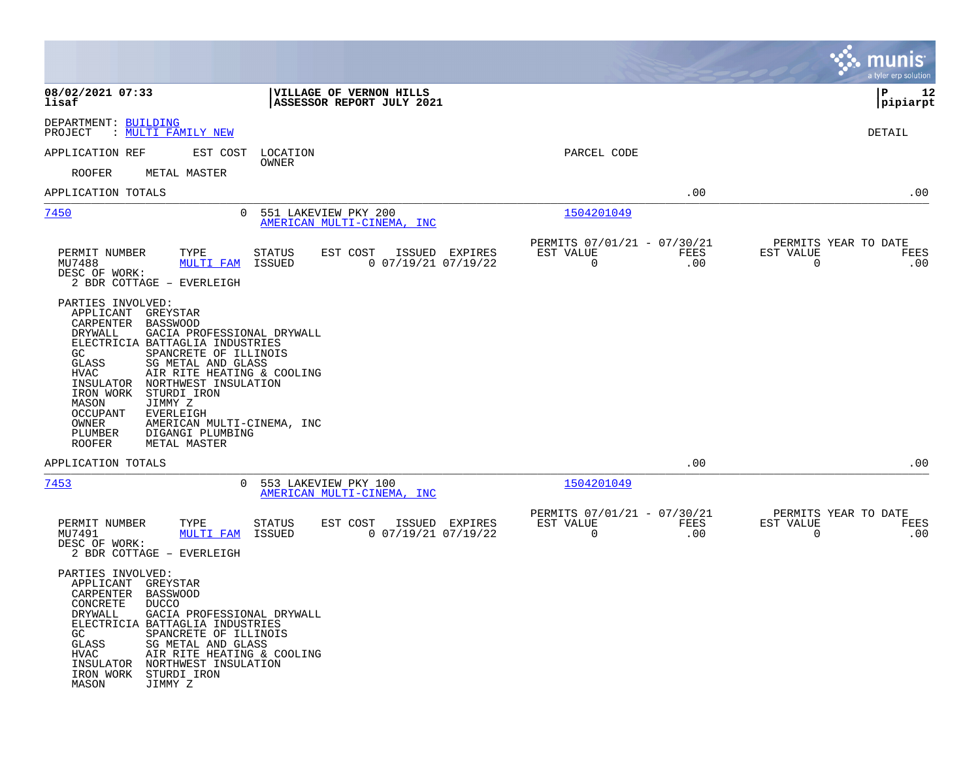|                                                                                                                                                                                                                                                                                                                                                                                                                                                                                  |                                                                          |                                                                        | munis<br>a tyler erp solution                                   |
|----------------------------------------------------------------------------------------------------------------------------------------------------------------------------------------------------------------------------------------------------------------------------------------------------------------------------------------------------------------------------------------------------------------------------------------------------------------------------------|--------------------------------------------------------------------------|------------------------------------------------------------------------|-----------------------------------------------------------------|
| 08/02/2021 07:33<br>lisaf                                                                                                                                                                                                                                                                                                                                                                                                                                                        | VILLAGE OF VERNON HILLS<br><b>ASSESSOR REPORT JULY 2021</b>              |                                                                        | l P<br>12<br> pipiarpt                                          |
| DEPARTMENT: BUILDING<br>PROJECT<br>: MULTI FAMILY NEW                                                                                                                                                                                                                                                                                                                                                                                                                            |                                                                          |                                                                        | DETAIL                                                          |
| EST COST<br>APPLICATION REF                                                                                                                                                                                                                                                                                                                                                                                                                                                      | LOCATION                                                                 | PARCEL CODE                                                            |                                                                 |
| ROOFER<br>METAL MASTER                                                                                                                                                                                                                                                                                                                                                                                                                                                           | OWNER                                                                    |                                                                        |                                                                 |
| APPLICATION TOTALS                                                                                                                                                                                                                                                                                                                                                                                                                                                               |                                                                          | .00                                                                    | .00                                                             |
| 7450                                                                                                                                                                                                                                                                                                                                                                                                                                                                             | 0 551 LAKEVIEW PKY 200<br>AMERICAN MULTI-CINEMA, INC                     | 1504201049                                                             |                                                                 |
| PERMIT NUMBER<br>TYPE<br>MU7488<br>MULTI FAM<br>DESC OF WORK:<br>2 BDR COTTAGE - EVERLEIGH                                                                                                                                                                                                                                                                                                                                                                                       | STATUS<br>EST COST ISSUED EXPIRES<br>$0$ $07/19/21$ $07/19/22$<br>ISSUED | PERMITS 07/01/21 - 07/30/21<br>EST VALUE<br>FEES<br>$\mathbf 0$<br>.00 | PERMITS YEAR TO DATE<br>EST VALUE<br>FEES<br>$\mathbf 0$<br>.00 |
| PARTIES INVOLVED:<br>APPLICANT<br>GREYSTAR<br>CARPENTER<br><b>BASSWOOD</b><br>DRYWALL<br>GACIA PROFESSIONAL DRYWALL<br>ELECTRICIA BATTAGLIA INDUSTRIES<br>SPANCRETE OF ILLINOIS<br>GC.<br>SG METAL AND GLASS<br>GLASS<br>HVAC<br>AIR RITE HEATING & COOLING<br>INSULATOR<br>NORTHWEST INSULATION<br>IRON WORK<br>STURDI IRON<br>MASON<br>JIMMY Z<br><b>OCCUPANT</b><br>EVERLEIGH<br>OWNER<br>AMERICAN MULTI-CINEMA, INC<br>PLUMBER<br>DIGANGI PLUMBING<br>ROOFER<br>METAL MASTER |                                                                          |                                                                        |                                                                 |
| APPLICATION TOTALS                                                                                                                                                                                                                                                                                                                                                                                                                                                               |                                                                          | .00                                                                    | .00                                                             |
| 7453                                                                                                                                                                                                                                                                                                                                                                                                                                                                             | 0 553 LAKEVIEW PKY 100<br>AMERICAN MULTI-CINEMA, INC                     | 1504201049                                                             |                                                                 |
| PERMIT NUMBER<br>TYPE<br>MU7491<br><b>MULTI FAM</b><br>DESC OF WORK:<br>2 BDR COTTAGE - EVERLEIGH                                                                                                                                                                                                                                                                                                                                                                                | STATUS<br>EST COST<br>ISSUED EXPIRES<br>ISSUED<br>$0$ 07/19/21 07/19/22  | PERMITS 07/01/21 - 07/30/21<br>EST VALUE<br>FEES<br>0<br>.00           | PERMITS YEAR TO DATE<br>EST VALUE<br>FEES<br>.00<br>0           |
| PARTIES INVOLVED:<br>GREYSTAR<br>APPLICANT<br>CARPENTER BASSWOOD<br>CONCRETE<br><b>DUCCO</b><br>DRYWALL<br>GACIA PROFESSIONAL DRYWALL<br>ELECTRICIA BATTAGLIA INDUSTRIES<br>SPANCRETE OF ILLINOIS<br>GC.<br>GLASS<br>SG METAL AND GLASS<br><b>HVAC</b><br>AIR RITE HEATING & COOLING<br>INSULATOR<br>NORTHWEST INSULATION<br>IRON WORK<br>STURDI IRON<br>MASON<br>JIMMY Z                                                                                                        |                                                                          |                                                                        |                                                                 |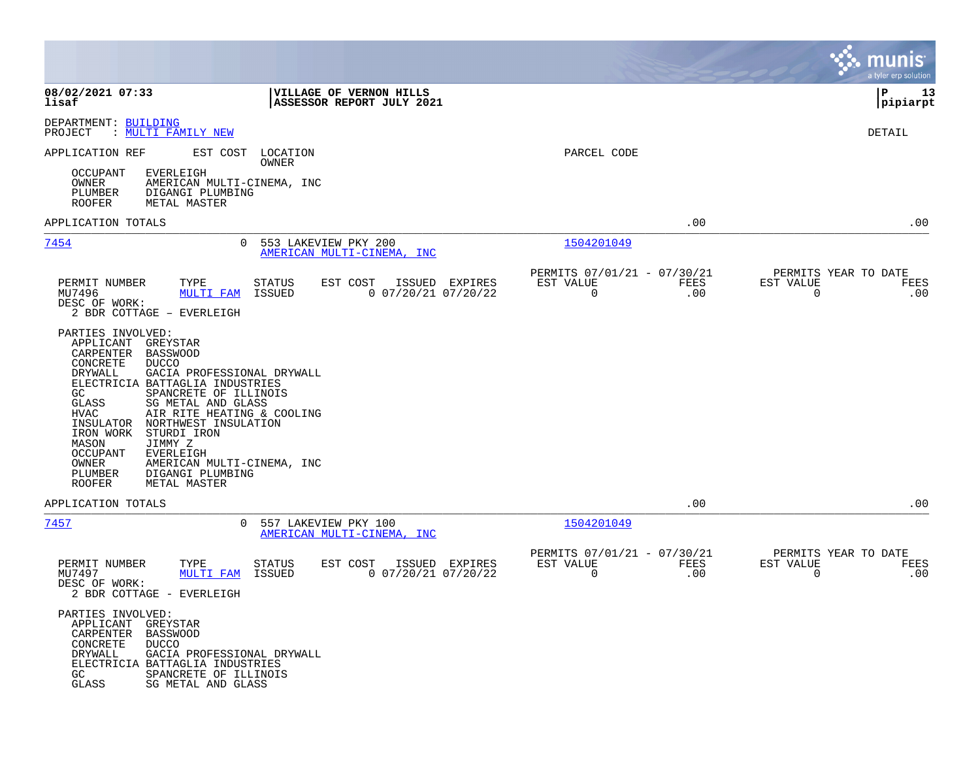|                                                                                                                                                                                                                                                                                                                                                                                                                                                                                                                                  |                                                                                |                                                                        | munis<br>a tyler erp solution                                      |
|----------------------------------------------------------------------------------------------------------------------------------------------------------------------------------------------------------------------------------------------------------------------------------------------------------------------------------------------------------------------------------------------------------------------------------------------------------------------------------------------------------------------------------|--------------------------------------------------------------------------------|------------------------------------------------------------------------|--------------------------------------------------------------------|
| 08/02/2021 07:33<br>lisaf                                                                                                                                                                                                                                                                                                                                                                                                                                                                                                        | VILLAGE OF VERNON HILLS<br>ASSESSOR REPORT JULY 2021                           |                                                                        | l P<br>13<br> pipiarpt                                             |
| DEPARTMENT: BUILDING<br>PROJECT<br>: <u>MULTI FAMILY NEW</u>                                                                                                                                                                                                                                                                                                                                                                                                                                                                     |                                                                                |                                                                        | DETAIL                                                             |
| APPLICATION REF<br>EST COST<br><b>EVERLEIGH</b><br>OCCUPANT<br>OWNER<br>AMERICAN MULTI-CINEMA, INC<br>PLUMBER<br>DIGANGI PLUMBING<br><b>ROOFER</b><br>METAL MASTER                                                                                                                                                                                                                                                                                                                                                               | LOCATION<br>OWNER                                                              | PARCEL CODE                                                            |                                                                    |
| APPLICATION TOTALS                                                                                                                                                                                                                                                                                                                                                                                                                                                                                                               |                                                                                | .00                                                                    | .00                                                                |
| 7454<br>0                                                                                                                                                                                                                                                                                                                                                                                                                                                                                                                        | 553 LAKEVIEW PKY 200<br>AMERICAN MULTI-CINEMA, INC                             | 1504201049                                                             |                                                                    |
| PERMIT NUMBER<br>TYPE<br>MU7496<br>MULTI FAM<br>DESC OF WORK:<br>2 BDR COTTAGE - EVERLEIGH                                                                                                                                                                                                                                                                                                                                                                                                                                       | STATUS<br>EST COST<br>ISSUED EXPIRES<br>$0$ 07/20/21 07/20/22<br>ISSUED        | PERMITS 07/01/21 - 07/30/21<br>EST VALUE<br>FEES<br>$\mathbf 0$<br>.00 | PERMITS YEAR TO DATE<br>EST VALUE<br>FEES<br>$\Omega$<br>.00       |
| PARTIES INVOLVED:<br>APPLICANT<br>GREYSTAR<br>CARPENTER<br><b>BASSWOOD</b><br><b>CONCRETE</b><br><b>DUCCO</b><br>DRYWALL<br>GACIA PROFESSIONAL DRYWALL<br>ELECTRICIA BATTAGLIA INDUSTRIES<br>SPANCRETE OF ILLINOIS<br>GC<br>GLASS<br>SG METAL AND GLASS<br>AIR RITE HEATING & COOLING<br>HVAC<br>INSULATOR<br>NORTHWEST INSULATION<br>IRON WORK<br>STURDI IRON<br>MASON<br>JIMMY Z<br>OCCUPANT<br><b>EVERLEIGH</b><br><b>OWNER</b><br>AMERICAN MULTI-CINEMA, INC<br>PLUMBER<br>DIGANGI PLUMBING<br><b>ROOFER</b><br>METAL MASTER |                                                                                |                                                                        |                                                                    |
| APPLICATION TOTALS                                                                                                                                                                                                                                                                                                                                                                                                                                                                                                               |                                                                                | .00                                                                    | .00                                                                |
| 7457<br>$\Omega$                                                                                                                                                                                                                                                                                                                                                                                                                                                                                                                 | 557 LAKEVIEW PKY 100<br>AMERICAN MULTI-CINEMA, INC                             | 1504201049                                                             |                                                                    |
| PERMIT NUMBER<br>TYPE<br>MU7497<br>MULTI FAM<br>DESC OF WORK:<br>2 BDR COTTAGE - EVERLEIGH                                                                                                                                                                                                                                                                                                                                                                                                                                       | EST COST<br>ISSUED EXPIRES<br><b>STATUS</b><br>$0$ 07/20/21 07/20/22<br>ISSUED | PERMITS 07/01/21 - 07/30/21<br>EST VALUE<br>FEES<br>0<br>.00           | PERMITS YEAR TO DATE<br>EST VALUE<br>FEES<br>$\overline{0}$<br>.00 |
| PARTIES INVOLVED:<br>APPLICANT<br>GREYSTAR<br><b>BASSWOOD</b><br>CARPENTER<br>CONCRETE<br>DUCCO<br>DRYWALL<br>GACIA PROFESSIONAL DRYWALL<br>ELECTRICIA BATTAGLIA INDUSTRIES<br>GC.<br>SPANCRETE OF ILLINOIS<br>GLASS<br>SG METAL AND GLASS                                                                                                                                                                                                                                                                                       |                                                                                |                                                                        |                                                                    |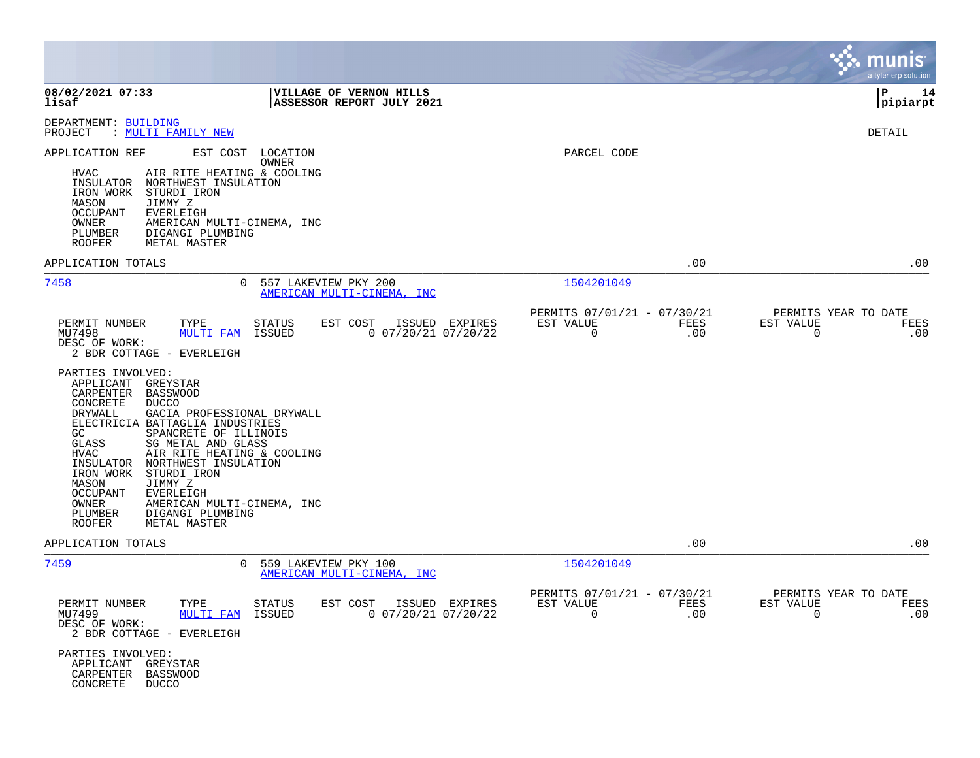|                                                                                                                                                                                                                                                                                                                                                                                                                                                                                                                                                                                                                                                                                             |                                                                            | munis<br>a tyler erp solution                                   |
|---------------------------------------------------------------------------------------------------------------------------------------------------------------------------------------------------------------------------------------------------------------------------------------------------------------------------------------------------------------------------------------------------------------------------------------------------------------------------------------------------------------------------------------------------------------------------------------------------------------------------------------------------------------------------------------------|----------------------------------------------------------------------------|-----------------------------------------------------------------|
| 08/02/2021 07:33<br><b>VILLAGE OF VERNON HILLS</b><br>lisaf<br>ASSESSOR REPORT JULY 2021                                                                                                                                                                                                                                                                                                                                                                                                                                                                                                                                                                                                    |                                                                            | P<br>14<br> pipiarpt                                            |
| DEPARTMENT: BUILDING<br>PROJECT<br>: MULTI FAMILY NEW                                                                                                                                                                                                                                                                                                                                                                                                                                                                                                                                                                                                                                       |                                                                            | <b>DETAIL</b>                                                   |
| EST COST<br>LOCATION<br>APPLICATION REF<br>OWNER<br>AIR RITE HEATING & COOLING<br>HVAC<br>INSULATOR NORTHWEST INSULATION<br>IRON WORK<br>STURDI IRON<br>MASON<br>JIMMY Z<br><b>OCCUPANT</b><br><b>EVERLEIGH</b><br>OWNER<br>AMERICAN MULTI-CINEMA, INC<br>PLUMBER<br>DIGANGI PLUMBING<br>ROOFER<br>METAL MASTER                                                                                                                                                                                                                                                                                                                                                                             | PARCEL CODE                                                                |                                                                 |
| APPLICATION TOTALS                                                                                                                                                                                                                                                                                                                                                                                                                                                                                                                                                                                                                                                                          | .00                                                                        | .00                                                             |
| 7458<br>$\Omega$<br>557 LAKEVIEW PKY 200<br>AMERICAN MULTI-CINEMA, INC                                                                                                                                                                                                                                                                                                                                                                                                                                                                                                                                                                                                                      | 1504201049                                                                 |                                                                 |
| TYPE<br>PERMIT NUMBER<br><b>STATUS</b><br>EST COST<br>ISSUED EXPIRES<br>$0$ 07/20/21 07/20/22<br>MU7498<br><b>MULTI FAM</b><br>ISSUED<br>DESC OF WORK:<br>2 BDR COTTAGE - EVERLEIGH<br>PARTIES INVOLVED:<br>APPLICANT<br>GREYSTAR<br>CARPENTER<br><b>BASSWOOD</b><br>CONCRETE<br><b>DUCCO</b><br>DRYWALL<br>GACIA PROFESSIONAL DRYWALL<br>ELECTRICIA BATTAGLIA INDUSTRIES<br>GC<br>SPANCRETE OF ILLINOIS<br>SG METAL AND GLASS<br>GLASS<br>HVAC<br>AIR RITE HEATING & COOLING<br>NORTHWEST INSULATION<br>INSULATOR<br>IRON WORK<br>STURDI IRON<br>JIMMY Z<br>MASON<br>OCCUPANT<br>EVERLEIGH<br>OWNER<br>AMERICAN MULTI-CINEMA, INC<br>PLUMBER<br>DIGANGI PLUMBING<br>ROOFER<br>METAL MASTER | PERMITS 07/01/21 - 07/30/21<br>EST VALUE<br>FEES<br>$\mathbf 0$<br>.00     | PERMITS YEAR TO DATE<br>EST VALUE<br>FEES<br>$\mathbf 0$<br>.00 |
| APPLICATION TOTALS                                                                                                                                                                                                                                                                                                                                                                                                                                                                                                                                                                                                                                                                          | .00                                                                        | .00                                                             |
| <u>7459</u><br>559 LAKEVIEW PKY 100<br>$\mathbf{0}$<br>AMERICAN MULTI-CINEMA, INC<br>PERMIT NUMBER<br>TYPE<br>STATUS<br>EST COST<br>ISSUED EXPIRES<br>MU7499<br>ISSUED<br>$0$ 07/20/21 07/20/22<br><b>MULTI FAM</b><br>DESC OF WORK:<br>2 BDR COTTAGE - EVERLEIGH<br>PARTIES INVOLVED:<br>APPLICANT<br>GREYSTAR<br>CARPENTER<br>BASSWOOD<br>CONCRETE<br><b>DUCCO</b>                                                                                                                                                                                                                                                                                                                        | 1504201049<br>PERMITS 07/01/21 - 07/30/21<br>EST VALUE<br>FEES<br>0<br>.00 | PERMITS YEAR TO DATE<br>EST VALUE<br>FEES<br>.00<br>0           |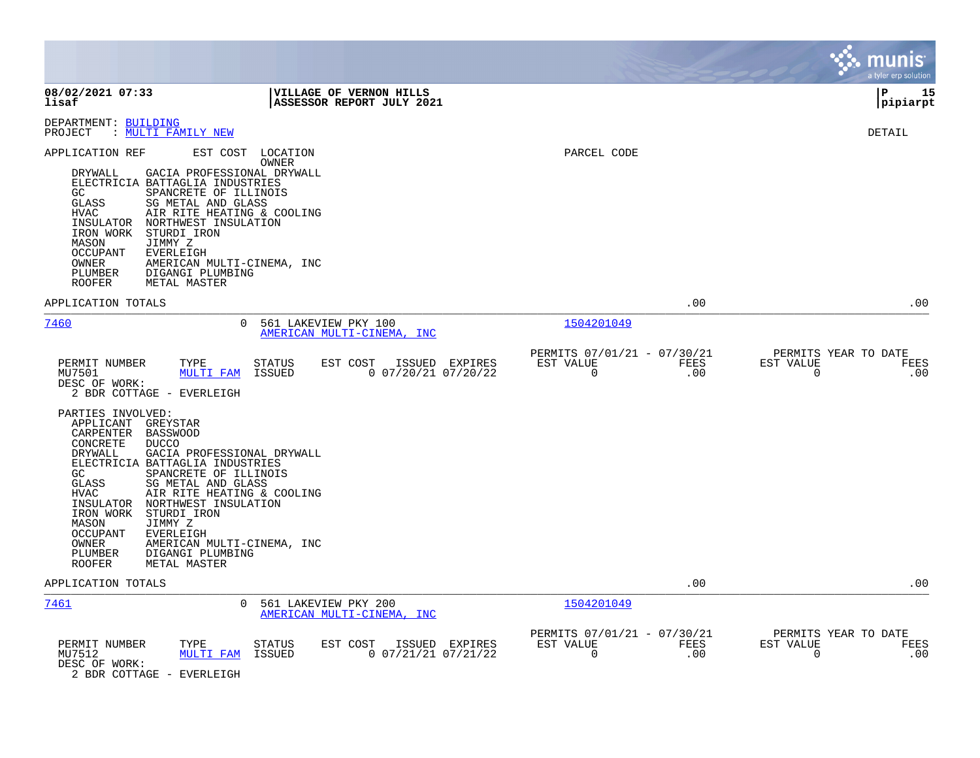|                                                                                                                                                                                                                                                                                                                                                                                                                                                                                                                           |                                                                     | munis<br>a tyler erp solution                                   |
|---------------------------------------------------------------------------------------------------------------------------------------------------------------------------------------------------------------------------------------------------------------------------------------------------------------------------------------------------------------------------------------------------------------------------------------------------------------------------------------------------------------------------|---------------------------------------------------------------------|-----------------------------------------------------------------|
| 08/02/2021 07:33<br>VILLAGE OF VERNON HILLS<br>lisaf<br>ASSESSOR REPORT JULY 2021                                                                                                                                                                                                                                                                                                                                                                                                                                         |                                                                     | Þ<br>15<br> pipiarpt                                            |
| DEPARTMENT: BUILDING<br>: MULTI FAMILY NEW<br>PROJECT                                                                                                                                                                                                                                                                                                                                                                                                                                                                     |                                                                     | DETAIL                                                          |
| APPLICATION REF<br>EST COST<br>LOCATION<br>OWNER<br>DRYWALL<br>GACIA PROFESSIONAL DRYWALL<br>ELECTRICIA BATTAGLIA INDUSTRIES<br>GC<br>SPANCRETE OF ILLINOIS<br>GLASS<br>SG METAL AND GLASS<br>AIR RITE HEATING & COOLING<br><b>HVAC</b><br>INSULATOR<br>NORTHWEST INSULATION<br>IRON WORK<br>STURDI IRON<br>JIMMY Z<br>MASON<br><b>OCCUPANT</b><br><b>EVERLEIGH</b><br>OWNER<br>AMERICAN MULTI-CINEMA, INC<br>PLUMBER<br>DIGANGI PLUMBING<br><b>ROOFER</b><br>METAL MASTER                                                | PARCEL CODE                                                         |                                                                 |
| APPLICATION TOTALS                                                                                                                                                                                                                                                                                                                                                                                                                                                                                                        | .00                                                                 | .00                                                             |
| 7460<br>561 LAKEVIEW PKY 100<br>0<br>AMERICAN MULTI-CINEMA, INC                                                                                                                                                                                                                                                                                                                                                                                                                                                           | 1504201049                                                          |                                                                 |
| TYPE<br>EST COST<br>PERMIT NUMBER<br><b>STATUS</b><br>ISSUED EXPIRES<br>MU7501<br><b>MULTI FAM</b><br>ISSUED<br>$0$ 07/20/21 07/20/22<br>DESC OF WORK:<br>2 BDR COTTAGE - EVERLEIGH                                                                                                                                                                                                                                                                                                                                       | PERMITS 07/01/21 - 07/30/21<br>EST VALUE<br><b>FEES</b><br>0<br>.00 | PERMITS YEAR TO DATE<br>EST VALUE<br>FEES<br>0<br>.00           |
| PARTIES INVOLVED:<br>APPLICANT<br>GREYSTAR<br>CARPENTER<br><b>BASSWOOD</b><br>CONCRETE<br><b>DUCCO</b><br>DRYWALL<br>GACIA PROFESSIONAL DRYWALL<br>ELECTRICIA BATTAGLIA INDUSTRIES<br>GC<br>SPANCRETE OF ILLINOIS<br><b>GLASS</b><br>SG METAL AND GLASS<br><b>HVAC</b><br>AIR RITE HEATING & COOLING<br>NORTHWEST INSULATION<br>INSULATOR<br>IRON WORK<br>STURDI IRON<br>JIMMY Z<br>MASON<br><b>OCCUPANT</b><br>EVERLEIGH<br>OWNER<br>AMERICAN MULTI-CINEMA, INC<br>PLUMBER<br>DIGANGI PLUMBING<br>ROOFER<br>METAL MASTER |                                                                     |                                                                 |
| APPLICATION TOTALS                                                                                                                                                                                                                                                                                                                                                                                                                                                                                                        | .00                                                                 | .00                                                             |
| 7461<br>561 LAKEVIEW PKY 200<br>0<br><u>AMERICAN MULTI-CINEMA, INC</u>                                                                                                                                                                                                                                                                                                                                                                                                                                                    | 1504201049                                                          |                                                                 |
| PERMIT NUMBER<br>TYPE<br><b>STATUS</b><br>EST COST<br>ISSUED EXPIRES<br>MU7512<br>ISSUED<br>$0$ 07/21/21 07/21/22<br>MULTI FAM<br>DESC OF WORK:<br>2 BDR COTTAGE - EVERLEIGH                                                                                                                                                                                                                                                                                                                                              | PERMITS 07/01/21 - 07/30/21<br>EST VALUE<br>FEES<br>0<br>.00        | PERMITS YEAR TO DATE<br>EST VALUE<br>FEES<br>$\mathbf 0$<br>.00 |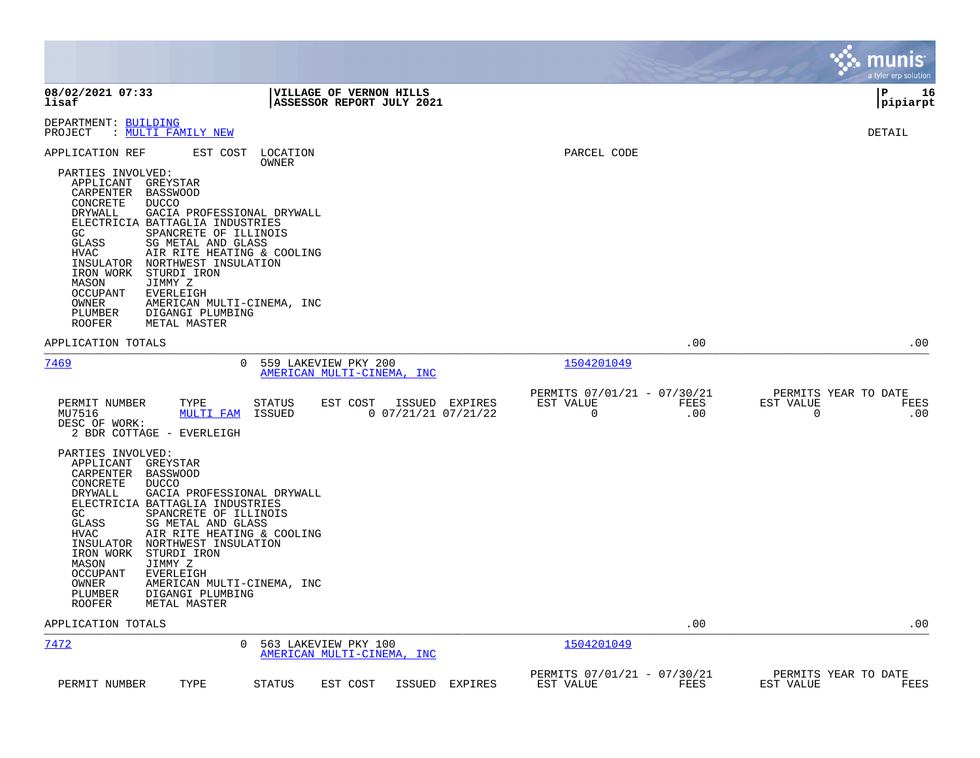|                                                                                                                                                                                                                                                                                                                                                                                                                                                                                                                                                                                  |                                                                                |                                                              | munis<br>a tyler erp solution                         |
|----------------------------------------------------------------------------------------------------------------------------------------------------------------------------------------------------------------------------------------------------------------------------------------------------------------------------------------------------------------------------------------------------------------------------------------------------------------------------------------------------------------------------------------------------------------------------------|--------------------------------------------------------------------------------|--------------------------------------------------------------|-------------------------------------------------------|
| 08/02/2021 07:33<br>lisaf                                                                                                                                                                                                                                                                                                                                                                                                                                                                                                                                                        | <b>VILLAGE OF VERNON HILLS</b><br>ASSESSOR REPORT JULY 2021                    |                                                              | l P<br>16<br> pipiarpt                                |
| DEPARTMENT: BUILDING<br>: MULTI FAMILY NEW<br>PROJECT                                                                                                                                                                                                                                                                                                                                                                                                                                                                                                                            |                                                                                |                                                              | DETAIL                                                |
| APPLICATION REF<br>EST COST<br>PARTIES INVOLVED:<br>APPLICANT<br>GREYSTAR<br>CARPENTER<br>BASSWOOD<br>CONCRETE<br><b>DUCCO</b><br>DRYWALL<br>GACIA PROFESSIONAL DRYWALL<br>ELECTRICIA BATTAGLIA INDUSTRIES<br>GC<br>SPANCRETE OF ILLINOIS<br>GLASS<br>SG METAL AND GLASS<br><b>HVAC</b><br>AIR RITE HEATING & COOLING<br>NORTHWEST INSULATION<br>INSULATOR<br>IRON WORK<br>STURDI IRON<br>MASON<br>JIMMY Z<br>OCCUPANT<br><b>EVERLEIGH</b><br>OWNER<br>AMERICAN MULTI-CINEMA, INC<br>PLUMBER<br>DIGANGI PLUMBING<br>ROOFER<br>METAL MASTER                                       | LOCATION<br>OWNER                                                              | PARCEL CODE                                                  |                                                       |
| APPLICATION TOTALS                                                                                                                                                                                                                                                                                                                                                                                                                                                                                                                                                               |                                                                                | .00                                                          | .00                                                   |
| <u>7469</u><br>$\Omega$                                                                                                                                                                                                                                                                                                                                                                                                                                                                                                                                                          | 559 LAKEVIEW PKY 200<br>AMERICAN MULTI-CINEMA, INC                             | 1504201049                                                   |                                                       |
| PERMIT NUMBER<br>TYPE<br>MU7516<br><b>MULTI FAM</b><br>DESC OF WORK:<br>2 BDR COTTAGE - EVERLEIGH<br>PARTIES INVOLVED:<br>APPLICANT<br>GREYSTAR<br>CARPENTER<br><b>BASSWOOD</b><br>CONCRETE<br><b>DUCCO</b><br>GACIA PROFESSIONAL DRYWALL<br>DRYWALL<br>ELECTRICIA BATTAGLIA INDUSTRIES<br>GC.<br>SPANCRETE OF ILLINOIS<br>GLASS<br>SG METAL AND GLASS<br>HVAC<br>AIR RITE HEATING & COOLING<br>INSULATOR<br>NORTHWEST INSULATION<br>IRON WORK<br>STURDI IRON<br>MASON<br>JIMMY Z<br>OCCUPANT<br>EVERLEIGH<br>OWNER<br>AMERICAN MULTI-CINEMA, INC<br>PLUMBER<br>DIGANGI PLUMBING | <b>STATUS</b><br>EST COST<br>ISSUED EXPIRES<br>$0$ 07/21/21 07/21/22<br>ISSUED | PERMITS 07/01/21 - 07/30/21<br>EST VALUE<br>FEES<br>0<br>.00 | PERMITS YEAR TO DATE<br>EST VALUE<br>FEES<br>.00<br>0 |
| METAL MASTER<br>ROOFER<br>APPLICATION TOTALS                                                                                                                                                                                                                                                                                                                                                                                                                                                                                                                                     |                                                                                | .00                                                          | .00                                                   |
| 7472<br>$\Omega$                                                                                                                                                                                                                                                                                                                                                                                                                                                                                                                                                                 | 563 LAKEVIEW PKY 100<br>AMERICAN MULTI-CINEMA, INC                             | 1504201049                                                   |                                                       |
| TYPE<br>PERMIT NUMBER                                                                                                                                                                                                                                                                                                                                                                                                                                                                                                                                                            | EST COST<br>ISSUED EXPIRES<br>STATUS                                           | PERMITS 07/01/21 - 07/30/21<br>FEES<br>EST VALUE             | PERMITS YEAR TO DATE<br>EST VALUE<br>FEES             |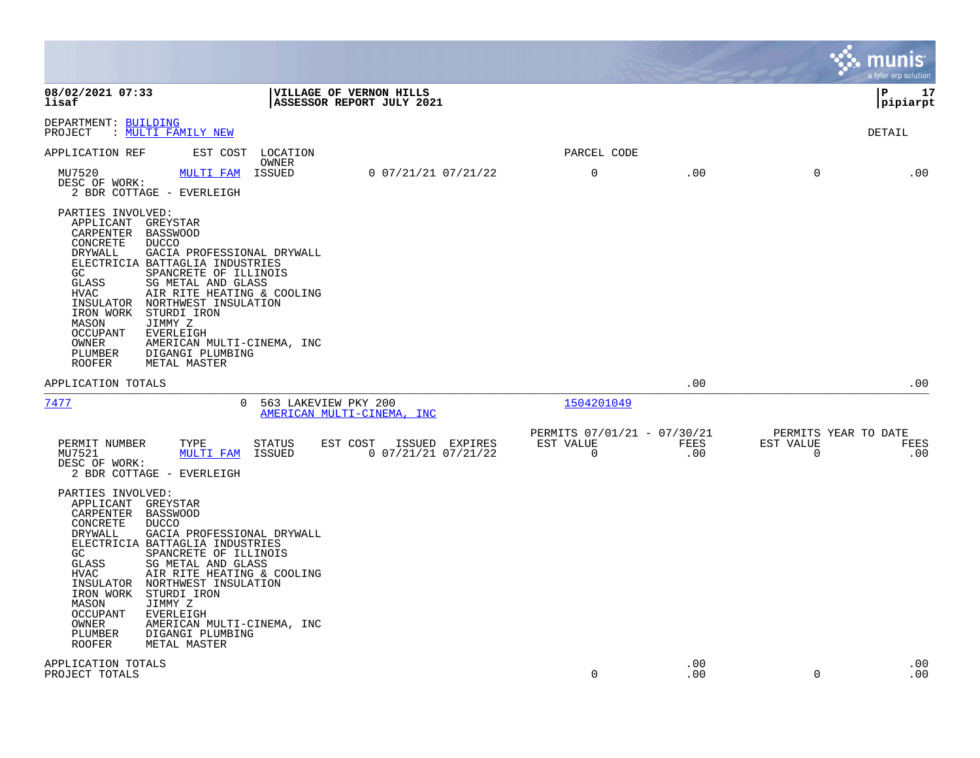|                                                                                                                                                                                                                                                                                                                                                                                                                                                                                                                     |                                                            |             |                                                  | munis<br>a tyler erp solution |
|---------------------------------------------------------------------------------------------------------------------------------------------------------------------------------------------------------------------------------------------------------------------------------------------------------------------------------------------------------------------------------------------------------------------------------------------------------------------------------------------------------------------|------------------------------------------------------------|-------------|--------------------------------------------------|-------------------------------|
| 08/02/2021 07:33<br>VILLAGE OF VERNON HILLS<br>lisaf<br>ASSESSOR REPORT JULY 2021                                                                                                                                                                                                                                                                                                                                                                                                                                   |                                                            |             |                                                  | l P<br>17<br> pipiarpt        |
| DEPARTMENT: BUILDING<br>: <u>MULTI FAMILY NEW</u><br>PROJECT                                                                                                                                                                                                                                                                                                                                                                                                                                                        |                                                            |             |                                                  | DETAIL                        |
| APPLICATION REF<br>EST COST<br>LOCATION<br>OWNER                                                                                                                                                                                                                                                                                                                                                                                                                                                                    | PARCEL CODE                                                |             |                                                  |                               |
| $0$ $07/21/21$ $07/21/22$<br>MU7520<br>ISSUED<br>MULTI FAM<br>DESC OF WORK:<br>2 BDR COTTAGE - EVERLEIGH                                                                                                                                                                                                                                                                                                                                                                                                            | $\mathbf 0$                                                | .00         | 0                                                | .00                           |
| PARTIES INVOLVED:<br>APPLICANT GREYSTAR<br>CARPENTER BASSWOOD<br>CONCRETE<br><b>DUCCO</b><br>DRYWALL<br>GACIA PROFESSIONAL DRYWALL<br>ELECTRICIA BATTAGLIA INDUSTRIES<br>SPANCRETE OF ILLINOIS<br>GC<br>GLASS<br>SG METAL AND GLASS<br><b>HVAC</b><br>AIR RITE HEATING & COOLING<br>NORTHWEST INSULATION<br>INSULATOR<br>IRON WORK<br>STURDI IRON<br>MASON<br>JIMMY Z<br><b>OCCUPANT</b><br><b>EVERLEIGH</b><br>OWNER<br>AMERICAN MULTI-CINEMA, INC<br>PLUMBER<br>DIGANGI PLUMBING<br><b>ROOFER</b><br>METAL MASTER |                                                            |             |                                                  |                               |
| APPLICATION TOTALS                                                                                                                                                                                                                                                                                                                                                                                                                                                                                                  |                                                            | .00         |                                                  | .00                           |
| 7477<br>0 563 LAKEVIEW PKY 200<br>AMERICAN MULTI-CINEMA, INC                                                                                                                                                                                                                                                                                                                                                                                                                                                        | 1504201049                                                 |             |                                                  |                               |
| PERMIT NUMBER<br>TYPE<br>EST COST<br>ISSUED EXPIRES<br>STATUS<br>MU7521<br><b>MULTI FAM</b><br>ISSUED<br>$0$ 07/21/21 07/21/22<br>DESC OF WORK:<br>2 BDR COTTAGE - EVERLEIGH                                                                                                                                                                                                                                                                                                                                        | PERMITS 07/01/21 - 07/30/21<br>EST VALUE<br>$\overline{0}$ | FEES<br>.00 | PERMITS YEAR TO DATE<br>EST VALUE<br>$\mathbf 0$ | FEES<br>.00                   |
| PARTIES INVOLVED:<br>APPLICANT GREYSTAR<br>CARPENTER BASSWOOD<br>CONCRETE<br><b>DUCCO</b><br>DRYWALL<br>GACIA PROFESSIONAL DRYWALL<br>ELECTRICIA BATTAGLIA INDUSTRIES<br>GC<br>SPANCRETE OF ILLINOIS<br>GLASS<br>SG METAL AND GLASS<br>AIR RITE HEATING & COOLING<br>HVAC<br>INSULATOR<br>NORTHWEST INSULATION<br>IRON WORK<br>STURDI IRON<br>MASON<br>JIMMY Z<br><b>OCCUPANT</b><br>EVERLEIGH<br>OWNER<br>AMERICAN MULTI-CINEMA, INC<br>PLUMBER<br>DIGANGI PLUMBING<br>ROOFER<br>METAL MASTER                      |                                                            |             |                                                  |                               |
| APPLICATION TOTALS<br>PROJECT TOTALS                                                                                                                                                                                                                                                                                                                                                                                                                                                                                | $\Omega$                                                   | .00<br>.00  | $\Omega$                                         | .00<br>.00                    |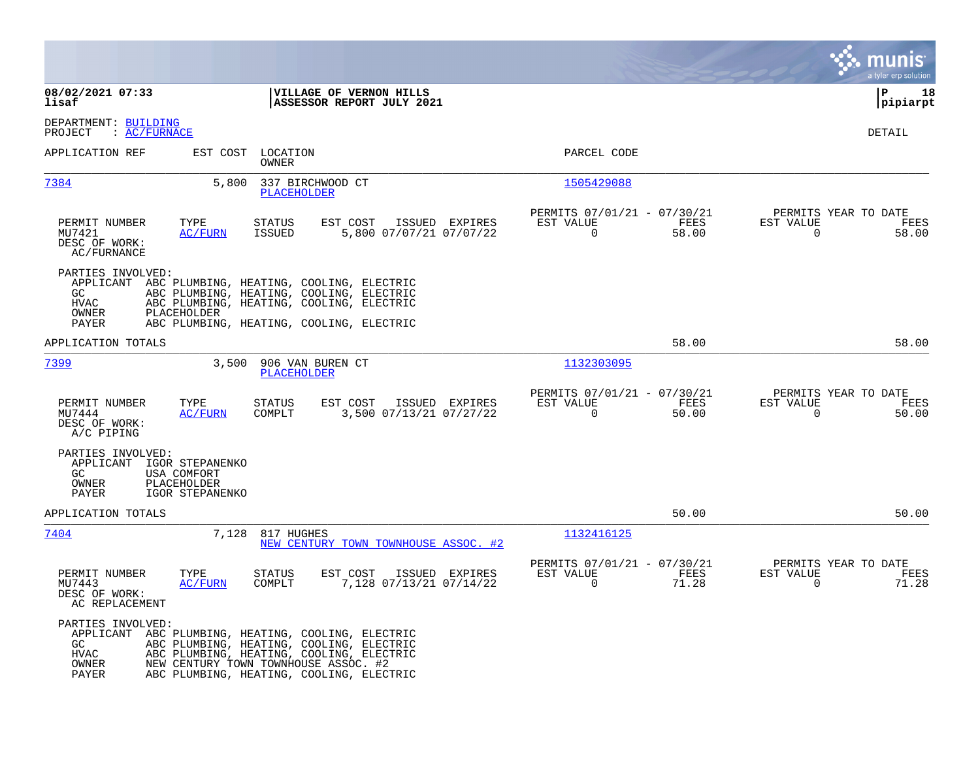|                                                                                                                            |                                                                                                                                                                              |                                                                          | a tyler erp solution                                              |
|----------------------------------------------------------------------------------------------------------------------------|------------------------------------------------------------------------------------------------------------------------------------------------------------------------------|--------------------------------------------------------------------------|-------------------------------------------------------------------|
| 08/02/2021 07:33<br>lisaf                                                                                                  | VILLAGE OF VERNON HILLS<br>ASSESSOR REPORT JULY 2021                                                                                                                         |                                                                          | P<br>18<br> pipiarpt                                              |
| DEPARTMENT: BUILDING<br>PROJECT<br>: AC/FURNACE                                                                            |                                                                                                                                                                              |                                                                          | <b>DETAIL</b>                                                     |
| APPLICATION REF<br>EST COST                                                                                                | LOCATION<br>OWNER                                                                                                                                                            | PARCEL CODE                                                              |                                                                   |
| 7384<br>5,800                                                                                                              | 337 BIRCHWOOD CT<br><b>PLACEHOLDER</b>                                                                                                                                       | 1505429088                                                               |                                                                   |
| PERMIT NUMBER<br>TYPE<br>AC/FURN<br>MU7421<br>DESC OF WORK:<br>AC/FURNANCE                                                 | EST COST<br><b>STATUS</b><br>ISSUED EXPIRES<br>5,800 07/07/21 07/07/22<br>ISSUED                                                                                             | PERMITS 07/01/21 - 07/30/21<br>FEES<br>EST VALUE<br>$\mathbf 0$<br>58.00 | PERMITS YEAR TO DATE<br>EST VALUE<br>FEES<br>$\mathbf 0$<br>58.00 |
| PARTIES INVOLVED:<br>APPLICANT<br>GC.<br><b>HVAC</b><br>OWNER<br>PLACEHOLDER<br>PAYER                                      | ABC PLUMBING, HEATING, COOLING, ELECTRIC<br>ABC PLUMBING, HEATING, COOLING, ELECTRIC<br>ABC PLUMBING, HEATING, COOLING, ELECTRIC<br>ABC PLUMBING, HEATING, COOLING, ELECTRIC |                                                                          |                                                                   |
| APPLICATION TOTALS                                                                                                         |                                                                                                                                                                              | 58.00                                                                    | 58.00                                                             |
| 7399<br>3,500                                                                                                              | 906 VAN BUREN CT<br>PLACEHOLDER                                                                                                                                              | 1132303095                                                               |                                                                   |
| PERMIT NUMBER<br>TYPE<br>MU7444<br>AC/FURN<br>DESC OF WORK:<br>A/C PIPING                                                  | STATUS<br>EST COST<br>ISSUED EXPIRES<br>3,500 07/13/21 07/27/22<br>COMPLT                                                                                                    | PERMITS 07/01/21 - 07/30/21<br>EST VALUE<br>FEES<br>$\Omega$<br>50.00    | PERMITS YEAR TO DATE<br>EST VALUE<br>FEES<br>$\Omega$<br>50.00    |
| PARTIES INVOLVED:<br>IGOR STEPANENKO<br>APPLICANT<br>GC<br>USA COMFORT<br>OWNER<br>PLACEHOLDER<br>IGOR STEPANENKO<br>PAYER |                                                                                                                                                                              |                                                                          |                                                                   |
| APPLICATION TOTALS                                                                                                         |                                                                                                                                                                              | 50.00                                                                    | 50.00                                                             |
| 7404<br>7,128                                                                                                              | 817 HUGHES<br>NEW CENTURY TOWN TOWNHOUSE ASSOC.<br>#2                                                                                                                        | 1132416125                                                               |                                                                   |
| PERMIT NUMBER<br>TYPE<br>MU7443<br><b>AC/FURN</b><br>DESC OF WORK:<br>AC REPLACEMENT                                       | <b>STATUS</b><br>EST COST<br>ISSUED EXPIRES<br>7,128 07/13/21 07/14/22<br>COMPLT                                                                                             | PERMITS 07/01/21 - 07/30/21<br>EST VALUE<br>FEES<br>$\Omega$<br>71.28    | PERMITS YEAR TO DATE<br>EST VALUE<br>FEES<br>71.28<br>$\Omega$    |
| PARTIES INVOLVED:<br>APPLICANT ABC PLUMBING, HEATING, COOLING, ELECTRIC<br>GC.<br><b>HVAC</b><br>OWNER<br>PAYER            | ABC PLUMBING, HEATING, COOLING, ELECTRIC<br>ABC PLUMBING, HEATING, COOLING, ELECTRIC<br>NEW CENTURY TOWN TOWNHOUSE ASSOC. #2<br>ABC PLUMBING, HEATING, COOLING, ELECTRIC     |                                                                          |                                                                   |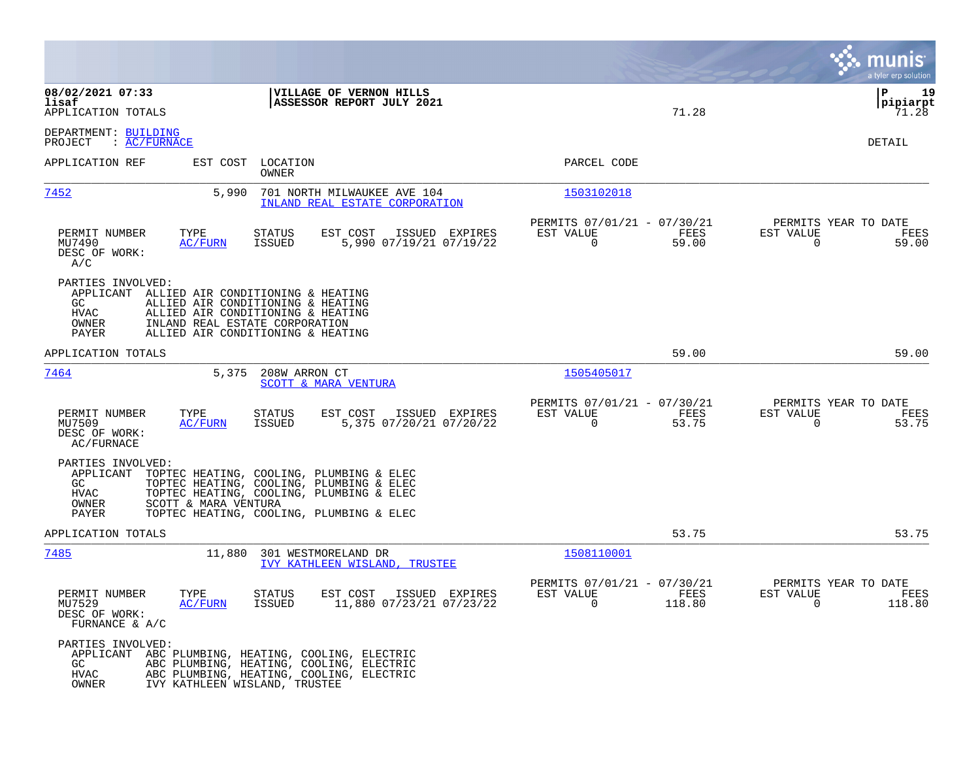|                                                                                                          |                                                                                                                                                                              |                                                                        | munis<br>a tyler erp solution                                   |
|----------------------------------------------------------------------------------------------------------|------------------------------------------------------------------------------------------------------------------------------------------------------------------------------|------------------------------------------------------------------------|-----------------------------------------------------------------|
| 08/02/2021 07:33<br>lisaf<br>APPLICATION TOTALS                                                          | VILLAGE OF VERNON HILLS<br>ASSESSOR REPORT JULY 2021                                                                                                                         | 71.28                                                                  | ΙP<br>19<br> pipiarpt<br>71.28                                  |
| DEPARTMENT: BUILDING<br>: AC/FURNACE<br>PROJECT                                                          |                                                                                                                                                                              |                                                                        | DETAIL                                                          |
| APPLICATION REF                                                                                          | EST COST LOCATION<br>OWNER                                                                                                                                                   | PARCEL CODE                                                            |                                                                 |
| 7452<br>5,990                                                                                            | 701 NORTH MILWAUKEE AVE 104<br>INLAND REAL ESTATE CORPORATION                                                                                                                | 1503102018                                                             |                                                                 |
| PERMIT NUMBER<br>TYPE<br>MU7490<br><b>AC/FURN</b><br>DESC OF WORK:<br>A/C                                | EST COST<br>ISSUED EXPIRES<br>STATUS<br>ISSUED<br>5,990 07/19/21 07/19/22                                                                                                    | PERMITS 07/01/21 - 07/30/21<br>EST VALUE<br>FEES<br>0<br>59.00         | PERMITS YEAR TO DATE<br>EST VALUE<br>FEES<br>0<br>59.00         |
| PARTIES INVOLVED:<br>APPLICANT ALLIED AIR CONDITIONING & HEATING<br>GC.<br><b>HVAC</b><br>OWNER<br>PAYER | ALLIED AIR CONDITIONING & HEATING<br>ALLIED AIR CONDITIONING & HEATING<br>INLAND REAL ESTATE CORPORATION<br>ALLIED AIR CONDITIONING & HEATING                                |                                                                        |                                                                 |
| APPLICATION TOTALS                                                                                       |                                                                                                                                                                              | 59.00                                                                  | 59.00                                                           |
| 7464<br>5,375                                                                                            | 208W ARRON CT<br>SCOTT & MARA VENTURA                                                                                                                                        | 1505405017                                                             |                                                                 |
| PERMIT NUMBER<br>TYPE<br>MU7509<br>AC/FURN<br>DESC OF WORK:<br>AC/FURNACE                                | <b>STATUS</b><br>EST COST<br>ISSUED EXPIRES<br><b>ISSUED</b><br>5,375 07/20/21 07/20/22                                                                                      | PERMITS 07/01/21 - 07/30/21<br>EST VALUE<br>FEES<br>$\Omega$<br>53.75  | PERMITS YEAR TO DATE<br>EST VALUE<br>FEES<br>53.75<br>$\Omega$  |
| PARTIES INVOLVED:<br>APPLICANT<br>GC<br>HVAC<br>SCOTT & MARA VENTURA<br>OWNER<br>PAYER                   | TOPTEC HEATING, COOLING, PLUMBING & ELEC<br>TOPTEC HEATING, COOLING, PLUMBING & ELEC<br>TOPTEC HEATING, COOLING, PLUMBING & ELEC<br>TOPTEC HEATING, COOLING, PLUMBING & ELEC |                                                                        |                                                                 |
| APPLICATION TOTALS                                                                                       |                                                                                                                                                                              | 53.75                                                                  | 53.75                                                           |
| <u>7485</u><br>11,880                                                                                    | 301 WESTMORELAND DR<br>IVY KATHLEEN WISLAND, TRUSTEE                                                                                                                         | 1508110001                                                             |                                                                 |
| PERMIT NUMBER<br>TYPE<br>MU7529<br>AC/FURN<br>DESC OF WORK:<br>FURNANCE & A/C                            | <b>STATUS</b><br>EST COST<br>ISSUED EXPIRES<br>11,880 07/23/21 07/23/22<br>ISSUED                                                                                            | PERMITS 07/01/21 - 07/30/21<br>EST VALUE<br>FEES<br>$\Omega$<br>118.80 | PERMITS YEAR TO DATE<br>EST VALUE<br>FEES<br>$\Omega$<br>118.80 |
| PARTIES INVOLVED:<br>GC<br>HVAC<br>OWNER                                                                 | APPLICANT ABC PLUMBING, HEATING, COOLING, ELECTRIC<br>ABC PLUMBING, HEATING, COOLING, ELECTRIC<br>ABC PLUMBING, HEATING, COOLING, ELECTRIC<br>IVY KATHLEEN WISLAND, TRUSTEE  |                                                                        |                                                                 |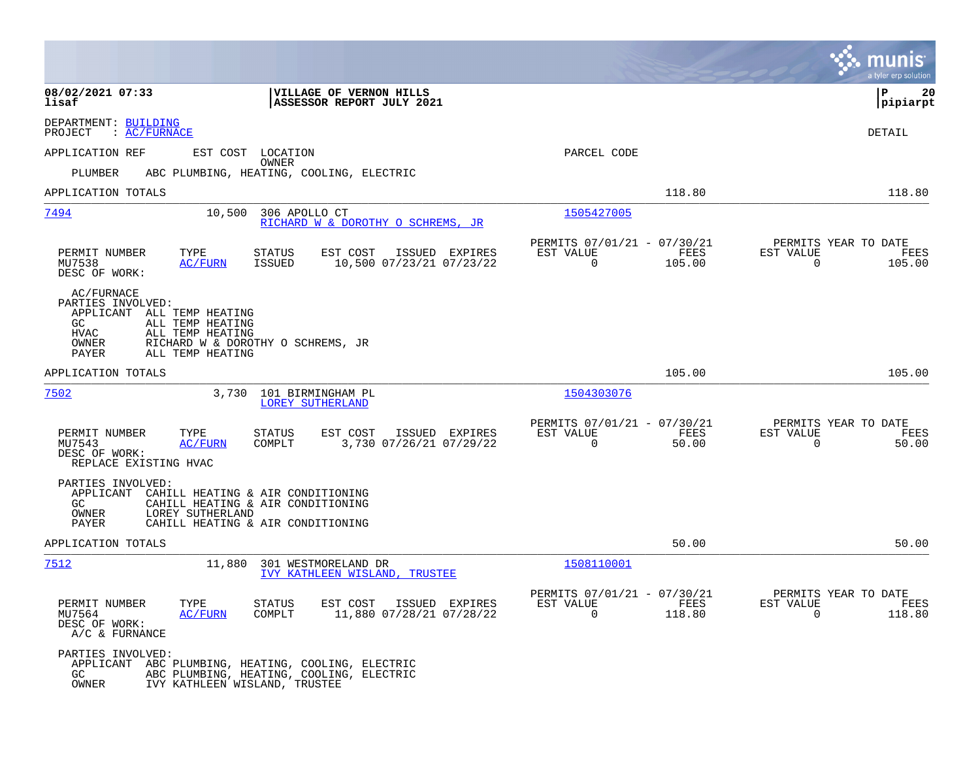|                                                                                                                                                                  |                                                                                  |                                                                       | a tyler erp solution                                                       |
|------------------------------------------------------------------------------------------------------------------------------------------------------------------|----------------------------------------------------------------------------------|-----------------------------------------------------------------------|----------------------------------------------------------------------------|
| 08/02/2021 07:33<br>lisaf                                                                                                                                        | VILLAGE OF VERNON HILLS<br>ASSESSOR REPORT JULY 2021                             |                                                                       | ΙP<br>20<br>pipiarpt                                                       |
| DEPARTMENT: BUILDING<br>PROJECT<br>: AC/FURNACE                                                                                                                  |                                                                                  |                                                                       | DETAIL                                                                     |
| APPLICATION REF                                                                                                                                                  | EST COST LOCATION                                                                | PARCEL CODE                                                           |                                                                            |
| PLUMBER                                                                                                                                                          | OWNER<br>ABC PLUMBING, HEATING, COOLING, ELECTRIC                                |                                                                       |                                                                            |
| APPLICATION TOTALS                                                                                                                                               |                                                                                  | 118.80                                                                | 118.80                                                                     |
| 7494<br>10,500                                                                                                                                                   | 306 APOLLO CT<br>RICHARD W & DOROTHY O SCHREMS, JR                               | 1505427005                                                            |                                                                            |
| PERMIT NUMBER<br>TYPE<br>MU7538<br>AC/FURN<br>DESC OF WORK:                                                                                                      | STATUS<br>EST COST<br>ISSUED EXPIRES<br>10,500 07/23/21 07/23/22<br>ISSUED       | PERMITS 07/01/21 - 07/30/21<br>EST VALUE<br>$\mathbf 0$<br>105.00     | PERMITS YEAR TO DATE<br>FEES<br>EST VALUE<br>FEES<br>$\mathbf 0$<br>105.00 |
| AC/FURNACE<br>PARTIES INVOLVED:<br>APPLICANT ALL TEMP HEATING<br>ALL TEMP HEATING<br>GC<br><b>HVAC</b><br>ALL TEMP HEATING<br>OWNER<br>PAYER<br>ALL TEMP HEATING | RICHARD W & DOROTHY O SCHREMS, JR                                                |                                                                       |                                                                            |
| APPLICATION TOTALS                                                                                                                                               |                                                                                  | 105.00                                                                | 105.00                                                                     |
| 7502                                                                                                                                                             | 3,730 101 BIRMINGHAM PL<br>LOREY SUTHERLAND                                      | 1504303076                                                            |                                                                            |
| PERMIT NUMBER<br>TYPE<br>MU7543<br><b>AC/FURN</b><br>DESC OF WORK:<br>REPLACE EXISTING HVAC                                                                      | EST COST<br>ISSUED EXPIRES<br><b>STATUS</b><br>3,730 07/26/21 07/29/22<br>COMPLT | PERMITS 07/01/21 - 07/30/21<br>EST VALUE<br>FEES<br>$\Omega$<br>50.00 | PERMITS YEAR TO DATE<br>EST VALUE<br>FEES<br>$\Omega$<br>50.00             |
| PARTIES INVOLVED:<br>APPLICANT CAHILL HEATING & AIR CONDITIONING<br>GC.<br>OWNER<br>LOREY SUTHERLAND<br>PAYER                                                    | CAHILL HEATING & AIR CONDITIONING<br>CAHILL HEATING & AIR CONDITIONING           |                                                                       |                                                                            |
| APPLICATION TOTALS                                                                                                                                               |                                                                                  | 50.00                                                                 | 50.00                                                                      |
| 7512<br>11,880                                                                                                                                                   | 301 WESTMORELAND DR<br>IVY KATHLEEN WISLAND, TRUSTEE                             | 1508110001                                                            |                                                                            |
| PERMIT NUMBER<br>TYPE<br>MU7564<br>AC/FURN<br>DESC OF WORK:<br>A/C & FURNANCE                                                                                    | EST COST<br>STATUS<br>ISSUED EXPIRES<br>11,880 07/28/21 07/28/22<br>COMPLT       | PERMITS 07/01/21 - 07/30/21<br>EST VALUE<br>0<br>118.80               | PERMITS YEAR TO DATE<br>FEES<br>EST VALUE<br>FEES<br>$\mathbf 0$<br>118.80 |
| PARTIES INVOLVED:<br>APPLICANT ABC PLUMBING, HEATING, COOLING, ELECTRIC<br>GC.<br>OWNER<br>IVY KATHLEEN WISLAND, TRUSTEE                                         | ABC PLUMBING, HEATING, COOLING, ELECTRIC                                         |                                                                       |                                                                            |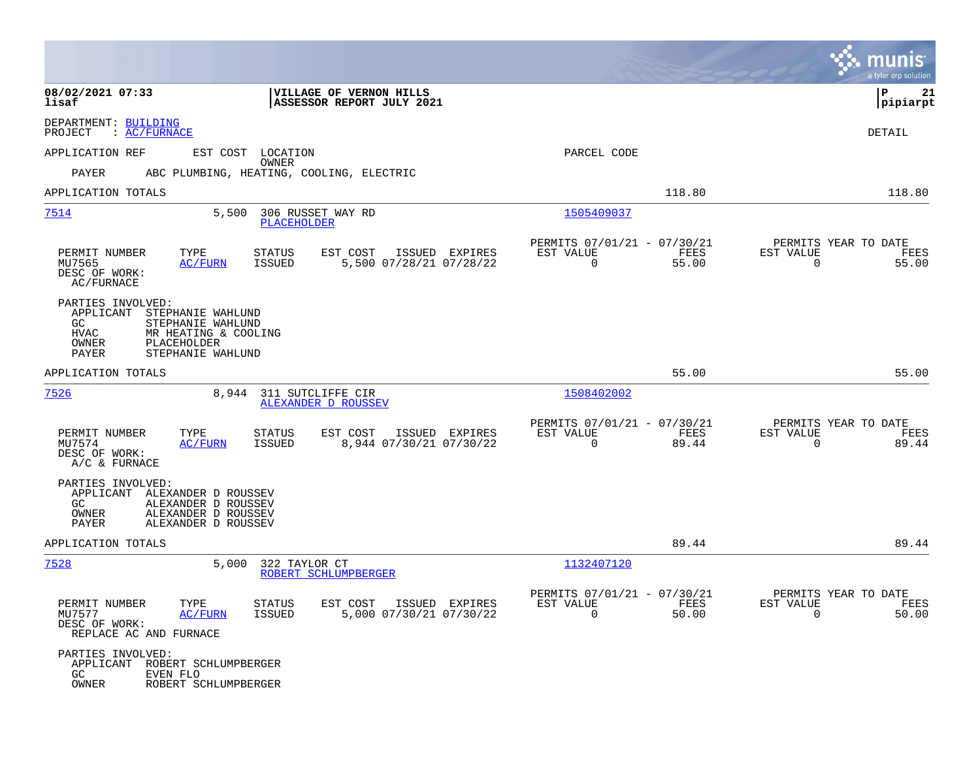|                                                                                                                                                                       |                                                                                  |                                                                          | munis<br>a tyler erp solution                                     |
|-----------------------------------------------------------------------------------------------------------------------------------------------------------------------|----------------------------------------------------------------------------------|--------------------------------------------------------------------------|-------------------------------------------------------------------|
| 08/02/2021 07:33<br>lisaf                                                                                                                                             | VILLAGE OF VERNON HILLS<br>ASSESSOR REPORT JULY 2021                             |                                                                          | 21<br>IΡ<br> pipiarpt                                             |
| DEPARTMENT: BUILDING<br>: AC/FURNACE<br>PROJECT                                                                                                                       |                                                                                  |                                                                          | DETAIL                                                            |
| APPLICATION REF                                                                                                                                                       | EST COST LOCATION                                                                | PARCEL CODE                                                              |                                                                   |
| PAYER                                                                                                                                                                 | <b>OWNER</b><br>ABC PLUMBING, HEATING, COOLING, ELECTRIC                         |                                                                          |                                                                   |
| APPLICATION TOTALS                                                                                                                                                    |                                                                                  | 118.80                                                                   | 118.80                                                            |
| 7514<br>5,500                                                                                                                                                         | 306 RUSSET WAY RD<br>PLACEHOLDER                                                 | 1505409037                                                               |                                                                   |
| TYPE<br>PERMIT NUMBER<br>MU7565<br><b>AC/FURN</b><br>DESC OF WORK:<br>AC/FURNACE                                                                                      | ISSUED EXPIRES<br>STATUS<br>EST COST<br>5,500 07/28/21 07/28/22<br>ISSUED        | PERMITS 07/01/21 - 07/30/21<br>EST VALUE<br>FEES<br>$\mathbf 0$<br>55.00 | PERMITS YEAR TO DATE<br>EST VALUE<br>FEES<br>$\mathbf 0$<br>55.00 |
| PARTIES INVOLVED:<br>APPLICANT<br>STEPHANIE WAHLUND<br>STEPHANIE WAHLUND<br>GC.<br>HVAC<br>MR HEATING & COOLING<br>OWNER<br>PLACEHOLDER<br>PAYER<br>STEPHANIE WAHLUND |                                                                                  |                                                                          |                                                                   |
| APPLICATION TOTALS                                                                                                                                                    |                                                                                  | 55.00                                                                    | 55.00                                                             |
| 7526<br>8,944                                                                                                                                                         | 311 SUTCLIFFE CIR<br>ALEXANDER D ROUSSEV                                         | 1508402002                                                               |                                                                   |
| PERMIT NUMBER<br>TYPE<br>MU7574<br>AC/FURN<br>DESC OF WORK:<br>A/C & FURNACE                                                                                          | <b>STATUS</b><br>EST COST<br>ISSUED EXPIRES<br>8,944 07/30/21 07/30/22<br>ISSUED | PERMITS 07/01/21 - 07/30/21<br>EST VALUE<br>FEES<br>$\Omega$<br>89.44    | PERMITS YEAR TO DATE<br>EST VALUE<br>FEES<br>$\Omega$<br>89.44    |
| PARTIES INVOLVED:<br>APPLICANT ALEXANDER D ROUSSEV<br>GC.<br>ALEXANDER D ROUSSEV<br>OWNER<br>ALEXANDER D ROUSSEV<br>PAYER<br>ALEXANDER D ROUSSEV                      |                                                                                  |                                                                          |                                                                   |
| APPLICATION TOTALS                                                                                                                                                    |                                                                                  | 89.44                                                                    | 89.44                                                             |
| 7528<br>5,000                                                                                                                                                         | 322 TAYLOR CT<br>ROBERT SCHLUMPBERGER                                            | 1132407120                                                               |                                                                   |
| PERMIT NUMBER<br>TYPE<br>MU7577<br><u>AC/FURN</u><br>DESC OF WORK:<br>REPLACE AC AND FURNACE                                                                          | STATUS<br>EST COST ISSUED EXPIRES<br>5,000 07/30/21 07/30/22<br>ISSUED           | PERMITS 07/01/21 - 07/30/21<br>EST VALUE<br>FEES<br>$\Omega$<br>50.00    | PERMITS YEAR TO DATE<br>EST VALUE<br>FEES<br>50.00<br>$\Omega$    |
| PARTIES INVOLVED:<br>APPLICANT<br>ROBERT SCHLUMPBERGER<br>GC<br>EVEN FLO<br>OWNER<br>ROBERT SCHLUMPBERGER                                                             |                                                                                  |                                                                          |                                                                   |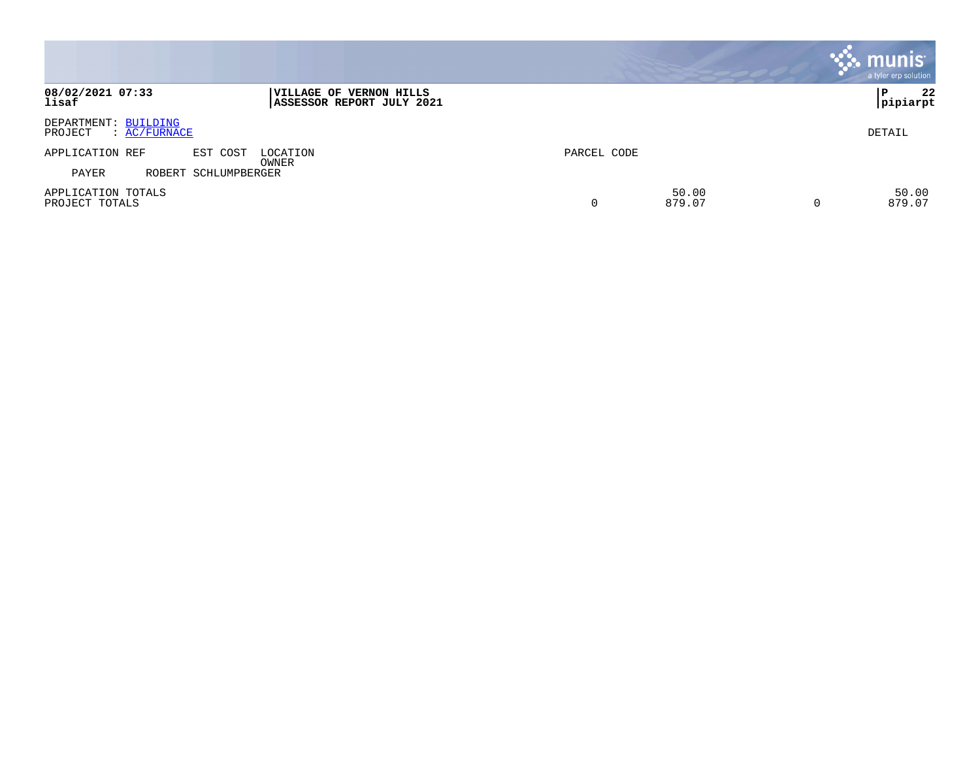|                                                 |                                                      |             |                 |   | munis <sup>®</sup><br>a tyler erp solution |
|-------------------------------------------------|------------------------------------------------------|-------------|-----------------|---|--------------------------------------------|
| 08/02/2021 07:33<br>lisaf                       | VILLAGE OF VERNON HILLS<br>ASSESSOR REPORT JULY 2021 |             |                 |   | 22<br>P<br> pipiarpt                       |
| DEPARTMENT: BUILDING<br>: AC/FURNACE<br>PROJECT |                                                      |             |                 |   | DETAIL                                     |
| APPLICATION REF<br>EST COST                     | LOCATION                                             | PARCEL CODE |                 |   |                                            |
| PAYER<br>ROBERT SCHLUMPBERGER                   | OWNER                                                |             |                 |   |                                            |
| APPLICATION TOTALS<br>PROJECT TOTALS            |                                                      | 0           | 50.00<br>879.07 | 0 | 50.00<br>879.07                            |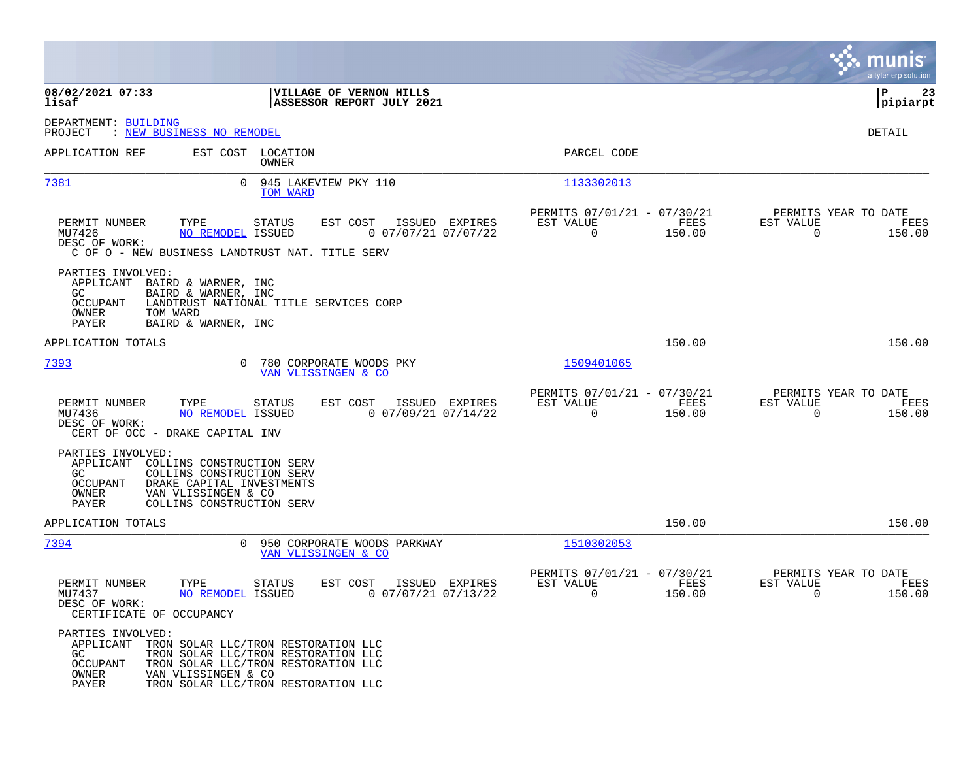|                                                                                                                                                                                                                       |                                                                                                                                                          |                                                                        | munis<br>a tyler erp solution                                   |
|-----------------------------------------------------------------------------------------------------------------------------------------------------------------------------------------------------------------------|----------------------------------------------------------------------------------------------------------------------------------------------------------|------------------------------------------------------------------------|-----------------------------------------------------------------|
| 08/02/2021 07:33<br>lisaf                                                                                                                                                                                             | VILLAGE OF VERNON HILLS<br>ASSESSOR REPORT JULY 2021                                                                                                     |                                                                        | ΙP<br>23<br> pipiarpt                                           |
| DEPARTMENT: BUILDING<br>: NEW BUSINESS NO REMODEL<br>PROJECT                                                                                                                                                          |                                                                                                                                                          |                                                                        | <b>DETAIL</b>                                                   |
| APPLICATION REF                                                                                                                                                                                                       | EST COST LOCATION<br><b>OWNER</b>                                                                                                                        | PARCEL CODE                                                            |                                                                 |
| 7381                                                                                                                                                                                                                  | 0<br>945 LAKEVIEW PKY 110<br>TOM WARD                                                                                                                    | 1133302013                                                             |                                                                 |
| PERMIT NUMBER<br>TYPE<br>MU7426<br><b>NO REMODEL ISSUED</b><br>DESC OF WORK:<br>C OF O - NEW BUSINESS LANDTRUST NAT. TITLE SERV                                                                                       | ISSUED EXPIRES<br><b>STATUS</b><br>EST COST<br>$0$ 07/07/21 07/07/22                                                                                     | PERMITS 07/01/21 - 07/30/21<br>EST VALUE<br>FEES<br>$\Omega$<br>150.00 | PERMITS YEAR TO DATE<br>EST VALUE<br>FEES<br>$\Omega$<br>150.00 |
| PARTIES INVOLVED:<br>APPLICANT<br>BAIRD & WARNER, INC<br>GC.<br>BAIRD & WARNER, INC<br>OCCUPANT<br>OWNER<br>TOM WARD<br>PAYER<br>BAIRD & WARNER, INC                                                                  | LANDTRUST NATIONAL TITLE SERVICES CORP                                                                                                                   |                                                                        |                                                                 |
| APPLICATION TOTALS                                                                                                                                                                                                    |                                                                                                                                                          | 150.00                                                                 | 150.00                                                          |
| 7393                                                                                                                                                                                                                  | $\Omega$<br>780 CORPORATE WOODS PKY<br>VAN VLISSINGEN & CO                                                                                               | 1509401065                                                             |                                                                 |
| PERMIT NUMBER<br>TYPE<br>MU7436<br><b>NO REMODEL ISSUED</b><br>DESC OF WORK:<br>CERT OF OCC - DRAKE CAPITAL INV                                                                                                       | <b>STATUS</b><br>EST COST<br>ISSUED EXPIRES<br>$0$ 07/09/21 07/14/22                                                                                     | PERMITS 07/01/21 - 07/30/21<br>EST VALUE<br>FEES<br>$\Omega$<br>150.00 | PERMITS YEAR TO DATE<br>EST VALUE<br>FEES<br>$\Omega$<br>150.00 |
| PARTIES INVOLVED:<br>APPLICANT<br>COLLINS CONSTRUCTION SERV<br>COLLINS CONSTRUCTION SERV<br>GC.<br><b>OCCUPANT</b><br>DRAKE CAPITAL INVESTMENTS<br>OWNER<br>VAN VLISSINGEN & CO<br>COLLINS CONSTRUCTION SERV<br>PAYER |                                                                                                                                                          |                                                                        |                                                                 |
| APPLICATION TOTALS                                                                                                                                                                                                    |                                                                                                                                                          | 150.00                                                                 | 150.00                                                          |
| 7394                                                                                                                                                                                                                  | $\Omega$<br>950 CORPORATE WOODS PARKWAY<br>VAN VLISSINGEN & CO                                                                                           | 1510302053                                                             |                                                                 |
| PERMIT NUMBER<br>TYPE<br>MU7437<br>NO REMODEL ISSUED<br>DESC OF WORK:<br>CERTIFICATE OF OCCUPANCY                                                                                                                     | <b>STATUS</b><br>EST COST<br>ISSUED EXPIRES<br>$0$ 07/07/21 07/13/22                                                                                     | PERMITS 07/01/21 - 07/30/21<br>EST VALUE<br>FEES<br>0<br>150.00        | PERMITS YEAR TO DATE<br>EST VALUE<br>FEES<br>0<br>150.00        |
| PARTIES INVOLVED:<br>APPLICANT<br>GC.<br><b>OCCUPANT</b><br>OWNER<br>VAN VLISSINGEN & CO<br>PAYER                                                                                                                     | TRON SOLAR LLC/TRON RESTORATION LLC<br>TRON SOLAR LLC/TRON RESTORATION LLC<br>TRON SOLAR LLC/TRON RESTORATION LLC<br>TRON SOLAR LLC/TRON RESTORATION LLC |                                                                        |                                                                 |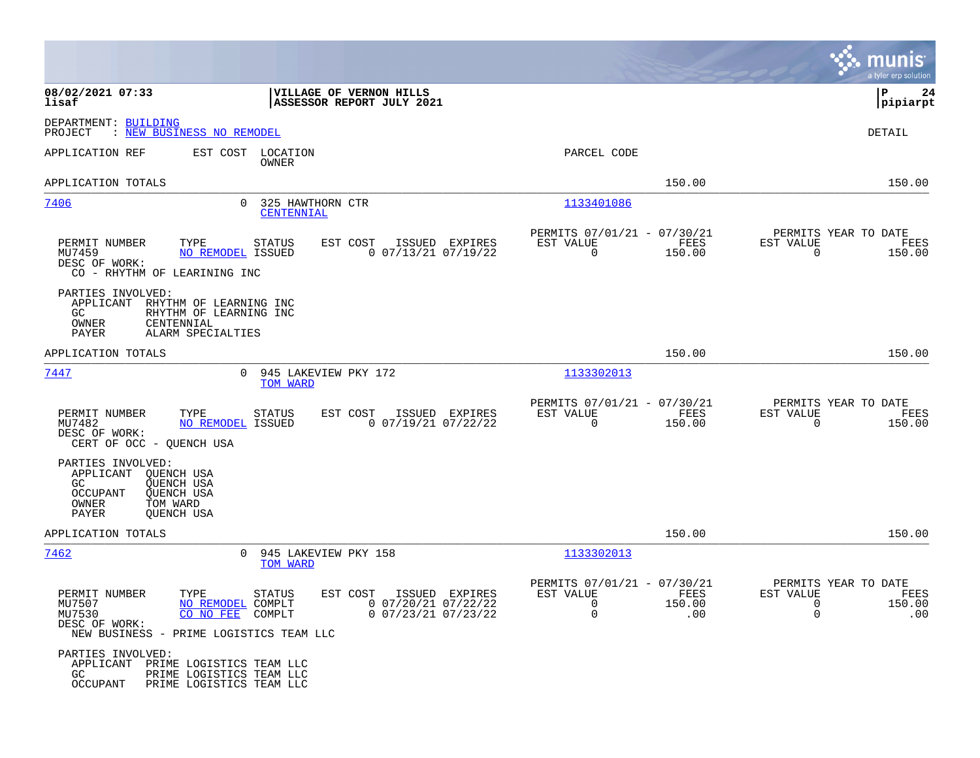|                                                                                                                                                |                                                                                                             |                                                                        |                       | munis<br>a tyler erp solution                                                         |
|------------------------------------------------------------------------------------------------------------------------------------------------|-------------------------------------------------------------------------------------------------------------|------------------------------------------------------------------------|-----------------------|---------------------------------------------------------------------------------------|
| 08/02/2021 07:33<br>lisaf                                                                                                                      | VILLAGE OF VERNON HILLS<br>ASSESSOR REPORT JULY 2021                                                        |                                                                        |                       | l P<br>24<br> pipiarpt                                                                |
| DEPARTMENT: BUILDING<br>: NEW BUSINESS NO REMODEL<br>PROJECT                                                                                   |                                                                                                             |                                                                        |                       | <b>DETAIL</b>                                                                         |
| APPLICATION REF                                                                                                                                | EST COST LOCATION<br>OWNER                                                                                  | PARCEL CODE                                                            |                       |                                                                                       |
| APPLICATION TOTALS                                                                                                                             |                                                                                                             |                                                                        | 150.00                | 150.00                                                                                |
| 7406<br>$\Omega$                                                                                                                               | 325 HAWTHORN CTR<br>CENTENNIAL                                                                              | 1133401086                                                             |                       |                                                                                       |
| PERMIT NUMBER<br>TYPE<br>MU7459<br><b>NO REMODEL ISSUED</b><br>DESC OF WORK:<br>CO - RHYTHM OF LEARINING INC                                   | EST COST<br><b>STATUS</b><br>ISSUED EXPIRES<br>$0$ $07/13/21$ $07/19/22$                                    | PERMITS 07/01/21 - 07/30/21<br>EST VALUE<br>$\Omega$                   | FEES<br>150.00        | PERMITS YEAR TO DATE<br>EST VALUE<br>FEES<br>$\Omega$<br>150.00                       |
| PARTIES INVOLVED:<br>APPLICANT<br>RHYTHM OF LEARNING INC<br>RHYTHM OF LEARNING INC<br>GC.<br>OWNER<br>CENTENNIAL<br>PAYER<br>ALARM SPECIALTIES |                                                                                                             |                                                                        |                       |                                                                                       |
| APPLICATION TOTALS                                                                                                                             |                                                                                                             |                                                                        | 150.00                | 150.00                                                                                |
| 7447<br>$\mathbf{0}$                                                                                                                           | 945 LAKEVIEW PKY 172<br>TOM WARD                                                                            | 1133302013                                                             |                       |                                                                                       |
| TYPE<br>PERMIT NUMBER<br>NO REMODEL ISSUED<br>MU7482<br>DESC OF WORK:<br>CERT OF OCC - QUENCH USA                                              | EST COST<br>ISSUED EXPIRES<br><b>STATUS</b><br>$0$ $07/19/21$ $07/22/22$                                    | PERMITS 07/01/21 - 07/30/21<br>EST VALUE<br>0                          | FEES<br>150.00        | PERMITS YEAR TO DATE<br>EST VALUE<br>FEES<br>$\mathbf 0$<br>150.00                    |
| PARTIES INVOLVED:<br>APPLICANT<br>QUENCH USA<br>GC<br>QUENCH USA<br>OCCUPANT<br>QUENCH USA<br>TOM WARD<br>OWNER<br>PAYER<br><b>OUENCH USA</b>  |                                                                                                             |                                                                        |                       |                                                                                       |
| APPLICATION TOTALS                                                                                                                             |                                                                                                             |                                                                        | 150.00                | 150.00                                                                                |
| <u>7462</u><br>$\mathbf{0}$                                                                                                                    | 945 LAKEVIEW PKY 158<br>TOM WARD                                                                            | 1133302013                                                             |                       |                                                                                       |
| PERMIT NUMBER<br>TYPE<br>MU7507<br>NO REMODEL COMPLT<br>MU7530<br>CO NO FEE<br>DESC OF WORK:<br>NEW BUSINESS - PRIME LOGISTICS TEAM LLC        | <b>STATUS</b><br>EST COST<br>ISSUED EXPIRES<br>$0$ 07/20/21 07/22/22<br>$0$ $07/23/21$ $07/23/22$<br>COMPLT | PERMITS 07/01/21 - 07/30/21<br>EST VALUE<br>$\mathbf 0$<br>$\mathbf 0$ | FEES<br>150.00<br>.00 | PERMITS YEAR TO DATE<br>EST VALUE<br>FEES<br>$\Omega$<br>150.00<br>$\mathbf 0$<br>.00 |
| PARTIES INVOLVED:<br>APPLICANT<br>PRIME LOGISTICS TEAM LLC<br>GC.<br>PRIME LOGISTICS TEAM LLC<br><b>OCCUPANT</b><br>PRIME LOGISTICS TEAM LLC   |                                                                                                             |                                                                        |                       |                                                                                       |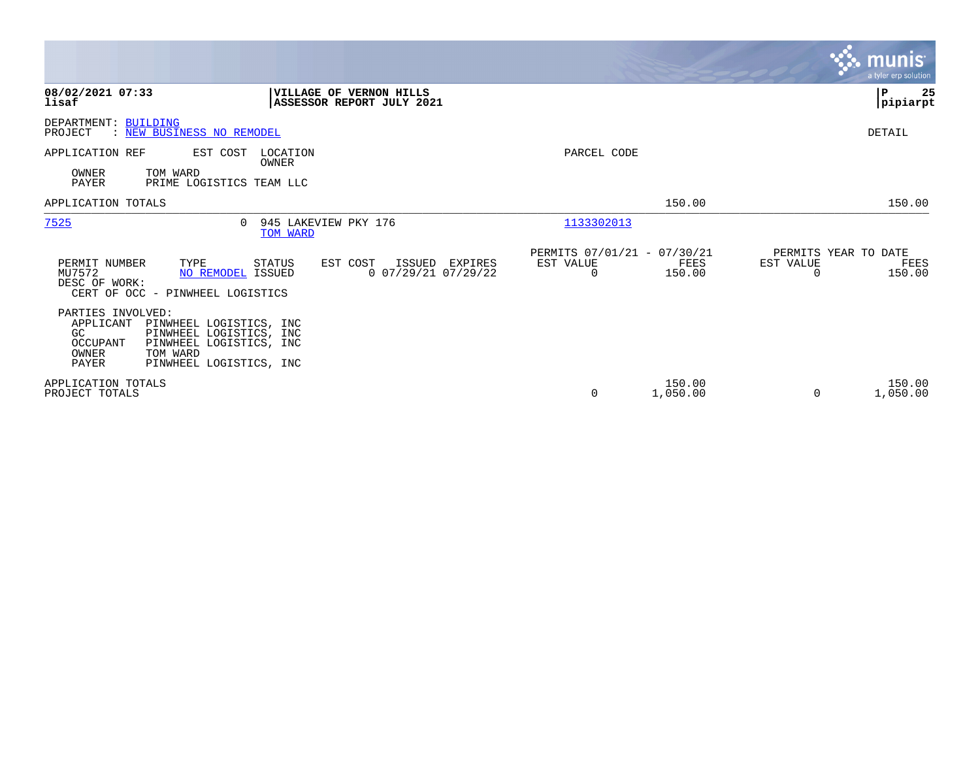|                                                                                                                                                                                            |                                                                        | <b>munis</b><br>a tyler erp solution                            |
|--------------------------------------------------------------------------------------------------------------------------------------------------------------------------------------------|------------------------------------------------------------------------|-----------------------------------------------------------------|
| 08/02/2021 07:33<br>VILLAGE OF VERNON HILLS<br>lisaf<br>ASSESSOR REPORT JULY 2021                                                                                                          |                                                                        | ∣P<br>25<br> pipiarpt                                           |
| DEPARTMENT: BUILDING<br>: NEW BUSINESS NO REMODEL<br>PROJECT                                                                                                                               |                                                                        | DETAIL                                                          |
| APPLICATION REF<br>EST COST<br>LOCATION<br>OWNER<br><b>OWNER</b><br>TOM WARD<br>PAYER<br>PRIME LOGISTICS TEAM LLC                                                                          | PARCEL CODE                                                            |                                                                 |
| APPLICATION TOTALS                                                                                                                                                                         | 150.00                                                                 | 150.00                                                          |
| 7525<br>945 LAKEVIEW PKY 176<br>$\Omega$<br>TOM WARD                                                                                                                                       | 1133302013                                                             |                                                                 |
| TYPE<br>EST COST<br>PERMIT NUMBER<br>STATUS<br>ISSUED EXPIRES<br>MU7572<br>$0$ 07/29/21 07/29/22<br>NO REMODEL ISSUED<br>DESC OF WORK:<br>CERT OF OCC - PINWHEEL LOGISTICS                 | PERMITS 07/01/21 - 07/30/21<br>EST VALUE<br>FEES<br>150.00<br>$\Omega$ | PERMITS YEAR TO DATE<br>EST VALUE<br>FEES<br>150.00<br>$\Omega$ |
| PARTIES INVOLVED:<br>APPLICANT<br>PINWHEEL LOGISTICS, INC<br>GC<br>PINWHEEL LOGISTICS, INC<br>OCCUPANT<br>PINWHEEL LOGISTICS, INC<br>TOM WARD<br>OWNER<br>PAYER<br>PINWHEEL LOGISTICS, INC |                                                                        |                                                                 |
| APPLICATION TOTALS<br>PROJECT TOTALS                                                                                                                                                       | 150.00<br>0<br>1,050.00                                                | 150.00<br>1,050.00<br>$\Omega$                                  |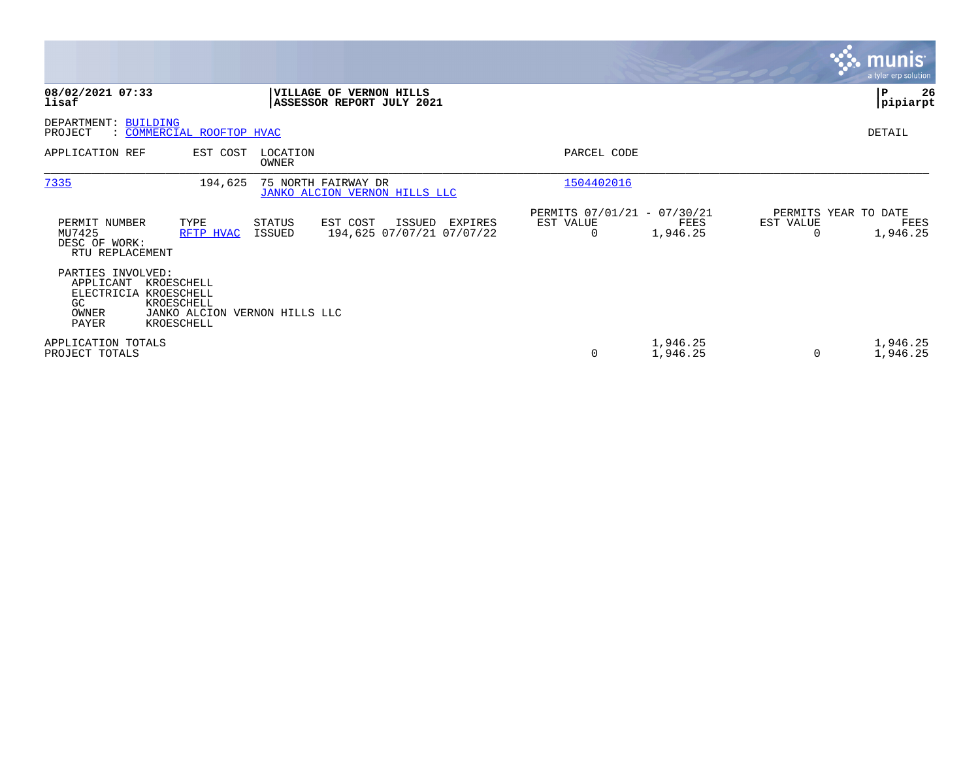|                                                                                  |                                                                         |                         |                                                             |         |                                               |                      |           | <b>munis</b><br>a tyler erp solution     |
|----------------------------------------------------------------------------------|-------------------------------------------------------------------------|-------------------------|-------------------------------------------------------------|---------|-----------------------------------------------|----------------------|-----------|------------------------------------------|
| 08/02/2021 07:33<br>lisaf                                                        |                                                                         |                         | <b>VILLAGE OF VERNON HILLS</b><br>ASSESSOR REPORT JULY 2021 |         |                                               |                      |           | 26<br>P<br> pipiarpt                     |
| DEPARTMENT: BUILDING<br>PROJECT                                                  | : COMMERCIAL ROOFTOP HVAC                                               |                         |                                                             |         |                                               |                      |           | DETAIL                                   |
| APPLICATION REF                                                                  | EST COST                                                                | LOCATION<br>OWNER       |                                                             |         | PARCEL CODE                                   |                      |           |                                          |
| 7335                                                                             | 194,625                                                                 |                         | 75 NORTH FAIRWAY DR<br>JANKO ALCION VERNON HILLS LLC        |         | 1504402016                                    |                      |           |                                          |
| PERMIT NUMBER<br>MU7425<br>DESC OF WORK:<br>RTU REPLACEMENT                      | TYPE<br>RFTP HVAC                                                       | <b>STATUS</b><br>ISSUED | EST COST<br>ISSUED<br>194,625 07/07/21 07/07/22             | EXPIRES | PERMITS 07/01/21 - 07/30/21<br>EST VALUE<br>0 | FEES<br>1,946.25     | EST VALUE | PERMITS YEAR TO DATE<br>FEES<br>1,946.25 |
| PARTIES INVOLVED:<br>APPLICANT<br>ELECTRICIA KROESCHELL<br>GC.<br>OWNER<br>PAYER | KROESCHELL<br>KROESCHELL<br>JANKO ALCION VERNON HILLS LLC<br>KROESCHELL |                         |                                                             |         |                                               |                      |           |                                          |
| APPLICATION TOTALS<br>PROJECT TOTALS                                             |                                                                         |                         |                                                             |         | $\mathbf 0$                                   | 1,946.25<br>1,946.25 | $\Omega$  | 1,946.25<br>1,946.25                     |

the property of the control of

and the contract of the contract of the contract of the contract of the contract of the contract of the contract of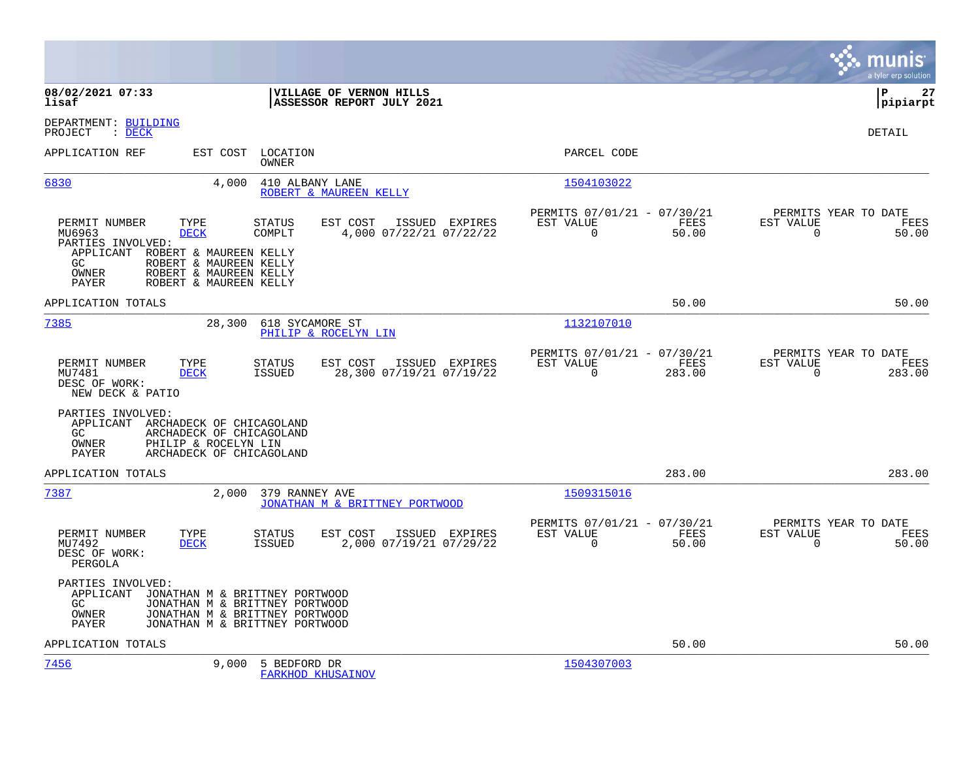|                                                                                                                                                                                                                  |                                                                                         |                                                         | munis<br>a tyler erp solution                                                        |
|------------------------------------------------------------------------------------------------------------------------------------------------------------------------------------------------------------------|-----------------------------------------------------------------------------------------|---------------------------------------------------------|--------------------------------------------------------------------------------------|
| 08/02/2021 07:33<br>lisaf                                                                                                                                                                                        | VILLAGE OF VERNON HILLS<br>ASSESSOR REPORT JULY 2021                                    |                                                         | l P<br>27<br> pipiarpt                                                               |
| DEPARTMENT: BUILDING<br>PROJECT<br>$\therefore$ DECK                                                                                                                                                             |                                                                                         |                                                         | <b>DETAIL</b>                                                                        |
| APPLICATION REF<br>EST COST                                                                                                                                                                                      | LOCATION<br>OWNER                                                                       | PARCEL CODE                                             |                                                                                      |
| 6830<br>4,000                                                                                                                                                                                                    | 410 ALBANY LANE<br>ROBERT & MAUREEN KELLY                                               | 1504103022                                              |                                                                                      |
| PERMIT NUMBER<br>TYPE<br>MU6963<br><b>DECK</b><br>PARTIES INVOLVED:<br>APPLICANT<br>ROBERT & MAUREEN KELLY<br>ROBERT & MAUREEN KELLY<br>GC<br>OWNER<br>ROBERT & MAUREEN KELLY<br>PAYER<br>ROBERT & MAUREEN KELLY | EST COST<br>ISSUED EXPIRES<br>STATUS<br>COMPLT<br>4,000 07/22/21 07/22/22               | PERMITS 07/01/21 - 07/30/21<br>EST VALUE<br>$\mathbf 0$ | PERMITS YEAR TO DATE<br>FEES<br>EST VALUE<br>FEES<br>50.00<br>$\mathbf 0$<br>50.00   |
| APPLICATION TOTALS                                                                                                                                                                                               |                                                                                         |                                                         | 50.00<br>50.00                                                                       |
| 7385<br>28,300                                                                                                                                                                                                   | 618 SYCAMORE ST<br>PHILIP & ROCELYN LIN                                                 | 1132107010                                              |                                                                                      |
| PERMIT NUMBER<br>TYPE<br>MU7481<br><b>DECK</b><br>DESC OF WORK:<br>NEW DECK & PATIO                                                                                                                              | EST COST<br>ISSUED EXPIRES<br>STATUS<br><b>ISSUED</b><br>28,300 07/19/21 07/19/22       | PERMITS 07/01/21 - 07/30/21<br>EST VALUE<br>$\mathbf 0$ | PERMITS YEAR TO DATE<br>FEES<br>EST VALUE<br>FEES<br>283.00<br>$\mathbf 0$<br>283.00 |
| PARTIES INVOLVED:<br>APPLICANT ARCHADECK OF CHICAGOLAND<br>GC.<br>ARCHADECK OF CHICAGOLAND<br>OWNER<br>PHILIP & ROCELYN LIN<br>PAYER<br>ARCHADECK OF CHICAGOLAND                                                 |                                                                                         |                                                         |                                                                                      |
| APPLICATION TOTALS                                                                                                                                                                                               |                                                                                         |                                                         | 283.00<br>283.00                                                                     |
| 7387<br>2,000                                                                                                                                                                                                    | 379 RANNEY AVE<br>JONATHAN M & BRITTNEY PORTWOOD                                        | 1509315016                                              |                                                                                      |
| PERMIT NUMBER<br>TYPE<br><b>DECK</b><br>MU7492<br>DESC OF WORK:<br>PERGOLA                                                                                                                                       | <b>STATUS</b><br>EST COST<br>ISSUED EXPIRES<br><b>ISSUED</b><br>2,000 07/19/21 07/29/22 | PERMITS 07/01/21 - 07/30/21<br>EST VALUE<br>$\mathbf 0$ | PERMITS YEAR TO DATE<br>FEES<br>EST VALUE<br>FEES<br>50.00<br>$\mathbf 0$<br>50.00   |
| PARTIES INVOLVED:<br>APPLICANT<br>JONATHAN M & BRITTNEY PORTWOOD<br>GC.<br>JONATHAN M & BRITTNEY PORTWOOD<br>OWNER<br>JONATHAN M & BRITTNEY PORTWOOD<br>PAYER<br>JONATHAN M & BRITTNEY PORTWOOD                  |                                                                                         |                                                         |                                                                                      |
| APPLICATION TOTALS                                                                                                                                                                                               |                                                                                         |                                                         | 50.00<br>50.00                                                                       |
| 7456<br>9,000                                                                                                                                                                                                    | 5 BEDFORD DR<br><b>FARKHOD KHUSAINOV</b>                                                | 1504307003                                              |                                                                                      |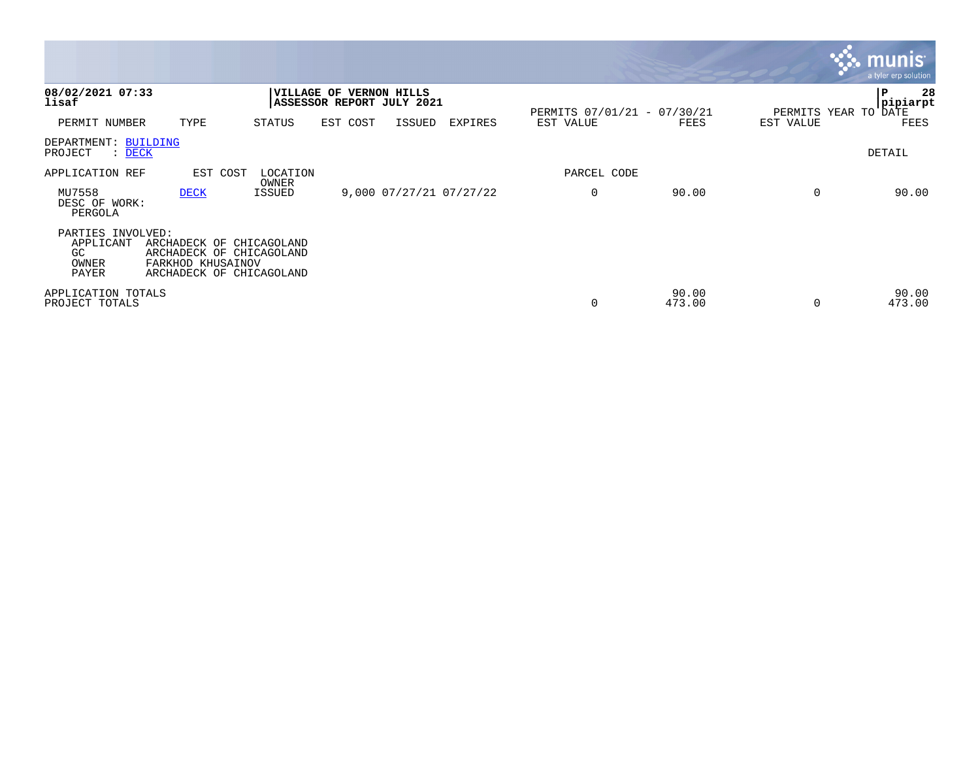|                                                               |                                                                                                       |                   |                                                      |        |                         |                             |                 |                      | <b>munis</b><br>a tyler erp solution |
|---------------------------------------------------------------|-------------------------------------------------------------------------------------------------------|-------------------|------------------------------------------------------|--------|-------------------------|-----------------------------|-----------------|----------------------|--------------------------------------|
| 08/02/2021 07:33<br>lisaf                                     |                                                                                                       |                   | VILLAGE OF VERNON HILLS<br>ASSESSOR REPORT JULY 2021 |        |                         | PERMITS 07/01/21 - 07/30/21 |                 | PERMITS YEAR TO DATE | 28<br>P<br> pipiarpt                 |
| PERMIT NUMBER                                                 | TYPE                                                                                                  | STATUS            | EST COST                                             | ISSUED | EXPIRES                 | EST VALUE                   | FEES            | EST VALUE            | <b>FEES</b>                          |
| DEPARTMENT: BUILDING<br>PROJECT<br>$\therefore$ DECK          |                                                                                                       |                   |                                                      |        |                         |                             |                 |                      | DETAIL                               |
| APPLICATION REF                                               | EST COST                                                                                              | LOCATION<br>OWNER |                                                      |        |                         | PARCEL CODE                 |                 |                      |                                      |
| MU7558<br>DESC OF WORK:<br>PERGOLA                            | <b>DECK</b>                                                                                           | <b>ISSUED</b>     |                                                      |        | 9,000 07/27/21 07/27/22 | $\mathbf 0$                 | 90.00           | $\Omega$             | 90.00                                |
| PARTIES INVOLVED:<br>APPLICANT<br><b>GC</b><br>OWNER<br>PAYER | ARCHADECK OF CHICAGOLAND<br>ARCHADECK OF CHICAGOLAND<br>FARKHOD KHUSAINOV<br>ARCHADECK OF CHICAGOLAND |                   |                                                      |        |                         |                             |                 |                      |                                      |
| APPLICATION TOTALS<br>PROJECT TOTALS                          |                                                                                                       |                   |                                                      |        |                         | 0                           | 90.00<br>473.00 | $\Omega$             | 90.00<br>473.00                      |

the property of the control of

and the contract of the contract of the contract of the contract of the contract of the contract of the contract of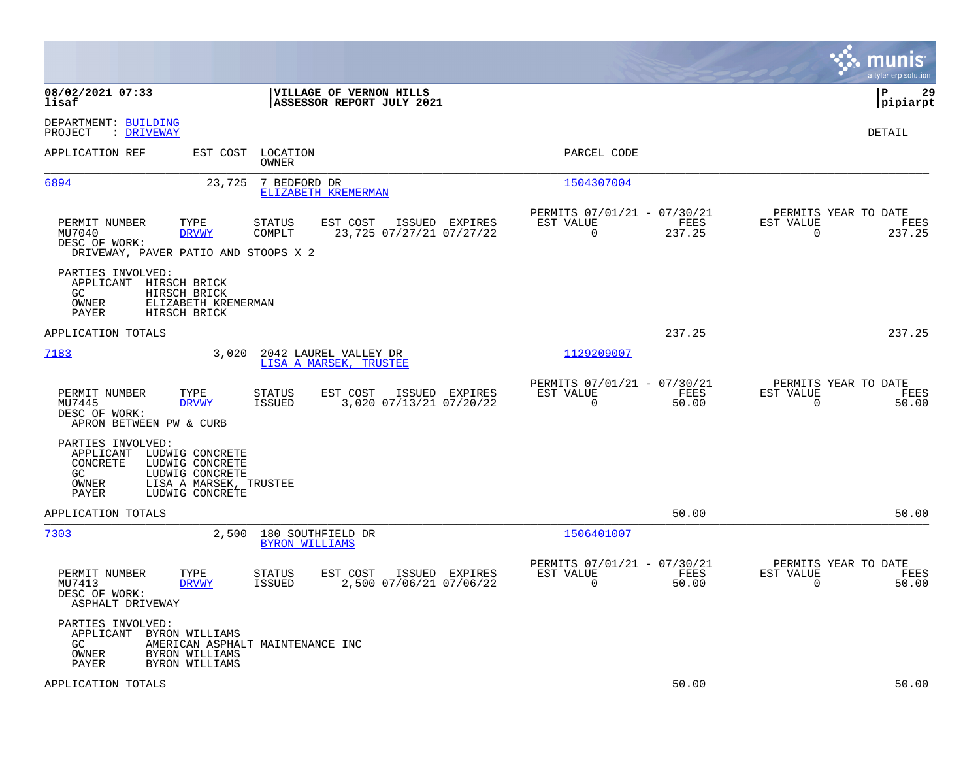|                                                                                                                                                                                     | munis<br>a tyler erp solution                                                                                                                                     |
|-------------------------------------------------------------------------------------------------------------------------------------------------------------------------------------|-------------------------------------------------------------------------------------------------------------------------------------------------------------------|
| 08/02/2021 07:33<br>VILLAGE OF VERNON HILLS<br>ASSESSOR REPORT JULY 2021<br>lisaf                                                                                                   | P<br>29<br> pipiarpt                                                                                                                                              |
| DEPARTMENT: BUILDING<br>: DRIVEWAY<br>PROJECT                                                                                                                                       | <b>DETAIL</b>                                                                                                                                                     |
| APPLICATION REF<br>EST COST LOCATION<br>OWNER                                                                                                                                       | PARCEL CODE                                                                                                                                                       |
| 6894<br>7 BEDFORD DR<br>23,725<br>ELIZABETH KREMERMAN                                                                                                                               | 1504307004                                                                                                                                                        |
| TYPE<br>PERMIT NUMBER<br><b>STATUS</b><br>EST COST<br>MU7040<br><b>DRVWY</b><br>COMPLT<br>23,725 07/27/21 07/27/22<br>DESC OF WORK:<br>DRIVEWAY, PAVER PATIO AND STOOPS X 2         | PERMITS 07/01/21 - 07/30/21<br>PERMITS YEAR TO DATE<br>ISSUED EXPIRES<br>EST VALUE<br>FEES<br>EST VALUE<br>FEES<br>$\mathbf 0$<br>237.25<br>$\mathbf 0$<br>237.25 |
| PARTIES INVOLVED:<br>APPLICANT HIRSCH BRICK<br>GC.<br>HIRSCH BRICK<br>OWNER<br>ELIZABETH KREMERMAN<br><b>PAYER</b><br>HIRSCH BRICK                                                  |                                                                                                                                                                   |
| APPLICATION TOTALS                                                                                                                                                                  | 237.25<br>237.25                                                                                                                                                  |
| 7183<br>3,020<br>2042 LAUREL VALLEY DR<br>LISA A MARSEK, TRUSTEE                                                                                                                    | 1129209007                                                                                                                                                        |
| PERMIT NUMBER<br>TYPE<br>STATUS<br>EST COST<br>3,020 07/13/21 07/20/22<br>MU7445<br><b>ISSUED</b><br><b>DRVWY</b><br>DESC OF WORK:<br>APRON BETWEEN PW & CURB                       | PERMITS 07/01/21 - 07/30/21<br>PERMITS YEAR TO DATE<br>ISSUED EXPIRES<br>EST VALUE<br>FEES<br>EST VALUE<br>FEES<br>$\mathbf 0$<br>50.00<br>$\mathbf 0$<br>50.00   |
| PARTIES INVOLVED:<br>APPLICANT LUDWIG CONCRETE<br>CONCRETE<br>LUDWIG CONCRETE<br>LUDWIG CONCRETE<br>GC<br><b>OWNER</b><br>LISA A MARSEK, TRUSTEE<br><b>PAYER</b><br>LUDWIG CONCRETE |                                                                                                                                                                   |
| APPLICATION TOTALS                                                                                                                                                                  | 50.00<br>50.00                                                                                                                                                    |
| 7303<br>180 SOUTHFIELD DR<br>2,500<br><b>BYRON WILLIAMS</b>                                                                                                                         | 1506401007                                                                                                                                                        |
| EST COST<br>PERMIT NUMBER<br>TYPE<br>STATUS<br><b>ISSUED</b><br>2,500 07/06/21 07/06/22<br>MU7413<br><b>DRVWY</b><br>DESC OF WORK:<br>ASPHALT DRIVEWAY                              | PERMITS 07/01/21 - 07/30/21<br>PERMITS YEAR TO DATE<br>ISSUED EXPIRES<br>EST VALUE<br>FEES<br>EST VALUE<br>FEES<br>$\mathbf 0$<br>50.00<br>$\mathbf 0$<br>50.00   |
| PARTIES INVOLVED:<br>APPLICANT BYRON WILLIAMS<br>GC.<br>AMERICAN ASPHALT MAINTENANCE INC<br>OWNER<br>BYRON WILLIAMS<br>PAYER<br>BYRON WILLIAMS                                      |                                                                                                                                                                   |
| APPLICATION TOTALS                                                                                                                                                                  | 50.00<br>50.00                                                                                                                                                    |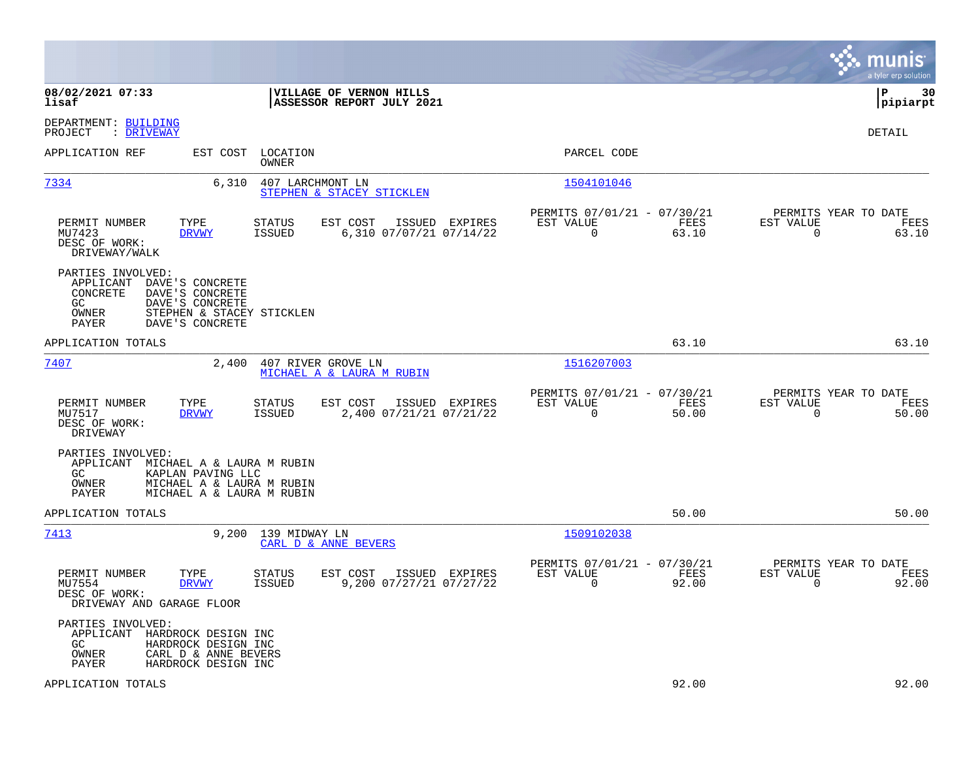|                                                                                                                                                                             |                                                                                  |                                                                          | munis<br>a tyler erp solution                                     |
|-----------------------------------------------------------------------------------------------------------------------------------------------------------------------------|----------------------------------------------------------------------------------|--------------------------------------------------------------------------|-------------------------------------------------------------------|
| 08/02/2021 07:33<br>lisaf                                                                                                                                                   | VILLAGE OF VERNON HILLS<br>ASSESSOR REPORT JULY 2021                             |                                                                          | 30<br> P<br> pipiarpt                                             |
| DEPARTMENT: BUILDING<br>: DRIVEWAY<br>PROJECT                                                                                                                               |                                                                                  |                                                                          | DETAIL                                                            |
| APPLICATION REF<br>EST COST                                                                                                                                                 | LOCATION<br>OWNER                                                                | PARCEL CODE                                                              |                                                                   |
| 7334<br>6,310                                                                                                                                                               | 407 LARCHMONT LN<br>STEPHEN & STACEY STICKLEN                                    | 1504101046                                                               |                                                                   |
| PERMIT NUMBER<br>TYPE<br>MU7423<br><b>DRVWY</b><br>DESC OF WORK:<br>DRIVEWAY/WALK                                                                                           | EST COST<br>STATUS<br>ISSUED EXPIRES<br>6,310 07/07/21 07/14/22<br>ISSUED        | PERMITS 07/01/21 - 07/30/21<br>EST VALUE<br>FEES<br>$\mathbf 0$<br>63.10 | PERMITS YEAR TO DATE<br>EST VALUE<br>FEES<br>$\mathbf 0$<br>63.10 |
| PARTIES INVOLVED:<br>APPLICANT<br>DAVE'S CONCRETE<br>CONCRETE<br>DAVE'S CONCRETE<br>GC<br>DAVE'S CONCRETE<br>OWNER<br>STEPHEN & STACEY STICKLEN<br>DAVE'S CONCRETE<br>PAYER |                                                                                  |                                                                          |                                                                   |
| APPLICATION TOTALS                                                                                                                                                          |                                                                                  | 63.10                                                                    | 63.10                                                             |
| 7407<br>2,400                                                                                                                                                               | 407 RIVER GROVE LN<br>MICHAEL A & LAURA M RUBIN                                  | 1516207003                                                               |                                                                   |
| PERMIT NUMBER<br>TYPE<br>MU7517<br><b>DRVWY</b><br>DESC OF WORK:<br>DRIVEWAY                                                                                                | STATUS<br>EST COST<br>ISSUED EXPIRES<br><b>ISSUED</b><br>2,400 07/21/21 07/21/22 | PERMITS 07/01/21 - 07/30/21<br>EST VALUE<br>FEES<br>$\Omega$<br>50.00    | PERMITS YEAR TO DATE<br>EST VALUE<br>FEES<br>$\Omega$<br>50.00    |
| PARTIES INVOLVED:<br>APPLICANT<br>MICHAEL A & LAURA M RUBIN<br>GC<br>KAPLAN PAVING LLC<br>OWNER<br>MICHAEL A & LAURA M RUBIN<br>PAYER<br>MICHAEL A & LAURA M RUBIN          |                                                                                  |                                                                          |                                                                   |
| APPLICATION TOTALS                                                                                                                                                          |                                                                                  | 50.00                                                                    | 50.00                                                             |
| 7413<br>9,200                                                                                                                                                               | 139 MIDWAY LN<br>CARL D & ANNE BEVERS                                            | 1509102038                                                               |                                                                   |
| PERMIT NUMBER<br>TYPE<br>MU7554<br><b>DRVWY</b><br>DESC OF WORK:<br>DRIVEWAY AND GARAGE FLOOR                                                                               | STATUS<br>EST COST<br>ISSUED EXPIRES<br>9,200 07/27/21 07/27/22<br>ISSUED        | PERMITS 07/01/21 - 07/30/21<br>EST VALUE<br>FEES<br>$\mathbf 0$<br>92.00 | PERMITS YEAR TO DATE<br>EST VALUE<br>FEES<br>$\mathbf 0$<br>92.00 |
| PARTIES INVOLVED:<br>APPLICANT<br>HARDROCK DESIGN INC<br>GC.<br>HARDROCK DESIGN INC<br>OWNER<br>CARL D & ANNE BEVERS<br>HARDROCK DESIGN INC<br>PAYER                        |                                                                                  |                                                                          |                                                                   |
| APPLICATION TOTALS                                                                                                                                                          |                                                                                  | 92.00                                                                    | 92.00                                                             |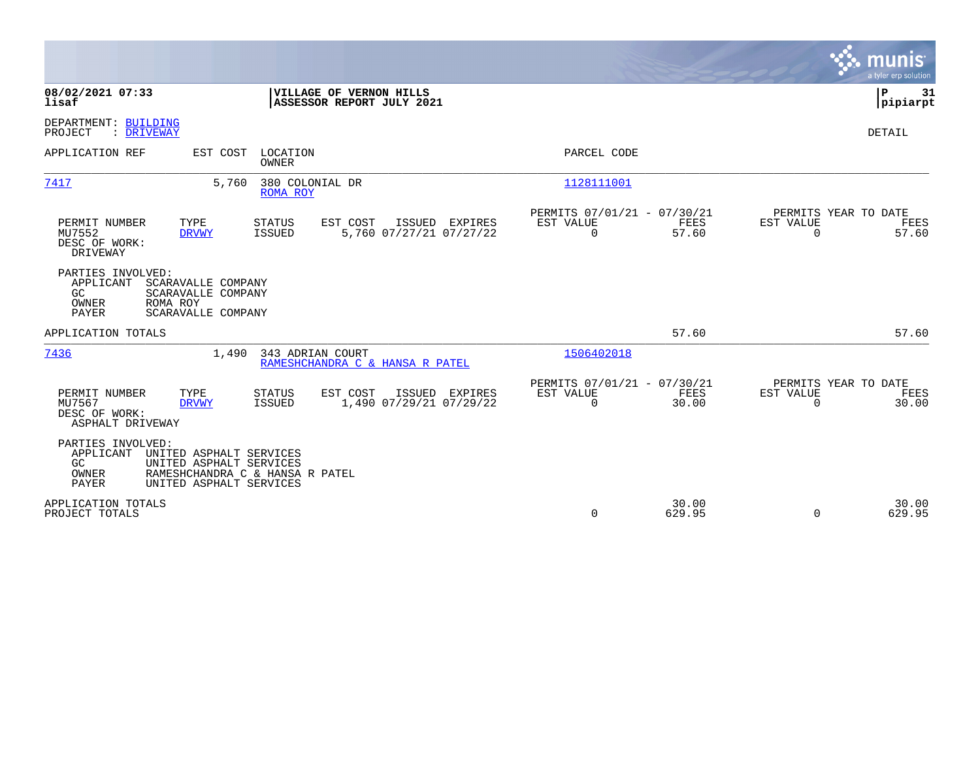|                                                                                                                                                                            |                                                                       | munis<br>a tyler erp solution                                  |
|----------------------------------------------------------------------------------------------------------------------------------------------------------------------------|-----------------------------------------------------------------------|----------------------------------------------------------------|
| 08/02/2021 07:33<br>VILLAGE OF VERNON HILLS<br>lisaf<br>ASSESSOR REPORT JULY 2021                                                                                          |                                                                       | P<br>31<br> pipiarpt                                           |
| DEPARTMENT: BUILDING<br>PROJECT<br>: DRIVEWAY                                                                                                                              |                                                                       | DETAIL                                                         |
| APPLICATION REF<br>EST COST<br>LOCATION<br><b>OWNER</b>                                                                                                                    | PARCEL CODE                                                           |                                                                |
| 380 COLONIAL DR<br>7417<br>5,760<br><b>ROMA ROY</b>                                                                                                                        | 1128111001                                                            |                                                                |
| PERMIT NUMBER<br>TYPE<br>EST COST<br>ISSUED EXPIRES<br><b>STATUS</b><br>5,760 07/27/21 07/27/22<br>MU7552<br><b>ISSUED</b><br><b>DRVWY</b><br>DESC OF WORK:<br>DRIVEWAY    | PERMITS 07/01/21 - 07/30/21<br>EST VALUE<br>FEES<br>$\Omega$<br>57.60 | PERMITS YEAR TO DATE<br>EST VALUE<br>FEES<br>$\Omega$<br>57.60 |
| PARTIES INVOLVED:<br>APPLICANT<br>SCARAVALLE COMPANY<br>GC<br>SCARAVALLE COMPANY<br>ROMA ROY<br>OWNER<br>PAYER<br>SCARAVALLE COMPANY                                       |                                                                       |                                                                |
| APPLICATION TOTALS                                                                                                                                                         | 57.60                                                                 | 57.60                                                          |
| 7436<br>1,490<br>343 ADRIAN COURT<br>RAMESHCHANDRA C & HANSA R PATEL                                                                                                       | 1506402018                                                            |                                                                |
| TYPE<br>EST COST<br>ISSUED EXPIRES<br>PERMIT NUMBER<br><b>STATUS</b><br>MU7567<br>1,490 07/29/21 07/29/22<br>ISSUED<br><b>DRVWY</b><br>DESC OF WORK:<br>ASPHALT DRIVEWAY   | PERMITS 07/01/21 - 07/30/21<br>FEES<br>EST VALUE<br>$\Omega$<br>30.00 | PERMITS YEAR TO DATE<br>EST VALUE<br>FEES<br>$\Omega$<br>30.00 |
| PARTIES INVOLVED:<br>APPLICANT<br>UNITED ASPHALT SERVICES<br>GC<br>UNITED ASPHALT SERVICES<br>OWNER<br>RAMESHCHANDRA C & HANSA R PATEL<br>PAYER<br>UNITED ASPHALT SERVICES |                                                                       |                                                                |
| APPLICATION TOTALS<br>PROJECT TOTALS                                                                                                                                       | 30.00<br>$\mathbf 0$<br>629.95                                        | 30.00<br>$\Omega$<br>629.95                                    |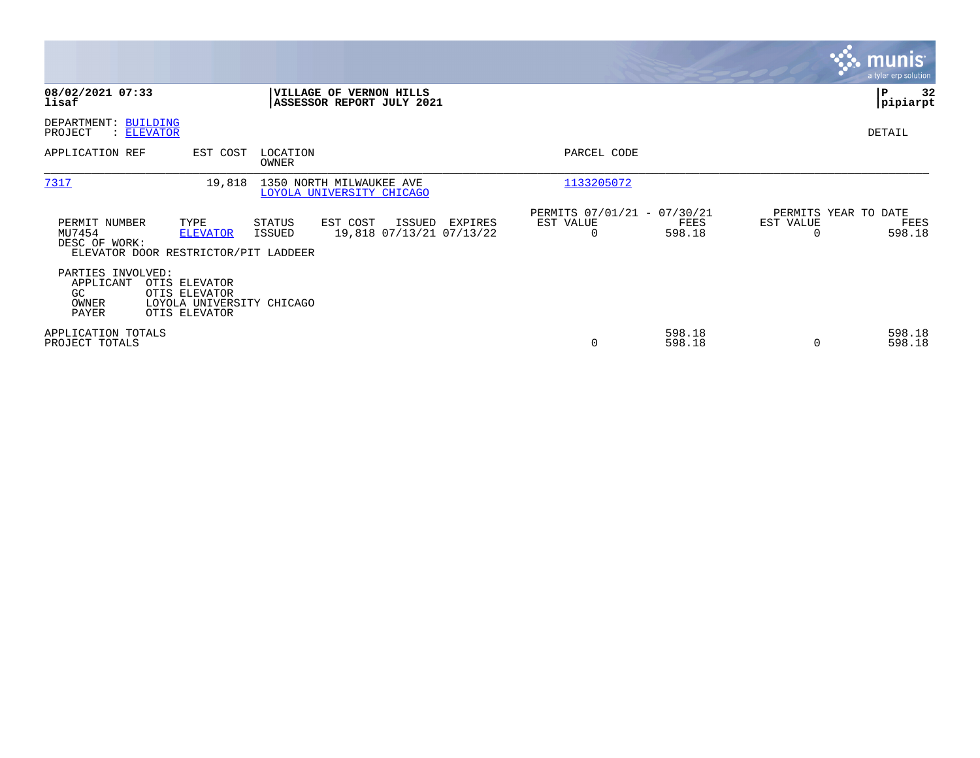|                                                                                  |                                                                              |                   |                                                             |         |                                                      |                  |           | <b>munis</b><br>a tyler erp solution   |
|----------------------------------------------------------------------------------|------------------------------------------------------------------------------|-------------------|-------------------------------------------------------------|---------|------------------------------------------------------|------------------|-----------|----------------------------------------|
| 08/02/2021 07:33<br>lisaf                                                        |                                                                              |                   | <b>VILLAGE OF VERNON HILLS</b><br>ASSESSOR REPORT JULY 2021 |         |                                                      |                  |           | P<br>32<br> pipiarpt                   |
| DEPARTMENT: BUILDING<br>PROJECT<br>: ELEVATOR                                    |                                                                              |                   |                                                             |         |                                                      |                  |           | DETAIL                                 |
| APPLICATION REF                                                                  | EST COST                                                                     | LOCATION<br>OWNER |                                                             |         | PARCEL CODE                                          |                  |           |                                        |
| 7317                                                                             | 19,818                                                                       |                   | 1350 NORTH MILWAUKEE AVE<br>LOYOLA UNIVERSITY CHICAGO       |         | 1133205072                                           |                  |           |                                        |
| PERMIT NUMBER<br>MU7454<br>DESC OF WORK:<br>ELEVATOR DOOR RESTRICTOR/PIT LADDEER | TYPE<br><b>ELEVATOR</b>                                                      | STATUS<br>ISSUED  | EST COST<br>ISSUED<br>19,818 07/13/21 07/13/22              | EXPIRES | PERMITS 07/01/21 - 07/30/21<br>EST VALUE<br>$\Omega$ | FEES<br>598.18   | EST VALUE | PERMITS YEAR TO DATE<br>FEES<br>598.18 |
| PARTIES INVOLVED:<br>APPLICANT<br>GC<br>OWNER<br>PAYER                           | OTIS ELEVATOR<br>OTIS ELEVATOR<br>LOYOLA UNIVERSITY CHICAGO<br>OTIS ELEVATOR |                   |                                                             |         |                                                      |                  |           |                                        |
| APPLICATION TOTALS<br>PROJECT TOTALS                                             |                                                                              |                   |                                                             |         | 0                                                    | 598.18<br>598.18 | $\Omega$  | 598.18<br>598.18                       |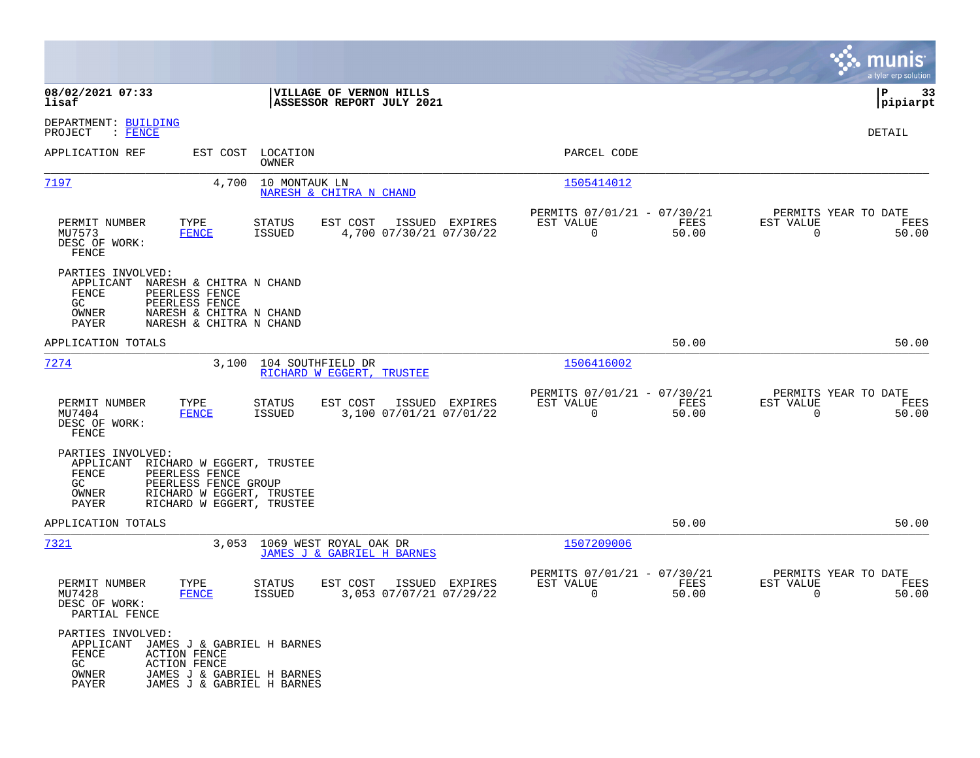|                                                                                            |                                                                                                                               |                                   |                                                            |                |                                                         |               |                                                  | munis<br>a tyler erp solution |
|--------------------------------------------------------------------------------------------|-------------------------------------------------------------------------------------------------------------------------------|-----------------------------------|------------------------------------------------------------|----------------|---------------------------------------------------------|---------------|--------------------------------------------------|-------------------------------|
| 08/02/2021 07:33<br>lisaf                                                                  |                                                                                                                               |                                   | VILLAGE OF VERNON HILLS<br>ASSESSOR REPORT JULY 2021       |                |                                                         |               |                                                  | P<br>33<br> pipiarpt          |
| DEPARTMENT: BUILDING<br>PROJECT<br>$\colon$ FENCE                                          |                                                                                                                               |                                   |                                                            |                |                                                         |               |                                                  | DETAIL                        |
| APPLICATION REF                                                                            |                                                                                                                               | EST COST LOCATION<br><b>OWNER</b> |                                                            |                | PARCEL CODE                                             |               |                                                  |                               |
| <u>7197</u>                                                                                | 4,700                                                                                                                         | 10 MONTAUK LN                     | NARESH & CHITRA N CHAND                                    |                | 1505414012                                              |               |                                                  |                               |
| PERMIT NUMBER<br>MU7573<br>DESC OF WORK:<br>FENCE                                          | TYPE<br><b>FENCE</b>                                                                                                          | STATUS<br>ISSUED                  | EST COST<br>4,700 07/30/21 07/30/22                        | ISSUED EXPIRES | PERMITS 07/01/21 - 07/30/21<br>EST VALUE<br>$\mathbf 0$ | FEES<br>50.00 | PERMITS YEAR TO DATE<br>EST VALUE<br>$\mathbf 0$ | FEES<br>50.00                 |
| PARTIES INVOLVED:<br>APPLICANT<br>FENCE<br>GC.<br>OWNER<br>PAYER                           | NARESH & CHITRA N CHAND<br>PEERLESS FENCE<br>PEERLESS FENCE<br>NARESH & CHITRA N CHAND<br>NARESH & CHITRA N CHAND             |                                   |                                                            |                |                                                         |               |                                                  |                               |
| APPLICATION TOTALS                                                                         |                                                                                                                               |                                   |                                                            |                |                                                         | 50.00         |                                                  | 50.00                         |
| 7274                                                                                       | 3,100                                                                                                                         | 104 SOUTHFIELD DR                 | RICHARD W EGGERT, TRUSTEE                                  |                | 1506416002                                              |               |                                                  |                               |
| PERMIT NUMBER<br>MU7404<br>DESC OF WORK:<br>FENCE                                          | TYPE<br>FENCE                                                                                                                 | STATUS<br>ISSUED                  | EST COST<br>3,100 07/01/21 07/01/22                        | ISSUED EXPIRES | PERMITS 07/01/21 - 07/30/21<br>EST VALUE<br>$\mathbf 0$ | FEES<br>50.00 | PERMITS YEAR TO DATE<br>EST VALUE<br>$\Omega$    | FEES<br>50.00                 |
| PARTIES INVOLVED:<br>APPLICANT<br>FENCE<br>GC.<br>OWNER<br>PAYER                           | RICHARD W EGGERT, TRUSTEE<br>PEERLESS FENCE<br>PEERLESS FENCE GROUP<br>RICHARD W EGGERT, TRUSTEE<br>RICHARD W EGGERT, TRUSTEE |                                   |                                                            |                |                                                         |               |                                                  |                               |
| APPLICATION TOTALS                                                                         |                                                                                                                               |                                   |                                                            |                |                                                         | 50.00         |                                                  | 50.00                         |
| 7321                                                                                       |                                                                                                                               |                                   | 3,053 1069 WEST ROYAL OAK DR<br>JAMES J & GABRIEL H BARNES |                | 1507209006                                              |               |                                                  |                               |
| PERMIT NUMBER<br>MU7428<br>DESC OF WORK:<br>PARTIAL FENCE                                  | TYPE<br><b>FENCE</b>                                                                                                          | STATUS<br><b>ISSUED</b>           | EST COST<br>3,053 07/07/21 07/29/22                        | ISSUED EXPIRES | PERMITS 07/01/21 - 07/30/21<br>EST VALUE<br>0           | FEES<br>50.00 | PERMITS YEAR TO DATE<br>EST VALUE<br>0           | FEES<br>50.00                 |
| PARTIES INVOLVED:<br>APPLICANT JAMES J & GABRIEL H BARNES<br>FENCE<br>GC<br>OWNER<br>PAYER | <b>ACTION FENCE</b><br><b>ACTION FENCE</b><br>JAMES J & GABRIEL H BARNES<br>JAMES J & GABRIEL H BARNES                        |                                   |                                                            |                |                                                         |               |                                                  |                               |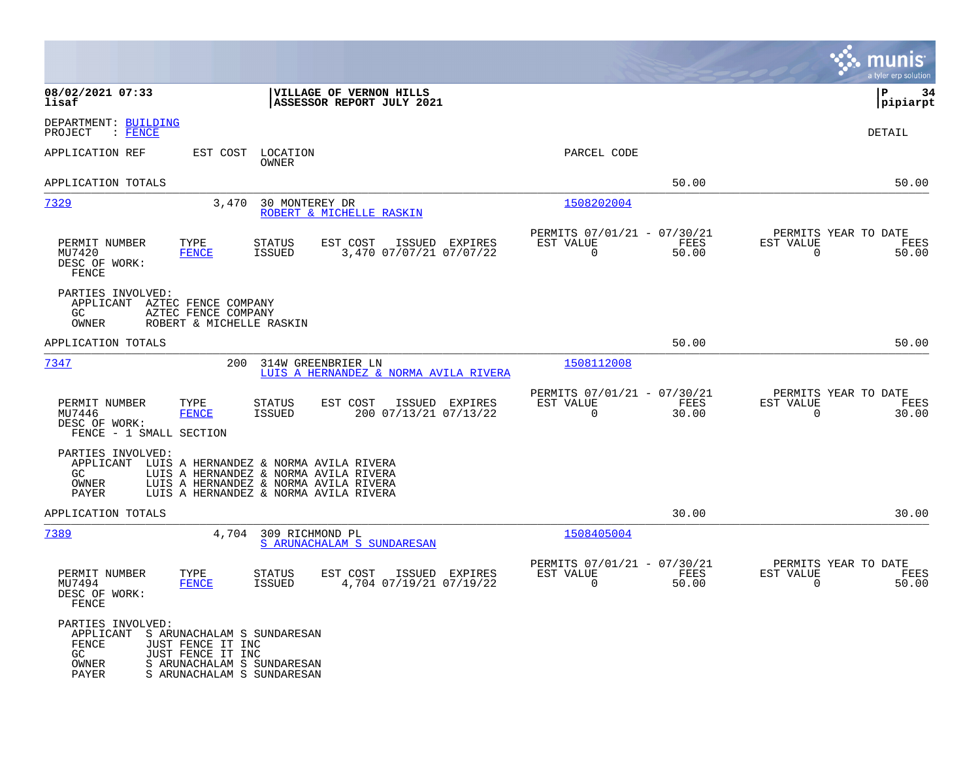|                                                                                                                                                                                                                             |                                                                          | munis<br>a tyler erp solution                                  |
|-----------------------------------------------------------------------------------------------------------------------------------------------------------------------------------------------------------------------------|--------------------------------------------------------------------------|----------------------------------------------------------------|
| 08/02/2021 07:33<br>VILLAGE OF VERNON HILLS<br>lisaf<br>ASSESSOR REPORT JULY 2021                                                                                                                                           |                                                                          | l P<br>-34<br> pipiarpt                                        |
| DEPARTMENT: BUILDING<br>: FENCE<br>PROJECT                                                                                                                                                                                  |                                                                          | DETAIL                                                         |
| APPLICATION REF<br>EST COST<br>LOCATION<br>OWNER                                                                                                                                                                            | PARCEL CODE                                                              |                                                                |
| APPLICATION TOTALS                                                                                                                                                                                                          | 50.00                                                                    | 50.00                                                          |
| 7329<br>3,470<br>30 MONTEREY DR<br>ROBERT & MICHELLE RASKIN                                                                                                                                                                 | 1508202004                                                               |                                                                |
| TYPE<br>EST COST<br>PERMIT NUMBER<br><b>STATUS</b><br>ISSUED<br>EXPIRES<br><b>FENCE</b><br><b>ISSUED</b><br>3,470 07/07/21 07/07/22<br>MU7420<br>DESC OF WORK:<br>FENCE                                                     | PERMITS 07/01/21 - 07/30/21<br>EST VALUE<br>FEES<br>$\mathbf 0$<br>50.00 | PERMITS YEAR TO DATE<br>EST VALUE<br>FEES<br>0<br>50.00        |
| PARTIES INVOLVED:<br>APPLICANT AZTEC FENCE COMPANY<br>GC<br>AZTEC FENCE COMPANY<br>OWNER<br>ROBERT & MICHELLE RASKIN                                                                                                        |                                                                          |                                                                |
| APPLICATION TOTALS                                                                                                                                                                                                          | 50.00                                                                    | 50.00                                                          |
| 7347<br>200<br>314W GREENBRIER LN<br>LUIS A HERNANDEZ & NORMA AVILA RIVERA                                                                                                                                                  | 1508112008                                                               |                                                                |
| PERMIT NUMBER<br>TYPE<br><b>STATUS</b><br>EST COST<br>ISSUED EXPIRES<br>200 07/13/21 07/13/22<br>MU7446<br><b>FENCE</b><br><b>ISSUED</b><br>DESC OF WORK:<br>FENCE - 1 SMALL SECTION                                        | PERMITS 07/01/21 - 07/30/21<br>FEES<br>EST VALUE<br>$\mathbf 0$<br>30.00 | PERMITS YEAR TO DATE<br>EST VALUE<br>FEES<br>$\Omega$<br>30.00 |
| PARTIES INVOLVED:<br>APPLICANT<br>LUIS A HERNANDEZ & NORMA AVILA RIVERA<br>LUIS A HERNANDEZ & NORMA AVILA RIVERA<br>GC.<br>OWNER<br>LUIS A HERNANDEZ & NORMA AVILA RIVERA<br>PAYER<br>LUIS A HERNANDEZ & NORMA AVILA RIVERA |                                                                          |                                                                |
| APPLICATION TOTALS                                                                                                                                                                                                          | 30.00                                                                    | 30.00                                                          |
| 7389<br>4,704<br>309 RICHMOND PL<br>S ARUNACHALAM S SUNDARESAN                                                                                                                                                              | 1508405004                                                               |                                                                |
| PERMIT NUMBER<br>TYPE<br>EST COST<br>ISSUED EXPIRES<br><b>STATUS</b><br>MU7494<br><b>FENCE</b><br><b>ISSUED</b><br>4,704 07/19/21 07/19/22<br>DESC OF WORK:<br>FENCE                                                        | PERMITS 07/01/21 - 07/30/21<br>EST VALUE<br>FEES<br>$\Omega$<br>50.00    | PERMITS YEAR TO DATE<br>EST VALUE<br>FEES<br>$\Omega$<br>50.00 |
| PARTIES INVOLVED:<br>APPLICANT<br>S ARUNACHALAM S SUNDARESAN<br><b>FENCE</b><br>JUST FENCE IT INC<br>JUST FENCE IT INC<br>GC<br>S ARUNACHALAM S SUNDARESAN<br>OWNER<br><b>PAYER</b><br>S ARUNACHALAM S SUNDARESAN           |                                                                          |                                                                |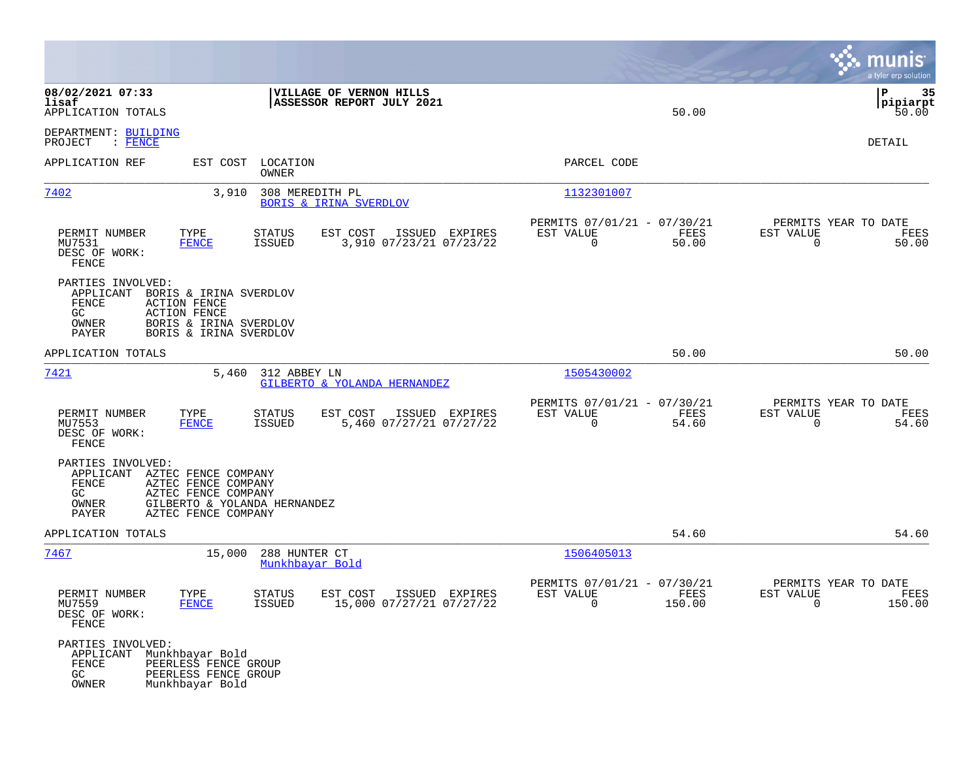|                                                                                                                                                                                                    |                                                                                        | munis<br>a tyler erp solution                                                   |
|----------------------------------------------------------------------------------------------------------------------------------------------------------------------------------------------------|----------------------------------------------------------------------------------------|---------------------------------------------------------------------------------|
| 08/02/2021 07:33<br>VILLAGE OF VERNON HILLS<br>lisaf<br>ASSESSOR REPORT JULY 2021<br>APPLICATION TOTALS                                                                                            | 50.00                                                                                  | l P<br>35<br> pipiarpt<br>50.00                                                 |
| DEPARTMENT: BUILDING<br>$:$ FENCE<br>PROJECT                                                                                                                                                       |                                                                                        | DETAIL                                                                          |
| APPLICATION REF<br>EST COST<br>LOCATION<br>OWNER                                                                                                                                                   | PARCEL CODE                                                                            |                                                                                 |
| 7402<br>3,910<br>308 MEREDITH PL<br><b>BORIS &amp; IRINA SVERDLOV</b>                                                                                                                              | 1132301007                                                                             |                                                                                 |
| TYPE<br>PERMIT NUMBER<br>STATUS<br>EST COST<br>ISSUED EXPIRES<br>3,910 07/23/21 07/23/22<br>MU7531<br><b>FENCE</b><br>ISSUED<br>DESC OF WORK:<br>FENCE                                             | PERMITS 07/01/21 - 07/30/21<br>EST VALUE<br>FEES<br>$\overline{0}$<br>50.00            | PERMITS YEAR TO DATE<br>EST VALUE<br>FEES<br>$\mathbf 0$<br>50.00               |
| PARTIES INVOLVED:<br>APPLICANT<br>BORIS & IRINA SVERDLOV<br>FENCE<br><b>ACTION FENCE</b><br>GC<br><b>ACTION FENCE</b><br>OWNER<br>BORIS & IRINA SVERDLOV<br>PAYER<br>BORIS & IRINA SVERDLOV        |                                                                                        |                                                                                 |
| APPLICATION TOTALS                                                                                                                                                                                 | 50.00                                                                                  | 50.00                                                                           |
| 7421<br>5,460<br>312 ABBEY LN<br>GILBERTO & YOLANDA HERNANDEZ                                                                                                                                      | 1505430002                                                                             |                                                                                 |
| PERMIT NUMBER<br>TYPE<br>STATUS<br>EST COST<br>ISSUED EXPIRES<br>MU7553<br>ISSUED<br>5,460 07/27/21 07/27/22<br><b>FENCE</b><br>DESC OF WORK:<br><b>FENCE</b>                                      | PERMITS 07/01/21 - 07/30/21<br>EST VALUE<br>FEES<br>$\Omega$<br>54.60                  | PERMITS YEAR TO DATE<br>EST VALUE<br>FEES<br>$\mathbf 0$<br>54.60               |
| PARTIES INVOLVED:<br>AZTEC FENCE COMPANY<br>APPLICANT<br>FENCE<br>AZTEC FENCE COMPANY<br>GC<br>AZTEC FENCE COMPANY<br>OWNER<br>GILBERTO & YOLANDA HERNANDEZ<br><b>PAYER</b><br>AZTEC FENCE COMPANY |                                                                                        |                                                                                 |
| APPLICATION TOTALS                                                                                                                                                                                 | 54.60                                                                                  | 54.60                                                                           |
| 7467<br>15,000<br>288 HUNTER CT<br>Munkhbayar Bold                                                                                                                                                 | 1506405013                                                                             |                                                                                 |
| ISSUED EXPIRES<br>PERMIT NUMBER<br>TYPE<br><b>STATUS</b><br>EST COST<br>15,000 07/27/21 07/27/22<br>MU7559<br><b>FENCE</b><br>ISSUED<br>DESC OF WORK:<br>FENCE                                     | PERMITS 07/01/21 - 07/30/21<br>EST VALUE<br>FEES<br>150.00<br>$\overline{\phantom{0}}$ | PERMITS YEAR TO DATE<br>EST VALUE<br>FEES<br>150.00<br>$\overline{\phantom{0}}$ |
| PARTIES INVOLVED:<br>Munkhbayar Bold<br>APPLICANT<br>FENCE<br>PEERLESS FENCE GROUP<br>GC<br>PEERLESS FENCE GROUP<br>OWNER<br>Munkhbayar Bold                                                       |                                                                                        |                                                                                 |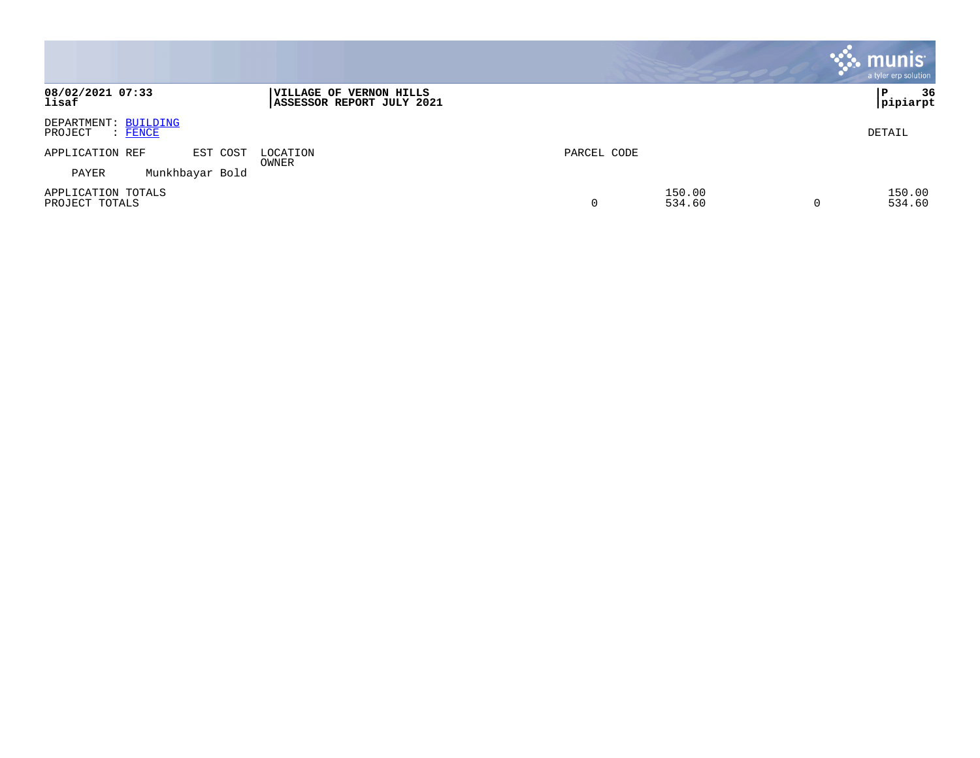|                                            |                 |                                                      |             |                  |   | munis <sup>®</sup><br>a tyler erp solution |
|--------------------------------------------|-----------------|------------------------------------------------------|-------------|------------------|---|--------------------------------------------|
| 08/02/2021 07:33<br>lisaf                  |                 | VILLAGE OF VERNON HILLS<br>ASSESSOR REPORT JULY 2021 |             |                  |   | 36<br>P<br> pipiarpt                       |
| DEPARTMENT: BUILDING<br>PROJECT<br>: FENCE |                 |                                                      |             |                  |   | DETAIL                                     |
| APPLICATION REF                            | EST COST        | LOCATION                                             | PARCEL CODE |                  |   |                                            |
| PAYER                                      | Munkhbayar Bold | OWNER                                                |             |                  |   |                                            |
| APPLICATION TOTALS<br>PROJECT TOTALS       |                 |                                                      | 0           | 150.00<br>534.60 | 0 | 150.00<br>534.60                           |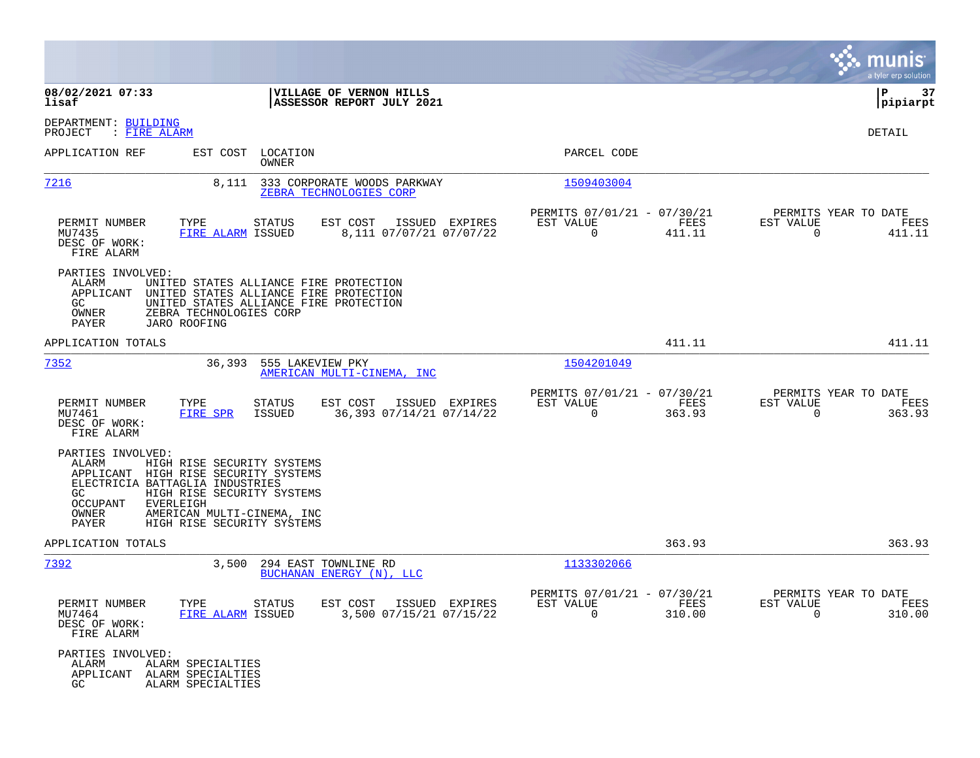|                                                                                                                                                                                                                                                                                |                                                                                                                            |                                                                              | munis<br>a tyler erp solution                                   |
|--------------------------------------------------------------------------------------------------------------------------------------------------------------------------------------------------------------------------------------------------------------------------------|----------------------------------------------------------------------------------------------------------------------------|------------------------------------------------------------------------------|-----------------------------------------------------------------|
| 08/02/2021 07:33<br>lisaf                                                                                                                                                                                                                                                      | VILLAGE OF VERNON HILLS<br>ASSESSOR REPORT JULY 2021                                                                       |                                                                              | 37<br>ΙP<br> pipiarpt                                           |
| DEPARTMENT: BUILDING<br>PROJECT<br>: FIRE ALARM                                                                                                                                                                                                                                |                                                                                                                            |                                                                              | DETAIL                                                          |
| APPLICATION REF                                                                                                                                                                                                                                                                | EST COST LOCATION<br>OWNER                                                                                                 | PARCEL CODE                                                                  |                                                                 |
| 7216<br>8,111                                                                                                                                                                                                                                                                  | 333 CORPORATE WOODS PARKWAY<br>ZEBRA TECHNOLOGIES CORP                                                                     | 1509403004                                                                   |                                                                 |
| PERMIT NUMBER<br>TYPE<br>MU7435<br>DESC OF WORK:<br>FIRE ALARM                                                                                                                                                                                                                 | STATUS<br>EST COST ISSUED EXPIRES<br>FIRE ALARM ISSUED<br>8,111 07/07/21 07/07/22                                          | PERMITS 07/01/21 - 07/30/21<br>EST VALUE<br>FEES<br>$\overline{0}$<br>411.11 | PERMITS YEAR TO DATE<br>EST VALUE<br>FEES<br>$\Omega$<br>411.11 |
| PARTIES INVOLVED:<br>ALARM<br>APPLICANT<br>GC<br>ZEBRA TECHNOLOGIES CORP<br>OWNER<br>PAYER<br>JARO ROOFING                                                                                                                                                                     | UNITED STATES ALLIANCE FIRE PROTECTION<br>UNITED STATES ALLIANCE FIRE PROTECTION<br>UNITED STATES ALLIANCE FIRE PROTECTION |                                                                              |                                                                 |
| APPLICATION TOTALS                                                                                                                                                                                                                                                             |                                                                                                                            | 411.11                                                                       | 411.11                                                          |
| 7352<br>36,393                                                                                                                                                                                                                                                                 | 555 LAKEVIEW PKY<br>AMERICAN MULTI-CINEMA, INC                                                                             | 1504201049                                                                   |                                                                 |
| PERMIT NUMBER<br>TYPE<br>MU7461<br>FIRE SPR<br>DESC OF WORK:<br>FIRE ALARM                                                                                                                                                                                                     | STATUS<br>EST COST<br>ISSUED EXPIRES<br>36,393 07/14/21 07/14/22<br>ISSUED                                                 | PERMITS 07/01/21 - 07/30/21<br>EST VALUE<br>FEES<br>363.93<br>$\Omega$       | PERMITS YEAR TO DATE<br>EST VALUE<br>FEES<br>$\Omega$<br>363.93 |
| PARTIES INVOLVED:<br>ALARM<br>HIGH RISE SECURITY SYSTEMS<br>APPLICANT HIGH RISE SECURITY SYSTEMS<br>ELECTRICIA BATTAGLIA INDUSTRIES<br>HIGH RISE SECURITY SYSTEMS<br>GC<br>OCCUPANT<br>EVERLEIGH<br>OWNER<br>AMERICAN MULTI-CINEMA, INC<br>PAYER<br>HIGH RISE SECURITY SYSTEMS |                                                                                                                            |                                                                              |                                                                 |
| APPLICATION TOTALS                                                                                                                                                                                                                                                             |                                                                                                                            | 363.93                                                                       | 363.93                                                          |
| 7392<br>3,500                                                                                                                                                                                                                                                                  | 294 EAST TOWNLINE RD<br>BUCHANAN ENERGY (N), LLC                                                                           | 1133302066                                                                   |                                                                 |
| PERMIT NUMBER<br>MU7464<br>DESC OF WORK:<br>FIRE ALARM                                                                                                                                                                                                                         | TYPE STATUS<br>EST COST ISSUED EXPIRES<br>3,500 07/15/21 07/15/22<br>FIRE ALARM ISSUED                                     | PERMITS 07/01/21 - 07/30/21<br>EST VALUE<br>FEES<br>$\Omega$<br>310.00       | PERMITS YEAR TO DATE<br>EST VALUE<br>FEES<br>$\Omega$<br>310.00 |
| PARTIES INVOLVED:<br>ALARM SPECIALTIES<br>ALARM<br>APPLICANT ALARM SPECIALTIES<br>ALARM SPECIALTIES<br>GC.                                                                                                                                                                     |                                                                                                                            |                                                                              |                                                                 |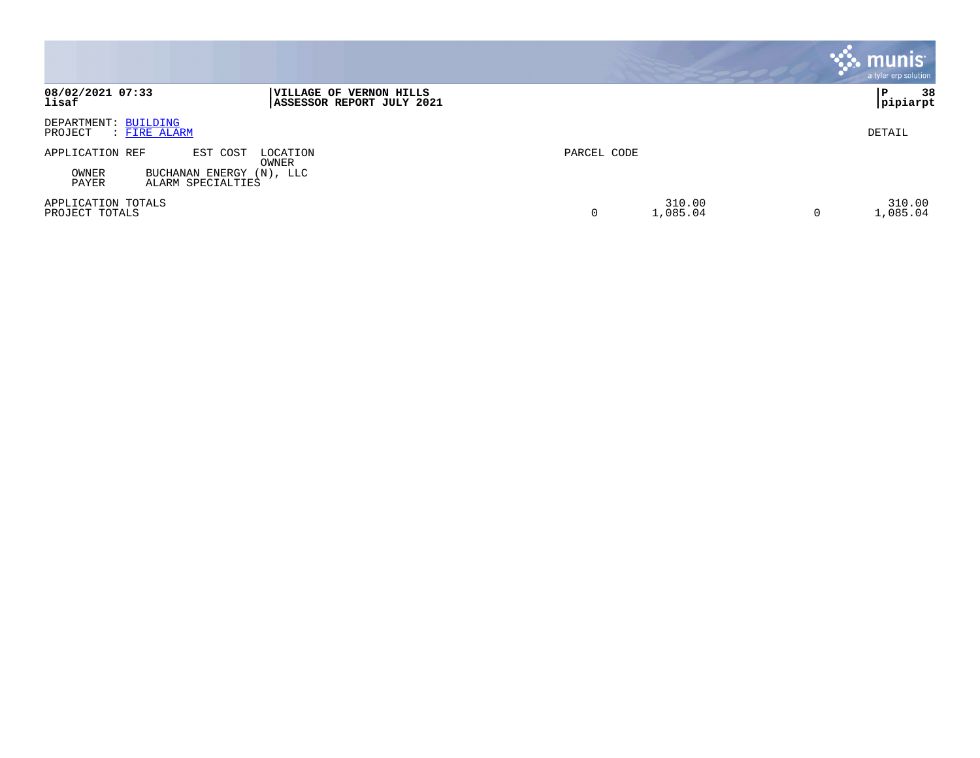|                                                                                                |                                                      |             |                    |   | munis<br>a tyler erp solution |
|------------------------------------------------------------------------------------------------|------------------------------------------------------|-------------|--------------------|---|-------------------------------|
| 08/02/2021 07:33<br>lisaf                                                                      | VILLAGE OF VERNON HILLS<br>ASSESSOR REPORT JULY 2021 |             |                    |   | 38<br>P<br> pipiarpt          |
| DEPARTMENT: BUILDING<br>PROJECT<br>: FIRE ALARM                                                |                                                      |             |                    |   | DETAIL                        |
| APPLICATION REF<br>EST COST<br>BUCHANAN ENERGY (N), LLC<br>OWNER<br>PAYER<br>ALARM SPECIALTIES | LOCATION<br>OWNER                                    | PARCEL CODE |                    |   |                               |
| APPLICATION TOTALS<br>PROJECT TOTALS                                                           |                                                      |             | 310.00<br>1,085.04 | 0 | 310.00<br>1,085.04            |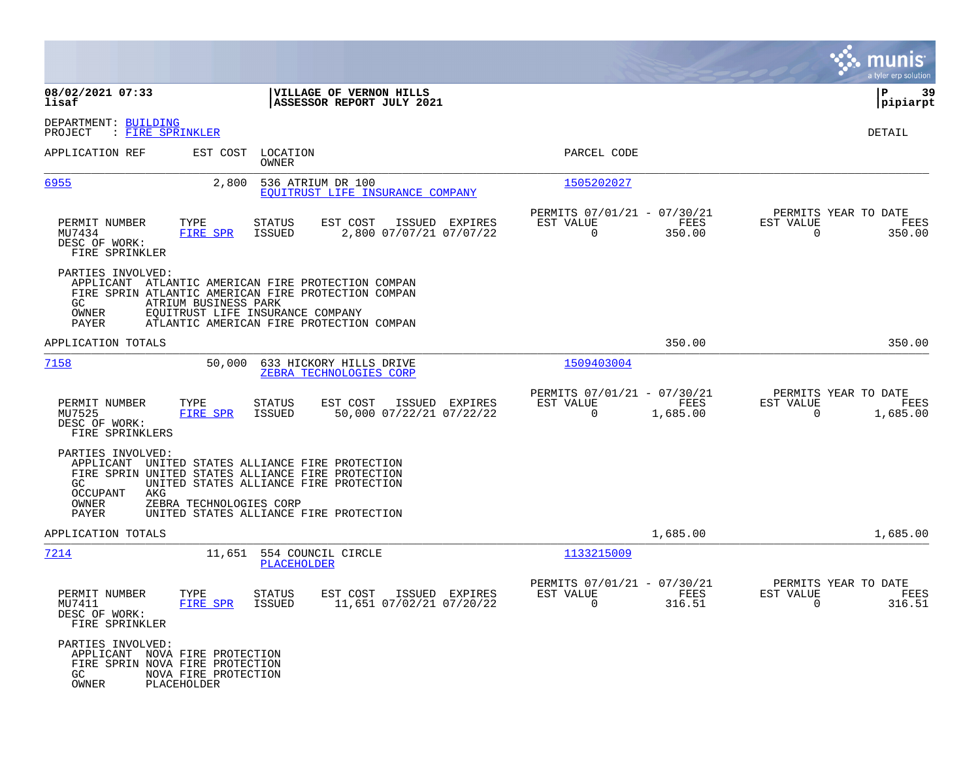|                                                                                                                                                                                                                            |                                                                                  |                                                      | a tyler erp solution                                                                        |
|----------------------------------------------------------------------------------------------------------------------------------------------------------------------------------------------------------------------------|----------------------------------------------------------------------------------|------------------------------------------------------|---------------------------------------------------------------------------------------------|
| 08/02/2021 07:33<br>lisaf                                                                                                                                                                                                  | VILLAGE OF VERNON HILLS<br>ASSESSOR REPORT JULY 2021                             |                                                      | ∣P<br>-39<br> pipiarpt                                                                      |
| DEPARTMENT: BUILDING<br>: FIRE SPRINKLER<br>PROJECT                                                                                                                                                                        |                                                                                  |                                                      | DETAIL                                                                                      |
| APPLICATION REF<br>EST COST                                                                                                                                                                                                | LOCATION<br>OWNER                                                                | PARCEL CODE                                          |                                                                                             |
| 6955<br>2,800                                                                                                                                                                                                              | 536 ATRIUM DR 100<br>EQUITRUST LIFE INSURANCE COMPANY                            | 1505202027                                           |                                                                                             |
| PERMIT NUMBER<br>TYPE<br>MU7434<br>FIRE SPR<br>DESC OF WORK:<br>FIRE SPRINKLER                                                                                                                                             | EST COST<br>ISSUED EXPIRES<br>STATUS<br>2,800 07/07/21 07/07/22<br>ISSUED        | PERMITS 07/01/21 - 07/30/21<br>EST VALUE<br>0        | PERMITS YEAR TO DATE<br>FEES<br>EST VALUE<br>FEES<br>350.00<br>0<br>350.00                  |
| PARTIES INVOLVED:<br>APPLICANT ATLANTIC AMERICAN FIRE PROTECTION COMPAN<br>FIRE SPRIN ATLANTIC AMERICAN FIRE PROTECTION COMPAN<br>GC.<br>ATRIUM BUSINESS PARK<br>OWNER<br>EQUITRUST LIFE INSURANCE COMPANY<br><b>PAYER</b> | ATLANTIC AMERICAN FIRE PROTECTION COMPAN                                         |                                                      |                                                                                             |
| APPLICATION TOTALS                                                                                                                                                                                                         |                                                                                  |                                                      | 350.00<br>350.00                                                                            |
| 7158<br>50,000                                                                                                                                                                                                             | 633 HICKORY HILLS DRIVE<br>ZEBRA TECHNOLOGIES CORP                               | 1509403004                                           |                                                                                             |
| PERMIT NUMBER<br>TYPE<br>MU7525<br>FIRE SPR<br>DESC OF WORK:<br>FIRE SPRINKLERS                                                                                                                                            | EST COST<br>ISSUED<br>EXPIRES<br>STATUS<br>ISSUED<br>50,000 07/22/21 07/22/22    | PERMITS 07/01/21 - 07/30/21<br>EST VALUE<br>0        | PERMITS YEAR TO DATE<br>FEES<br>EST VALUE<br>FEES<br>1,685.00<br>$\overline{0}$<br>1,685.00 |
| PARTIES INVOLVED:<br>APPLICANT UNITED STATES ALLIANCE FIRE PROTECTION<br>FIRE SPRIN UNITED STATES ALLIANCE FIRE PROTECTION<br>GC.<br>OCCUPANT<br>AKG<br>OWNER<br>ZEBRA TECHNOLOGIES CORP<br>PAYER                          | UNITED STATES ALLIANCE FIRE PROTECTION<br>UNITED STATES ALLIANCE FIRE PROTECTION |                                                      |                                                                                             |
| APPLICATION TOTALS                                                                                                                                                                                                         |                                                                                  |                                                      | 1,685.00<br>1,685.00                                                                        |
| 7214<br>11,651                                                                                                                                                                                                             | 554 COUNCIL CIRCLE<br>PLACEHOLDER                                                | 1133215009                                           |                                                                                             |
| PERMIT NUMBER<br>TYPE<br>MU7411<br>FIRE SPR<br>DESC OF WORK:<br>FIRE SPRINKLER                                                                                                                                             | STATUS<br>EST COST ISSUED EXPIRES<br>11,651 07/02/21 07/20/22<br>ISSUED          | PERMITS 07/01/21 - 07/30/21<br>EST VALUE<br>$\Omega$ | PERMITS YEAR TO DATE<br>EST VALUE<br>FEES<br>FEES<br>316.51<br>$\Omega$<br>316.51           |
| PARTIES INVOLVED:<br>APPLICANT NOVA FIRE PROTECTION<br>FIRE SPRIN NOVA FIRE PROTECTION<br>GC<br>NOVA FIRE PROTECTION<br>OWNER<br>PLACEHOLDER                                                                               |                                                                                  |                                                      |                                                                                             |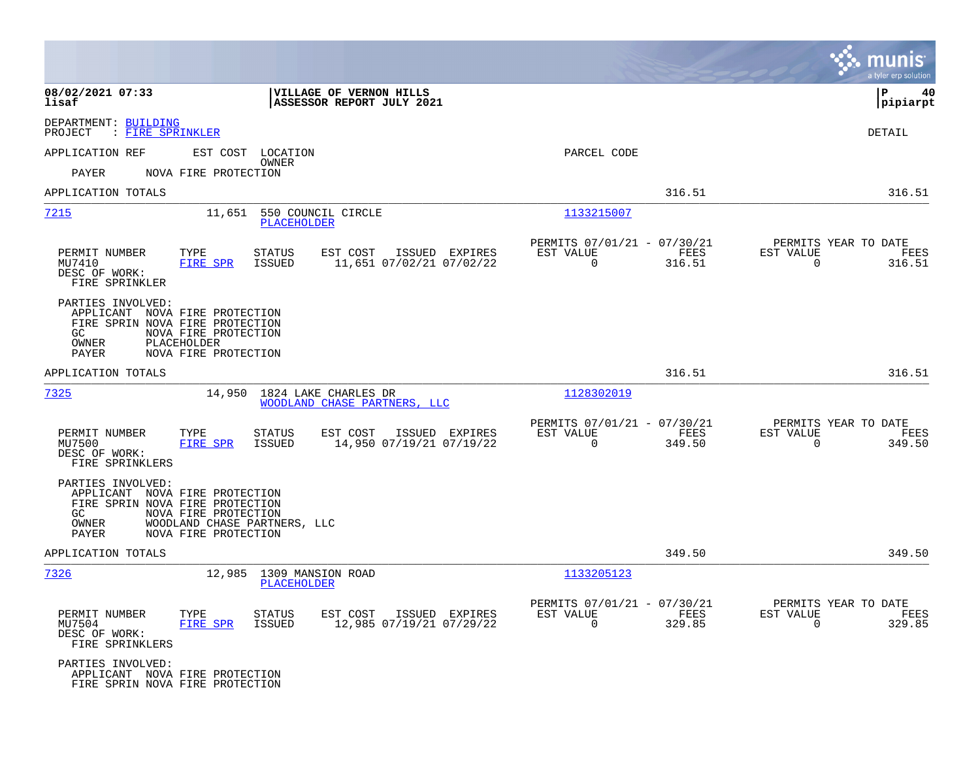|                                                             |                                                                                                                                                   |                                            |                                                            |                |                                                     | munis<br>a tyler erp solution |
|-------------------------------------------------------------|---------------------------------------------------------------------------------------------------------------------------------------------------|--------------------------------------------|------------------------------------------------------------|----------------|-----------------------------------------------------|-------------------------------|
| 08/02/2021 07:33<br>lisaf                                   | VILLAGE OF VERNON HILLS<br>ASSESSOR REPORT JULY 2021                                                                                              |                                            |                                                            |                |                                                     | l P<br>40<br> pipiarpt        |
| DEPARTMENT: BUILDING<br>PROJECT<br>: FIRE SPRINKLER         |                                                                                                                                                   |                                            |                                                            |                |                                                     | <b>DETAIL</b>                 |
| APPLICATION REF                                             | EST COST LOCATION                                                                                                                                 |                                            | PARCEL CODE                                                |                |                                                     |                               |
| PAYER                                                       | OWNER<br>NOVA FIRE PROTECTION                                                                                                                     |                                            |                                                            |                |                                                     |                               |
| APPLICATION TOTALS                                          |                                                                                                                                                   |                                            |                                                            | 316.51         |                                                     | 316.51                        |
| 7215                                                        | 11,651 550 COUNCIL CIRCLE<br><b>PLACEHOLDER</b>                                                                                                   |                                            | 1133215007                                                 |                |                                                     |                               |
| PERMIT NUMBER<br>MU7410<br>DESC OF WORK:<br>FIRE SPRINKLER  | TYPE<br><b>STATUS</b><br>EST COST<br>FIRE SPR<br>ISSUED                                                                                           | ISSUED EXPIRES<br>11,651 07/02/21 07/02/22 | PERMITS 07/01/21 - 07/30/21<br>EST VALUE<br>$\mathbf 0$    | FEES<br>316.51 | PERMITS YEAR TO DATE<br>EST VALUE<br>$\Omega$       | FEES<br>316.51                |
| PARTIES INVOLVED:<br>GC<br>OWNER<br>PAYER                   | APPLICANT NOVA FIRE PROTECTION<br>FIRE SPRIN NOVA FIRE PROTECTION<br>NOVA FIRE PROTECTION<br>PLACEHOLDER<br>NOVA FIRE PROTECTION                  |                                            |                                                            |                |                                                     |                               |
| APPLICATION TOTALS                                          |                                                                                                                                                   |                                            |                                                            | 316.51         |                                                     | 316.51                        |
| 7325                                                        | 14,950 1824 LAKE CHARLES DR<br>WOODLAND CHASE PARTNERS, LLC                                                                                       |                                            | 1128302019                                                 |                |                                                     |                               |
| PERMIT NUMBER<br>MU7500<br>DESC OF WORK:<br>FIRE SPRINKLERS | TYPE<br><b>STATUS</b><br>EST COST<br>FIRE SPR<br>ISSUED<br>14,950 07/19/21 07/19/22                                                               | ISSUED EXPIRES                             | PERMITS 07/01/21 - 07/30/21<br>EST VALUE<br>$\overline{0}$ | FEES<br>349.50 | PERMITS YEAR TO DATE<br>EST VALUE<br>$\overline{0}$ | FEES<br>349.50                |
| PARTIES INVOLVED:<br>GC<br>OWNER<br>PAYER                   | APPLICANT NOVA FIRE PROTECTION<br>FIRE SPRIN NOVA FIRE PROTECTION<br>NOVA FIRE PROTECTION<br>WOODLAND CHASE PARTNERS, LLC<br>NOVA FIRE PROTECTION |                                            |                                                            |                |                                                     |                               |
| APPLICATION TOTALS                                          |                                                                                                                                                   |                                            |                                                            | 349.50         |                                                     | 349.50                        |
| 7326                                                        | 12,985 1309 MANSION ROAD<br><b>PLACEHOLDER</b>                                                                                                    |                                            | 1133205123                                                 |                |                                                     |                               |
| PERMIT NUMBER<br>MU7504<br>DESC OF WORK:<br>FIRE SPRINKLERS | TYPE<br>EST COST<br><b>STATUS</b><br>FIRE SPR<br>ISSUED                                                                                           | ISSUED EXPIRES<br>12,985 07/19/21 07/29/22 | PERMITS 07/01/21 - 07/30/21<br>EST VALUE<br>$\mathbf 0$    | FEES<br>329.85 | PERMITS YEAR TO DATE<br>EST VALUE<br>$\Omega$       | FEES<br>329.85                |
| PARTIES INVOLVED:                                           | APPLICANT NOVA FIRE PROTECTION<br>FIRE SPRIN NOVA FIRE PROTECTION                                                                                 |                                            |                                                            |                |                                                     |                               |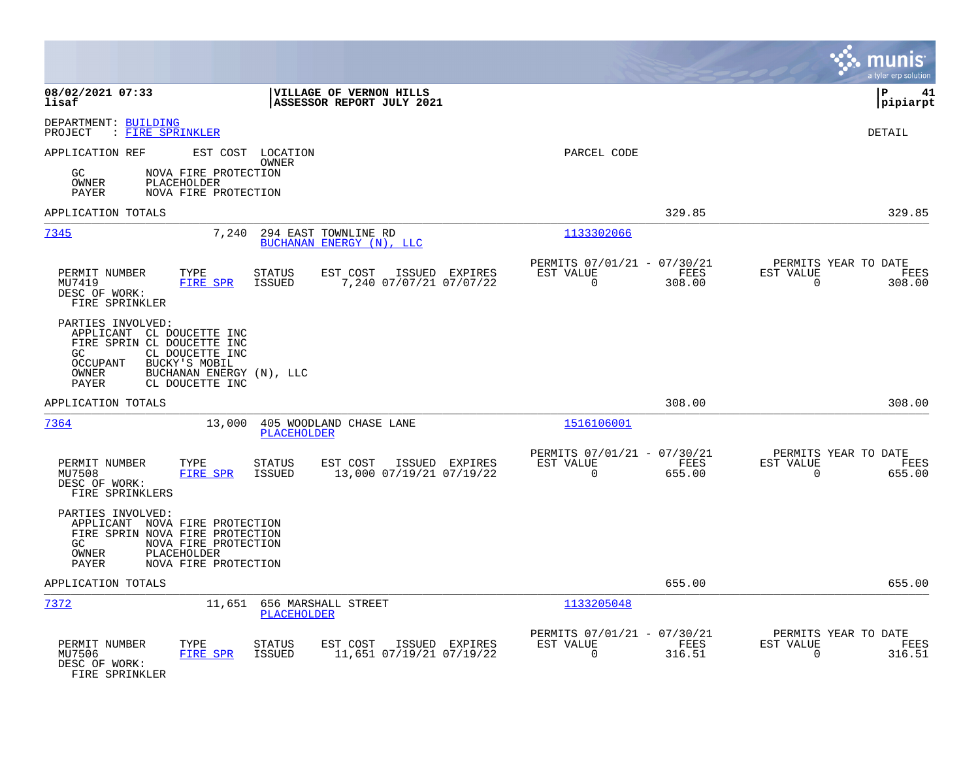|                                                                                                                                                                                                             |                                                                        | munis<br>a tyler erp solution                                         |
|-------------------------------------------------------------------------------------------------------------------------------------------------------------------------------------------------------------|------------------------------------------------------------------------|-----------------------------------------------------------------------|
| 08/02/2021 07:33<br>VILLAGE OF VERNON HILLS<br>ASSESSOR REPORT JULY 2021<br>lisaf                                                                                                                           |                                                                        | l P<br>41<br> pipiarpt                                                |
| DEPARTMENT: BUILDING<br>: FIRE SPRINKLER<br>PROJECT                                                                                                                                                         |                                                                        | <b>DETAIL</b>                                                         |
| APPLICATION REF<br>EST COST LOCATION<br>OWNER                                                                                                                                                               | PARCEL CODE                                                            |                                                                       |
| NOVA FIRE PROTECTION<br>GC.<br>OWNER<br>PLACEHOLDER<br>PAYER<br>NOVA FIRE PROTECTION                                                                                                                        |                                                                        |                                                                       |
| APPLICATION TOTALS                                                                                                                                                                                          | 329.85                                                                 | 329.85                                                                |
| 7345<br>7,240<br>294 EAST TOWNLINE RD<br>BUCHANAN ENERGY (N), LLC                                                                                                                                           | 1133302066                                                             |                                                                       |
| PERMIT NUMBER<br>TYPE<br><b>STATUS</b><br>EST COST<br>ISSUED EXPIRES<br>FIRE SPR<br>7,240 07/07/21 07/07/22<br>MU7419<br>ISSUED<br>DESC OF WORK:<br>FIRE SPRINKLER                                          | PERMITS 07/01/21 - 07/30/21<br>FEES<br>EST VALUE<br>$\Omega$<br>308.00 | PERMITS YEAR TO DATE<br>EST VALUE<br>FEES<br>$\overline{0}$<br>308.00 |
| PARTIES INVOLVED:<br>APPLICANT CL DOUCETTE INC<br>FIRE SPRIN CL DOUCETTE INC<br>CL DOUCETTE INC<br>GC.<br>BUCKY'S MOBIL<br><b>OCCUPANT</b><br>BUCHANAN ENERGY (N), LLC<br>OWNER<br>CL DOUCETTE INC<br>PAYER |                                                                        |                                                                       |
| APPLICATION TOTALS                                                                                                                                                                                          | 308.00                                                                 | 308.00                                                                |
| 7364<br>13,000<br>405 WOODLAND CHASE LANE<br><b>PLACEHOLDER</b>                                                                                                                                             | 1516106001                                                             |                                                                       |
| PERMIT NUMBER<br>TYPE<br><b>STATUS</b><br>EST COST<br>ISSUED EXPIRES<br><b>FIRE SPR</b><br>ISSUED<br>13,000 07/19/21 07/19/22<br>MU7508<br>DESC OF WORK:<br>FIRE SPRINKLERS                                 | PERMITS 07/01/21 - 07/30/21<br>EST VALUE<br>FEES<br>$\Omega$<br>655.00 | PERMITS YEAR TO DATE<br>EST VALUE<br>FEES<br>$\mathbf 0$<br>655.00    |
| PARTIES INVOLVED:<br>APPLICANT NOVA FIRE PROTECTION<br>FIRE SPRIN NOVA FIRE PROTECTION<br>NOVA FIRE PROTECTION<br>GC.<br>OWNER<br>PLACEHOLDER<br>PAYER<br>NOVA FIRE PROTECTION                              |                                                                        |                                                                       |
| APPLICATION TOTALS                                                                                                                                                                                          | 655.00                                                                 | 655.00                                                                |
| 7372<br>11,651 656 MARSHALL STREET<br>PLACEHOLDER                                                                                                                                                           | 1133205048                                                             |                                                                       |
| PERMIT NUMBER<br>TYPE<br>EST COST<br>ISSUED EXPIRES<br>STATUS<br>11,651 07/19/21 07/19/22<br>MU7506<br>FIRE SPR<br>ISSUED<br>DESC OF WORK:<br>FIRE SPRINKLER                                                | PERMITS 07/01/21 - 07/30/21<br>EST VALUE<br>FEES<br>$\Omega$<br>316.51 | PERMITS YEAR TO DATE<br>EST VALUE<br>FEES<br>316.51<br>$\Omega$       |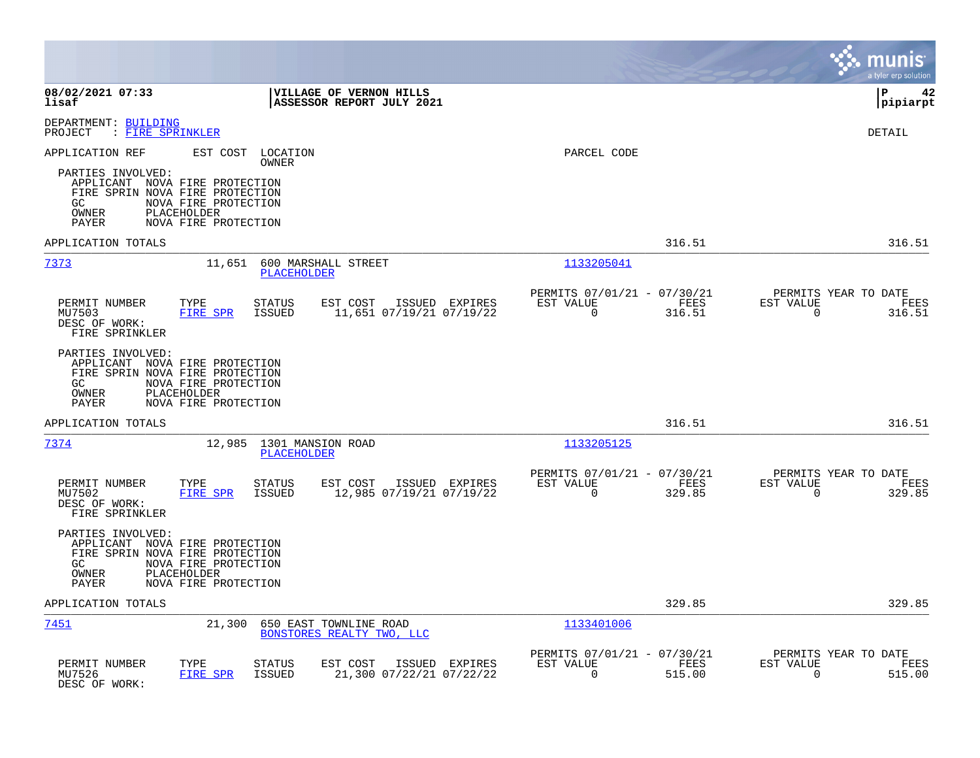|                                                                                                                                   |                                                             |                                |                                                      |                |                                                      |                       |                       | munis<br>a tyler erp solution          |
|-----------------------------------------------------------------------------------------------------------------------------------|-------------------------------------------------------------|--------------------------------|------------------------------------------------------|----------------|------------------------------------------------------|-----------------------|-----------------------|----------------------------------------|
| 08/02/2021 07:33<br>lisaf                                                                                                         |                                                             |                                | VILLAGE OF VERNON HILLS<br>ASSESSOR REPORT JULY 2021 |                |                                                      |                       |                       | l P<br>42<br> pipiarpt                 |
| DEPARTMENT: BUILDING<br>PROJECT<br>: FIRE SPRINKLER                                                                               |                                                             |                                |                                                      |                |                                                      |                       |                       | <b>DETAIL</b>                          |
| APPLICATION REF<br>PARTIES INVOLVED:<br>APPLICANT NOVA FIRE PROTECTION<br>FIRE SPRIN NOVA FIRE PROTECTION<br>GC<br>OWNER<br>PAYER | NOVA FIRE PROTECTION<br>PLACEHOLDER<br>NOVA FIRE PROTECTION | EST COST LOCATION<br>OWNER     |                                                      |                | PARCEL CODE                                          |                       |                       |                                        |
| APPLICATION TOTALS                                                                                                                |                                                             |                                |                                                      |                |                                                      | 316.51                |                       | 316.51                                 |
| 7373                                                                                                                              | 11,651                                                      | <b>PLACEHOLDER</b>             | 600 MARSHALL STREET                                  |                | 1133205041                                           |                       |                       |                                        |
| PERMIT NUMBER<br>MU7503<br>DESC OF WORK:<br>FIRE SPRINKLER                                                                        | TYPE<br>FIRE SPR                                            | STATUS<br><b>ISSUED</b>        | EST COST ISSUED EXPIRES<br>11,651 07/19/21 07/19/22  |                | PERMITS 07/01/21 - 07/30/21<br>EST VALUE<br>$\Omega$ | FEES<br>316.51        | EST VALUE<br>$\Omega$ | PERMITS YEAR TO DATE<br>FEES<br>316.51 |
| PARTIES INVOLVED:<br>APPLICANT NOVA FIRE PROTECTION<br>FIRE SPRIN NOVA FIRE PROTECTION<br>GC.<br>OWNER<br><b>PAYER</b>            | NOVA FIRE PROTECTION<br>PLACEHOLDER<br>NOVA FIRE PROTECTION |                                |                                                      |                |                                                      |                       |                       |                                        |
| APPLICATION TOTALS                                                                                                                |                                                             |                                |                                                      |                |                                                      | 316.51                |                       | 316.51                                 |
| 7374                                                                                                                              | 12,985                                                      | PLACEHOLDER                    | 1301 MANSION ROAD                                    |                | 1133205125                                           |                       |                       |                                        |
| PERMIT NUMBER<br>MU7502<br>DESC OF WORK:<br>FIRE SPRINKLER                                                                        | TYPE<br><b>FIRE SPR</b>                                     | <b>STATUS</b><br><b>ISSUED</b> | EST COST<br>12,985 07/19/21 07/19/22                 | ISSUED EXPIRES | PERMITS 07/01/21 - 07/30/21<br>EST VALUE<br>$\Omega$ | FEES<br>329.85        | EST VALUE<br>$\Omega$ | PERMITS YEAR TO DATE<br>FEES<br>329.85 |
| PARTIES INVOLVED:<br>APPLICANT NOVA FIRE PROTECTION<br>FIRE SPRIN NOVA FIRE PROTECTION<br>GC<br>OWNER<br>PAYER                    | NOVA FIRE PROTECTION<br>PLACEHOLDER<br>NOVA FIRE PROTECTION |                                |                                                      |                |                                                      |                       |                       |                                        |
| APPLICATION TOTALS                                                                                                                |                                                             |                                |                                                      |                |                                                      | 329.85                |                       | 329.85                                 |
| 7451                                                                                                                              | 21,300                                                      |                                | 650 EAST TOWNLINE ROAD<br>BONSTORES REALTY TWO, LLC  |                | 1133401006                                           |                       |                       |                                        |
| PERMIT NUMBER<br>MU7526<br>DESC OF WORK:                                                                                          | TYPE<br>FIRE SPR                                            | STATUS<br>ISSUED               | EST COST<br>21,300 07/22/21 07/22/22                 | ISSUED EXPIRES | PERMITS 07/01/21 - 07/30/21<br>EST VALUE<br>0        | <b>FEES</b><br>515.00 | EST VALUE<br>0        | PERMITS YEAR TO DATE<br>FEES<br>515.00 |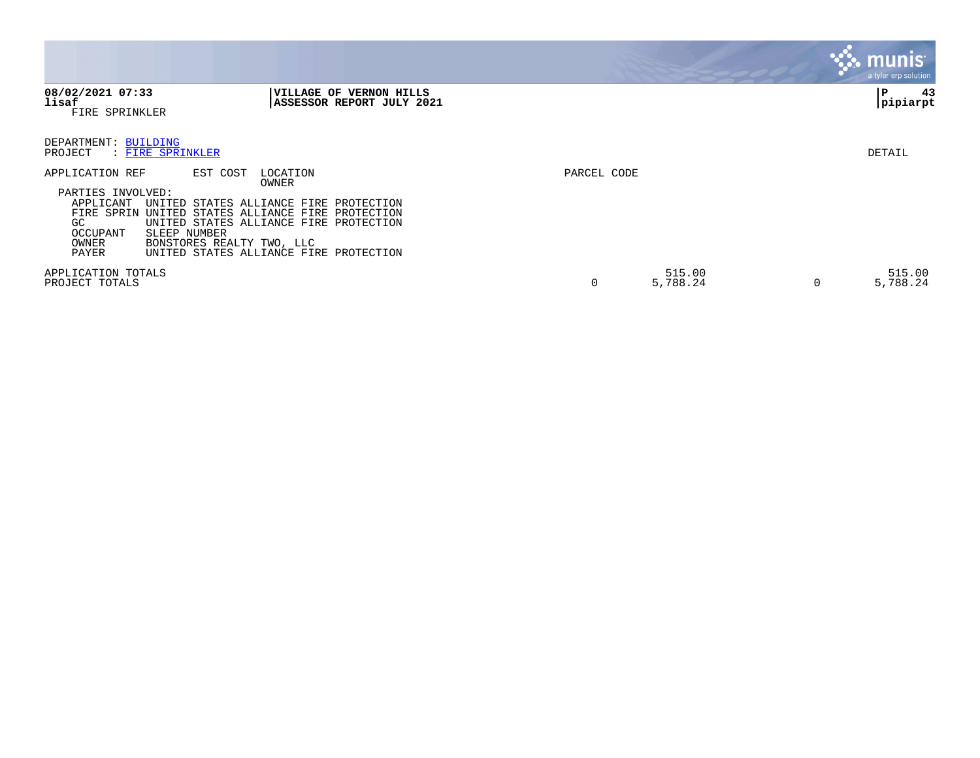|                                                                                                      |                                                                           |                                                                                                                                                                             |             |                    |   | <b>munis</b><br>a tyler erp solution |
|------------------------------------------------------------------------------------------------------|---------------------------------------------------------------------------|-----------------------------------------------------------------------------------------------------------------------------------------------------------------------------|-------------|--------------------|---|--------------------------------------|
| 08/02/2021 07:33<br>lisaf<br>FIRE SPRINKLER                                                          |                                                                           | VILLAGE OF VERNON HILLS<br>ASSESSOR REPORT JULY 2021                                                                                                                        |             |                    |   | 43<br>P<br> pipiarpt                 |
| DEPARTMENT: BUILDING<br>PROJECT                                                                      | : FIRE SPRINKLER                                                          |                                                                                                                                                                             |             |                    |   | DETAIL                               |
| APPLICATION REF<br>PARTIES INVOLVED:<br>APPLICANT<br>FIRE SPRIN<br>GC.<br>OCCUPANT<br>OWNER<br>PAYER | EST COST<br>UNITED<br>UNITED<br>SLEEP NUMBER<br>BONSTORES REALTY TWO, LLC | LOCATION<br>OWNER<br>STATES ALLIANCE FIRE PROTECTION<br>STATES ALLIANCE FIRE PROTECTION<br>UNITED STATES ALLIANCE FIRE PROTECTION<br>UNITED STATES ALLIANCE FIRE PROTECTION | PARCEL CODE |                    |   |                                      |
| APPLICATION TOTALS<br>PROJECT TOTALS                                                                 |                                                                           |                                                                                                                                                                             | 0           | 515.00<br>5,788.24 | 0 | 515.00<br>5,788.24                   |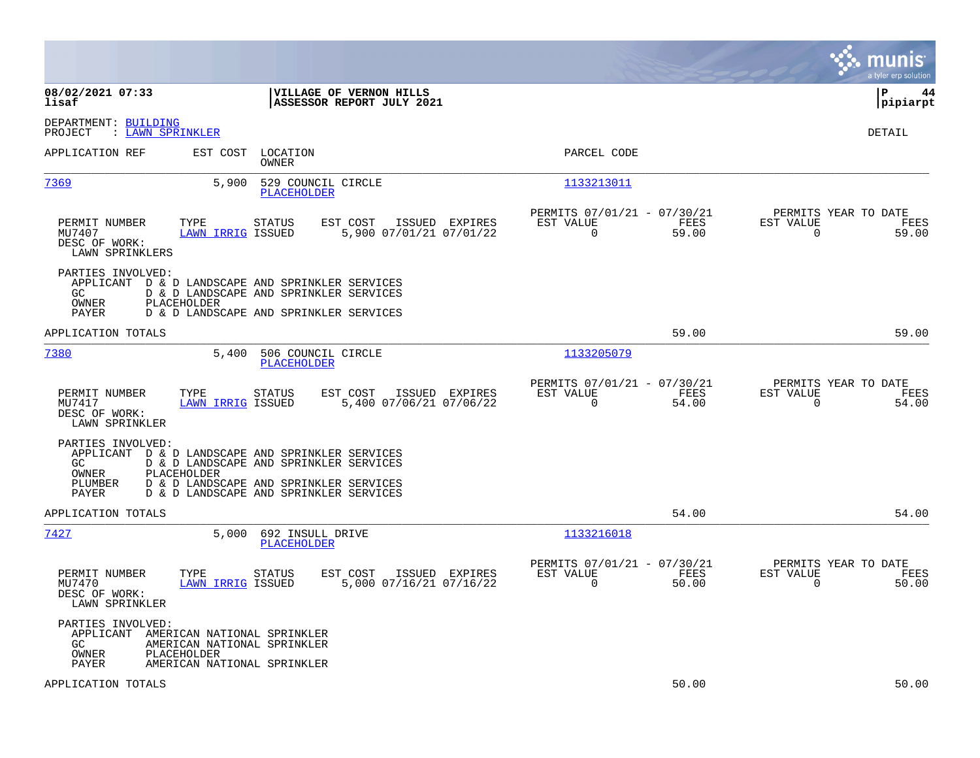|                                                                                                                                                                                                          | munis<br>a tyler erp solution                                                                                                                                                              |
|----------------------------------------------------------------------------------------------------------------------------------------------------------------------------------------------------------|--------------------------------------------------------------------------------------------------------------------------------------------------------------------------------------------|
| 08/02/2021 07:33<br>VILLAGE OF VERNON HILLS<br>lisaf<br>ASSESSOR REPORT JULY 2021                                                                                                                        | lР<br>44<br> pipiarpt                                                                                                                                                                      |
| DEPARTMENT: BUILDING<br>PROJECT<br>: LAWN SPRINKLER                                                                                                                                                      | DETAIL                                                                                                                                                                                     |
| APPLICATION REF<br>EST COST<br>LOCATION<br>OWNER                                                                                                                                                         | PARCEL CODE                                                                                                                                                                                |
| <u>7369</u><br>5,900<br>529 COUNCIL CIRCLE<br>PLACEHOLDER                                                                                                                                                | 1133213011                                                                                                                                                                                 |
| EST COST<br>PERMIT NUMBER<br>TYPE<br>STATUS<br>MU7407<br><b>LAWN IRRIG ISSUED</b><br>DESC OF WORK:<br>LAWN SPRINKLERS                                                                                    | PERMITS 07/01/21 - 07/30/21<br>PERMITS YEAR TO DATE<br>EST VALUE<br>EST VALUE<br>ISSUED EXPIRES<br>FEES<br>FEES<br>59.00<br>5,900 07/01/21 07/01/22<br>0<br>59.00<br>0                     |
| PARTIES INVOLVED:<br>APPLICANT D & D LANDSCAPE AND SPRINKLER SERVICES<br>D & D LANDSCAPE AND SPRINKLER SERVICES<br>GC.<br>OWNER<br>PLACEHOLDER<br><b>PAYER</b><br>D & D LANDSCAPE AND SPRINKLER SERVICES |                                                                                                                                                                                            |
| APPLICATION TOTALS                                                                                                                                                                                       | 59.00<br>59.00                                                                                                                                                                             |
| 7380<br>5,400<br>506 COUNCIL CIRCLE<br>PLACEHOLDER                                                                                                                                                       | 1133205079                                                                                                                                                                                 |
| PERMIT NUMBER<br>TYPE<br>STATUS<br>EST COST<br>MU7417<br><b>LAWN IRRIG ISSUED</b><br>DESC OF WORK:<br>LAWN SPRINKLER                                                                                     | PERMITS 07/01/21 - 07/30/21<br>PERMITS YEAR TO DATE<br>ISSUED EXPIRES<br>EST VALUE<br>FEES<br>EST VALUE<br>FEES<br>5,400 07/06/21 07/06/22<br>$\Omega$<br>54.00<br>$\Omega$<br>54.00       |
| PARTIES INVOLVED:<br>APPLICANT D & D LANDSCAPE AND SPRINKLER SERVICES<br>GC.<br>D & D LANDSCAPE AND SPRINKLER SERVICES<br>PLACEHOLDER<br>OWNER<br>PLUMBER<br>D & D LANDSCAPE AND SPRINKLER SERVICES      |                                                                                                                                                                                            |
| PAYER<br>D & D LANDSCAPE AND SPRINKLER SERVICES                                                                                                                                                          |                                                                                                                                                                                            |
| APPLICATION TOTALS                                                                                                                                                                                       | 54.00<br>54.00                                                                                                                                                                             |
| 7427<br>5,000<br>692 INSULL DRIVE<br>PLACEHOLDER                                                                                                                                                         | 1133216018                                                                                                                                                                                 |
| PERMIT NUMBER<br>TYPE<br><b>STATUS</b><br>EST COST<br><b>LAWN IRRIG ISSUED</b><br>MU7470<br>DESC OF WORK:<br>LAWN SPRINKLER                                                                              | PERMITS 07/01/21 - 07/30/21<br>PERMITS YEAR TO DATE<br>ISSUED EXPIRES<br>EST VALUE<br>FEES<br>EST VALUE<br>FEES<br>5,000 07/16/21 07/16/22<br>$\mathbf 0$<br>50.00<br>$\mathbf 0$<br>50.00 |
| PARTIES INVOLVED:<br>APPLICANT AMERICAN NATIONAL SPRINKLER<br>GC.<br>AMERICAN NATIONAL SPRINKLER<br>OWNER<br>PLACEHOLDER<br>AMERICAN NATIONAL SPRINKLER<br>PAYER                                         |                                                                                                                                                                                            |
| APPLICATION TOTALS                                                                                                                                                                                       | 50.00<br>50.00                                                                                                                                                                             |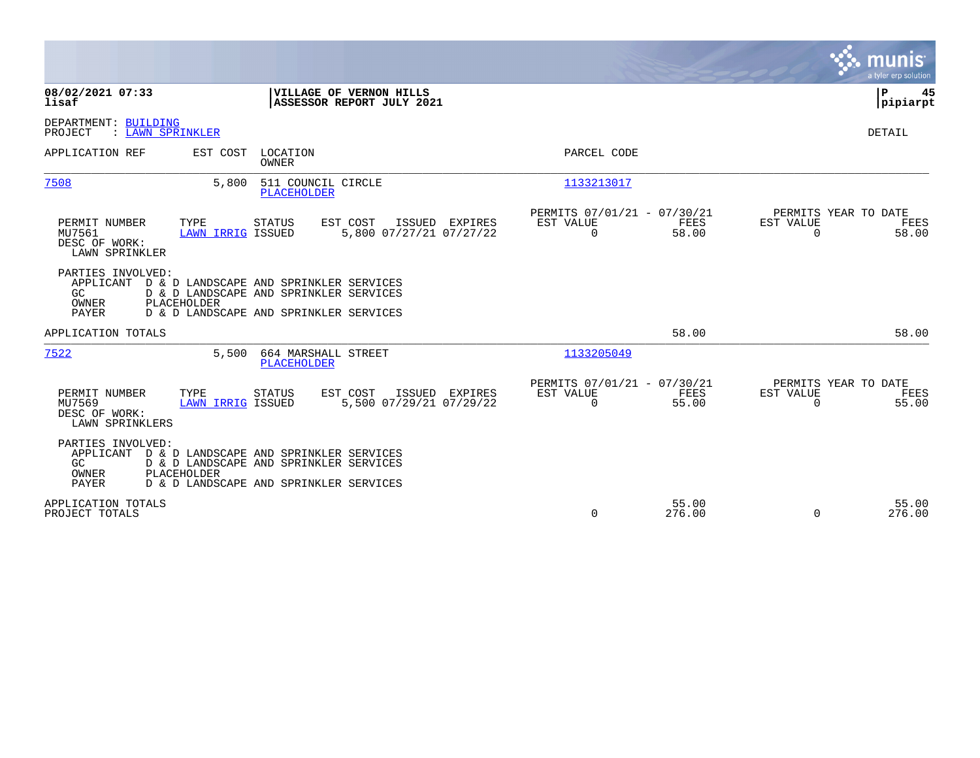|                                                                                                                                                                                                            |                                                                                                                    | munis<br>a tyler erp solution                                  |
|------------------------------------------------------------------------------------------------------------------------------------------------------------------------------------------------------------|--------------------------------------------------------------------------------------------------------------------|----------------------------------------------------------------|
| 08/02/2021 07:33<br>VILLAGE OF VERNON HILLS<br>lisaf                                                                                                                                                       | ASSESSOR REPORT JULY 2021                                                                                          | P<br>45<br> pipiarpt                                           |
| DEPARTMENT: BUILDING<br>PROJECT<br>: LAWN SPRINKLER                                                                                                                                                        |                                                                                                                    | <b>DETAIL</b>                                                  |
| APPLICATION REF<br>LOCATION<br>EST COST<br>OWNER                                                                                                                                                           | PARCEL CODE                                                                                                        |                                                                |
| 7508<br>5,800<br>511 COUNCIL CIRCLE<br><b>PLACEHOLDER</b>                                                                                                                                                  | 1133213017                                                                                                         |                                                                |
| TYPE<br>PERMIT NUMBER<br>STATUS<br>EST COST<br>MU7561<br>LAWN IRRIG ISSUED<br>DESC OF WORK:<br>LAWN SPRINKLER                                                                                              | PERMITS 07/01/21 - 07/30/21<br>ISSUED EXPIRES<br>EST VALUE<br>FEES<br>5,800 07/27/21 07/27/22<br>$\Omega$<br>58.00 | PERMITS YEAR TO DATE<br>EST VALUE<br>FEES<br>$\Omega$<br>58.00 |
| PARTIES INVOLVED:<br>D & D LANDSCAPE AND SPRINKLER SERVICES<br>APPLICANT<br>GC<br>D & D LANDSCAPE AND SPRINKLER SERVICES<br>PLACEHOLDER<br>OWNER<br><b>PAYER</b><br>D & D LANDSCAPE AND SPRINKLER SERVICES |                                                                                                                    |                                                                |
| APPLICATION TOTALS                                                                                                                                                                                         | 58.00                                                                                                              | 58.00                                                          |
| 7522<br>5.500<br>664 MARSHALL STREET<br><b>PLACEHOLDER</b>                                                                                                                                                 | 1133205049                                                                                                         |                                                                |
| PERMIT NUMBER<br>TYPE<br>EST COST<br><b>STATUS</b><br>MU7569<br>LAWN IRRIG ISSUED<br>DESC OF WORK:<br>LAWN SPRINKLERS                                                                                      | PERMITS 07/01/21 - 07/30/21<br>ISSUED EXPIRES<br>EST VALUE<br>FEES<br>5,500 07/29/21 07/29/22<br>$\Omega$<br>55.00 | PERMITS YEAR TO DATE<br>EST VALUE<br>FEES<br>55.00<br>$\Omega$ |
| PARTIES INVOLVED:<br>APPLICANT<br>D & D LANDSCAPE AND SPRINKLER SERVICES<br>GC<br>D & D LANDSCAPE AND SPRINKLER SERVICES<br>PLACEHOLDER<br>OWNER<br><b>PAYER</b><br>D & D LANDSCAPE AND SPRINKLER SERVICES |                                                                                                                    |                                                                |
| APPLICATION TOTALS<br>PROJECT TOTALS                                                                                                                                                                       | 55.00<br>$\Omega$<br>276.00                                                                                        | 55.00<br>276.00<br>$\Omega$                                    |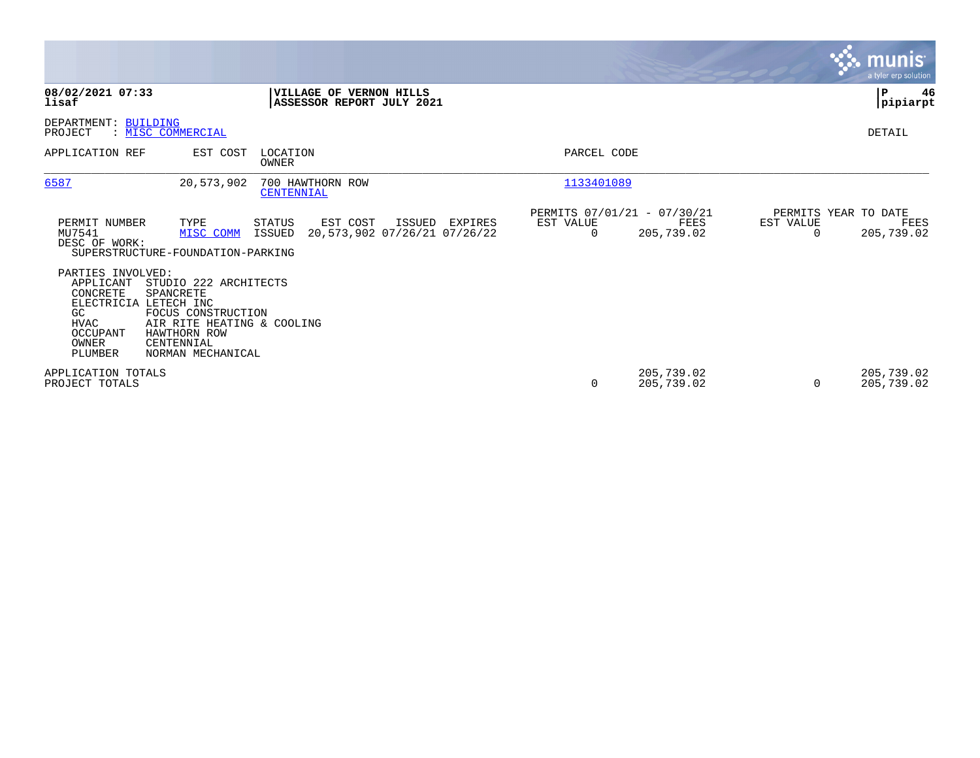|                                                                                                                          |                                                                                                                                           |                                                      |                                                   |                |                                                   |                       | $\overline{\mathsf{m} \mathsf{u}}$ nıs'<br>a tyler erp solution |
|--------------------------------------------------------------------------------------------------------------------------|-------------------------------------------------------------------------------------------------------------------------------------------|------------------------------------------------------|---------------------------------------------------|----------------|---------------------------------------------------|-----------------------|-----------------------------------------------------------------|
| 08/02/2021 07:33<br>lisaf                                                                                                |                                                                                                                                           | VILLAGE OF VERNON HILLS<br>ASSESSOR REPORT JULY 2021 |                                                   |                |                                                   |                       | ${\bf P}$<br>46<br> pipiarpt                                    |
| DEPARTMENT: BUILDING<br>PROJECT                                                                                          | : MISC COMMERCIAL                                                                                                                         |                                                      |                                                   |                |                                                   |                       | DETAIL                                                          |
| APPLICATION REF                                                                                                          | EST COST                                                                                                                                  | LOCATION<br>OWNER                                    |                                                   | PARCEL CODE    |                                                   |                       |                                                                 |
| 6587                                                                                                                     | 20,573,902                                                                                                                                | 700 HAWTHORN ROW<br>CENTENNIAL                       |                                                   | 1133401089     |                                                   |                       |                                                                 |
| PERMIT NUMBER<br>MU7541<br>DESC OF WORK:                                                                                 | TYPE<br>MISC COMM<br>SUPERSTRUCTURE-FOUNDATION-PARKING                                                                                    | EST COST<br>STATUS<br>ISSUED                         | ISSUED<br>EXPIRES<br>20,573,902 07/26/21 07/26/22 | EST VALUE<br>0 | PERMITS 07/01/21 - 07/30/21<br>FEES<br>205,739.02 | EST VALUE<br>$\Omega$ | PERMITS YEAR TO DATE<br>FEES<br>205,739.02                      |
| PARTIES INVOLVED:<br>APPLICANT<br>CONCRETE<br>ELECTRICIA LETECH INC<br>GC<br><b>HVAC</b><br>OCCUPANT<br>OWNER<br>PLUMBER | STUDIO 222 ARCHITECTS<br>SPANCRETE<br>FOCUS CONSTRUCTION<br>AIR RITE HEATING & COOLING<br>HAWTHORN ROW<br>CENTENNIAL<br>NORMAN MECHANICAL |                                                      |                                                   |                |                                                   |                       |                                                                 |
| APPLICATION TOTALS<br>PROJECT TOTALS                                                                                     |                                                                                                                                           |                                                      |                                                   | 0              | 205,739.02<br>205,739.02                          | $\Omega$              | 205,739.02<br>205,739.02                                        |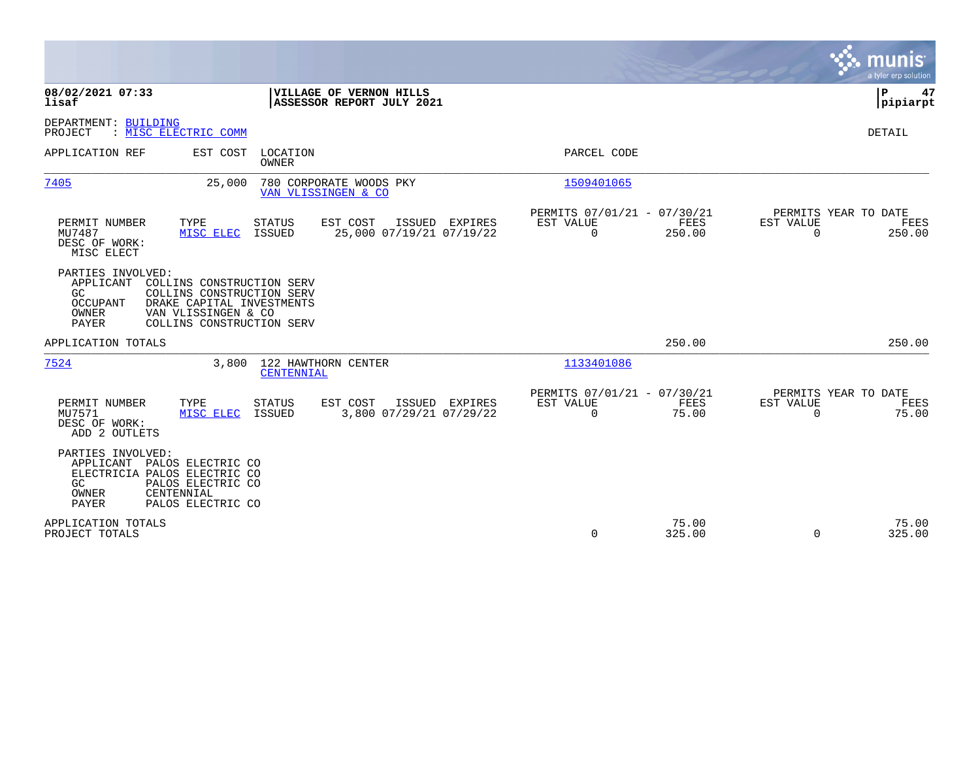|                                                                                                                                                                                                             |                                            |                                                         |                 |                                                         | munis<br>a tyler erp solution |
|-------------------------------------------------------------------------------------------------------------------------------------------------------------------------------------------------------------|--------------------------------------------|---------------------------------------------------------|-----------------|---------------------------------------------------------|-------------------------------|
| 08/02/2021 07:33<br>VILLAGE OF VERNON HILLS<br>lisaf<br>ASSESSOR REPORT JULY 2021                                                                                                                           |                                            |                                                         |                 |                                                         | ΙP<br>47<br> pipiarpt         |
| DEPARTMENT: BUILDING<br>: MISC ELECTRIC COMM<br>PROJECT                                                                                                                                                     |                                            |                                                         |                 |                                                         | DETAIL                        |
| APPLICATION REF<br>EST COST<br>LOCATION<br><b>OWNER</b>                                                                                                                                                     |                                            | PARCEL CODE                                             |                 |                                                         |                               |
| 7405<br>25,000<br>780 CORPORATE WOODS PKY<br>VAN VLISSINGEN & CO                                                                                                                                            |                                            | 1509401065                                              |                 |                                                         |                               |
| EST COST<br>PERMIT NUMBER<br>TYPE<br><b>STATUS</b><br>MU7487<br>ISSUED<br>MISC ELEC<br>DESC OF WORK:<br>MISC ELECT                                                                                          | ISSUED EXPIRES<br>25,000 07/19/21 07/19/22 | PERMITS 07/01/21 - 07/30/21<br>EST VALUE<br>$\mathbf 0$ | FEES<br>250.00  | PERMITS YEAR TO DATE<br><b>EST VALUE</b><br>$\Omega$    | FEES<br>250.00                |
| PARTIES INVOLVED:<br>APPLICANT COLLINS CONSTRUCTION SERV<br>COLLINS CONSTRUCTION SERV<br>GC.<br>DRAKE CAPITAL INVESTMENTS<br>OCCUPANT<br>OWNER<br>VAN VLISSINGEN & CO<br>COLLINS CONSTRUCTION SERV<br>PAYER |                                            |                                                         |                 |                                                         |                               |
| APPLICATION TOTALS                                                                                                                                                                                          |                                            |                                                         | 250.00          |                                                         | 250.00                        |
| 7524<br>3,800<br>122 HAWTHORN CENTER<br>CENTENNIAL                                                                                                                                                          |                                            | 1133401086                                              |                 |                                                         |                               |
| TYPE<br>PERMIT NUMBER<br><b>STATUS</b><br>EST COST<br>MU7571<br>MISC ELEC<br>ISSUED<br>DESC OF WORK:<br>ADD 2 OUTLETS                                                                                       | ISSUED EXPIRES<br>3,800 07/29/21 07/29/22  | PERMITS 07/01/21 - 07/30/21<br>EST VALUE<br>$\mathbf 0$ | FEES<br>75.00   | PERMITS YEAR TO DATE<br><b>EST VALUE</b><br>$\mathbf 0$ | FEES<br>75.00                 |
| PARTIES INVOLVED:<br>APPLICANT PALOS ELECTRIC CO<br>ELECTRICIA PALOS ELECTRIC CO<br>GC<br>PALOS ELECTRIC CO<br>CENTENNIAL<br>OWNER<br><b>PAYER</b><br>PALOS ELECTRIC CO                                     |                                            |                                                         |                 |                                                         |                               |
| APPLICATION TOTALS<br>PROJECT TOTALS                                                                                                                                                                        |                                            | 0                                                       | 75.00<br>325.00 | $\Omega$                                                | 75.00<br>325.00               |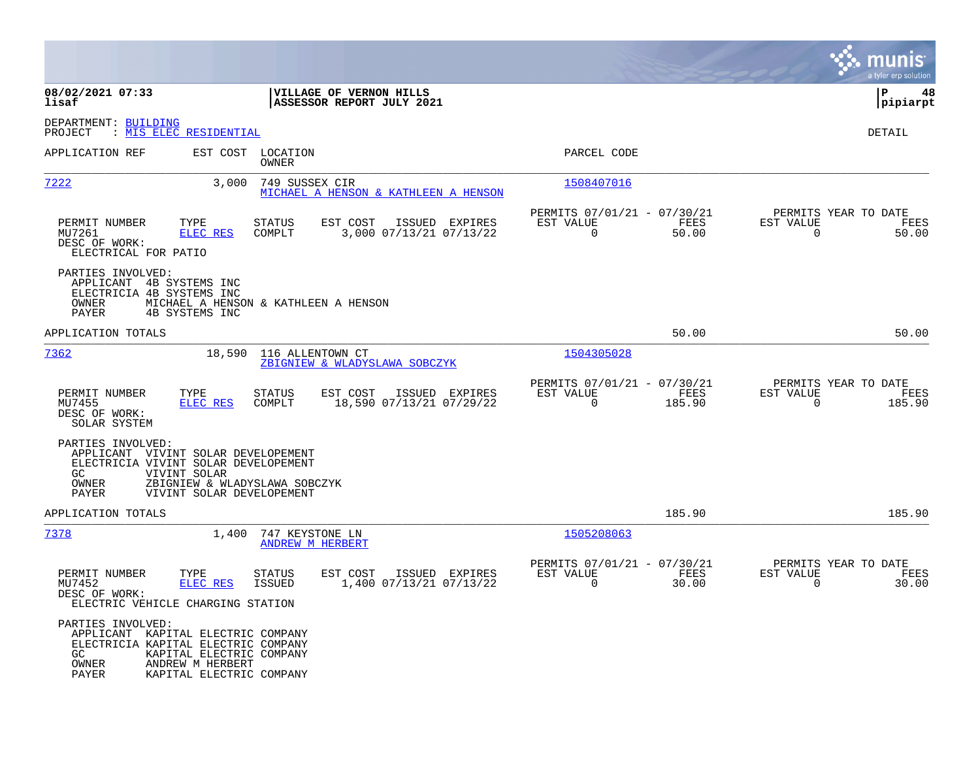|                                                                                                                                  |                                                                            |                                            |                                                        |                                                         |                |                                                  | munis<br>a tvler erp solution |
|----------------------------------------------------------------------------------------------------------------------------------|----------------------------------------------------------------------------|--------------------------------------------|--------------------------------------------------------|---------------------------------------------------------|----------------|--------------------------------------------------|-------------------------------|
| 08/02/2021 07:33<br>lisaf                                                                                                        |                                                                            |                                            | VILLAGE OF VERNON HILLS<br>ASSESSOR REPORT JULY 2021   |                                                         |                |                                                  | P<br>48<br> pipiarpt          |
| DEPARTMENT: BUILDING<br>PROJECT                                                                                                  | : <u>MIS ELEC RESIDENTIAL</u>                                              |                                            |                                                        |                                                         |                |                                                  | <b>DETAIL</b>                 |
| APPLICATION REF                                                                                                                  |                                                                            | EST COST LOCATION<br>OWNER                 |                                                        | PARCEL CODE                                             |                |                                                  |                               |
| 7222                                                                                                                             | 3,000                                                                      | 749 SUSSEX CIR                             | MICHAEL A HENSON & KATHLEEN A HENSON                   | 1508407016                                              |                |                                                  |                               |
| PERMIT NUMBER<br>MU7261<br>DESC OF WORK:<br>ELECTRICAL FOR PATIO                                                                 | TYPE<br>ELEC RES                                                           | <b>STATUS</b><br>COMPLT                    | EST COST<br>ISSUED EXPIRES<br>3,000 07/13/21 07/13/22  | PERMITS 07/01/21 - 07/30/21<br>EST VALUE<br>$\Omega$    | FEES<br>50.00  | PERMITS YEAR TO DATE<br>EST VALUE<br>$\Omega$    | FEES<br>50.00                 |
| PARTIES INVOLVED:<br>APPLICANT 4B SYSTEMS INC<br>ELECTRICIA 4B SYSTEMS INC<br><b>OWNER</b><br>PAYER                              | MICHAEL A HENSON & KATHLEEN A HENSON<br><b>4B SYSTEMS INC</b>              |                                            |                                                        |                                                         |                |                                                  |                               |
| APPLICATION TOTALS                                                                                                               |                                                                            |                                            |                                                        |                                                         | 50.00          |                                                  | 50.00                         |
| 7362                                                                                                                             | 18,590                                                                     | 116 ALLENTOWN CT                           | ZBIGNIEW & WLADYSLAWA SOBCZYK                          | 1504305028                                              |                |                                                  |                               |
| PERMIT NUMBER<br>MU7455<br>DESC OF WORK:<br>SOLAR SYSTEM                                                                         | TYPE<br>ELEC RES                                                           | <b>STATUS</b><br>COMPLT                    | EST COST<br>ISSUED EXPIRES<br>18,590 07/13/21 07/29/22 | PERMITS 07/01/21 - 07/30/21<br>EST VALUE<br>$\Omega$    | FEES<br>185.90 | PERMITS YEAR TO DATE<br>EST VALUE<br>$\Omega$    | FEES<br>185.90                |
| PARTIES INVOLVED:<br>APPLICANT VIVINT SOLAR DEVELOPEMENT<br>ELECTRICIA VIVINT SOLAR DEVELOPEMENT<br>GC.<br><b>OWNER</b><br>PAYER | VIVINT SOLAR<br>ZBIGNIEW & WLADYSLAWA SOBCZYK<br>VIVINT SOLAR DEVELOPEMENT |                                            |                                                        |                                                         |                |                                                  |                               |
| APPLICATION TOTALS                                                                                                               |                                                                            |                                            |                                                        |                                                         | 185.90         |                                                  | 185.90                        |
| 7378                                                                                                                             | 1,400                                                                      | 747 KEYSTONE LN<br><b>ANDREW M HERBERT</b> |                                                        | 1505208063                                              |                |                                                  |                               |
| PERMIT NUMBER<br>MU7452<br>DESC OF WORK:<br>ELECTRIC VEHICLE CHARGING STATION                                                    | TYPE<br>ELEC RES                                                           | <b>STATUS</b><br><b>ISSUED</b>             | EST COST<br>ISSUED EXPIRES<br>1,400 07/13/21 07/13/22  | PERMITS 07/01/21 - 07/30/21<br>EST VALUE<br>$\mathbf 0$ | FEES<br>30.00  | PERMITS YEAR TO DATE<br>EST VALUE<br>$\mathbf 0$ | FEES<br>30.00                 |
| PARTIES INVOLVED:<br>APPLICANT KAPITAL ELECTRIC COMPANY<br>ELECTRICIA KAPITAL ELECTRIC COMPANY<br>GC.<br>OWNER<br>PAYER          | KAPITAL ELECTRIC COMPANY<br>ANDREW M HERBERT<br>KAPITAL ELECTRIC COMPANY   |                                            |                                                        |                                                         |                |                                                  |                               |

**Contract**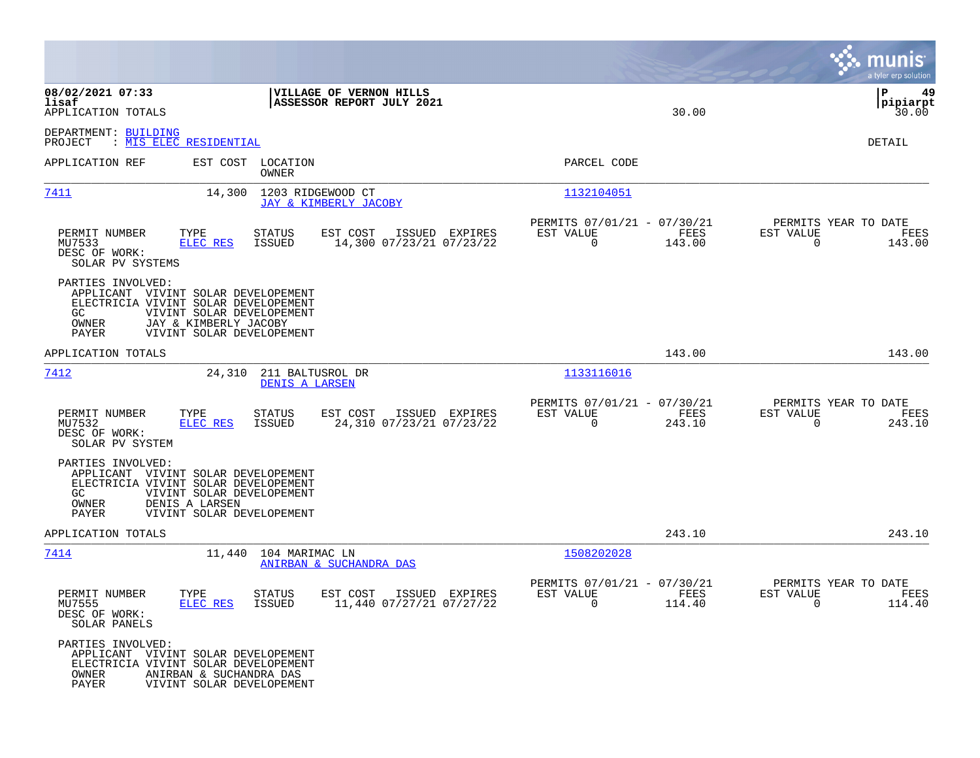|                                                                                                                           |                                                                                 |                                    |                                                      |                |                                                      |                |                                               | munis<br>a tyler erp solution   |
|---------------------------------------------------------------------------------------------------------------------------|---------------------------------------------------------------------------------|------------------------------------|------------------------------------------------------|----------------|------------------------------------------------------|----------------|-----------------------------------------------|---------------------------------|
| 08/02/2021 07:33<br>lisaf<br>APPLICATION TOTALS                                                                           |                                                                                 |                                    | VILLAGE OF VERNON HILLS<br>ASSESSOR REPORT JULY 2021 |                |                                                      | 30.00          |                                               | l P<br>49<br> pipiarpt<br>30.00 |
| DEPARTMENT: BUILDING<br>PROJECT                                                                                           | : MIS ELEC RESIDENTIAL                                                          |                                    |                                                      |                |                                                      |                |                                               | DETAIL                          |
| APPLICATION REF                                                                                                           | EST COST LOCATION                                                               | OWNER                              |                                                      |                | PARCEL CODE                                          |                |                                               |                                 |
| 7411                                                                                                                      | 14,300                                                                          | 1203 RIDGEWOOD CT                  | JAY & KIMBERLY JACOBY                                |                | 1132104051                                           |                |                                               |                                 |
| PERMIT NUMBER<br>MU7533<br>DESC OF WORK:<br>SOLAR PV SYSTEMS                                                              | TYPE<br>ELEC RES                                                                | STATUS<br>ISSUED                   | EST COST<br>14,300 07/23/21 07/23/22                 | ISSUED EXPIRES | PERMITS 07/01/21 - 07/30/21<br>EST VALUE<br>0        | FEES<br>143.00 | PERMITS YEAR TO DATE<br>EST VALUE<br>0        | FEES<br>143.00                  |
| PARTIES INVOLVED:<br>APPLICANT VIVINT SOLAR DEVELOPEMENT<br>ELECTRICIA VIVINT SOLAR DEVELOPEMENT<br>GC.<br>OWNER<br>PAYER | VIVINT SOLAR DEVELOPEMENT<br>JAY & KIMBERLY JACOBY<br>VIVINT SOLAR DEVELOPEMENT |                                    |                                                      |                |                                                      |                |                                               |                                 |
| APPLICATION TOTALS                                                                                                        |                                                                                 |                                    |                                                      |                |                                                      | 143.00         |                                               | 143.00                          |
| 7412                                                                                                                      | 24,310                                                                          | 211 BALTUSROL DR<br>DENIS A LARSEN |                                                      |                | 1133116016                                           |                |                                               |                                 |
| PERMIT NUMBER<br>MU7532<br>DESC OF WORK:<br>SOLAR PV SYSTEM                                                               | TYPE<br>ELEC RES                                                                | STATUS<br>ISSUED                   | EST COST<br>24,310 07/23/21 07/23/22                 | ISSUED EXPIRES | PERMITS 07/01/21 - 07/30/21<br>EST VALUE<br>$\Omega$ | FEES<br>243.10 | PERMITS YEAR TO DATE<br>EST VALUE<br>$\Omega$ | FEES<br>243.10                  |
| PARTIES INVOLVED:<br>APPLICANT VIVINT SOLAR DEVELOPEMENT<br>ELECTRICIA VIVINT SOLAR DEVELOPEMENT<br>GC.<br>OWNER<br>PAYER | VIVINT SOLAR DEVELOPEMENT<br>DENIS A LARSEN<br>VIVINT SOLAR DEVELOPEMENT        |                                    |                                                      |                |                                                      |                |                                               |                                 |
| APPLICATION TOTALS                                                                                                        |                                                                                 |                                    |                                                      |                |                                                      | 243.10         |                                               | 243.10                          |
| <u>7414</u>                                                                                                               |                                                                                 | 11,440 104 MARIMAC LN              | <b>ANIRBAN &amp; SUCHANDRA DAS</b>                   |                | 1508202028                                           |                |                                               |                                 |
| PERMIT NUMBER<br>MU7555<br>DESC OF WORK:<br>SOLAR PANELS                                                                  | TYPE<br>ELEC RES ISSUED                                                         | <b>STATUS</b>                      | EST COST<br>11,440 07/27/21 07/27/22                 | ISSUED EXPIRES | PERMITS 07/01/21 - 07/30/21<br>EST VALUE<br>$\sim$ 0 | FEES<br>114.40 | PERMITS YEAR TO DATE<br>EST VALUE<br>$\sim$ 0 | FEES<br>114.40                  |
| PARTIES INVOLVED:<br>APPLICANT VIVINT SOLAR DEVELOPEMENT<br>ELECTRICIA VIVINT SOLAR DEVELOPEMENT<br>OWNER<br>PAYER        | ANIRBAN & SUCHANDRA DAS<br>VIVINT SOLAR DEVELOPEMENT                            |                                    |                                                      |                |                                                      |                |                                               |                                 |

 $\mathcal{L}^{\text{max}}$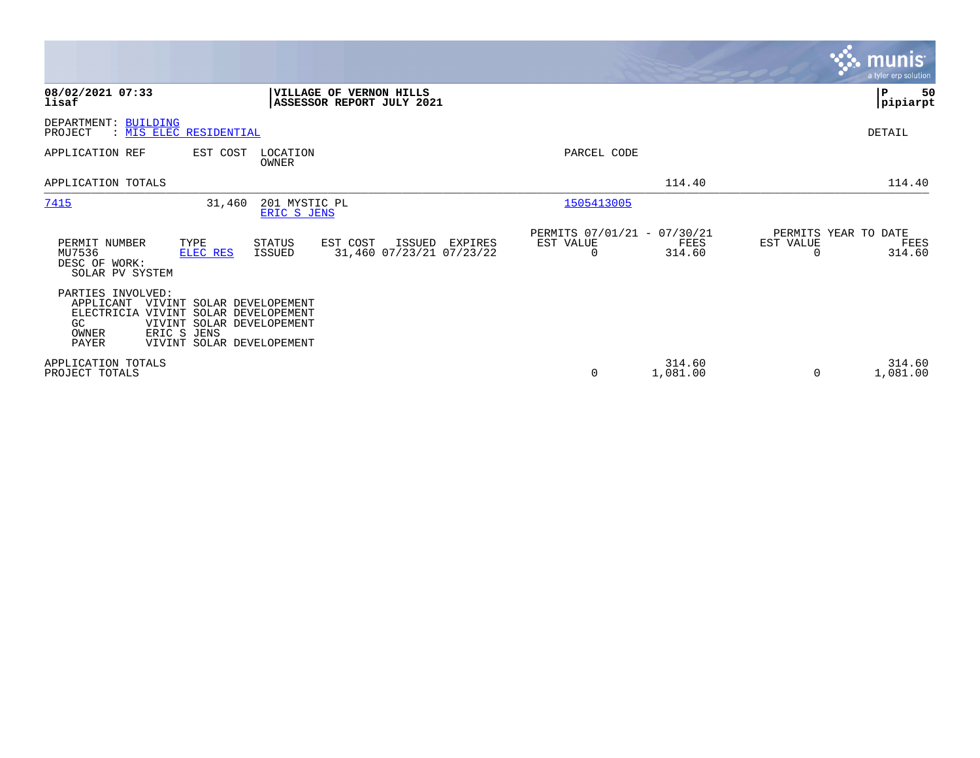|                                                                                                                                                                                                                        |                                               |                                                      |                       |                                        | <b>munis</b><br>a tyler erp solution |
|------------------------------------------------------------------------------------------------------------------------------------------------------------------------------------------------------------------------|-----------------------------------------------|------------------------------------------------------|-----------------------|----------------------------------------|--------------------------------------|
| 08/02/2021 07:33<br>VILLAGE OF VERNON HILLS<br>lisaf                                                                                                                                                                   | ASSESSOR REPORT JULY 2021                     |                                                      |                       |                                        | 50<br>${\bf P}$<br> pipiarpt         |
| DEPARTMENT: BUILDING<br>: MIS ELEC RESIDENTIAL<br>PROJECT                                                                                                                                                              |                                               |                                                      |                       |                                        | DETAIL                               |
| APPLICATION REF<br>EST COST<br>LOCATION<br>OWNER                                                                                                                                                                       |                                               | PARCEL CODE                                          |                       |                                        |                                      |
| APPLICATION TOTALS                                                                                                                                                                                                     |                                               |                                                      | 114.40                |                                        | 114.40                               |
| 7415<br>31,460<br>201 MYSTIC PL<br>ERIC S JENS                                                                                                                                                                         |                                               | 1505413005                                           |                       |                                        |                                      |
| PERMIT NUMBER<br>TYPE<br><b>STATUS</b><br>EST COST<br>MU7536<br>ELEC RES<br>ISSUED<br>DESC OF WORK:<br>SOLAR PV SYSTEM                                                                                                 | ISSUED<br>EXPIRES<br>31,460 07/23/21 07/23/22 | PERMITS 07/01/21 - 07/30/21<br>EST VALUE<br>$\Omega$ | <b>FEES</b><br>314.60 | PERMITS YEAR TO DATE<br>EST VALUE<br>O | FEES<br>314.60                       |
| PARTIES INVOLVED:<br>APPLICANT<br>VIVINT SOLAR DEVELOPEMENT<br><b>ELECTRICIA</b><br>VIVINT SOLAR DEVELOPEMENT<br>VIVINT SOLAR DEVELOPEMENT<br>GC.<br>ERIC S JENS<br>OWNER<br><b>PAYER</b><br>VIVINT SOLAR DEVELOPEMENT |                                               |                                                      |                       |                                        |                                      |
| APPLICATION TOTALS<br>PROJECT TOTALS                                                                                                                                                                                   |                                               | 0                                                    | 314.60<br>1,081.00    | $\Omega$                               | 314.60<br>1,081.00                   |

 $\mathcal{L}^{\text{max}}$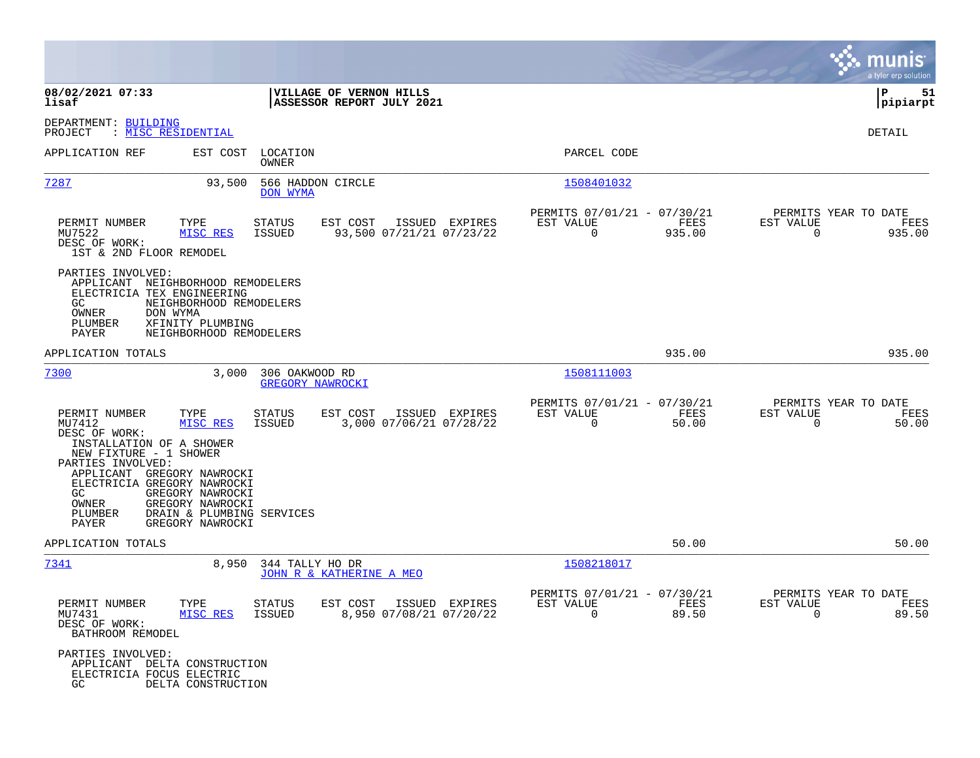|                                                                                                                                                                                                                                                                                                                                   |                                                                                   |                                                                          | munis<br>a tyler erp solution                                     |
|-----------------------------------------------------------------------------------------------------------------------------------------------------------------------------------------------------------------------------------------------------------------------------------------------------------------------------------|-----------------------------------------------------------------------------------|--------------------------------------------------------------------------|-------------------------------------------------------------------|
| 08/02/2021 07:33<br>lisaf                                                                                                                                                                                                                                                                                                         | VILLAGE OF VERNON HILLS<br>ASSESSOR REPORT JULY 2021                              |                                                                          | ∣P<br>51<br>pipiarpt                                              |
| DEPARTMENT: BUILDING<br>: MISC RESIDENTIAL<br>PROJECT                                                                                                                                                                                                                                                                             |                                                                                   |                                                                          | DETAIL                                                            |
| APPLICATION REF<br>EST COST                                                                                                                                                                                                                                                                                                       | LOCATION<br>OWNER                                                                 | PARCEL CODE                                                              |                                                                   |
| 7287<br>93,500                                                                                                                                                                                                                                                                                                                    | 566 HADDON CIRCLE<br>DON WYMA                                                     | 1508401032                                                               |                                                                   |
| PERMIT NUMBER<br>TYPE<br>MU7522<br>MISC RES<br>DESC OF WORK:<br>1ST & 2ND FLOOR REMODEL                                                                                                                                                                                                                                           | <b>STATUS</b><br>EST COST<br>ISSUED EXPIRES<br>ISSUED<br>93,500 07/21/21 07/23/22 | PERMITS 07/01/21 - 07/30/21<br>EST VALUE<br>FEES<br>$\Omega$<br>935.00   | PERMITS YEAR TO DATE<br>EST VALUE<br>FEES<br>$\Omega$<br>935.00   |
| PARTIES INVOLVED:<br>APPLICANT NEIGHBORHOOD REMODELERS<br>ELECTRICIA TEX ENGINEERING<br>GC<br>NEIGHBORHOOD REMODELERS<br>OWNER<br>DON WYMA<br>XFINITY PLUMBING<br>PLUMBER<br>PAYER<br>NEIGHBORHOOD REMODELERS                                                                                                                     |                                                                                   |                                                                          |                                                                   |
| APPLICATION TOTALS                                                                                                                                                                                                                                                                                                                |                                                                                   | 935.00                                                                   | 935.00                                                            |
| 7300<br>3,000                                                                                                                                                                                                                                                                                                                     | 306 OAKWOOD RD<br><b>GREGORY NAWROCKI</b>                                         | 1508111003                                                               |                                                                   |
| PERMIT NUMBER<br>TYPE<br>MISC RES<br>MU7412<br>DESC OF WORK:<br>INSTALLATION OF A SHOWER<br>NEW FIXTURE - 1 SHOWER<br>PARTIES INVOLVED:<br>APPLICANT GREGORY NAWROCKI<br>ELECTRICIA GREGORY NAWROCKI<br>GC.<br>GREGORY NAWROCKI<br>OWNER<br>GREGORY NAWROCKI<br>PLUMBER<br>DRAIN & PLUMBING SERVICES<br>PAYER<br>GREGORY NAWROCKI | EST COST<br>ISSUED EXPIRES<br><b>STATUS</b><br>3,000 07/06/21 07/28/22<br>ISSUED  | PERMITS 07/01/21 - 07/30/21<br>EST VALUE<br>FEES<br>$\Omega$<br>50.00    | PERMITS YEAR TO DATE<br>EST VALUE<br>FEES<br>$\mathbf 0$<br>50.00 |
| APPLICATION TOTALS                                                                                                                                                                                                                                                                                                                |                                                                                   | 50.00                                                                    | 50.00                                                             |
| 7341<br>8,950                                                                                                                                                                                                                                                                                                                     | 344 TALLY HO DR<br>JOHN R & KATHERINE A MEO                                       | 1508218017                                                               |                                                                   |
| PERMIT NUMBER<br>TYPE<br>MU7431<br>MISC RES<br>DESC OF WORK:<br>BATHROOM REMODEL                                                                                                                                                                                                                                                  | <b>STATUS</b><br>EST COST<br>ISSUED EXPIRES<br>ISSUED<br>8,950 07/08/21 07/20/22  | PERMITS 07/01/21 - 07/30/21<br>EST VALUE<br>FEES<br>$\mathbf 0$<br>89.50 | PERMITS YEAR TO DATE<br>EST VALUE<br>FEES<br>89.50<br>0           |
| PARTIES INVOLVED:<br>APPLICANT DELTA CONSTRUCTION<br>ELECTRICIA FOCUS ELECTRIC<br>GC<br>DELTA CONSTRUCTION                                                                                                                                                                                                                        |                                                                                   |                                                                          |                                                                   |

 $\mathcal{L}^{\text{max}}$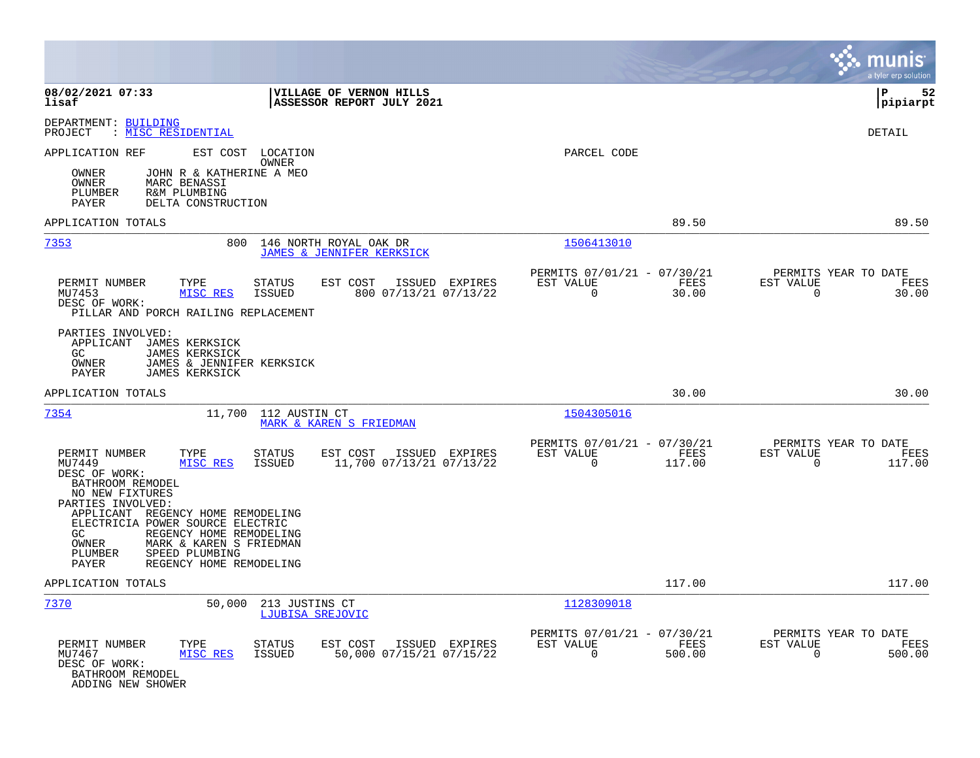|                                                                                                                                                                                                                                                                                                                                         |                                                                                   |                                                                           | munis<br>a tyler erp solution                                      |
|-----------------------------------------------------------------------------------------------------------------------------------------------------------------------------------------------------------------------------------------------------------------------------------------------------------------------------------------|-----------------------------------------------------------------------------------|---------------------------------------------------------------------------|--------------------------------------------------------------------|
| 08/02/2021 07:33<br>lisaf                                                                                                                                                                                                                                                                                                               | VILLAGE OF VERNON HILLS<br>ASSESSOR REPORT JULY 2021                              |                                                                           | lР<br>52<br> pipiarpt                                              |
| DEPARTMENT: BUILDING<br>PROJECT<br>: MISC RESIDENTIAL                                                                                                                                                                                                                                                                                   |                                                                                   |                                                                           | DETAIL                                                             |
| APPLICATION REF<br>EST COST<br>OWNER<br>JOHN R & KATHERINE A MEO<br><b>OWNER</b><br>MARC BENASSI<br>PLUMBER<br>R&M PLUMBING<br>PAYER<br>DELTA CONSTRUCTION                                                                                                                                                                              | LOCATION<br>OWNER                                                                 | PARCEL CODE                                                               |                                                                    |
| APPLICATION TOTALS                                                                                                                                                                                                                                                                                                                      |                                                                                   | 89.50                                                                     | 89.50                                                              |
| 7353<br>800                                                                                                                                                                                                                                                                                                                             | 146 NORTH ROYAL OAK DR<br>JAMES & JENNIFER KERKSICK                               | 1506413010                                                                |                                                                    |
| PERMIT NUMBER<br>TYPE<br>MISC RES<br>MU7453<br>DESC OF WORK:<br>PILLAR AND PORCH RAILING REPLACEMENT                                                                                                                                                                                                                                    | STATUS<br>EST COST<br>ISSUED EXPIRES<br>800 07/13/21 07/13/22<br>ISSUED           | PERMITS 07/01/21 - 07/30/21<br>EST VALUE<br>FEES<br>$\mathbf 0$<br>30.00  | PERMITS YEAR TO DATE<br>EST VALUE<br>FEES<br>$\mathbf 0$<br>30.00  |
| PARTIES INVOLVED:<br>APPLICANT<br>JAMES KERKSICK<br>GC.<br><b>JAMES KERKSICK</b><br>OWNER<br>JAMES & JENNIFER KERKSICK<br>PAYER<br><b>JAMES KERKSICK</b>                                                                                                                                                                                |                                                                                   |                                                                           |                                                                    |
| APPLICATION TOTALS                                                                                                                                                                                                                                                                                                                      |                                                                                   | 30.00                                                                     | 30.00                                                              |
| 7354<br>11,700                                                                                                                                                                                                                                                                                                                          | 112 AUSTIN CT<br>MARK & KAREN S FRIEDMAN                                          | 1504305016                                                                |                                                                    |
| PERMIT NUMBER<br>TYPE<br>MU7449<br>MISC RES<br>DESC OF WORK:<br>BATHROOM REMODEL<br>NO NEW FIXTURES<br>PARTIES INVOLVED:<br>APPLICANT REGENCY HOME REMODELING<br>ELECTRICIA POWER SOURCE ELECTRIC<br>GC<br>REGENCY HOME REMODELING<br>OWNER<br>MARK & KAREN S FRIEDMAN<br>PLUMBER<br>SPEED PLUMBING<br>REGENCY HOME REMODELING<br>PAYER | STATUS<br>EST COST<br>ISSUED EXPIRES<br>11,700 07/13/21 07/13/22<br>ISSUED        | PERMITS 07/01/21 - 07/30/21<br>EST VALUE<br>FEES<br>$\mathbf 0$<br>117.00 | PERMITS YEAR TO DATE<br>EST VALUE<br>FEES<br>$\mathbf 0$<br>117.00 |
| APPLICATION TOTALS                                                                                                                                                                                                                                                                                                                      |                                                                                   | 117.00                                                                    | 117.00                                                             |
| 7370<br>50,000                                                                                                                                                                                                                                                                                                                          | 213 JUSTINS CT<br>LJUBISA SREJOVIC                                                | 1128309018                                                                |                                                                    |
| PERMIT NUMBER<br>TYPE<br>MISC RES<br>MU7467<br>DESC OF WORK:<br>BATHROOM REMODEL<br>ADDING NEW SHOWER                                                                                                                                                                                                                                   | STATUS<br>EST COST<br>ISSUED EXPIRES<br><b>ISSUED</b><br>50,000 07/15/21 07/15/22 | PERMITS 07/01/21 - 07/30/21<br>EST VALUE<br>FEES<br>$\mathbf 0$<br>500.00 | PERMITS YEAR TO DATE<br>EST VALUE<br>FEES<br>$\mathbf 0$<br>500.00 |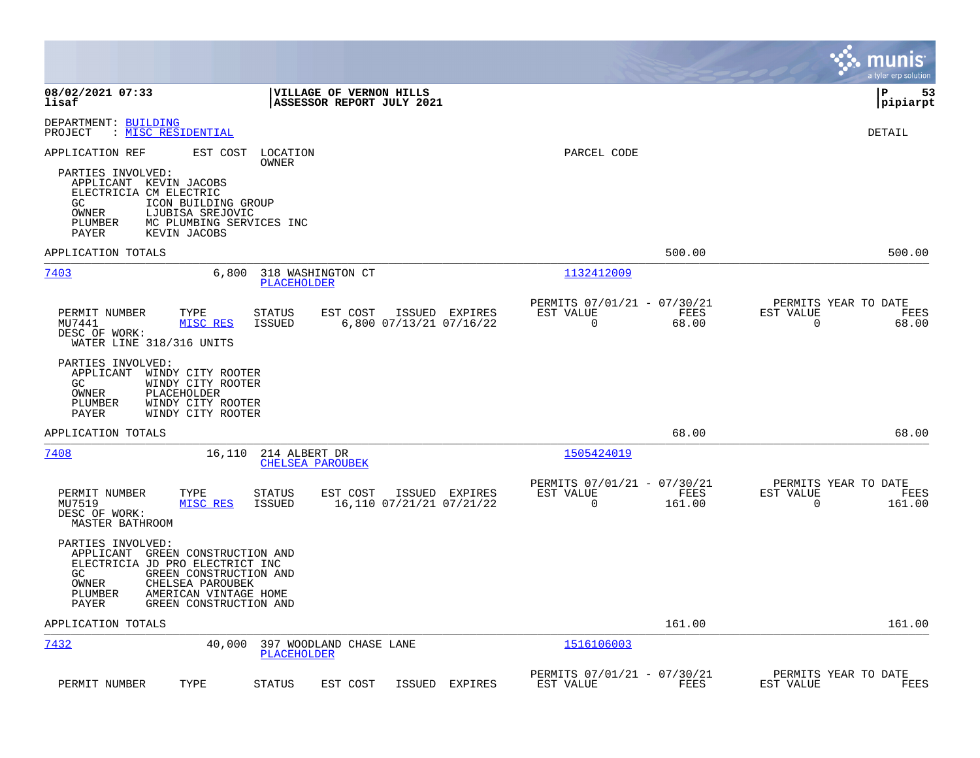|                                                                                                                                                                                                                                                      |                                                                                             | munis<br>a tyler erp solution                                      |
|------------------------------------------------------------------------------------------------------------------------------------------------------------------------------------------------------------------------------------------------------|---------------------------------------------------------------------------------------------|--------------------------------------------------------------------|
| 08/02/2021 07:33<br>VILLAGE OF VERNON HILLS<br>ASSESSOR REPORT JULY 2021<br>lisaf                                                                                                                                                                    |                                                                                             | l P<br>53<br> pipiarpt                                             |
| DEPARTMENT: BUILDING<br>: <u>MISC RESIDENTIAL</u><br>PROJECT                                                                                                                                                                                         |                                                                                             | <b>DETAIL</b>                                                      |
| APPLICATION REF<br>EST COST<br>LOCATION<br>OWNER<br>PARTIES INVOLVED:<br>APPLICANT KEVIN JACOBS<br>ELECTRICIA CM ELECTRIC<br>GC.<br>ICON BUILDING GROUP<br>OWNER<br>LJUBISA SREJOVIC<br>MC PLUMBING SERVICES INC<br>PLUMBER<br>PAYER<br>KEVIN JACOBS | PARCEL CODE                                                                                 |                                                                    |
| APPLICATION TOTALS                                                                                                                                                                                                                                   | 500.00                                                                                      | 500.00                                                             |
| 7403<br>318 WASHINGTON CT<br>6,800<br>PLACEHOLDER                                                                                                                                                                                                    | 1132412009                                                                                  |                                                                    |
| PERMIT NUMBER<br>EST COST<br>TYPE<br>STATUS<br>6,800 07/13/21 07/16/22<br>MU7441<br>MISC RES<br><b>ISSUED</b><br>DESC OF WORK:<br>WATER LINE 318/316 UNITS<br>PARTIES INVOLVED:<br>APPLICANT<br>WINDY CITY ROOTER<br>GC<br>WINDY CITY ROOTER         | PERMITS 07/01/21 - 07/30/21<br>ISSUED EXPIRES<br>EST VALUE<br>FEES<br>$\Omega$<br>68.00     | PERMITS YEAR TO DATE<br>EST VALUE<br>FEES<br>$\Omega$<br>68.00     |
| OWNER<br>PLACEHOLDER<br>PLUMBER<br>WINDY CITY ROOTER<br>PAYER<br>WINDY CITY ROOTER                                                                                                                                                                   |                                                                                             |                                                                    |
| APPLICATION TOTALS                                                                                                                                                                                                                                   | 68.00                                                                                       | 68.00                                                              |
| 7408<br>16,110<br>214 ALBERT DR<br><b>CHELSEA PAROUBEK</b>                                                                                                                                                                                           | 1505424019                                                                                  |                                                                    |
| PERMIT NUMBER<br>TYPE<br>EST COST<br>STATUS<br>MISC RES<br>16,110 07/21/21 07/21/22<br>MU7519<br>ISSUED<br>DESC OF WORK:<br>MASTER BATHROOM                                                                                                          | PERMITS 07/01/21 - 07/30/21<br>ISSUED EXPIRES<br>EST VALUE<br>FEES<br>$\mathbf 0$<br>161.00 | PERMITS YEAR TO DATE<br>EST VALUE<br>FEES<br>$\mathbf 0$<br>161.00 |
| PARTIES INVOLVED:<br>APPLICANT GREEN CONSTRUCTION AND<br>ELECTRICIA JD PRO ELECTRICT INC<br>GC.<br>GREEN CONSTRUCTION AND<br>OWNER<br>CHELSEA PAROUBEK<br>PLUMBER<br>AMERICAN VINTAGE HOME<br>GREEN CONSTRUCTION AND<br><b>PAYER</b>                 |                                                                                             |                                                                    |
| APPLICATION TOTALS                                                                                                                                                                                                                                   | 161.00                                                                                      | 161.00                                                             |
| 7432<br>40,000<br>397 WOODLAND CHASE LANE<br><b>PLACEHOLDER</b>                                                                                                                                                                                      | 1516106003                                                                                  |                                                                    |
| PERMIT NUMBER<br>TYPE<br><b>STATUS</b><br>EST COST<br>ISSUED                                                                                                                                                                                         | PERMITS 07/01/21 - 07/30/21<br>EXPIRES<br>EST VALUE<br>FEES                                 | PERMITS YEAR TO DATE<br>EST VALUE<br>FEES                          |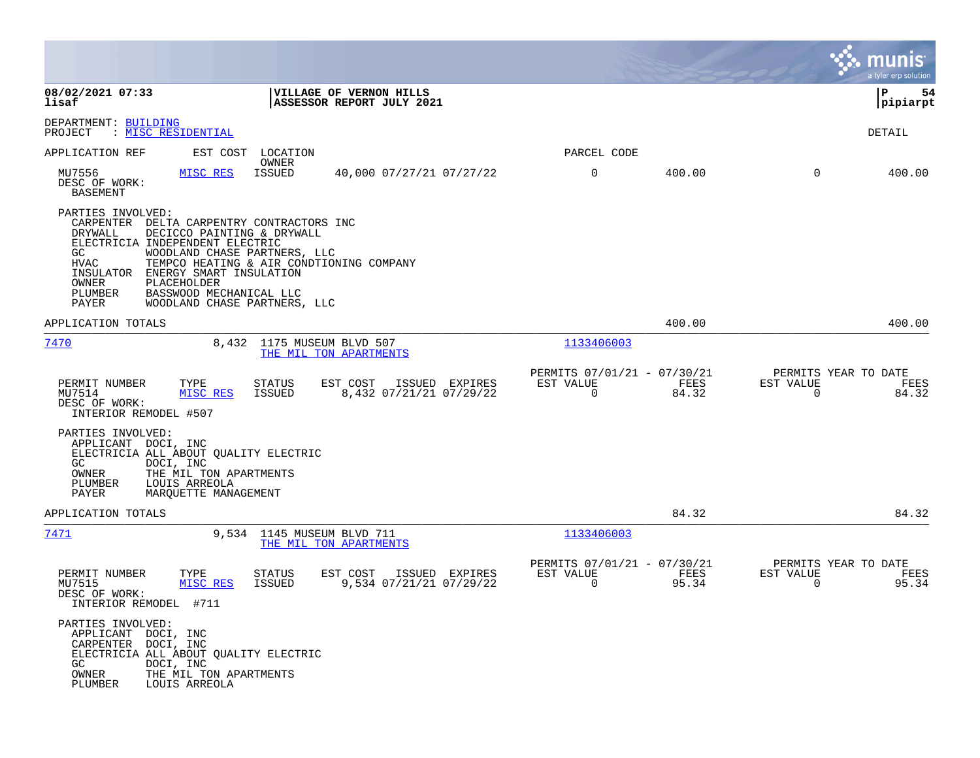|                                                                                                                                                                                                                                                                                                                                                |                                                                                  |                                                         |               |                                                  | munis<br>a tyler erp solution |
|------------------------------------------------------------------------------------------------------------------------------------------------------------------------------------------------------------------------------------------------------------------------------------------------------------------------------------------------|----------------------------------------------------------------------------------|---------------------------------------------------------|---------------|--------------------------------------------------|-------------------------------|
| 08/02/2021 07:33<br>lisaf                                                                                                                                                                                                                                                                                                                      | VILLAGE OF VERNON HILLS<br>ASSESSOR REPORT JULY 2021                             |                                                         |               |                                                  | ΙP<br>54<br> pipiarpt         |
| DEPARTMENT: BUILDING<br>PROJECT<br>: <u>MISC RESIDENTIAL</u>                                                                                                                                                                                                                                                                                   |                                                                                  |                                                         |               |                                                  | DETAIL                        |
| APPLICATION REF<br>EST COST                                                                                                                                                                                                                                                                                                                    | LOCATION<br>OWNER                                                                | PARCEL CODE                                             |               |                                                  |                               |
| MU7556<br>MISC RES<br>DESC OF WORK:<br><b>BASEMENT</b>                                                                                                                                                                                                                                                                                         | ISSUED<br>40,000 07/27/21 07/27/22                                               | 0                                                       | 400.00        | $\mathbf 0$                                      | 400.00                        |
| PARTIES INVOLVED:<br>CARPENTER DELTA CARPENTRY CONTRACTORS INC<br><b>DRYWALL</b><br>DECICCO PAINTING & DRYWALL<br>ELECTRICIA INDEPENDENT ELECTRIC<br>WOODLAND CHASE PARTNERS, LLC<br>GC<br>HVAC<br>ENERGY SMART INSULATION<br>INSULATOR<br>OWNER<br>PLACEHOLDER<br>PLUMBER<br>BASSWOOD MECHANICAL LLC<br>WOODLAND CHASE PARTNERS, LLC<br>PAYER | TEMPCO HEATING & AIR CONDTIONING COMPANY                                         |                                                         |               |                                                  |                               |
| APPLICATION TOTALS                                                                                                                                                                                                                                                                                                                             |                                                                                  |                                                         | 400.00        |                                                  | 400.00                        |
| 7470                                                                                                                                                                                                                                                                                                                                           | 8,432 1175 MUSEUM BLVD 507<br>THE MIL TON APARTMENTS                             | 1133406003                                              |               |                                                  |                               |
| PERMIT NUMBER<br>TYPE<br>MU7514<br>MISC RES<br>DESC OF WORK:<br>INTERIOR REMODEL #507                                                                                                                                                                                                                                                          | <b>STATUS</b><br>EST COST<br>ISSUED EXPIRES<br>ISSUED<br>8,432 07/21/21 07/29/22 | PERMITS 07/01/21 - 07/30/21<br>EST VALUE<br>$\mathbf 0$ | FEES<br>84.32 | PERMITS YEAR TO DATE<br>EST VALUE<br>$\mathbf 0$ | FEES<br>84.32                 |
| PARTIES INVOLVED:<br>APPLICANT DOCI, INC<br>ELECTRICIA ALL ABOUT QUALITY ELECTRIC<br>GC.<br>DOCI, INC<br>OWNER<br>THE MIL TON APARTMENTS<br>PLUMBER<br>LOUIS ARREOLA<br>PAYER<br>MARQUETTE MANAGEMENT                                                                                                                                          |                                                                                  |                                                         |               |                                                  |                               |
| APPLICATION TOTALS                                                                                                                                                                                                                                                                                                                             |                                                                                  |                                                         | 84.32         |                                                  | 84.32                         |
| <u>7471</u>                                                                                                                                                                                                                                                                                                                                    | 9,534 1145 MUSEUM BLVD 711<br>THE MIL TON APARTMENTS                             | 1133406003                                              |               |                                                  |                               |
| PERMIT NUMBER<br>TYPE<br>MU7515<br>MISC RES<br>DESC OF WORK:<br>INTERIOR REMODEL #711                                                                                                                                                                                                                                                          | EST COST<br>STATUS<br>ISSUED EXPIRES<br>9,534 07/21/21 07/29/22<br>ISSUED        | PERMITS 07/01/21 - 07/30/21<br>EST VALUE<br>$\Omega$    | FEES<br>95.34 | PERMITS YEAR TO DATE<br>EST VALUE<br>$\mathbf 0$ | FEES<br>95.34                 |
| PARTIES INVOLVED:<br>APPLICANT DOCI, INC<br>CARPENTER DOCI, INC<br>ELECTRICIA ALL ABOUT OUALITY ELECTRIC<br>GC<br>DOCI, INC<br>OWNER<br>THE MIL TON APARTMENTS<br>PLUMBER<br>LOUIS ARREOLA                                                                                                                                                     |                                                                                  |                                                         |               |                                                  |                               |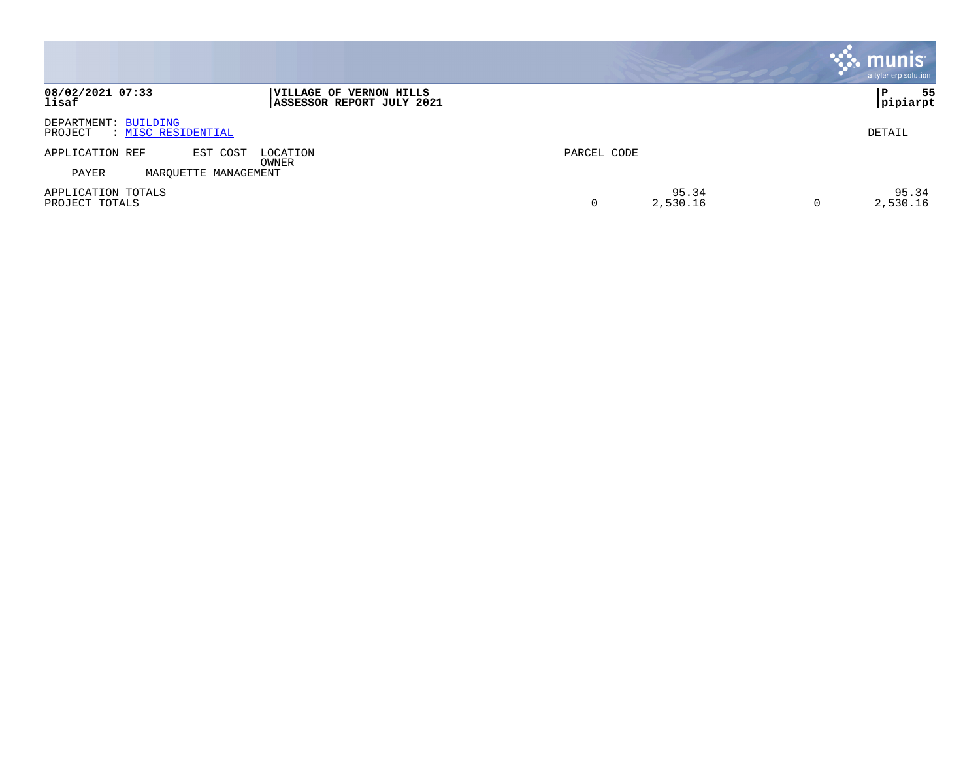|                                                       |                                                      |             |                   |   | munis<br>a tyler erp solution |
|-------------------------------------------------------|------------------------------------------------------|-------------|-------------------|---|-------------------------------|
| 08/02/2021 07:33<br>lisaf                             | VILLAGE OF VERNON HILLS<br>ASSESSOR REPORT JULY 2021 |             |                   |   | 55<br>P<br> pipiarpt          |
| DEPARTMENT: BUILDING<br>: MISC RESIDENTIAL<br>PROJECT |                                                      |             |                   |   | DETAIL                        |
| APPLICATION REF<br>EST COST                           | LOCATION<br>OWNER                                    | PARCEL CODE |                   |   |                               |
| MAROUETTE<br>PAYER                                    | MANAGEMENT                                           |             |                   |   |                               |
| APPLICATION TOTALS<br>PROJECT TOTALS                  |                                                      |             | 95.34<br>2,530.16 | 0 | 95.34<br>2,530.16             |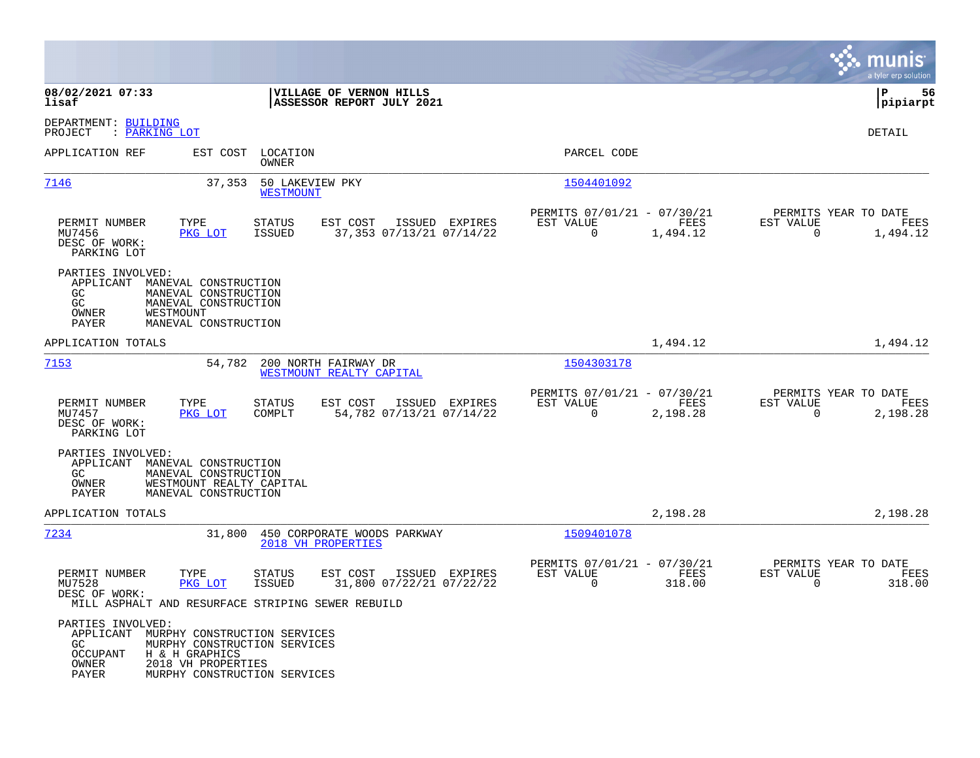|                                                                     |                                                                                                                                      |                                                        |                                                      |                  | munis<br>a tyler erp solution                                        |    |
|---------------------------------------------------------------------|--------------------------------------------------------------------------------------------------------------------------------------|--------------------------------------------------------|------------------------------------------------------|------------------|----------------------------------------------------------------------|----|
| 08/02/2021 07:33<br>lisaf                                           |                                                                                                                                      | VILLAGE OF VERNON HILLS<br>ASSESSOR REPORT JULY 2021   |                                                      |                  | ΙP<br> pipiarpt                                                      | 56 |
| DEPARTMENT: BUILDING<br>: PARKING LOT<br>PROJECT                    |                                                                                                                                      |                                                        |                                                      |                  | DETAIL                                                               |    |
| APPLICATION REF                                                     | EST COST<br>LOCATION<br>OWNER                                                                                                        |                                                        | PARCEL CODE                                          |                  |                                                                      |    |
| 7146                                                                | 50 LAKEVIEW PKY<br>37,353<br><b>WESTMOUNT</b>                                                                                        |                                                        | 1504401092                                           |                  |                                                                      |    |
| PERMIT NUMBER<br>MU7456<br>DESC OF WORK:<br>PARKING LOT             | TYPE<br><b>STATUS</b><br>PKG LOT<br><b>ISSUED</b>                                                                                    | EST COST<br>ISSUED EXPIRES<br>37,353 07/13/21 07/14/22 | PERMITS 07/01/21 - 07/30/21<br>EST VALUE<br>$\Omega$ | FEES<br>1,494.12 | PERMITS YEAR TO DATE<br>EST VALUE<br>FEES<br>$\Omega$<br>1,494.12    |    |
| PARTIES INVOLVED:<br>APPLICANT<br>GC.<br>GC<br>OWNER<br>PAYER       | MANEVAL CONSTRUCTION<br>MANEVAL CONSTRUCTION<br>MANEVAL CONSTRUCTION<br>WESTMOUNT<br>MANEVAL CONSTRUCTION                            |                                                        |                                                      |                  |                                                                      |    |
| APPLICATION TOTALS                                                  |                                                                                                                                      |                                                        |                                                      | 1,494.12         | 1,494.12                                                             |    |
| 7153                                                                | 54,782                                                                                                                               | 200 NORTH FAIRWAY DR<br>WESTMOUNT REALTY CAPITAL       | 1504303178                                           |                  |                                                                      |    |
| PERMIT NUMBER<br>MU7457<br>DESC OF WORK:<br>PARKING LOT             | TYPE<br><b>STATUS</b><br>PKG LOT<br>COMPLT                                                                                           | EST COST<br>ISSUED EXPIRES<br>54,782 07/13/21 07/14/22 | PERMITS 07/01/21 - 07/30/21<br>EST VALUE<br>$\Omega$ | FEES<br>2,198.28 | PERMITS YEAR TO DATE<br>EST VALUE<br>FEES<br>$\mathbf 0$<br>2,198.28 |    |
| PARTIES INVOLVED:<br>GC.<br>OWNER<br>PAYER                          | APPLICANT MANEVAL CONSTRUCTION<br>MANEVAL CONSTRUCTION<br>WESTMOUNT REALTY CAPITAL<br>MANEVAL CONSTRUCTION                           |                                                        |                                                      |                  |                                                                      |    |
| APPLICATION TOTALS                                                  |                                                                                                                                      |                                                        |                                                      | 2,198.28         | 2,198.28                                                             |    |
| 7234                                                                | 31,800                                                                                                                               | 450 CORPORATE WOODS PARKWAY<br>2018 VH PROPERTIES      | 1509401078                                           |                  |                                                                      |    |
| PERMIT NUMBER<br>MU7528<br>DESC OF WORK:                            | TYPE<br><b>STATUS</b><br>PKG LOT<br><b>ISSUED</b><br>MILL ASPHALT AND RESURFACE STRIPING SEWER REBUILD                               | EST COST<br>ISSUED EXPIRES<br>31,800 07/22/21 07/22/22 | PERMITS 07/01/21 - 07/30/21<br>EST VALUE<br>$\Omega$ | FEES<br>318.00   | PERMITS YEAR TO DATE<br>EST VALUE<br>FEES<br>$\Omega$<br>318.00      |    |
| PARTIES INVOLVED:<br>APPLICANT<br>GC.<br>OCCUPANT<br>OWNER<br>PAYER | MURPHY CONSTRUCTION SERVICES<br>MURPHY CONSTRUCTION SERVICES<br>H & H GRAPHICS<br>2018 VH PROPERTIES<br>MURPHY CONSTRUCTION SERVICES |                                                        |                                                      |                  |                                                                      |    |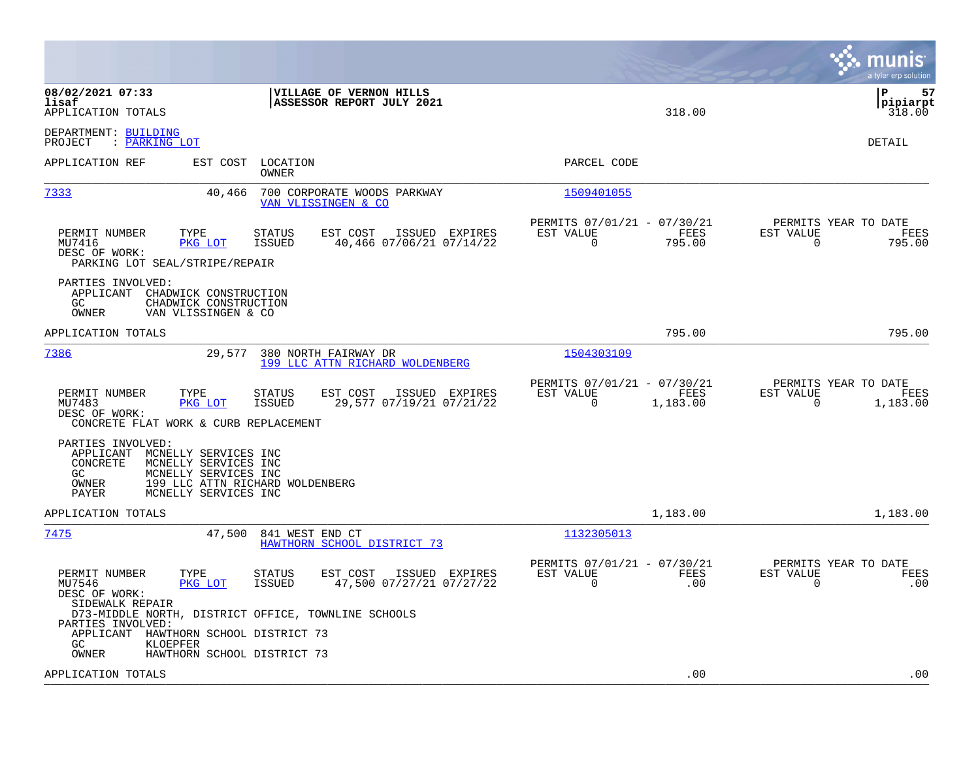|                                                                                                                                                                                                       |                                                                        | munis<br>a tyler erp solution                                        |
|-------------------------------------------------------------------------------------------------------------------------------------------------------------------------------------------------------|------------------------------------------------------------------------|----------------------------------------------------------------------|
| 08/02/2021 07:33<br>VILLAGE OF VERNON HILLS<br>lisaf<br>ASSESSOR REPORT JULY 2021<br>APPLICATION TOTALS                                                                                               | 318.00                                                                 | 57<br>l P<br> pipiarpt<br>318.00                                     |
| DEPARTMENT: BUILDING<br>: PARKING LOT<br>PROJECT                                                                                                                                                      |                                                                        | DETAIL                                                               |
| APPLICATION REF<br>EST COST LOCATION<br>OWNER                                                                                                                                                         | PARCEL CODE                                                            |                                                                      |
| 7333<br>40,466<br>700 CORPORATE WOODS PARKWAY<br>VAN VLISSINGEN & CO                                                                                                                                  | 1509401055                                                             |                                                                      |
| PERMIT NUMBER<br>TYPE<br><b>STATUS</b><br>EST COST<br>ISSUED EXPIRES<br>PKG LOT<br>40,466 07/06/21 07/14/22<br>MU7416<br>ISSUED<br>DESC OF WORK:<br>PARKING LOT SEAL/STRIPE/REPAIR                    | PERMITS 07/01/21 - 07/30/21<br>EST VALUE<br>FEES<br>$\Omega$<br>795.00 | PERMITS YEAR TO DATE<br>EST VALUE<br>FEES<br>$\mathbf 0$<br>795.00   |
| PARTIES INVOLVED:<br>APPLICANT CHADWICK CONSTRUCTION<br>GC.<br>CHADWICK CONSTRUCTION<br>OWNER<br>VAN VLISSINGEN & CO                                                                                  |                                                                        |                                                                      |
| APPLICATION TOTALS                                                                                                                                                                                    | 795.00                                                                 | 795.00                                                               |
| 7386<br>29,577<br>380 NORTH FAIRWAY DR<br>199 LLC ATTN RICHARD WOLDENBERG                                                                                                                             | 1504303109                                                             |                                                                      |
| PERMIT NUMBER<br>TYPE<br>STATUS<br>EST COST<br>ISSUED EXPIRES<br>MU7483<br>PKG LOT<br><b>ISSUED</b><br>29,577 07/19/21 07/21/22<br>DESC OF WORK:<br>CONCRETE FLAT WORK & CURB REPLACEMENT             | PERMITS 07/01/21 - 07/30/21<br>EST VALUE<br>FEES<br>0<br>1,183.00      | PERMITS YEAR TO DATE<br>EST VALUE<br>FEES<br>$\mathbf 0$<br>1,183.00 |
| PARTIES INVOLVED:<br>APPLICANT<br>MCNELLY SERVICES INC<br>CONCRETE<br>MCNELLY SERVICES INC<br>GC<br>MCNELLY SERVICES INC<br>199 LLC ATTN RICHARD WOLDENBERG<br>OWNER<br>PAYER<br>MCNELLY SERVICES INC |                                                                        |                                                                      |
| APPLICATION TOTALS                                                                                                                                                                                    | 1,183.00                                                               | 1,183.00                                                             |
| 7475<br>47,500<br>841 WEST END CT<br>HAWTHORN SCHOOL DISTRICT 73                                                                                                                                      | 1132305013                                                             |                                                                      |
| PERMIT NUMBER<br>TYPE<br>STATUS<br>EST COST<br>ISSUED EXPIRES<br>47,500 07/27/21 07/27/22<br>MU7546<br>PKG LOT<br><b>ISSUED</b><br>DESC OF WORK:<br>SIDEWALK REPAIR                                   | PERMITS 07/01/21 - 07/30/21<br>EST VALUE<br>FEES<br>$\Omega$<br>.00    | PERMITS YEAR TO DATE<br>EST VALUE<br>FEES<br>$\Omega$<br>.00         |
| D73-MIDDLE NORTH, DISTRICT OFFICE, TOWNLINE SCHOOLS<br>PARTIES INVOLVED:<br>APPLICANT<br>HAWTHORN SCHOOL DISTRICT 73<br>GC<br>KLOEPFER                                                                |                                                                        |                                                                      |
| OWNER<br>HAWTHORN SCHOOL DISTRICT 73<br>APPLICATION TOTALS                                                                                                                                            | .00                                                                    | .00                                                                  |
|                                                                                                                                                                                                       |                                                                        |                                                                      |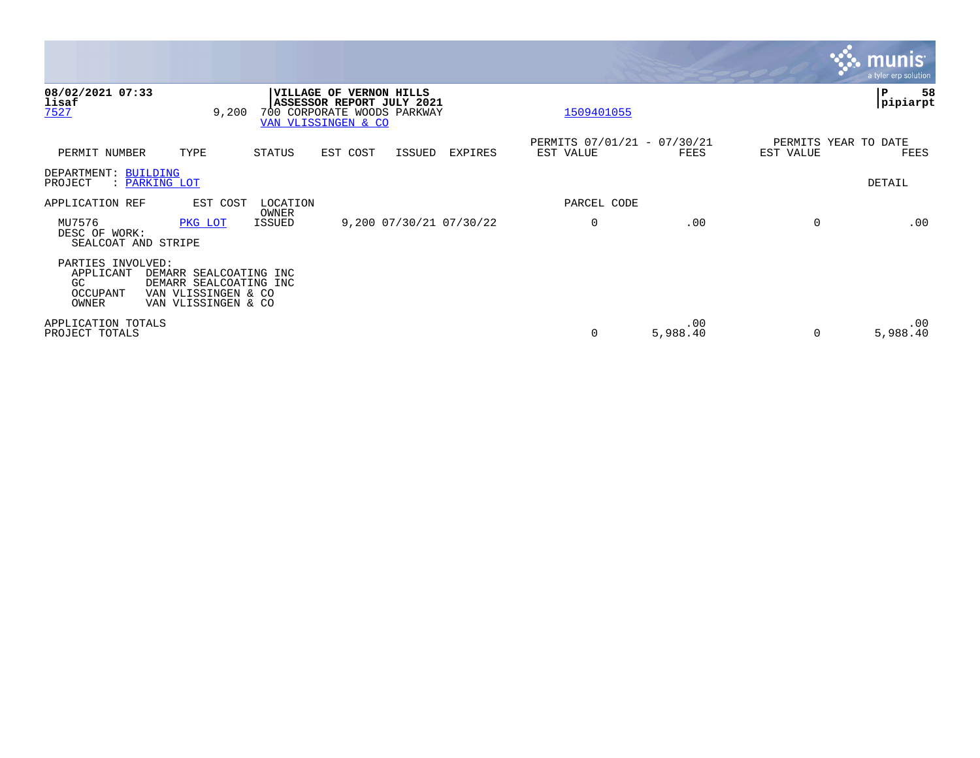|                                                            |                                                                                                |                 |                                                                                 |                     |                         |                                          |                 |           | <b>munis</b><br>a tyler erp solution |
|------------------------------------------------------------|------------------------------------------------------------------------------------------------|-----------------|---------------------------------------------------------------------------------|---------------------|-------------------------|------------------------------------------|-----------------|-----------|--------------------------------------|
| 08/02/2021 07:33<br>lisaf<br>7527                          | 9,200                                                                                          | VILLAGE OF      | ASSESSOR REPORT JULY 2021<br>700 CORPORATE WOODS PARKWAY<br>VAN VLISSINGEN & CO | <b>VERNON HILLS</b> |                         | 1509401055                               |                 |           | 58<br>P<br>pipiarpt                  |
| PERMIT NUMBER                                              | TYPE                                                                                           | STATUS          | EST COST                                                                        | ISSUED              | EXPIRES                 | PERMITS 07/01/21 - 07/30/21<br>EST VALUE | FEES            | EST VALUE | PERMITS YEAR TO DATE<br>FEES         |
| DEPARTMENT: BUILDING<br>PROJECT                            | : PARKING LOT                                                                                  |                 |                                                                                 |                     |                         |                                          |                 |           | DETAIL                               |
| APPLICATION REF                                            | EST COST                                                                                       | LOCATION        |                                                                                 |                     |                         | PARCEL CODE                              |                 |           |                                      |
| MU7576<br>DESC OF WORK:<br>SEALCOAT AND STRIPE             | PKG LOT                                                                                        | OWNER<br>ISSUED |                                                                                 |                     | 9,200 07/30/21 07/30/22 | $\mathbf 0$                              | .00             | $\Omega$  | .00                                  |
| PARTIES INVOLVED:<br>APPLICANT<br>GC.<br>OCCUPANT<br>OWNER | DEMARR SEALCOATING INC<br>DEMARR SEALCOATING INC<br>VAN VLISSINGEN & CO<br>VAN VLISSINGEN & CO |                 |                                                                                 |                     |                         |                                          |                 |           |                                      |
| APPLICATION TOTALS<br>PROJECT TOTALS                       |                                                                                                |                 |                                                                                 |                     |                         | 0                                        | .00<br>5,988.40 | $\Omega$  | $.00 \,$<br>5,988.40                 |

the property of the control of

a sa mga magaalang na mga magaalang ng mga magaalang ng mga magaalang ng mga magaalang ng mga magaalang ng mga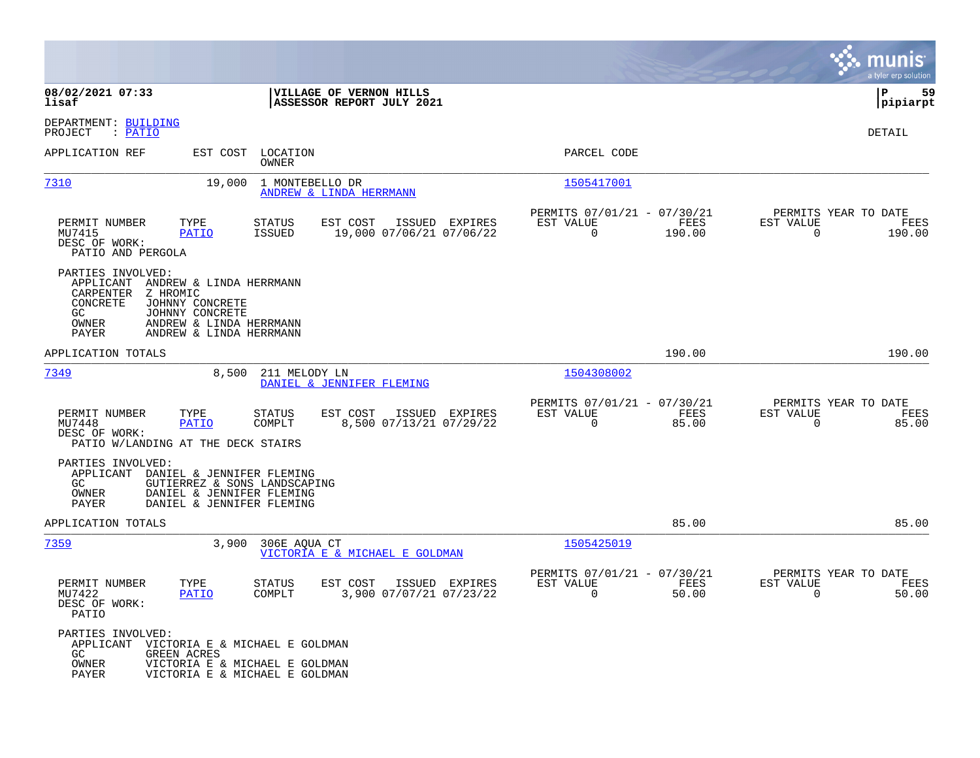|                                                                                                                                                                                                                    |                                                                                   |                                                                           | munis<br>a tyler erp solution                                     |
|--------------------------------------------------------------------------------------------------------------------------------------------------------------------------------------------------------------------|-----------------------------------------------------------------------------------|---------------------------------------------------------------------------|-------------------------------------------------------------------|
| 08/02/2021 07:33<br>lisaf                                                                                                                                                                                          | VILLAGE OF VERNON HILLS<br>ASSESSOR REPORT JULY 2021                              |                                                                           | 59<br>l P<br> pipiarpt                                            |
| DEPARTMENT: BUILDING<br>PROJECT<br>: PATIO                                                                                                                                                                         |                                                                                   |                                                                           | DETAIL                                                            |
| APPLICATION REF<br>EST COST                                                                                                                                                                                        | LOCATION<br>OWNER                                                                 | PARCEL CODE                                                               |                                                                   |
| 7310<br>19,000                                                                                                                                                                                                     | 1 MONTEBELLO DR<br>ANDREW & LINDA HERRMANN                                        | 1505417001                                                                |                                                                   |
| PERMIT NUMBER<br>TYPE<br>MU7415<br><b>PATIO</b><br>DESC OF WORK:<br>PATIO AND PERGOLA                                                                                                                              | STATUS<br>EST COST<br>ISSUED EXPIRES<br><b>ISSUED</b><br>19,000 07/06/21 07/06/22 | PERMITS 07/01/21 - 07/30/21<br>EST VALUE<br>FEES<br>$\mathbf 0$<br>190.00 | PERMITS YEAR TO DATE<br>EST VALUE<br>FEES<br>0<br>190.00          |
| PARTIES INVOLVED:<br>APPLICANT<br>ANDREW & LINDA HERRMANN<br>CARPENTER<br>Z HROMIC<br>CONCRETE<br>JOHNNY CONCRETE<br>GC<br>JOHNNY CONCRETE<br>OWNER<br>ANDREW & LINDA HERRMANN<br>ANDREW & LINDA HERRMANN<br>PAYER |                                                                                   |                                                                           |                                                                   |
| APPLICATION TOTALS                                                                                                                                                                                                 |                                                                                   | 190.00                                                                    | 190.00                                                            |
| 7349<br>8,500                                                                                                                                                                                                      | 211 MELODY LN<br>DANIEL & JENNIFER FLEMING                                        | 1504308002                                                                |                                                                   |
| PERMIT NUMBER<br>TYPE<br><b>PATIO</b><br>MU7448<br>DESC OF WORK:<br>PATIO W/LANDING AT THE DECK STAIRS                                                                                                             | EST COST<br>ISSUED EXPIRES<br>STATUS<br>COMPLT<br>8,500 07/13/21 07/29/22         | PERMITS 07/01/21 - 07/30/21<br>EST VALUE<br>FEES<br>$\mathbf 0$<br>85.00  | PERMITS YEAR TO DATE<br>EST VALUE<br>FEES<br>$\mathbf 0$<br>85.00 |
| PARTIES INVOLVED:<br>APPLICANT<br>DANIEL & JENNIFER FLEMING<br>GC.<br>GUTIERREZ & SONS LANDSCAPING<br>OWNER<br>DANIEL & JENNIFER FLEMING<br>PAYER<br>DANIEL & JENNIFER FLEMING                                     |                                                                                   |                                                                           |                                                                   |
| APPLICATION TOTALS                                                                                                                                                                                                 |                                                                                   | 85.00                                                                     | 85.00                                                             |
| 7359<br>3,900                                                                                                                                                                                                      | 306E AOUA CT<br>VICTORIA E & MICHAEL E GOLDMAN                                    | 1505425019                                                                |                                                                   |
| PERMIT NUMBER<br>TYPE<br>MU7422<br><b>PATIO</b><br>DESC OF WORK:<br>PATIO                                                                                                                                          | <b>STATUS</b><br>EST COST<br>ISSUED EXPIRES<br>COMPLT<br>3,900 07/07/21 07/23/22  | PERMITS 07/01/21 - 07/30/21<br>EST VALUE<br>FEES<br>0<br>50.00            | PERMITS YEAR TO DATE<br>EST VALUE<br>FEES<br>0<br>50.00           |
| PARTIES INVOLVED:<br>VICTORIA E & MICHAEL E GOLDMAN<br>APPLICANT<br>GC.<br><b>GREEN ACRES</b><br>OWNER<br>PAYER                                                                                                    | VICTORIA E & MICHAEL E GOLDMAN<br>VICTORIA E & MICHAEL E GOLDMAN                  |                                                                           |                                                                   |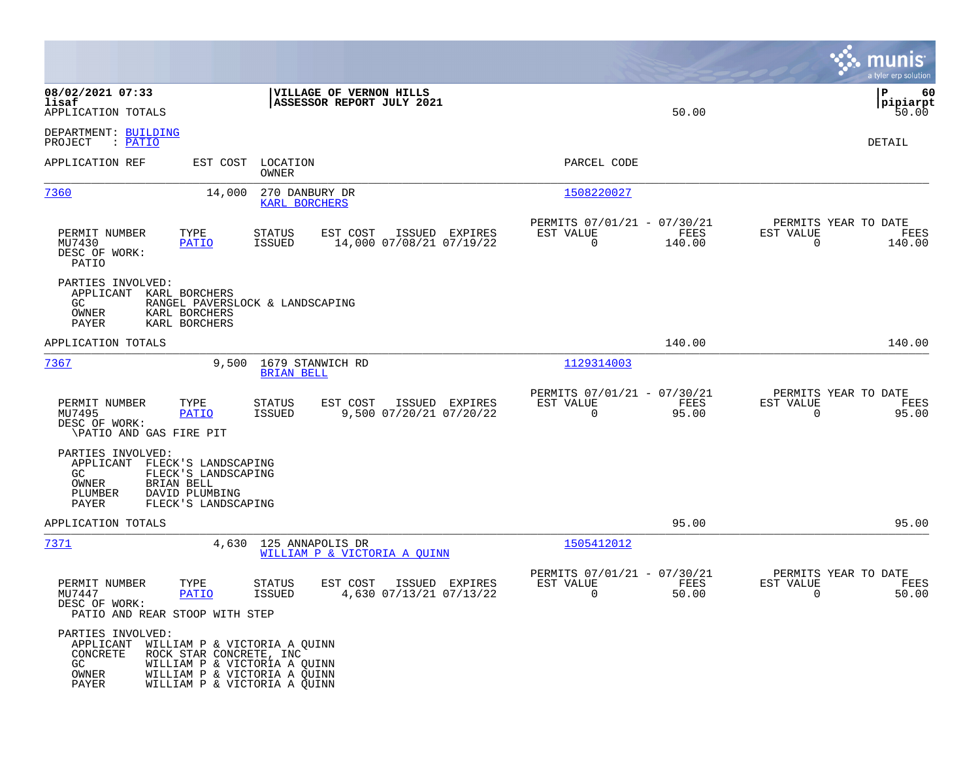|                                                                            |                                                                                                                                                         |                                       |                                                      |                                           |                                                         |                |                                                  | munis<br>a tyler erp solution   |
|----------------------------------------------------------------------------|---------------------------------------------------------------------------------------------------------------------------------------------------------|---------------------------------------|------------------------------------------------------|-------------------------------------------|---------------------------------------------------------|----------------|--------------------------------------------------|---------------------------------|
| 08/02/2021 07:33<br>lisaf<br>APPLICATION TOTALS                            |                                                                                                                                                         |                                       | VILLAGE OF VERNON HILLS<br>ASSESSOR REPORT JULY 2021 |                                           |                                                         | 50.00          |                                                  | l P<br>60<br> pipiarpt<br>50.00 |
| DEPARTMENT: BUILDING<br>: PATIO<br>PROJECT                                 |                                                                                                                                                         |                                       |                                                      |                                           |                                                         |                |                                                  | DETAIL                          |
| APPLICATION REF                                                            |                                                                                                                                                         | EST COST LOCATION<br>OWNER            |                                                      |                                           | PARCEL CODE                                             |                |                                                  |                                 |
| 7360                                                                       | 14,000                                                                                                                                                  | 270 DANBURY DR<br>KARL BORCHERS       |                                                      |                                           | 1508220027                                              |                |                                                  |                                 |
| PERMIT NUMBER<br>MU7430<br>DESC OF WORK:<br><b>PATIO</b>                   | TYPE<br><b>PATIO</b>                                                                                                                                    | STATUS<br>ISSUED                      | EST COST<br>14,000 07/08/21 07/19/22                 | ISSUED EXPIRES                            | PERMITS 07/01/21 - 07/30/21<br>EST VALUE<br>$\mathbf 0$ | FEES<br>140.00 | PERMITS YEAR TO DATE<br>EST VALUE<br>$\mathbf 0$ | FEES<br>140.00                  |
| PARTIES INVOLVED:<br>APPLICANT KARL BORCHERS<br>GC.<br>OWNER<br>PAYER      | RANGEL PAVERSLOCK & LANDSCAPING<br>KARL BORCHERS<br>KARL BORCHERS                                                                                       |                                       |                                                      |                                           |                                                         |                |                                                  |                                 |
| APPLICATION TOTALS                                                         |                                                                                                                                                         |                                       |                                                      |                                           |                                                         | 140.00         |                                                  | 140.00                          |
| 7367                                                                       | 9,500                                                                                                                                                   | 1679 STANWICH RD<br><b>BRIAN BELL</b> |                                                      |                                           | 1129314003                                              |                |                                                  |                                 |
| PERMIT NUMBER<br>MU7495<br>DESC OF WORK:<br>\PATIO AND GAS FIRE PIT        | TYPE<br><b>PATIO</b>                                                                                                                                    | STATUS<br>ISSUED                      | EST COST<br>9,500 07/20/21 07/20/22                  | ISSUED EXPIRES                            | PERMITS 07/01/21 - 07/30/21<br>EST VALUE<br>0           | FEES<br>95.00  | PERMITS YEAR TO DATE<br>EST VALUE<br>$\mathbf 0$ | FEES<br>95.00                   |
| PARTIES INVOLVED:<br>APPLICANT<br>GC.<br>OWNER<br>PLUMBER<br>PAYER         | FLECK'S LANDSCAPING<br>FLECK'S LANDSCAPING<br>BRIAN BELL<br>DAVID PLUMBING<br>FLECK'S LANDSCAPING                                                       |                                       |                                                      |                                           |                                                         |                |                                                  |                                 |
| APPLICATION TOTALS                                                         |                                                                                                                                                         |                                       |                                                      |                                           |                                                         | 95.00          |                                                  | 95.00                           |
| 7371                                                                       | 4,630                                                                                                                                                   | 125 ANNAPOLIS DR                      | WILLIAM P & VICTORIA A OUINN                         |                                           | 1505412012                                              |                |                                                  |                                 |
| PERMIT NUMBER<br>MU7447<br>DESC OF WORK:<br>PATIO AND REAR STOOP WITH STEP | TYPE<br><b>PATIO</b>                                                                                                                                    | <b>STATUS</b><br>ISSUED               | EST COST                                             | ISSUED EXPIRES<br>4,630 07/13/21 07/13/22 | PERMITS 07/01/21 - 07/30/21<br>EST VALUE<br>0           | FEES<br>50.00  | PERMITS YEAR TO DATE<br>EST VALUE<br>0           | FEES<br>50.00                   |
| PARTIES INVOLVED:<br>APPLICANT<br>CONCRETE<br>GC.<br>OWNER<br>PAYER        | WILLIAM P & VICTORIA A QUINN<br>ROCK STAR CONCRETE, INC<br>WILLIAM P & VICTORIA A QUINN<br>WILLIAM P & VICTORIA A QUINN<br>WILLIAM P & VICTORIA A QUINN |                                       |                                                      |                                           |                                                         |                |                                                  |                                 |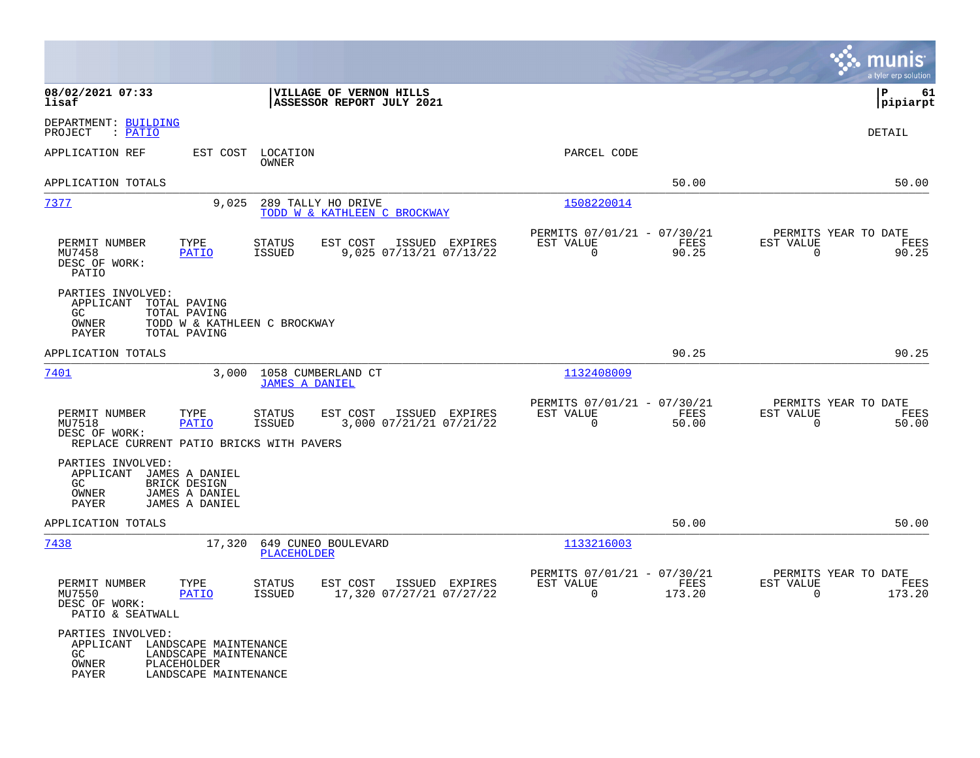|                                                                                                                                                |                                                                                         |                                                                        | munis<br>a tyler erp solution                                     |
|------------------------------------------------------------------------------------------------------------------------------------------------|-----------------------------------------------------------------------------------------|------------------------------------------------------------------------|-------------------------------------------------------------------|
| 08/02/2021 07:33<br>lisaf                                                                                                                      | VILLAGE OF VERNON HILLS<br>ASSESSOR REPORT JULY 2021                                    |                                                                        | l P<br>61<br> pipiarpt                                            |
| DEPARTMENT: BUILDING<br>: PATIO<br>PROJECT                                                                                                     |                                                                                         |                                                                        | <b>DETAIL</b>                                                     |
| EST COST<br>APPLICATION REF                                                                                                                    | LOCATION<br><b>OWNER</b>                                                                | PARCEL CODE                                                            |                                                                   |
| APPLICATION TOTALS                                                                                                                             |                                                                                         | 50.00                                                                  | 50.00                                                             |
| 7377<br>9,025                                                                                                                                  | 289 TALLY HO DRIVE<br>TODD W & KATHLEEN C BROCKWAY                                      | 1508220014                                                             |                                                                   |
| PERMIT NUMBER<br>TYPE<br>MU7458<br>PATIO<br>DESC OF WORK:<br>PATIO                                                                             | <b>STATUS</b><br>EST COST<br>ISSUED EXPIRES<br><b>ISSUED</b><br>9,025 07/13/21 07/13/22 | PERMITS 07/01/21 - 07/30/21<br>FEES<br>EST VALUE<br>$\Omega$<br>90.25  | PERMITS YEAR TO DATE<br>EST VALUE<br>FEES<br>$\mathbf 0$<br>90.25 |
| PARTIES INVOLVED:<br>APPLICANT<br>TOTAL PAVING<br>GC.<br>TOTAL PAVING<br>OWNER<br>TODD W & KATHLEEN C BROCKWAY<br><b>PAYER</b><br>TOTAL PAVING |                                                                                         |                                                                        |                                                                   |
| APPLICATION TOTALS                                                                                                                             |                                                                                         | 90.25                                                                  | 90.25                                                             |
| 7401<br>3.000                                                                                                                                  | 1058 CUMBERLAND CT<br><b>JAMES A DANIEL</b>                                             | 1132408009                                                             |                                                                   |
| PERMIT NUMBER<br>TYPE<br>MU7518<br><b>PATIO</b><br>DESC OF WORK:<br>REPLACE CURRENT PATIO BRICKS WITH PAVERS                                   | <b>STATUS</b><br>EST COST<br>ISSUED EXPIRES<br>3,000 07/21/21 07/21/22<br><b>ISSUED</b> | PERMITS 07/01/21 - 07/30/21<br>EST VALUE<br>FEES<br>$\Omega$<br>50.00  | PERMITS YEAR TO DATE<br>EST VALUE<br>FEES<br>$\Omega$<br>50.00    |
| PARTIES INVOLVED:<br>APPLICANT<br>JAMES A DANIEL<br>BRICK DESIGN<br>GC<br>$\sqrt{\text{OWNER}}$<br>JAMES A DANIEL<br>PAYER<br>JAMES A DANIEL   |                                                                                         |                                                                        |                                                                   |
| APPLICATION TOTALS                                                                                                                             |                                                                                         | 50.00                                                                  | 50.00                                                             |
| 7438<br>17,320                                                                                                                                 | 649 CUNEO BOULEVARD<br>PLACEHOLDER                                                      | 1133216003                                                             |                                                                   |
| PERMIT NUMBER<br>TYPE<br>MU7550<br><b>PATIO</b><br>DESC OF WORK:<br>PATIO & SEATWALL                                                           | STATUS<br>EST COST<br>ISSUED EXPIRES<br>17,320 07/27/21 07/27/22<br><b>ISSUED</b>       | PERMITS 07/01/21 - 07/30/21<br>EST VALUE<br>FEES<br>$\Omega$<br>173.20 | PERMITS YEAR TO DATE<br>EST VALUE<br>FEES<br>$\Omega$<br>173.20   |
| PARTIES INVOLVED:<br>APPLICANT LANDSCAPE MAINTENANCE<br>GC.<br>LANDSCAPE MAINTENANCE<br>PLACEHOLDER<br>OWNER<br>LANDSCAPE MAINTENANCE<br>PAYER |                                                                                         |                                                                        |                                                                   |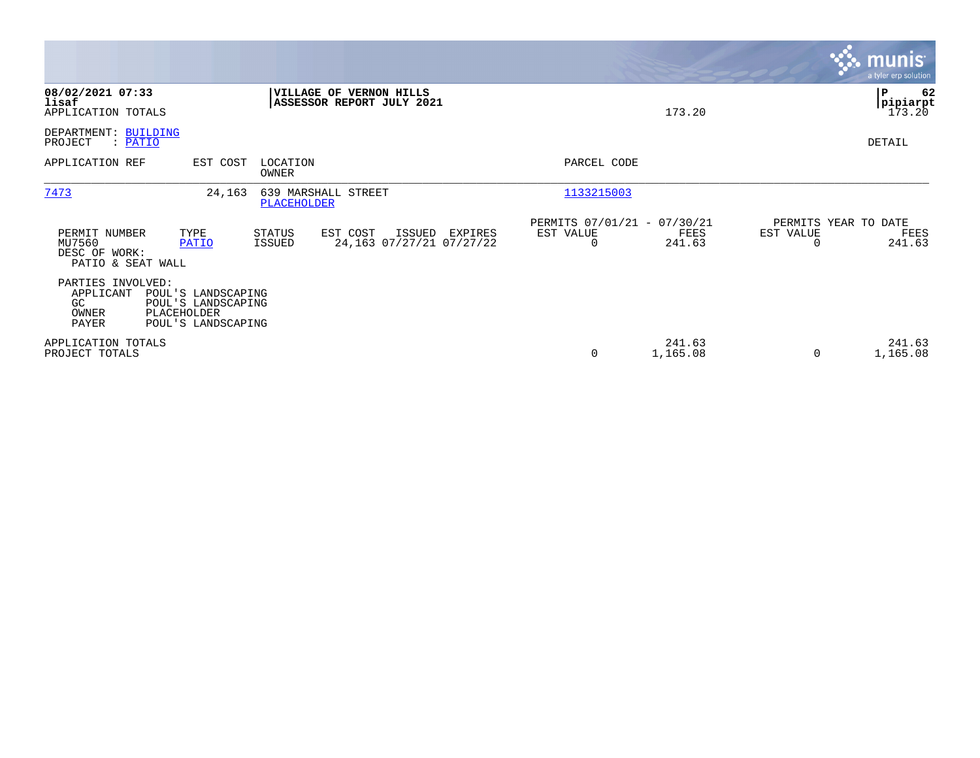|                                                               |                                                                                      |                   |                                                      |         |                                               |                    |           | <b>munis</b><br>a tyler erp solution         |
|---------------------------------------------------------------|--------------------------------------------------------------------------------------|-------------------|------------------------------------------------------|---------|-----------------------------------------------|--------------------|-----------|----------------------------------------------|
| 08/02/2021 07:33<br>lisaf<br>APPLICATION TOTALS               |                                                                                      |                   | VILLAGE OF VERNON HILLS<br>ASSESSOR REPORT JULY 2021 |         |                                               | 173.20             |           | 62<br>${\bf P}$<br><b>pipiarpt</b><br>173.20 |
| DEPARTMENT: BUILDING<br>: PATIO<br>PROJECT                    |                                                                                      |                   |                                                      |         |                                               |                    |           | DETAIL                                       |
| APPLICATION REF                                               | EST COST                                                                             | LOCATION<br>OWNER |                                                      |         | PARCEL CODE                                   |                    |           |                                              |
| 7473                                                          | 24,163                                                                               | PLACEHOLDER       | 639 MARSHALL STREET                                  |         | 1133215003                                    |                    |           |                                              |
| PERMIT NUMBER<br>MU7560<br>DESC OF WORK:<br>PATIO & SEAT WALL | TYPE<br><b>PATIO</b>                                                                 | STATUS<br>ISSUED  | EST COST<br>ISSUED<br>24,163 07/27/21 07/27/22       | EXPIRES | PERMITS 07/01/21 - 07/30/21<br>EST VALUE<br>0 | FEES<br>241.63     | EST VALUE | PERMITS YEAR TO DATE<br>FEES<br>241.63       |
| PARTIES INVOLVED:<br>APPLICANT<br>GC<br>OWNER<br>PAYER        | POUL'S LANDSCAPING<br>POUL'S LANDSCAPING<br><b>PLACEHOLDER</b><br>POUL'S LANDSCAPING |                   |                                                      |         |                                               |                    |           |                                              |
| APPLICATION TOTALS<br>PROJECT TOTALS                          |                                                                                      |                   |                                                      |         | $\mathbf 0$                                   | 241.63<br>1,165.08 | 0         | 241.63<br>1,165.08                           |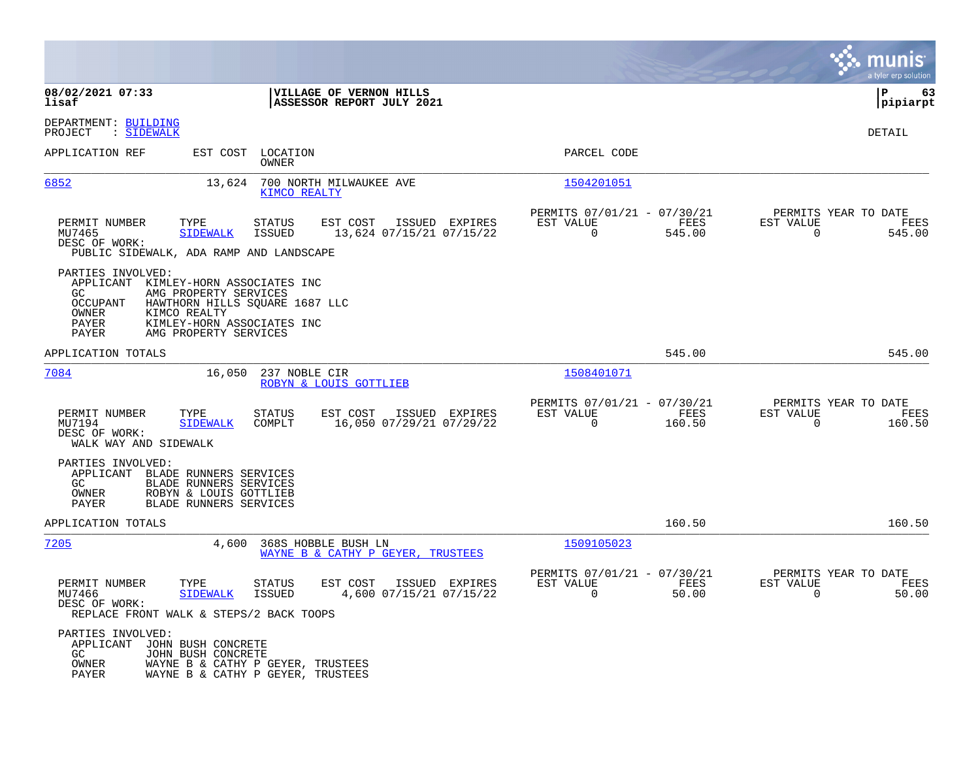|                                                                                                                                                                                                                                                     |                                                                          | munis<br>a tyler erp solution                                   |
|-----------------------------------------------------------------------------------------------------------------------------------------------------------------------------------------------------------------------------------------------------|--------------------------------------------------------------------------|-----------------------------------------------------------------|
| 08/02/2021 07:33<br>VILLAGE OF VERNON HILLS<br>lisaf<br>ASSESSOR REPORT JULY 2021                                                                                                                                                                   |                                                                          | l P<br>63<br> pipiarpt                                          |
| DEPARTMENT: BUILDING<br>: SIDEWALK<br>PROJECT                                                                                                                                                                                                       |                                                                          | DETAIL                                                          |
| APPLICATION REF<br>EST COST<br>LOCATION<br>OWNER                                                                                                                                                                                                    | PARCEL CODE                                                              |                                                                 |
| 6852<br>13,624<br>700 NORTH MILWAUKEE AVE<br>KIMCO REALTY                                                                                                                                                                                           | 1504201051                                                               |                                                                 |
| PERMIT NUMBER<br>TYPE<br><b>STATUS</b><br>EST COST<br>ISSUED EXPIRES<br>MU7465<br><b>SIDEWALK</b><br><b>ISSUED</b><br>13,624 07/15/21 07/15/22<br>DESC OF WORK:<br>PUBLIC SIDEWALK, ADA RAMP AND LANDSCAPE                                          | PERMITS 07/01/21 - 07/30/21<br>FEES<br>EST VALUE<br>$\Omega$<br>545.00   | PERMITS YEAR TO DATE<br>EST VALUE<br>FEES<br>$\Omega$<br>545.00 |
| PARTIES INVOLVED:<br>APPLICANT<br>KIMLEY-HORN ASSOCIATES INC<br>GC.<br>AMG PROPERTY SERVICES<br><b>OCCUPANT</b><br>HAWTHORN HILLS SQUARE 1687 LLC<br>OWNER<br>KIMCO REALTY<br>PAYER<br>KIMLEY-HORN ASSOCIATES INC<br>PAYER<br>AMG PROPERTY SERVICES |                                                                          |                                                                 |
| APPLICATION TOTALS                                                                                                                                                                                                                                  | 545.00                                                                   | 545.00                                                          |
| 7084<br>237 NOBLE CIR<br>16,050<br>ROBYN & LOUIS GOTTLIEB                                                                                                                                                                                           | 1508401071                                                               |                                                                 |
| EST COST<br>PERMIT NUMBER<br>TYPE<br>STATUS<br>ISSUED EXPIRES<br>MU7194<br><b>SIDEWALK</b><br>COMPLT<br>16,050 07/29/21 07/29/22<br>DESC OF WORK:<br>WALK WAY AND SIDEWALK                                                                          | PERMITS 07/01/21 - 07/30/21<br>EST VALUE<br>FEES<br>$\Omega$<br>160.50   | PERMITS YEAR TO DATE<br>EST VALUE<br>FEES<br>$\Omega$<br>160.50 |
| PARTIES INVOLVED:<br>APPLICANT BLADE RUNNERS SERVICES<br>GC<br>BLADE RUNNERS SERVICES<br>ROBYN & LOUIS GOTTLIEB<br>OWNER<br><b>PAYER</b><br>BLADE RUNNERS SERVICES                                                                                  |                                                                          |                                                                 |
| APPLICATION TOTALS                                                                                                                                                                                                                                  | 160.50                                                                   | 160.50                                                          |
| 7205<br>4,600<br>368S HOBBLE BUSH LN<br>WAYNE B & CATHY P GEYER, TRUSTEES                                                                                                                                                                           | 1509105023                                                               |                                                                 |
| PERMIT NUMBER<br><b>STATUS</b><br>EST COST<br>TYPE<br>ISSUED EXPIRES<br>MU7466<br><b>SIDEWALK</b><br><b>ISSUED</b><br>4,600 07/15/21 07/15/22<br>DESC OF WORK:<br>REPLACE FRONT WALK & STEPS/2 BACK TOOPS                                           | PERMITS 07/01/21 - 07/30/21<br>EST VALUE<br>FEES<br>$\mathbf 0$<br>50.00 | PERMITS YEAR TO DATE<br>EST VALUE<br>FEES<br>50.00<br>0         |
| PARTIES INVOLVED:<br>APPLICANT<br>JOHN BUSH CONCRETE<br>JOHN BUSH CONCRETE<br>GC.<br>OWNER<br>WAYNE B & CATHY P GEYER, TRUSTEES<br>PAYER<br>WAYNE B & CATHY P GEYER, TRUSTEES                                                                       |                                                                          |                                                                 |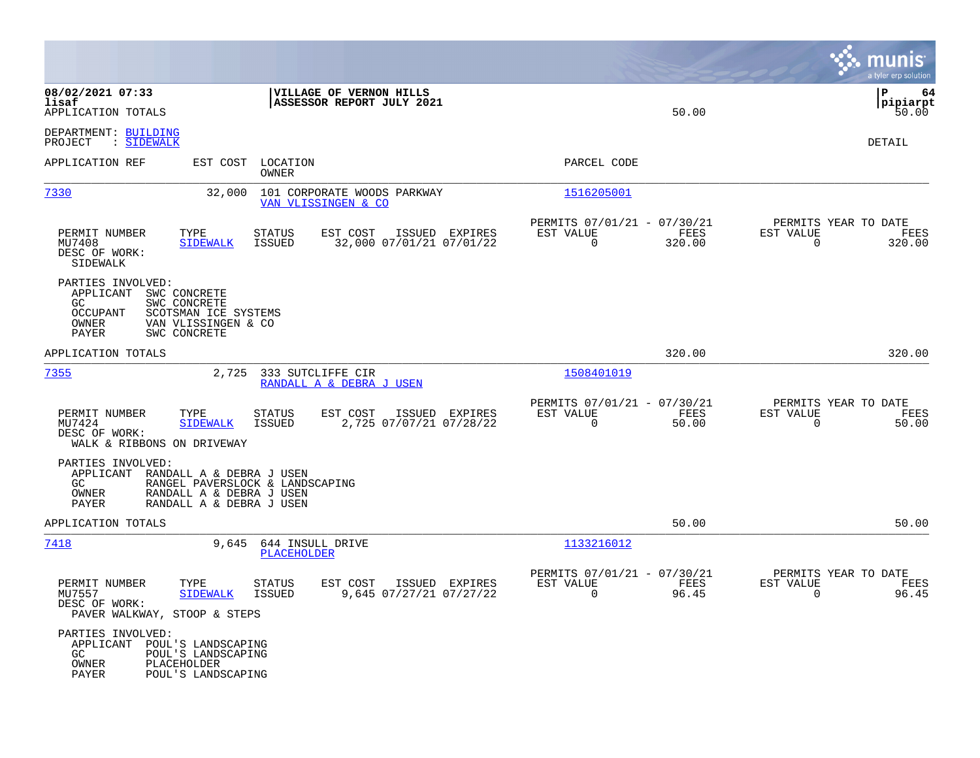|                                                                                                                                                                           |                                                                                         |                                                                           | munis<br>a tyler erp solution                                     |
|---------------------------------------------------------------------------------------------------------------------------------------------------------------------------|-----------------------------------------------------------------------------------------|---------------------------------------------------------------------------|-------------------------------------------------------------------|
| 08/02/2021 07:33<br>lisaf<br>APPLICATION TOTALS                                                                                                                           | VILLAGE OF VERNON HILLS<br>ASSESSOR REPORT JULY 2021                                    | 50.00                                                                     | ΙP<br>64<br> pipiarpt<br>50.00                                    |
| DEPARTMENT: BUILDING<br>PROJECT<br>: SIDEWALK                                                                                                                             |                                                                                         |                                                                           | DETAIL                                                            |
| EST COST<br>APPLICATION REF                                                                                                                                               | LOCATION<br>OWNER                                                                       | PARCEL CODE                                                               |                                                                   |
| 7330<br>32,000                                                                                                                                                            | 101 CORPORATE WOODS PARKWAY<br>VAN VLISSINGEN & CO                                      | 1516205001                                                                |                                                                   |
| TYPE<br>PERMIT NUMBER<br>MU7408<br><b>SIDEWALK</b><br>DESC OF WORK:<br>SIDEWALK                                                                                           | EST COST<br>ISSUED EXPIRES<br>STATUS<br>32,000 07/01/21 07/01/22<br>ISSUED              | PERMITS 07/01/21 - 07/30/21<br>EST VALUE<br>FEES<br>$\mathbf 0$<br>320.00 | PERMITS YEAR TO DATE<br>EST VALUE<br>FEES<br>320.00<br>0          |
| PARTIES INVOLVED:<br>APPLICANT<br>SWC CONCRETE<br>SWC CONCRETE<br>GC.<br><b>OCCUPANT</b><br>SCOTSMAN ICE SYSTEMS<br>OWNER<br>VAN VLISSINGEN & CO<br>PAYER<br>SWC CONCRETE |                                                                                         |                                                                           |                                                                   |
| APPLICATION TOTALS                                                                                                                                                        |                                                                                         | 320.00                                                                    | 320.00                                                            |
| 7355<br>2,725                                                                                                                                                             | 333 SUTCLIFFE CIR<br>RANDALL A & DEBRA J USEN                                           | 1508401019                                                                |                                                                   |
| PERMIT NUMBER<br>TYPE<br>MU7424<br><b>SIDEWALK</b><br>DESC OF WORK:<br>WALK & RIBBONS ON DRIVEWAY                                                                         | EST COST<br>STATUS<br>ISSUED EXPIRES<br>2,725 07/07/21 07/28/22<br>ISSUED               | PERMITS 07/01/21 - 07/30/21<br>EST VALUE<br>FEES<br>$\Omega$<br>50.00     | PERMITS YEAR TO DATE<br>EST VALUE<br>FEES<br>$\mathbf 0$<br>50.00 |
| PARTIES INVOLVED:<br>APPLICANT<br>RANDALL A & DEBRA J USEN<br>GC.<br>RANDALL A & DEBRA J USEN<br>OWNER<br>RANDALL A & DEBRA J USEN<br>PAYER                               | RANGEL PAVERSLOCK & LANDSCAPING                                                         |                                                                           |                                                                   |
| APPLICATION TOTALS                                                                                                                                                        |                                                                                         | 50.00                                                                     | 50.00                                                             |
| 7418<br>9,645                                                                                                                                                             | 644 INSULL DRIVE<br>PLACEHOLDER                                                         | 1133216012                                                                |                                                                   |
| PERMIT NUMBER<br>TYPE<br>MU7557<br><b>SIDEWALK</b><br>DESC OF WORK:<br>PAVER WALKWAY, STOOP & STEPS                                                                       | <b>STATUS</b><br>EST COST<br>ISSUED EXPIRES<br>9,645 07/27/21 07/27/22<br><b>ISSUED</b> | PERMITS 07/01/21 - 07/30/21<br>EST VALUE<br>FEES<br>$\mathbf 0$<br>96.45  | PERMITS YEAR TO DATE<br>EST VALUE<br>FEES<br>$\mathbf 0$<br>96.45 |
| PARTIES INVOLVED:<br>APPLICANT<br>POUL'S LANDSCAPING<br>GC<br>POUL'S LANDSCAPING<br>PLACEHOLDER<br>OWNER<br>PAYER<br>POUL'S LANDSCAPING                                   |                                                                                         |                                                                           |                                                                   |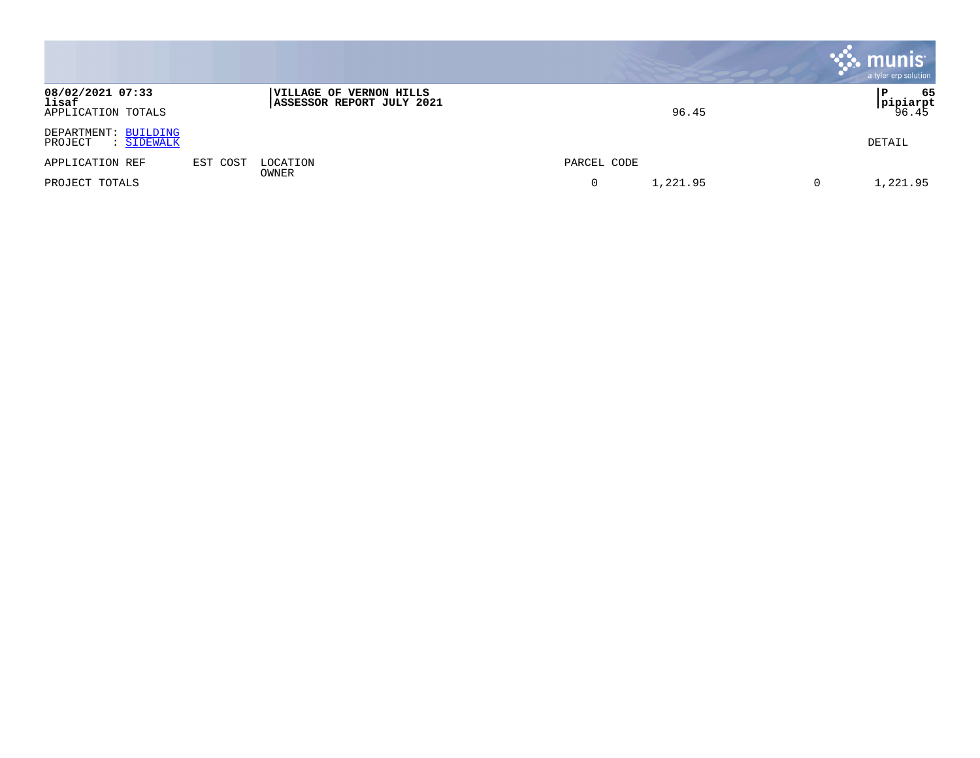|                                                 |          |                                                      |               | munis <sup>®</sup><br>a tyler erp solution |
|-------------------------------------------------|----------|------------------------------------------------------|---------------|--------------------------------------------|
| 08/02/2021 07:33<br>lisaf<br>APPLICATION TOTALS |          | VILLAGE OF VERNON HILLS<br>ASSESSOR REPORT JULY 2021 | 96.45         | 65<br>P<br><b>pipiarpt</b><br>96.45        |
| DEPARTMENT: BUILDING<br>PROJECT<br>: SIDEWALK   |          |                                                      |               | DETAIL                                     |
| APPLICATION REF                                 | EST COST | LOCATION                                             | PARCEL CODE   |                                            |
| PROJECT TOTALS                                  |          | OWNER                                                | 1,221.95<br>0 | 1,221.95<br>0                              |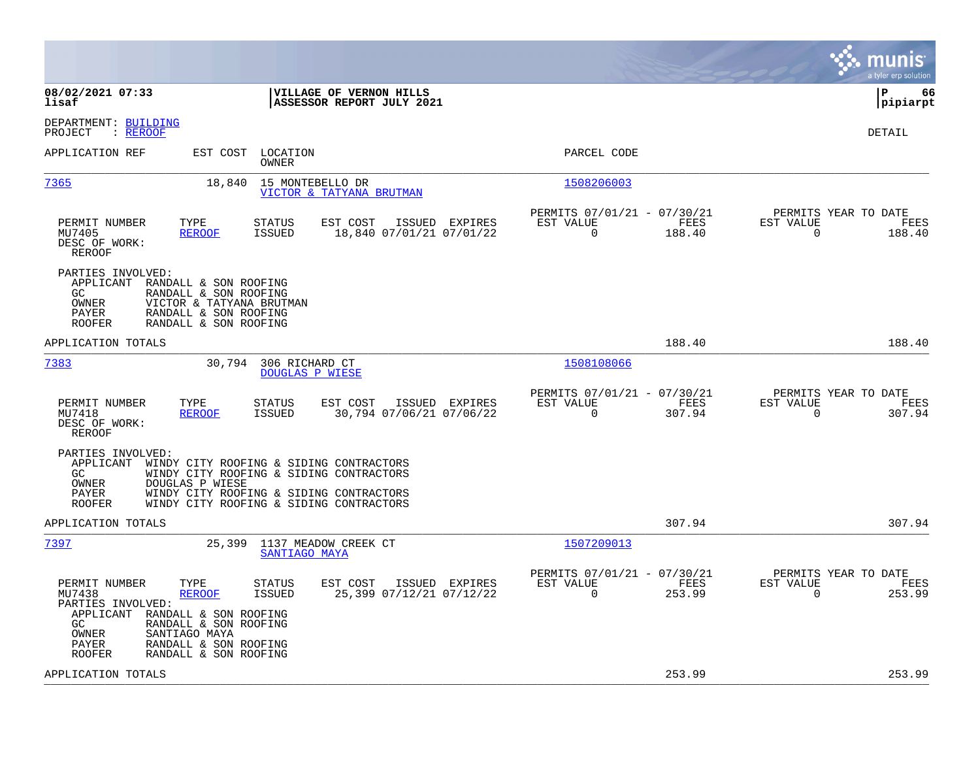|                                                                                                                                                                                                                                                                         |                                            |                                                      |                |                                               | munis<br>a tyler erp solution |
|-------------------------------------------------------------------------------------------------------------------------------------------------------------------------------------------------------------------------------------------------------------------------|--------------------------------------------|------------------------------------------------------|----------------|-----------------------------------------------|-------------------------------|
| 08/02/2021 07:33<br>VILLAGE OF VERNON HILLS<br>lisaf<br>ASSESSOR REPORT JULY 2021                                                                                                                                                                                       |                                            |                                                      |                |                                               | l P<br>66<br> pipiarpt        |
| DEPARTMENT: BUILDING<br>: REROOF<br>PROJECT                                                                                                                                                                                                                             |                                            |                                                      |                |                                               | <b>DETAIL</b>                 |
| APPLICATION REF<br>EST COST<br>LOCATION<br>OWNER                                                                                                                                                                                                                        |                                            | PARCEL CODE                                          |                |                                               |                               |
| 7365<br>18,840<br>15 MONTEBELLO DR<br>VICTOR & TATYANA BRUTMAN                                                                                                                                                                                                          |                                            | 1508206003                                           |                |                                               |                               |
| EST COST<br>PERMIT NUMBER<br>TYPE<br><b>STATUS</b><br>MU7405<br><b>REROOF</b><br><b>ISSUED</b><br>DESC OF WORK:<br><b>REROOF</b>                                                                                                                                        | ISSUED EXPIRES<br>18,840 07/01/21 07/01/22 | PERMITS 07/01/21 - 07/30/21<br>EST VALUE<br>$\Omega$ | FEES<br>188.40 | PERMITS YEAR TO DATE<br>EST VALUE<br>$\Omega$ | FEES<br>188.40                |
| PARTIES INVOLVED:<br>APPLICANT RANDALL & SON ROOFING<br>GC.<br>RANDALL & SON ROOFING<br>OWNER<br>VICTOR & TATYANA BRUTMAN<br>PAYER<br>RANDALL & SON ROOFING<br><b>ROOFER</b><br>RANDALL & SON ROOFING                                                                   |                                            |                                                      |                |                                               |                               |
| APPLICATION TOTALS                                                                                                                                                                                                                                                      |                                            |                                                      | 188.40         |                                               | 188.40                        |
| 7383<br>30,794 306 RICHARD CT<br><b>DOUGLAS P WIESE</b>                                                                                                                                                                                                                 |                                            | 1508108066                                           |                |                                               |                               |
| PERMIT NUMBER<br>TYPE<br>EST COST<br><b>STATUS</b><br>MU7418<br><b>REROOF</b><br><b>ISSUED</b><br>DESC OF WORK:<br>REROOF                                                                                                                                               | ISSUED EXPIRES<br>30,794 07/06/21 07/06/22 | PERMITS 07/01/21 - 07/30/21<br>EST VALUE<br>$\Omega$ | FEES<br>307.94 | PERMITS YEAR TO DATE<br>EST VALUE<br>$\Omega$ | FEES<br>307.94                |
| PARTIES INVOLVED:<br>APPLICANT<br>WINDY CITY ROOFING & SIDING CONTRACTORS<br>GC.<br>WINDY CITY ROOFING & SIDING CONTRACTORS<br>OWNER<br>DOUGLAS P WIESE<br>WINDY CITY ROOFING & SIDING CONTRACTORS<br>PAYER<br><b>ROOFER</b><br>WINDY CITY ROOFING & SIDING CONTRACTORS |                                            |                                                      |                |                                               |                               |
| APPLICATION TOTALS                                                                                                                                                                                                                                                      |                                            |                                                      | 307.94         |                                               | 307.94                        |
| 7397<br>25,399 1137 MEADOW CREEK CT<br>SANTIAGO MAYA                                                                                                                                                                                                                    |                                            | 1507209013                                           |                |                                               |                               |
| PERMIT NUMBER<br>TYPE<br>EST COST<br>STATUS<br>MU7438<br><b>REROOF</b><br>ISSUED<br>PARTIES INVOLVED:<br>APPLICANT RANDALL & SON ROOFING<br>RANDALL & SON ROOFING<br>GC.<br>SANTIAGO MAYA<br>OWNER<br>RANDALL & SON ROOFING<br>PAYER<br>RANDALL & SON ROOFING<br>ROOFER | ISSUED EXPIRES<br>25,399 07/12/21 07/12/22 | PERMITS 07/01/21 - 07/30/21<br>EST VALUE<br>$\Omega$ | FEES<br>253.99 | PERMITS YEAR TO DATE<br>EST VALUE<br>$\Omega$ | FEES<br>253.99                |
| APPLICATION TOTALS                                                                                                                                                                                                                                                      |                                            |                                                      | 253.99         |                                               | 253.99                        |
|                                                                                                                                                                                                                                                                         |                                            |                                                      |                |                                               |                               |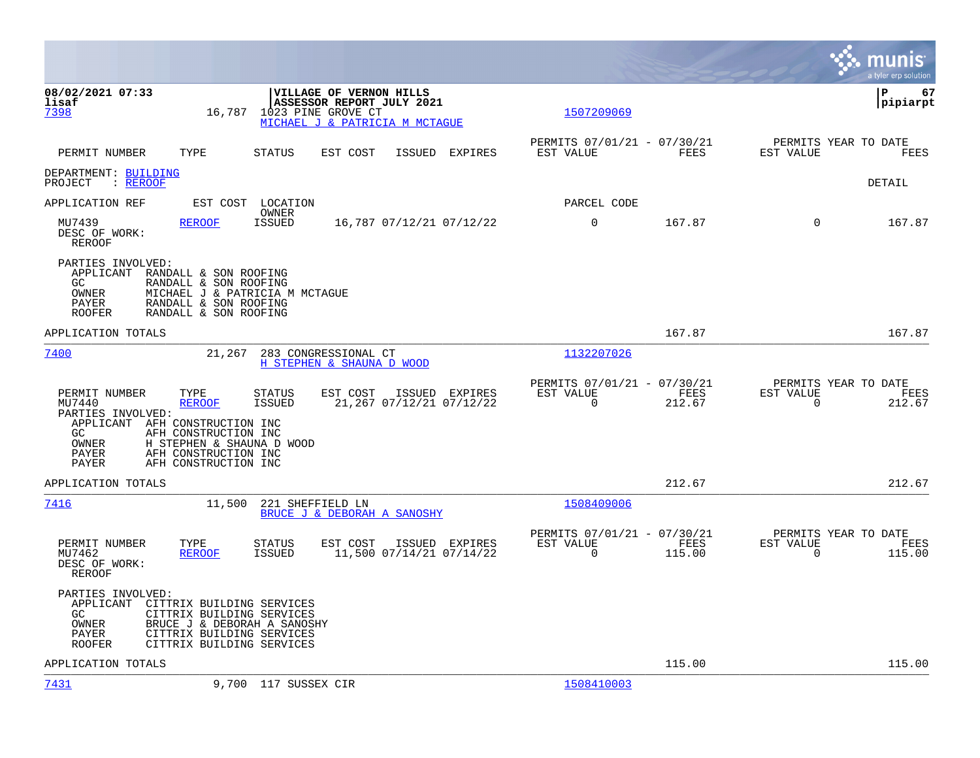|                                                                                                                                                                                                                                                                                                                                            | a tyler erp solution                                                                                                                            |
|--------------------------------------------------------------------------------------------------------------------------------------------------------------------------------------------------------------------------------------------------------------------------------------------------------------------------------------------|-------------------------------------------------------------------------------------------------------------------------------------------------|
| 08/02/2021 07:33<br>VILLAGE OF VERNON HILLS<br>ASSESSOR REPORT JULY 2021<br>lisaf<br>16,787<br>1023 PINE GROVE CT<br>7398<br>MICHAEL J & PATRICIA M MCTAGUE                                                                                                                                                                                | ΙP<br>67<br> pipiarpt<br>1507209069                                                                                                             |
| PERMIT NUMBER<br>TYPE<br>STATUS<br>EST COST<br>ISSUED                                                                                                                                                                                                                                                                                      | PERMITS 07/01/21 - 07/30/21<br>PERMITS YEAR TO DATE<br>EST VALUE<br>FEES<br>EST VALUE<br>EXPIRES<br>FEES                                        |
| DEPARTMENT: BUILDING<br>PROJECT<br>$:$ REROOF                                                                                                                                                                                                                                                                                              | DETAIL                                                                                                                                          |
| APPLICATION REF<br>EST COST<br>LOCATION                                                                                                                                                                                                                                                                                                    | PARCEL CODE                                                                                                                                     |
| OWNER<br>MU7439<br><b>REROOF</b><br><b>ISSUED</b><br>16,787 07/12/21 07/12/22<br>DESC OF WORK:<br>REROOF                                                                                                                                                                                                                                   | 0<br>167.87<br>$\Omega$<br>167.87                                                                                                               |
| PARTIES INVOLVED:<br>APPLICANT<br>RANDALL & SON ROOFING<br>RANDALL & SON ROOFING<br>GC.<br>OWNER<br>MICHAEL J & PATRICIA M MCTAGUE<br>RANDALL & SON ROOFING<br>PAYER<br>RANDALL & SON ROOFING<br><b>ROOFER</b>                                                                                                                             |                                                                                                                                                 |
| APPLICATION TOTALS                                                                                                                                                                                                                                                                                                                         | 167.87<br>167.87                                                                                                                                |
| 7400<br>21,267<br>283 CONGRESSIONAL CT<br>H STEPHEN & SHAUNA D WOOD                                                                                                                                                                                                                                                                        | 1132207026                                                                                                                                      |
| PERMIT NUMBER<br>TYPE<br><b>STATUS</b><br>EST COST<br>ISSUED EXPIRES<br>MU7440<br><b>REROOF</b><br><b>ISSUED</b><br>21,267 07/12/21 07/12/22<br>PARTIES INVOLVED:<br>APPLICANT AFH CONSTRUCTION INC<br>AFH CONSTRUCTION INC<br>GC.<br>OWNER<br>H STEPHEN & SHAUNA D WOOD<br>AFH CONSTRUCTION INC<br>PAYER<br>AFH CONSTRUCTION INC<br>PAYER | PERMITS 07/01/21 - 07/30/21<br>PERMITS YEAR TO DATE<br>EST VALUE<br>FEES<br>EST VALUE<br>FEES<br>$\Omega$<br>$\Omega$<br>212.67<br>212.67       |
| APPLICATION TOTALS                                                                                                                                                                                                                                                                                                                         | 212.67<br>212.67                                                                                                                                |
| 7416<br>11,500<br>221 SHEFFIELD LN<br>BRUCE J & DEBORAH A SANOSHY                                                                                                                                                                                                                                                                          | 1508409006                                                                                                                                      |
| PERMIT NUMBER<br>TYPE<br>STATUS<br>EST COST<br>ISSUED EXPIRES<br>11,500 07/14/21 07/14/22<br>MU7462<br><b>REROOF</b><br><b>ISSUED</b><br>DESC OF WORK:<br>REROOF                                                                                                                                                                           | PERMITS 07/01/21 - 07/30/21<br>PERMITS YEAR TO DATE<br>EST VALUE<br>FEES<br>EST VALUE<br>FEES<br>$\mathbf 0$<br>115.00<br>$\mathbf 0$<br>115.00 |
| PARTIES INVOLVED:<br>APPLICANT<br>CITTRIX BUILDING SERVICES<br>GC<br>CITTRIX BUILDING SERVICES<br>OWNER<br>BRUCE J & DEBORAH A SANOSHY<br>PAYER<br>CITTRIX BUILDING SERVICES<br>CITTRIX BUILDING SERVICES<br>ROOFER                                                                                                                        |                                                                                                                                                 |
| APPLICATION TOTALS                                                                                                                                                                                                                                                                                                                         | 115.00<br>115.00                                                                                                                                |
| 7431<br>9,700 117 SUSSEX CIR                                                                                                                                                                                                                                                                                                               | 1508410003                                                                                                                                      |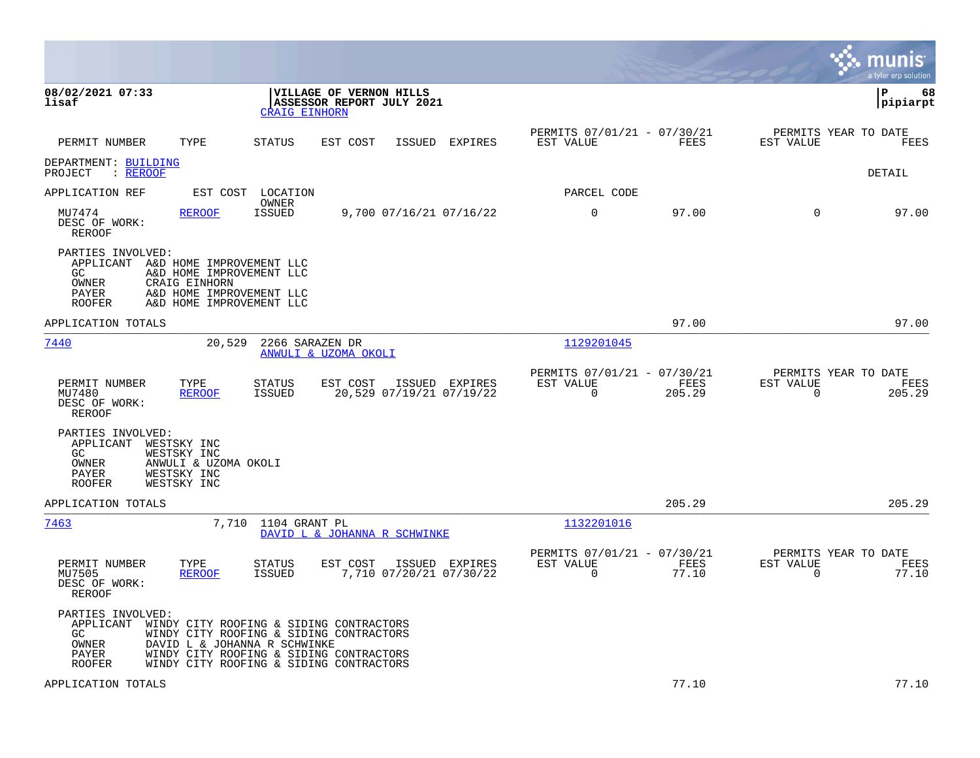|                                                                                                                                   |                                                                                                                                                               |                                                      |                |                                                         |                |                                                  | munis<br>a tyler erp solution |
|-----------------------------------------------------------------------------------------------------------------------------------|---------------------------------------------------------------------------------------------------------------------------------------------------------------|------------------------------------------------------|----------------|---------------------------------------------------------|----------------|--------------------------------------------------|-------------------------------|
| 08/02/2021 07:33<br>lisaf                                                                                                         | <b>CRAIG EINHORN</b>                                                                                                                                          | VILLAGE OF VERNON HILLS<br>ASSESSOR REPORT JULY 2021 |                |                                                         |                |                                                  | l P<br>68<br> pipiarpt        |
| TYPE<br>PERMIT NUMBER                                                                                                             | STATUS                                                                                                                                                        | EST COST<br>ISSUED                                   | EXPIRES        | PERMITS 07/01/21 - 07/30/21<br>EST VALUE                | FEES           | PERMITS YEAR TO DATE<br>EST VALUE                | FEES                          |
| DEPARTMENT: BUILDING<br>PROJECT<br>$:$ REROOF                                                                                     |                                                                                                                                                               |                                                      |                |                                                         |                |                                                  | DETAIL                        |
| APPLICATION REF                                                                                                                   | EST COST LOCATION                                                                                                                                             |                                                      |                | PARCEL CODE                                             |                |                                                  |                               |
| MU7474<br><b>REROOF</b><br>DESC OF WORK:<br>REROOF                                                                                | OWNER<br>ISSUED                                                                                                                                               | 9,700 07/16/21 07/16/22                              |                | 0                                                       | 97.00          | $\Omega$                                         | 97.00                         |
| PARTIES INVOLVED:<br>APPLICANT<br>GC.<br>OWNER<br>CRAIG EINHORN<br>PAYER<br><b>ROOFER</b>                                         | A&D HOME IMPROVEMENT LLC<br>A&D HOME IMPROVEMENT LLC<br>A&D HOME IMPROVEMENT LLC<br>A&D HOME IMPROVEMENT LLC                                                  |                                                      |                |                                                         |                |                                                  |                               |
| APPLICATION TOTALS                                                                                                                |                                                                                                                                                               |                                                      |                |                                                         | 97.00          |                                                  | 97.00                         |
| 7440                                                                                                                              | 20,529<br>2266 SARAZEN DR                                                                                                                                     | ANWULI & UZOMA OKOLI                                 |                | 1129201045                                              |                |                                                  |                               |
| PERMIT NUMBER<br>TYPE<br>MU7480<br><b>REROOF</b><br>DESC OF WORK:<br>REROOF                                                       | STATUS<br>ISSUED                                                                                                                                              | EST COST<br>20,529 07/19/21 07/19/22                 | ISSUED EXPIRES | PERMITS 07/01/21 - 07/30/21<br>EST VALUE<br>$\mathbf 0$ | FEES<br>205.29 | PERMITS YEAR TO DATE<br>EST VALUE<br>0           | FEES<br>205.29                |
| PARTIES INVOLVED:<br>APPLICANT WESTSKY INC<br>WESTSKY INC<br>GC.<br>OWNER<br>PAYER<br>WESTSKY INC<br>WESTSKY INC<br><b>ROOFER</b> | ANWULI & UZOMA OKOLI                                                                                                                                          |                                                      |                |                                                         |                |                                                  |                               |
| APPLICATION TOTALS                                                                                                                |                                                                                                                                                               |                                                      |                |                                                         | 205.29         |                                                  | 205.29                        |
| 7463                                                                                                                              | 7,710 1104 GRANT PL                                                                                                                                           | DAVID L & JOHANNA R SCHWINKE                         |                | 1132201016                                              |                |                                                  |                               |
| PERMIT NUMBER<br>TYPE<br>MU7505<br><b>REROOF</b><br>DESC OF WORK:<br><b>REROOF</b>                                                | STATUS<br>ISSUED                                                                                                                                              | EST COST<br>7,710 07/20/21 07/30/22                  | ISSUED EXPIRES | PERMITS 07/01/21 - 07/30/21<br>EST VALUE<br>$\Omega$    | FEES<br>77.10  | PERMITS YEAR TO DATE<br>EST VALUE<br>$\mathbf 0$ | FEES<br>77.10                 |
| PARTIES INVOLVED:<br>APPLICANT WINDY CITY ROOFING & SIDING CONTRACTORS<br>GC.<br>OWNER<br>PAYER<br><b>ROOFER</b>                  | WINDY CITY ROOFING & SIDING CONTRACTORS<br>DAVID L & JOHANNA R SCHWINKE<br>WINDY CITY ROOFING & SIDING CONTRACTORS<br>WINDY CITY ROOFING & SIDING CONTRACTORS |                                                      |                |                                                         |                |                                                  |                               |
| APPLICATION TOTALS                                                                                                                |                                                                                                                                                               |                                                      |                |                                                         | 77.10          |                                                  | 77.10                         |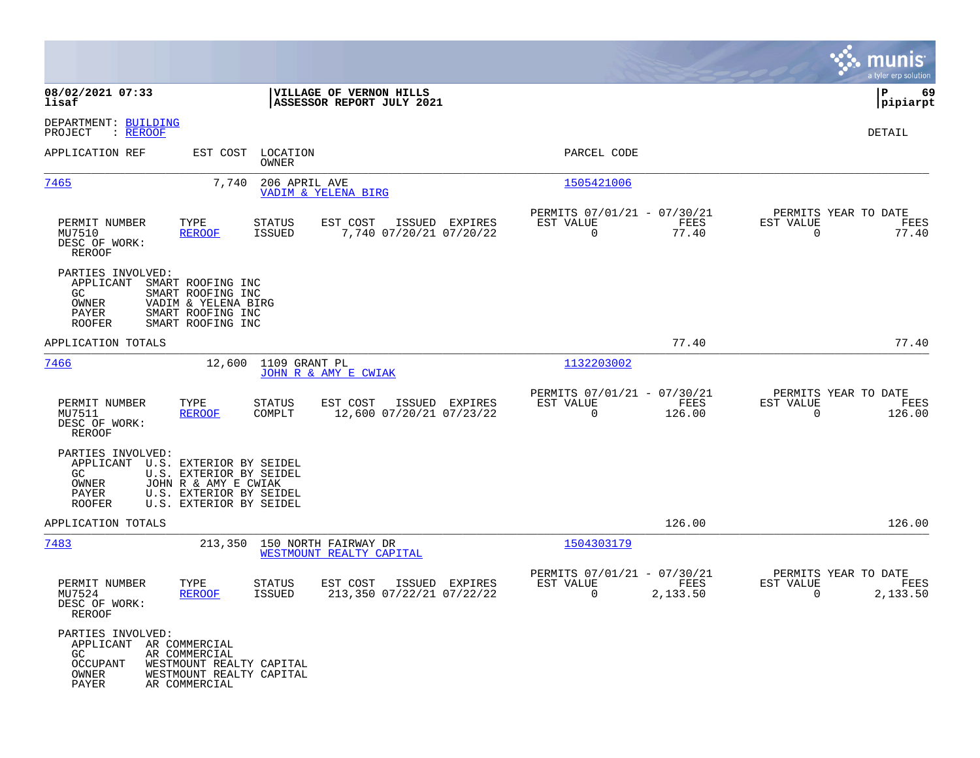|                                                                                         |                                                                                                                                  |                            |                                                          |                                                         |                  |                                               | munis<br>a tyler erp solution |
|-----------------------------------------------------------------------------------------|----------------------------------------------------------------------------------------------------------------------------------|----------------------------|----------------------------------------------------------|---------------------------------------------------------|------------------|-----------------------------------------------|-------------------------------|
| 08/02/2021 07:33<br>lisaf                                                               |                                                                                                                                  |                            | VILLAGE OF VERNON HILLS<br>ASSESSOR REPORT JULY 2021     |                                                         |                  |                                               | 69<br>l P<br> pipiarpt        |
| DEPARTMENT: BUILDING<br>PROJECT<br>: <u>REROOF</u>                                      |                                                                                                                                  |                            |                                                          |                                                         |                  |                                               | DETAIL                        |
| APPLICATION REF                                                                         |                                                                                                                                  | EST COST LOCATION<br>OWNER |                                                          | PARCEL CODE                                             |                  |                                               |                               |
| 7465                                                                                    | 7,740                                                                                                                            | 206 APRIL AVE              | VADIM & YELENA BIRG                                      | 1505421006                                              |                  |                                               |                               |
| PERMIT NUMBER<br>MU7510<br>DESC OF WORK:<br>REROOF                                      | TYPE<br><b>REROOF</b>                                                                                                            | <b>STATUS</b><br>ISSUED    | EST COST<br>ISSUED EXPIRES<br>7,740 07/20/21 07/20/22    | PERMITS 07/01/21 - 07/30/21<br>EST VALUE<br>$\Omega$    | FEES<br>77.40    | PERMITS YEAR TO DATE<br>EST VALUE<br>$\Omega$ | FEES<br>77.40                 |
| PARTIES INVOLVED:<br>APPLICANT<br>GC<br>OWNER<br>PAYER<br><b>ROOFER</b>                 | SMART ROOFING INC<br>SMART ROOFING INC<br>VADIM & YELENA BIRG<br>SMART ROOFING INC<br>SMART ROOFING INC                          |                            |                                                          |                                                         |                  |                                               |                               |
| APPLICATION TOTALS                                                                      |                                                                                                                                  |                            |                                                          |                                                         | 77.40            |                                               | 77.40                         |
| 7466                                                                                    | 12,600                                                                                                                           | 1109 GRANT PL              | JOHN R & AMY E CWIAK                                     | 1132203002                                              |                  |                                               |                               |
| PERMIT NUMBER<br>MU7511<br>DESC OF WORK:<br><b>REROOF</b>                               | TYPE<br><b>REROOF</b>                                                                                                            | <b>STATUS</b><br>COMPLT    | EST COST<br>ISSUED EXPIRES<br>12,600 07/20/21 07/23/22   | PERMITS 07/01/21 - 07/30/21<br>EST VALUE<br>$\mathbf 0$ | FEES<br>126.00   | PERMITS YEAR TO DATE<br>EST VALUE<br>$\Omega$ | FEES<br>126.00                |
| PARTIES INVOLVED:<br>APPLICANT<br>GC<br>OWNER<br>PAYER<br>ROOFER                        | U.S. EXTERIOR BY SEIDEL<br>U.S. EXTERIOR BY SEIDEL<br>JOHN R & AMY E CWIAK<br>U.S. EXTERIOR BY SEIDEL<br>U.S. EXTERIOR BY SEIDEL |                            |                                                          |                                                         |                  |                                               |                               |
| APPLICATION TOTALS                                                                      |                                                                                                                                  |                            |                                                          |                                                         | 126.00           |                                               | 126.00                        |
| 7483                                                                                    |                                                                                                                                  |                            | 213,350 150 NORTH FAIRWAY DR<br>WESTMOUNT REALTY CAPITAL | 1504303179                                              |                  |                                               |                               |
| PERMIT NUMBER<br>MU7524<br>DESC OF WORK:<br>REROOF                                      | TYPE<br><b>REROOF</b>                                                                                                            | STATUS<br><b>ISSUED</b>    | EST COST<br>ISSUED EXPIRES<br>213,350 07/22/21 07/22/22  | PERMITS 07/01/21 - 07/30/21<br>EST VALUE<br>0           | FEES<br>2,133.50 | PERMITS YEAR TO DATE<br>EST VALUE<br>0        | FEES<br>2,133.50              |
| PARTIES INVOLVED:<br>APPLICANT AR COMMERCIAL<br>GC<br><b>OCCUPANT</b><br>OWNER<br>PAYER | AR COMMERCIAL<br>WESTMOUNT REALTY CAPITAL<br>WESTMOUNT REALTY CAPITAL<br>AR COMMERCIAL                                           |                            |                                                          |                                                         |                  |                                               |                               |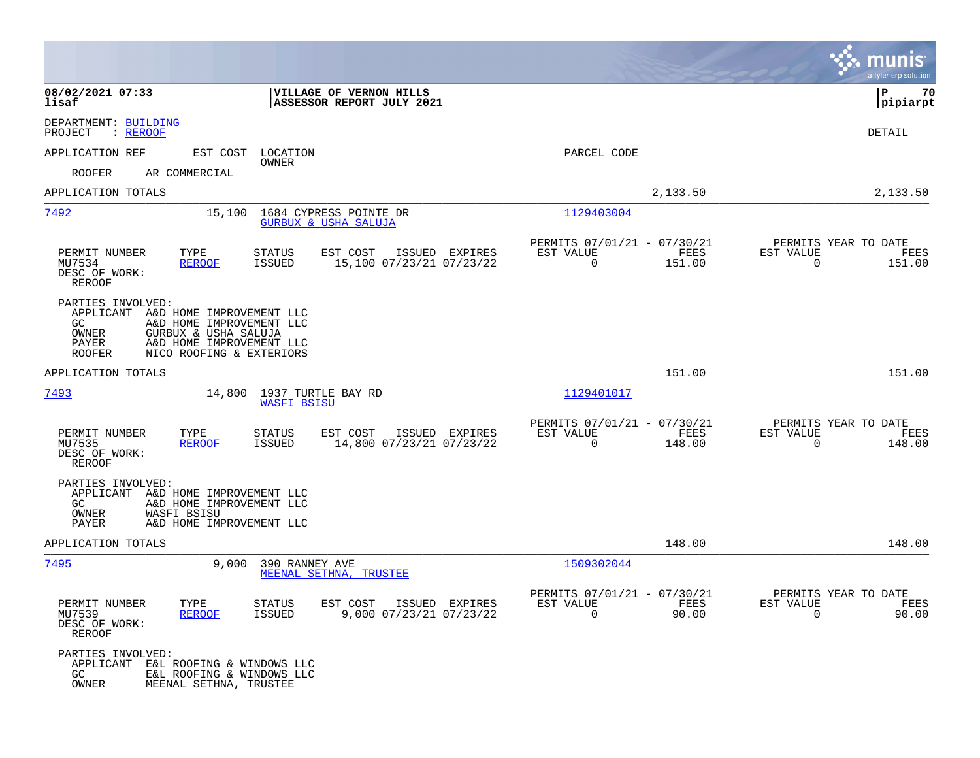|                                                                                                                                                                                                        |                                                                            |                                                                           | munis<br>a tyler erp solution                                   |
|--------------------------------------------------------------------------------------------------------------------------------------------------------------------------------------------------------|----------------------------------------------------------------------------|---------------------------------------------------------------------------|-----------------------------------------------------------------|
| 08/02/2021 07:33<br>lisaf                                                                                                                                                                              | VILLAGE OF VERNON HILLS<br>ASSESSOR REPORT JULY 2021                       |                                                                           | 70<br>ΙP<br> pipiarpt                                           |
| DEPARTMENT: BUILDING<br>PROJECT<br>: REROOF                                                                                                                                                            |                                                                            |                                                                           | DETAIL                                                          |
| APPLICATION REF                                                                                                                                                                                        | EST COST LOCATION<br><b>OWNER</b>                                          | PARCEL CODE                                                               |                                                                 |
| <b>ROOFER</b><br>AR COMMERCIAL                                                                                                                                                                         |                                                                            |                                                                           |                                                                 |
| APPLICATION TOTALS                                                                                                                                                                                     |                                                                            | 2,133.50                                                                  | 2,133.50                                                        |
| 7492<br>15,100                                                                                                                                                                                         | 1684 CYPRESS POINTE DR<br>GURBUX & USHA SALUJA                             | 1129403004                                                                |                                                                 |
| PERMIT NUMBER<br>TYPE<br>MU7534<br><b>REROOF</b><br>DESC OF WORK:<br>REROOF                                                                                                                            | ISSUED EXPIRES<br>STATUS<br>EST COST<br>15,100 07/23/21 07/23/22<br>ISSUED | PERMITS 07/01/21 - 07/30/21<br>FEES<br>EST VALUE<br>$\mathbf 0$<br>151.00 | PERMITS YEAR TO DATE<br>EST VALUE<br>FEES<br>$\Omega$<br>151.00 |
| PARTIES INVOLVED:<br>APPLICANT A&D HOME IMPROVEMENT LLC<br>GC.<br>A&D HOME IMPROVEMENT LLC<br>OWNER<br>GURBUX & USHA SALUJA<br>PAYER<br>A&D HOME IMPROVEMENT LLC<br>ROOFER<br>NICO ROOFING & EXTERIORS |                                                                            |                                                                           |                                                                 |
| APPLICATION TOTALS                                                                                                                                                                                     |                                                                            | 151.00                                                                    | 151.00                                                          |
| 7493<br>14,800                                                                                                                                                                                         | 1937 TURTLE BAY RD<br><b>WASFI BSISU</b>                                   | 1129401017                                                                |                                                                 |
| PERMIT NUMBER<br>TYPE<br>MU7535<br><b>REROOF</b><br>DESC OF WORK:<br>REROOF                                                                                                                            | EST COST<br>ISSUED EXPIRES<br>STATUS<br>14,800 07/23/21 07/23/22<br>ISSUED | PERMITS 07/01/21 - 07/30/21<br>EST VALUE<br>FEES<br>$\mathbf 0$<br>148.00 | PERMITS YEAR TO DATE<br>EST VALUE<br>FEES<br>$\Omega$<br>148.00 |
| PARTIES INVOLVED:<br>APPLICANT A&D HOME IMPROVEMENT LLC<br>GC.<br>A&D HOME IMPROVEMENT LLC<br>OWNER<br>WASFI BSISU<br>PAYER<br>A&D HOME IMPROVEMENT LLC                                                |                                                                            |                                                                           |                                                                 |
| APPLICATION TOTALS                                                                                                                                                                                     |                                                                            | 148.00                                                                    | 148.00                                                          |
| 7495<br>9,000                                                                                                                                                                                          | 390 RANNEY AVE<br>MEENAL SETHNA, TRUSTEE                                   | 1509302044                                                                |                                                                 |
| PERMIT NUMBER<br>TYPE<br>MU7539<br><b>REROOF</b><br>DESC OF WORK:<br>REROOF                                                                                                                            | EST COST ISSUED EXPIRES<br>STATUS<br>ISSUED<br>9,000 07/23/21 07/23/22     | PERMITS 07/01/21 - 07/30/21<br>EST VALUE<br>FEES<br>$\Omega$<br>90.00     | PERMITS YEAR TO DATE<br>EST VALUE<br>FEES<br>$\Omega$<br>90.00  |
| PARTIES INVOLVED:<br>APPLICANT<br>E&L ROOFING & WINDOWS LLC<br>E&L ROOFING & WINDOWS LLC<br>GC<br>OWNER<br>MEENAL SETHNA, TRUSTEE                                                                      |                                                                            |                                                                           |                                                                 |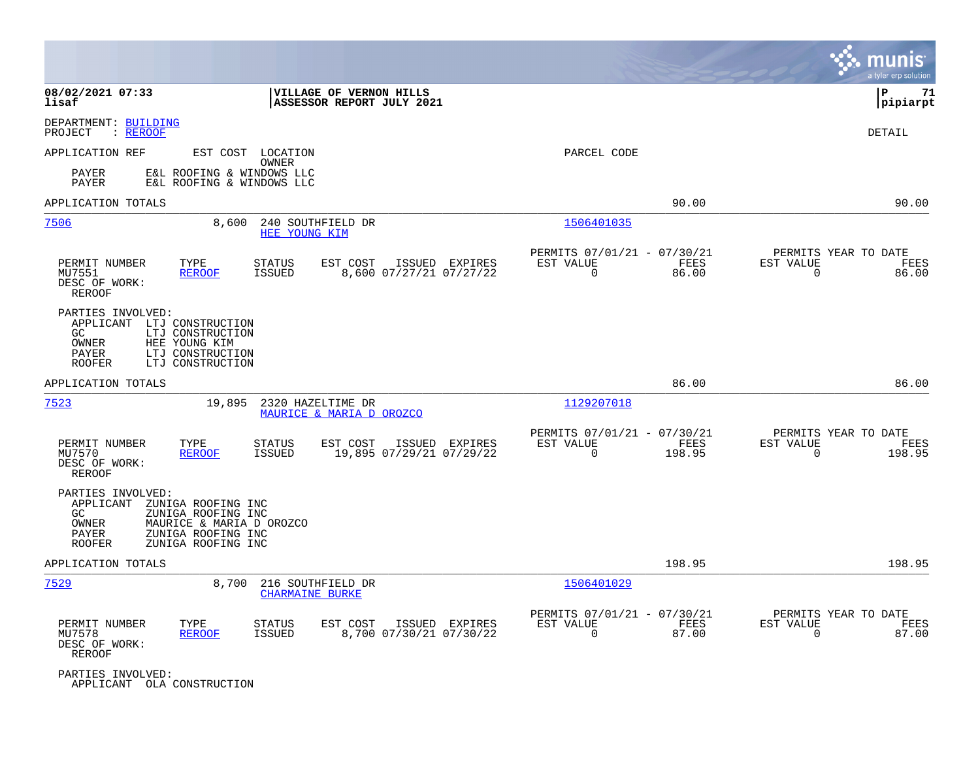|                                                                                          |                                                                                                                  |                                             |                                                      |                |                                                         |                |                                                  | munis<br>a tyler erp solution |
|------------------------------------------------------------------------------------------|------------------------------------------------------------------------------------------------------------------|---------------------------------------------|------------------------------------------------------|----------------|---------------------------------------------------------|----------------|--------------------------------------------------|-------------------------------|
| 08/02/2021 07:33<br>lisaf                                                                |                                                                                                                  |                                             | VILLAGE OF VERNON HILLS<br>ASSESSOR REPORT JULY 2021 |                |                                                         |                |                                                  | ΙP<br>71<br> pipiarpt         |
| DEPARTMENT: BUILDING<br>PROJECT<br>: REROOF                                              |                                                                                                                  |                                             |                                                      |                |                                                         |                |                                                  | DETAIL                        |
| APPLICATION REF                                                                          |                                                                                                                  | EST COST LOCATION<br>OWNER                  |                                                      |                | PARCEL CODE                                             |                |                                                  |                               |
| PAYER<br>PAYER                                                                           | E&L ROOFING & WINDOWS LLC<br>E&L ROOFING & WINDOWS LLC                                                           |                                             |                                                      |                |                                                         |                |                                                  |                               |
| APPLICATION TOTALS                                                                       |                                                                                                                  |                                             |                                                      |                |                                                         | 90.00          |                                                  | 90.00                         |
| 7506                                                                                     | 8,600                                                                                                            | 240 SOUTHFIELD DR<br>HEE YOUNG KIM          |                                                      |                | 1506401035                                              |                |                                                  |                               |
| PERMIT NUMBER<br>MU7551<br>DESC OF WORK:<br><b>REROOF</b>                                | TYPE<br><b>REROOF</b>                                                                                            | <b>STATUS</b><br><b>ISSUED</b>              | EST COST<br>8,600 07/27/21 07/27/22                  | ISSUED EXPIRES | PERMITS 07/01/21 - 07/30/21<br>EST VALUE<br>$\Omega$    | FEES<br>86.00  | PERMITS YEAR TO DATE<br>EST VALUE<br>$\Omega$    | FEES<br>86.00                 |
| PARTIES INVOLVED:<br>APPLICANT LTJ CONSTRUCTION<br>GC<br>OWNER<br>PAYER<br><b>ROOFER</b> | LTJ CONSTRUCTION<br>HEE YOUNG KIM<br>LTJ CONSTRUCTION<br>LTJ CONSTRUCTION                                        |                                             |                                                      |                |                                                         |                |                                                  |                               |
| APPLICATION TOTALS                                                                       |                                                                                                                  |                                             |                                                      |                |                                                         | 86.00          |                                                  | 86.00                         |
| 7523                                                                                     | 19,895                                                                                                           | 2320 HAZELTIME DR                           | MAURICE & MARIA D OROZCO                             |                | 1129207018                                              |                |                                                  |                               |
| PERMIT NUMBER<br>MU7570<br>DESC OF WORK:<br>REROOF                                       | TYPE<br><b>REROOF</b>                                                                                            | <b>STATUS</b><br>ISSUED                     | EST COST<br>19,895 07/29/21 07/29/22                 | ISSUED EXPIRES | PERMITS 07/01/21 - 07/30/21<br>EST VALUE<br>$\Omega$    | FEES<br>198.95 | PERMITS YEAR TO DATE<br>EST VALUE<br>$\Omega$    | FEES<br>198.95                |
| PARTIES INVOLVED:<br>APPLICANT<br>GC<br>OWNER<br>PAYER<br><b>ROOFER</b>                  | ZUNIGA ROOFING INC<br>ZUNIGA ROOFING INC<br>MAURICE & MARIA D OROZCO<br>ZUNIGA ROOFING INC<br>ZUNIGA ROOFING INC |                                             |                                                      |                |                                                         |                |                                                  |                               |
| APPLICATION TOTALS                                                                       |                                                                                                                  |                                             |                                                      |                |                                                         | 198.95         |                                                  | 198.95                        |
| 7529                                                                                     | 8,700                                                                                                            | 216 SOUTHFIELD DR<br><b>CHARMAINE BURKE</b> |                                                      |                | 1506401029                                              |                |                                                  |                               |
| PERMIT NUMBER<br>MU7578<br>DESC OF WORK:<br>REROOF                                       | TYPE<br>REROOF                                                                                                   | STATUS<br>ISSUED                            | EST COST<br>8,700 07/30/21 07/30/22                  | ISSUED EXPIRES | PERMITS 07/01/21 - 07/30/21<br>EST VALUE<br>$\mathbf 0$ | FEES<br>87.00  | PERMITS YEAR TO DATE<br>EST VALUE<br>$\mathbf 0$ | FEES<br>87.00                 |
| PARTIES INVOLVED:<br>APPLICANT OLA CONSTRUCTION                                          |                                                                                                                  |                                             |                                                      |                |                                                         |                |                                                  |                               |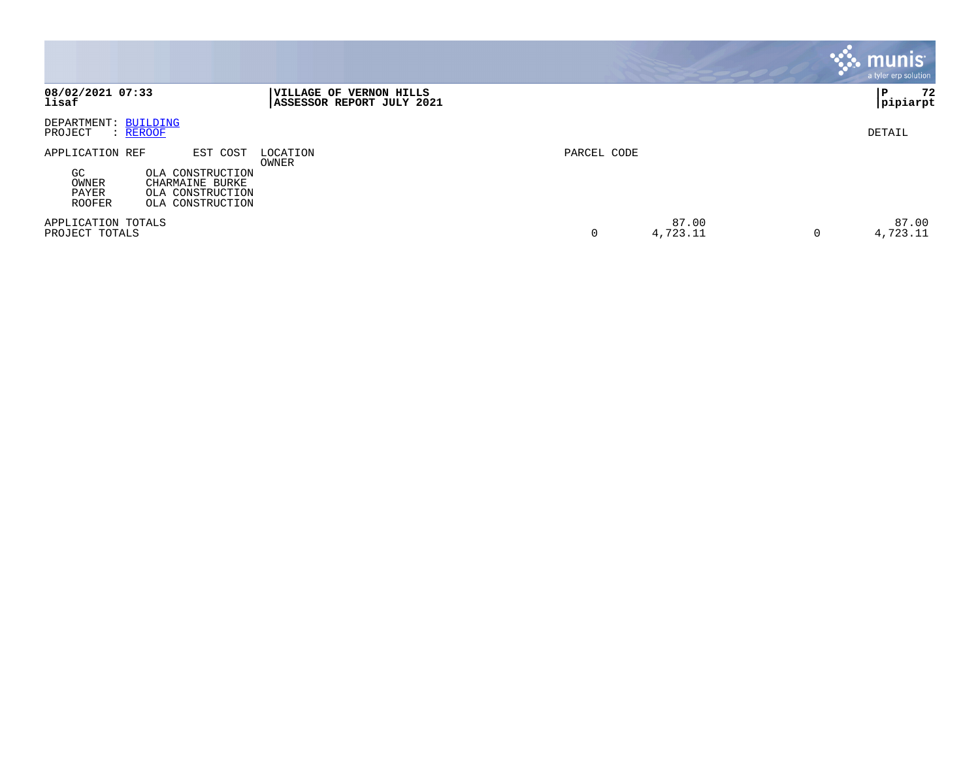|                                                                                                                                                     |                                                      |                        | munis <sup>®</sup><br>a tyler erp solution |
|-----------------------------------------------------------------------------------------------------------------------------------------------------|------------------------------------------------------|------------------------|--------------------------------------------|
| 08/02/2021 07:33<br>lisaf                                                                                                                           | VILLAGE OF VERNON HILLS<br>ASSESSOR REPORT JULY 2021 |                        | 72<br>ΙP<br>pipiarpt                       |
| <b>BUILDING</b><br>DEPARTMENT:<br>PROJECT<br>: REROOF                                                                                               |                                                      |                        | DETAIL                                     |
| APPLICATION REF<br>EST COST<br>GC<br>OLA CONSTRUCTION<br>OWNER<br>CHARMAINE BURKE<br>PAYER<br>OLA CONSTRUCTION<br><b>ROOFER</b><br>OLA CONSTRUCTION | LOCATION<br>OWNER                                    | PARCEL CODE            |                                            |
| APPLICATION TOTALS<br>PROJECT TOTALS                                                                                                                |                                                      | 87.00<br>4,723.11<br>0 | 87.00<br>4,723.11<br>0                     |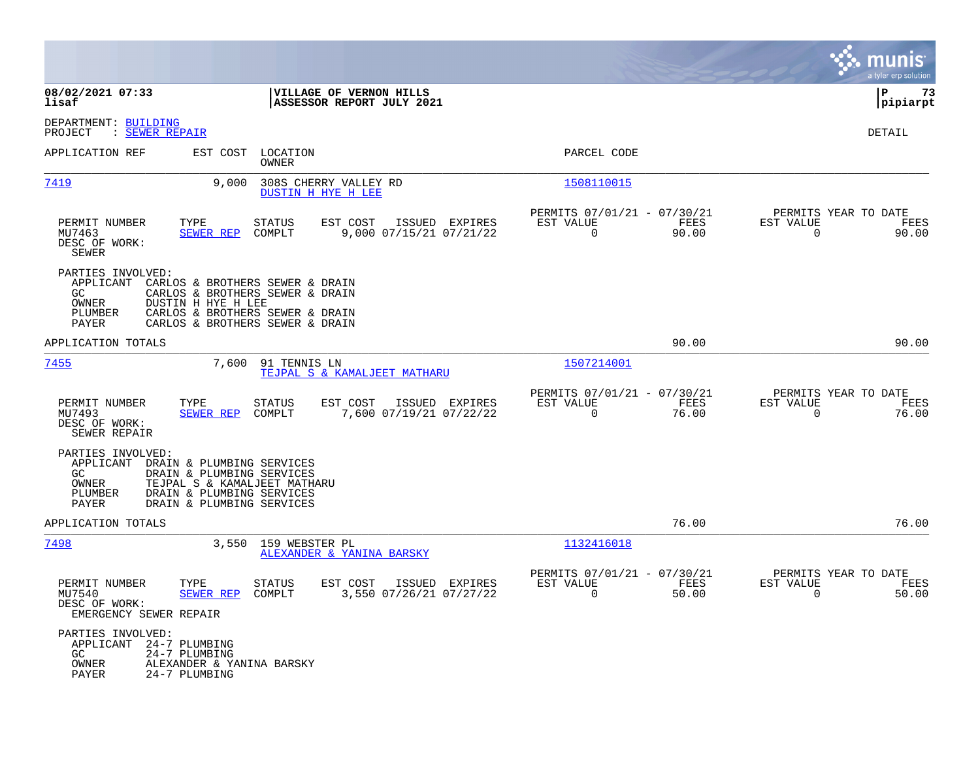|                                                                                                                                                                                                                        |                                                                                                                                          |                                                                          | munis<br>a tyler erp solution                                     |
|------------------------------------------------------------------------------------------------------------------------------------------------------------------------------------------------------------------------|------------------------------------------------------------------------------------------------------------------------------------------|--------------------------------------------------------------------------|-------------------------------------------------------------------|
| 08/02/2021 07:33<br>lisaf                                                                                                                                                                                              | VILLAGE OF VERNON HILLS<br>ASSESSOR REPORT JULY 2021                                                                                     |                                                                          | ΙP<br>73<br> pipiarpt                                             |
| DEPARTMENT: BUILDING<br>PROJECT<br>: <u>SEWER REPAIR</u>                                                                                                                                                               |                                                                                                                                          |                                                                          | DETAIL                                                            |
| APPLICATION REF<br>EST COST                                                                                                                                                                                            | LOCATION<br>OWNER                                                                                                                        | PARCEL CODE                                                              |                                                                   |
| 7419<br>9.000                                                                                                                                                                                                          | 308S CHERRY VALLEY RD<br><b>DUSTIN H HYE H LEE</b>                                                                                       | 1508110015                                                               |                                                                   |
| PERMIT NUMBER<br>TYPE<br>MU7463<br><b>SEWER REP</b><br>DESC OF WORK:<br>SEWER                                                                                                                                          | <b>STATUS</b><br>EST COST<br>ISSUED EXPIRES<br>COMPLT<br>9,000 07/15/21 07/21/22                                                         | PERMITS 07/01/21 - 07/30/21<br>EST VALUE<br>FEES<br>$\mathbf 0$<br>90.00 | PERMITS YEAR TO DATE<br>EST VALUE<br>FEES<br>$\mathbf 0$<br>90.00 |
| PARTIES INVOLVED:<br>APPLICANT<br>GC.<br>OWNER<br>DUSTIN H HYE H LEE<br>PLUMBER<br>PAYER                                                                                                                               | CARLOS & BROTHERS SEWER & DRAIN<br>CARLOS & BROTHERS SEWER & DRAIN<br>CARLOS & BROTHERS SEWER & DRAIN<br>CARLOS & BROTHERS SEWER & DRAIN |                                                                          |                                                                   |
| APPLICATION TOTALS                                                                                                                                                                                                     |                                                                                                                                          | 90.00                                                                    | 90.00                                                             |
| <u>7455</u><br>7,600                                                                                                                                                                                                   | 91 TENNIS LN<br>TEJPAL S & KAMALJEET MATHARU                                                                                             | 1507214001                                                               |                                                                   |
| PERMIT NUMBER<br>TYPE<br>MU7493<br>SEWER REP<br>DESC OF WORK:<br>SEWER REPAIR                                                                                                                                          | EST COST<br>ISSUED EXPIRES<br><b>STATUS</b><br>COMPLT<br>7,600 07/19/21 07/22/22                                                         | PERMITS 07/01/21 - 07/30/21<br>EST VALUE<br>FEES<br>0<br>76.00           | PERMITS YEAR TO DATE<br>EST VALUE<br>FEES<br>$\mathbf 0$<br>76.00 |
| PARTIES INVOLVED:<br>APPLICANT<br>DRAIN & PLUMBING SERVICES<br>GC.<br>DRAIN & PLUMBING SERVICES<br>OWNER<br>TEJPAL S & KAMALJEET MATHARU<br>PLUMBER<br>DRAIN & PLUMBING SERVICES<br>PAYER<br>DRAIN & PLUMBING SERVICES |                                                                                                                                          |                                                                          |                                                                   |
| APPLICATION TOTALS                                                                                                                                                                                                     |                                                                                                                                          | 76.00                                                                    | 76.00                                                             |
| 7498<br>3,550                                                                                                                                                                                                          | 159 WEBSTER PL<br>ALEXANDER & YANINA BARSKY                                                                                              | 1132416018                                                               |                                                                   |
| PERMIT NUMBER<br>TYPE<br>MU7540<br>SEWER REP<br>DESC OF WORK:<br>EMERGENCY SEWER REPAIR                                                                                                                                | EST COST<br>ISSUED EXPIRES<br>STATUS<br>COMPLT<br>3,550 07/26/21 07/27/22                                                                | PERMITS 07/01/21 - 07/30/21<br>EST VALUE<br>FEES<br>0<br>50.00           | PERMITS YEAR TO DATE<br>EST VALUE<br>FEES<br>0<br>50.00           |
| PARTIES INVOLVED:<br>APPLICANT<br>24-7 PLUMBING<br>GC.<br>24-7 PLUMBING<br>OWNER<br>ALEXANDER & YANINA BARSKY<br>PAYER<br>24-7 PLUMBING                                                                                |                                                                                                                                          |                                                                          |                                                                   |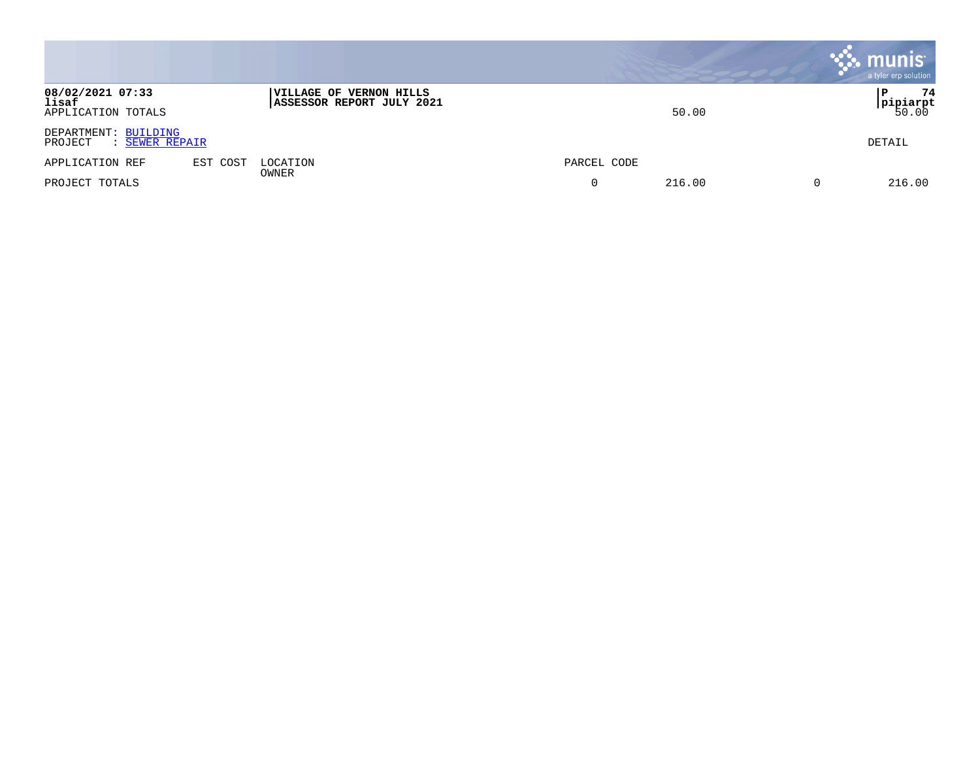|                                                   |          |                                                             |             | , munis <sup>.</sup><br>a tyler erp solution |
|---------------------------------------------------|----------|-------------------------------------------------------------|-------------|----------------------------------------------|
| 08/02/2021 07:33<br>lisaf<br>APPLICATION TOTALS   |          | <b>VILLAGE OF VERNON HILLS</b><br>ASSESSOR REPORT JULY 2021 | 50.00       | 74<br>  P<br><b>pipiarpt</b><br>50.00        |
| DEPARTMENT: BUILDING<br>: SEWER REPAIR<br>PROJECT |          |                                                             |             | DETAIL                                       |
| APPLICATION REF                                   | EST COST | LOCATION                                                    | PARCEL CODE |                                              |
| PROJECT TOTALS                                    |          | OWNER                                                       | 216.00      | 216.00<br>0                                  |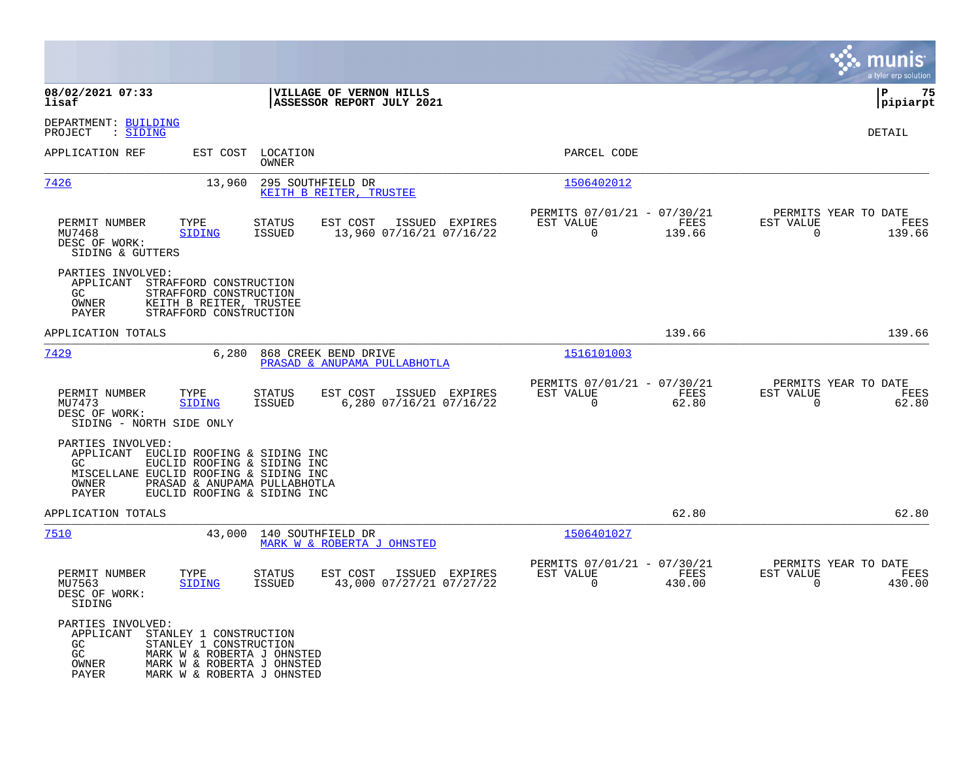|                                                                                                          |                                                                                                                                            |                                |                                                      |                |                                                         |                |                                                  | a tyler erp solution   |
|----------------------------------------------------------------------------------------------------------|--------------------------------------------------------------------------------------------------------------------------------------------|--------------------------------|------------------------------------------------------|----------------|---------------------------------------------------------|----------------|--------------------------------------------------|------------------------|
| 08/02/2021 07:33<br>lisaf                                                                                |                                                                                                                                            |                                | VILLAGE OF VERNON HILLS<br>ASSESSOR REPORT JULY 2021 |                |                                                         |                |                                                  | 75<br>l P<br> pipiarpt |
| DEPARTMENT: BUILDING<br>: SIDING<br>PROJECT                                                              |                                                                                                                                            |                                |                                                      |                |                                                         |                |                                                  | DETAIL                 |
| APPLICATION REF                                                                                          | EST COST                                                                                                                                   | LOCATION<br>OWNER              |                                                      |                | PARCEL CODE                                             |                |                                                  |                        |
| <u>7426</u>                                                                                              | 13,960                                                                                                                                     | 295 SOUTHFIELD DR              | KEITH B REITER, TRUSTEE                              |                | 1506402012                                              |                |                                                  |                        |
| PERMIT NUMBER<br>MU7468<br>DESC OF WORK:<br>SIDING & GUTTERS                                             | TYPE<br><b>SIDING</b>                                                                                                                      | <b>STATUS</b><br><b>ISSUED</b> | EST COST<br>13,960 07/16/21 07/16/22                 | ISSUED EXPIRES | PERMITS 07/01/21 - 07/30/21<br>EST VALUE<br>$\mathbf 0$ | FEES<br>139.66 | PERMITS YEAR TO DATE<br>EST VALUE<br>$\mathbf 0$ | FEES<br>139.66         |
| PARTIES INVOLVED:<br>APPLICANT<br>GC.<br>OWNER<br>PAYER                                                  | STRAFFORD CONSTRUCTION<br>STRAFFORD CONSTRUCTION<br>KEITH B REITER, TRUSTEE<br>STRAFFORD CONSTRUCTION                                      |                                |                                                      |                |                                                         |                |                                                  |                        |
| APPLICATION TOTALS                                                                                       |                                                                                                                                            |                                |                                                      |                |                                                         | 139.66         |                                                  | 139.66                 |
| <u>7429</u>                                                                                              | 6,280                                                                                                                                      |                                | 868 CREEK BEND DRIVE<br>PRASAD & ANUPAMA PULLABHOTLA |                | 1516101003                                              |                |                                                  |                        |
| PERMIT NUMBER<br>MU7473<br>DESC OF WORK:<br>SIDING - NORTH SIDE ONLY                                     | TYPE<br><b>SIDING</b>                                                                                                                      | <b>STATUS</b><br>ISSUED        | EST COST<br>6,280 07/16/21 07/16/22                  | ISSUED EXPIRES | PERMITS 07/01/21 - 07/30/21<br>EST VALUE<br>0           | FEES<br>62.80  | PERMITS YEAR TO DATE<br>EST VALUE<br>0           | FEES<br>62.80          |
| PARTIES INVOLVED:<br>APPLICANT<br>GC.<br>MISCELLANE EUCLID ROOFING & SIDING INC<br><b>OWNER</b><br>PAYER | EUCLID ROOFING & SIDING INC<br>EUCLID ROOFING & SIDING INC<br>PRASAD & ANUPAMA PULLABHOTLA<br>EUCLID ROOFING & SIDING INC                  |                                |                                                      |                |                                                         |                |                                                  |                        |
| APPLICATION TOTALS                                                                                       |                                                                                                                                            |                                |                                                      |                |                                                         | 62.80          |                                                  | 62.80                  |
| 7510                                                                                                     | 43,000                                                                                                                                     | 140 SOUTHFIELD DR              | MARK W & ROBERTA J OHNSTED                           |                | 1506401027                                              |                |                                                  |                        |
| PERMIT NUMBER<br>MU7563<br>DESC OF WORK:<br>SIDING                                                       | TYPE<br>SIDING                                                                                                                             | <b>STATUS</b><br><b>ISSUED</b> | EST COST<br>43,000 07/27/21 07/27/22                 | ISSUED EXPIRES | PERMITS 07/01/21 - 07/30/21<br>EST VALUE<br>$\mathbf 0$ | FEES<br>430.00 | PERMITS YEAR TO DATE<br>EST VALUE<br>$\mathbf 0$ | FEES<br>430.00         |
| PARTIES INVOLVED:<br>APPLICANT<br>GC<br>GC<br>OWNER<br>PAYER                                             | STANLEY 1 CONSTRUCTION<br>STANLEY 1 CONSTRUCTION<br>MARK W & ROBERTA J OHNSTED<br>MARK W & ROBERTA J OHNSTED<br>MARK W & ROBERTA J OHNSTED |                                |                                                      |                |                                                         |                |                                                  |                        |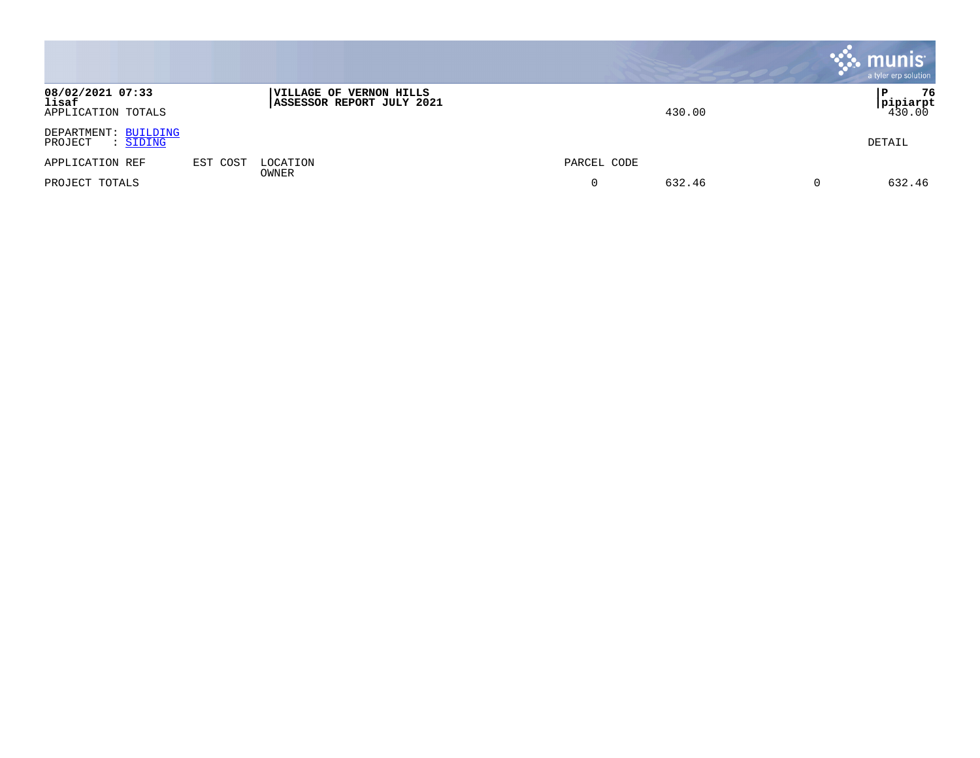|                                                 |          |                                                      |             | munis <sup>®</sup><br>a tyler erp solution |
|-------------------------------------------------|----------|------------------------------------------------------|-------------|--------------------------------------------|
| 08/02/2021 07:33<br>lisaf<br>APPLICATION TOTALS |          | VILLAGE OF VERNON HILLS<br>ASSESSOR REPORT JULY 2021 | 430.00      | 76<br><b>pipiarpt</b><br>430.00            |
| DEPARTMENT: BUILDING<br>PROJECT<br>: SIDING     |          |                                                      |             | DETAIL                                     |
| APPLICATION REF                                 | EST COST | LOCATION<br>OWNER                                    | PARCEL CODE |                                            |
| PROJECT TOTALS                                  |          |                                                      | 632.46<br>0 | 632.46<br>0                                |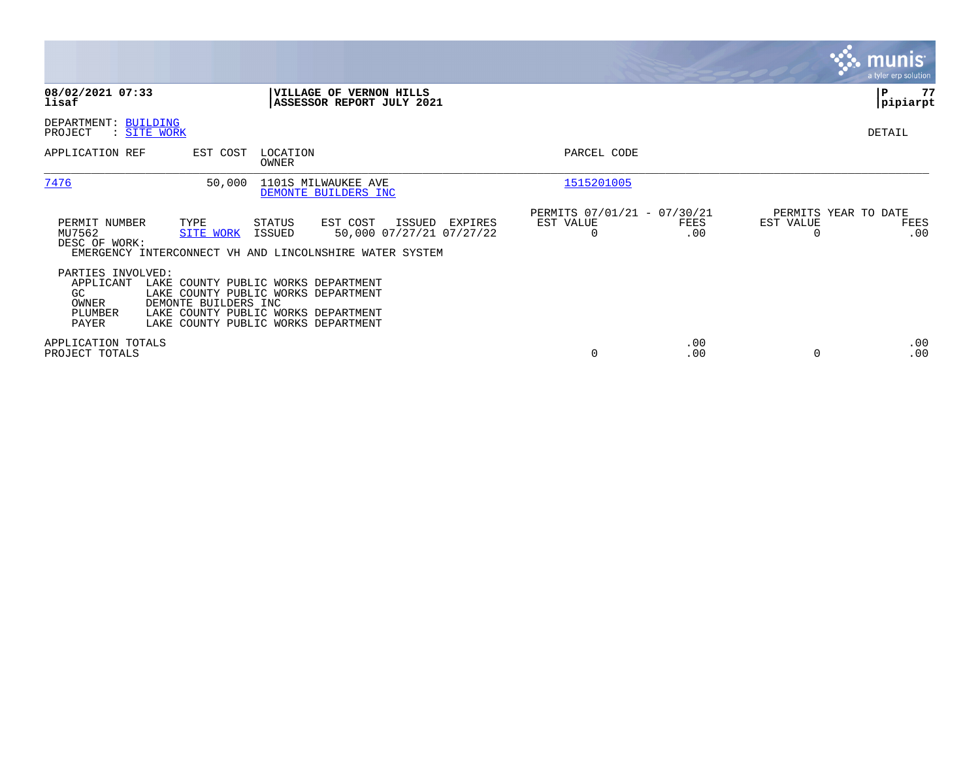|                                                                   |                                                                                                                                                                                  |                   |                                                                                                           |         |                                                      |             |                                   | <b>munis</b><br>a tyler erp solution |
|-------------------------------------------------------------------|----------------------------------------------------------------------------------------------------------------------------------------------------------------------------------|-------------------|-----------------------------------------------------------------------------------------------------------|---------|------------------------------------------------------|-------------|-----------------------------------|--------------------------------------|
| 08/02/2021 07:33<br>lisaf                                         |                                                                                                                                                                                  |                   | VILLAGE OF VERNON HILLS<br>ASSESSOR REPORT JULY 2021                                                      |         |                                                      |             |                                   | 77<br>P<br> pipiarpt                 |
| DEPARTMENT: BUILDING<br>PROJECT<br>: SITE WORK                    |                                                                                                                                                                                  |                   |                                                                                                           |         |                                                      |             |                                   | DETAIL                               |
| APPLICATION REF                                                   | EST COST                                                                                                                                                                         | LOCATION<br>OWNER |                                                                                                           |         | PARCEL CODE                                          |             |                                   |                                      |
| 7476                                                              | 50,000                                                                                                                                                                           |                   | 1101S MILWAUKEE AVE<br>DEMONTE BUILDERS INC                                                               |         | 1515201005                                           |             |                                   |                                      |
| PERMIT NUMBER<br>MU7562<br>DESC OF WORK:                          | TYPE<br><b>SITE WORK</b>                                                                                                                                                         | STATUS<br>ISSUED  | EST COST<br>ISSUED<br>50,000 07/27/21 07/27/22<br>EMERGENCY INTERCONNECT VH AND LINCOLNSHIRE WATER SYSTEM | EXPIRES | PERMITS 07/01/21 - 07/30/21<br>EST VALUE<br>$\Omega$ | FEES<br>.00 | PERMITS YEAR TO DATE<br>EST VALUE | FEES<br>.00                          |
| PARTIES INVOLVED:<br>APPLICANT<br>GC<br>OWNER<br>PLUMBER<br>PAYER | LAKE COUNTY PUBLIC WORKS DEPARTMENT<br>LAKE COUNTY PUBLIC WORKS DEPARTMENT<br>DEMONTE BUILDERS INC<br>LAKE COUNTY PUBLIC WORKS DEPARTMENT<br>LAKE COUNTY PUBLIC WORKS DEPARTMENT |                   |                                                                                                           |         |                                                      |             |                                   |                                      |
| APPLICATION TOTALS<br>PROJECT TOTALS                              |                                                                                                                                                                                  |                   |                                                                                                           |         | $\Omega$                                             | .00<br>.00  |                                   | .00<br>.00                           |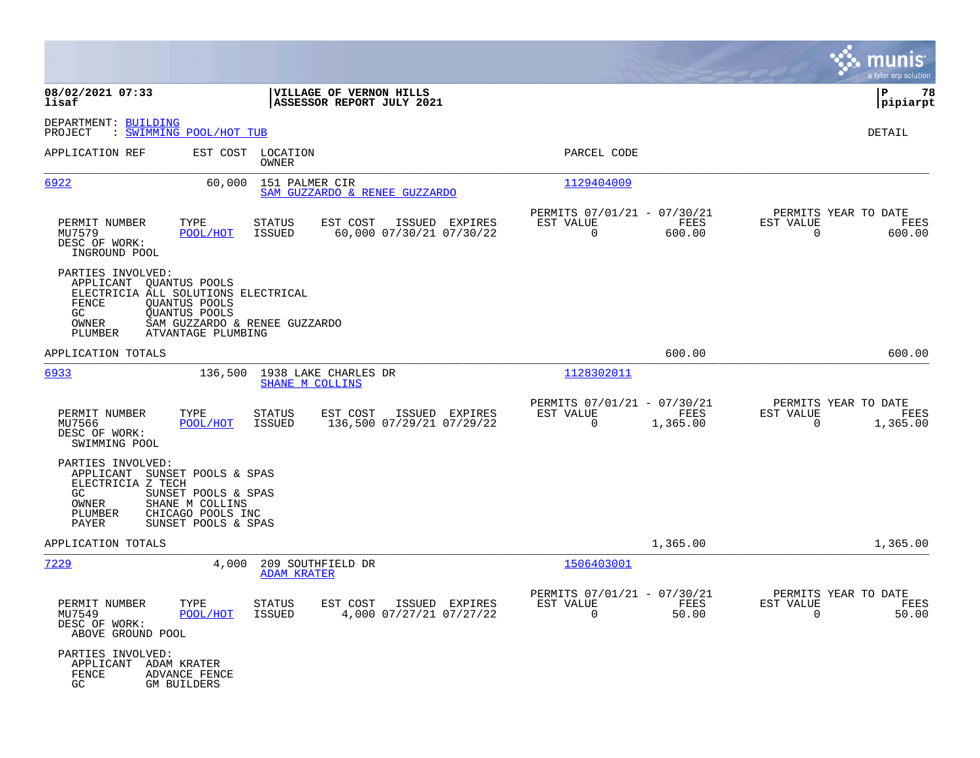|                                                                                         |                                                                                                                              |                                                         |                                                          |                  |                                                     | a tyler erp solution |
|-----------------------------------------------------------------------------------------|------------------------------------------------------------------------------------------------------------------------------|---------------------------------------------------------|----------------------------------------------------------|------------------|-----------------------------------------------------|----------------------|
| 08/02/2021 07:33<br>lisaf                                                               |                                                                                                                              | VILLAGE OF VERNON HILLS<br>ASSESSOR REPORT JULY 2021    |                                                          |                  |                                                     | P<br>78<br> pipiarpt |
| DEPARTMENT: BUILDING<br>PROJECT                                                         | : SWIMMING POOL/HOT TUB                                                                                                      |                                                         |                                                          |                  |                                                     | DETAIL               |
| APPLICATION REF                                                                         | LOCATION<br>EST COST<br>OWNER                                                                                                |                                                         | PARCEL CODE                                              |                  |                                                     |                      |
| 6922                                                                                    | 60,000                                                                                                                       | 151 PALMER CIR<br>SAM GUZZARDO & RENEE GUZZARDO         | 1129404009                                               |                  |                                                     |                      |
| PERMIT NUMBER<br>MU7579<br>DESC OF WORK:<br>INGROUND POOL                               | TYPE<br><b>STATUS</b><br>ISSUED<br>POOL/HOT                                                                                  | EST COST<br>ISSUED EXPIRES<br>60,000 07/30/21 07/30/22  | PERMITS 07/01/21 - 07/30/21<br>EST VALUE<br>0            | FEES<br>600.00   | PERMITS YEAR TO DATE<br>EST VALUE<br>0              | FEES<br>600.00       |
| PARTIES INVOLVED:<br>APPLICANT OUANTUS POOLS<br>FENCE<br>GC.<br>OWNER<br>PLUMBER        | ELECTRICIA ALL SOLUTIONS ELECTRICAL<br>QUANTUS POOLS<br>QUANTUS POOLS<br>SAM GUZZARDO & RENEE GUZZARDO<br>ATVANTAGE PLUMBING |                                                         |                                                          |                  |                                                     |                      |
| APPLICATION TOTALS                                                                      |                                                                                                                              |                                                         |                                                          | 600.00           |                                                     | 600.00               |
| 6933                                                                                    | 136,500                                                                                                                      | 1938 LAKE CHARLES DR<br>SHANE M COLLINS                 | 1128302011                                               |                  |                                                     |                      |
| PERMIT NUMBER<br>MU7566<br>DESC OF WORK:<br>SWIMMING POOL                               | TYPE<br><b>STATUS</b><br>POOL/HOT<br>ISSUED                                                                                  | EST COST<br>ISSUED EXPIRES<br>136,500 07/29/21 07/29/22 | PERMITS 07/01/21 - 07/30/21<br>EST VALUE<br>0            | FEES<br>1,365.00 | PERMITS YEAR TO DATE<br>EST VALUE<br>0              | FEES<br>1,365.00     |
| PARTIES INVOLVED:<br>APPLICANT<br>ELECTRICIA Z TECH<br>GC.<br>OWNER<br>PLUMBER<br>PAYER | SUNSET POOLS & SPAS<br>SUNSET POOLS & SPAS<br>SHANE M COLLINS<br>CHICAGO POOLS INC<br>SUNSET POOLS & SPAS                    |                                                         |                                                          |                  |                                                     |                      |
| APPLICATION TOTALS                                                                      |                                                                                                                              |                                                         |                                                          | 1,365.00         |                                                     | 1,365.00             |
| 7229                                                                                    | 4,000                                                                                                                        | 209 SOUTHFIELD DR<br><b>ADAM KRATER</b>                 | 1506403001                                               |                  |                                                     |                      |
| PERMIT NUMBER<br>MU7549<br>DESC OF WORK:<br>ABOVE GROUND POOL                           | TYPE<br><b>STATUS</b><br>POOL/HOT<br>ISSUED                                                                                  | EST COST<br>ISSUED EXPIRES<br>4,000 07/27/21 07/27/22   | PERMITS 07/01/21 - 07/30/21<br>EST VALUE<br>$\mathbf{0}$ | FEES<br>50.00    | PERMITS YEAR TO DATE<br>EST VALUE<br>$\overline{0}$ | FEES<br>50.00        |
| PARTIES INVOLVED:<br>APPLICANT ADAM KRATER<br>FENCE<br>GC                               | ADVANCE FENCE<br>GM BUILDERS                                                                                                 |                                                         |                                                          |                  |                                                     |                      |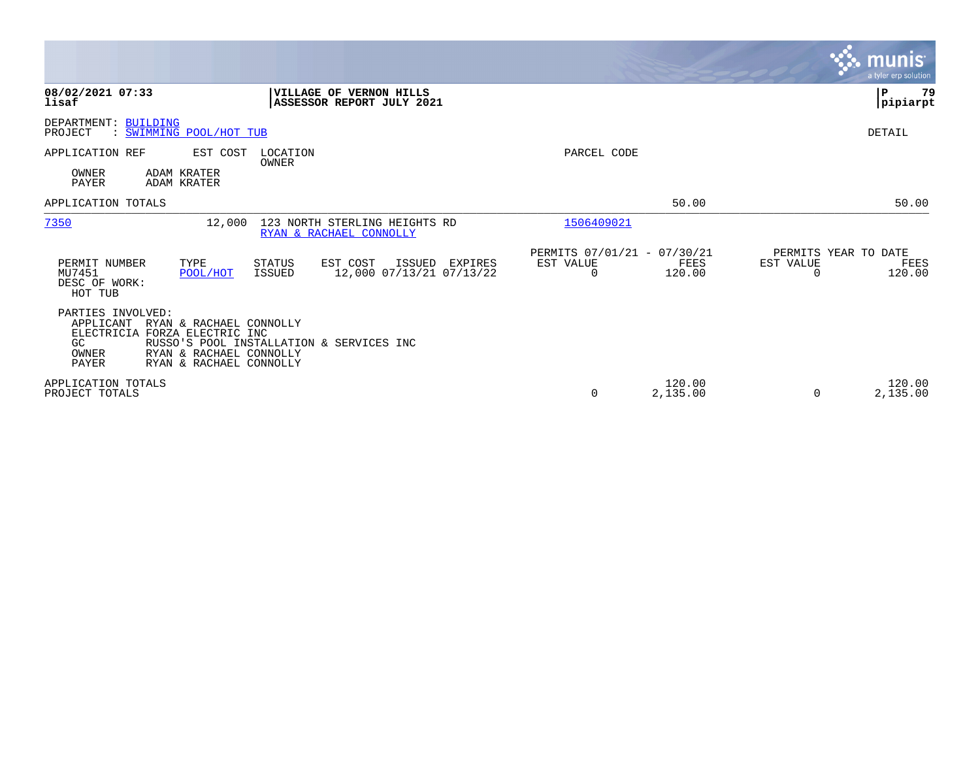|                                                                                                                                                                                                                              |                                                                        | munis<br>a tyler erp solution                       |
|------------------------------------------------------------------------------------------------------------------------------------------------------------------------------------------------------------------------------|------------------------------------------------------------------------|-----------------------------------------------------|
| 08/02/2021 07:33<br>VILLAGE OF VERNON HILLS<br>lisaf<br>ASSESSOR REPORT JULY 2021                                                                                                                                            |                                                                        | ΙP<br>79<br> pipiarpt                               |
| DEPARTMENT: BUILDING<br>: SWIMMING POOL/HOT TUB<br>PROJECT                                                                                                                                                                   |                                                                        | DETAIL                                              |
| APPLICATION REF<br>EST COST<br>LOCATION<br>OWNER                                                                                                                                                                             | PARCEL CODE                                                            |                                                     |
| OWNER<br>ADAM KRATER<br><b>PAYER</b><br>ADAM KRATER                                                                                                                                                                          |                                                                        |                                                     |
| APPLICATION TOTALS                                                                                                                                                                                                           | 50.00                                                                  | 50.00                                               |
| 7350<br>123 NORTH STERLING HEIGHTS RD<br>12,000<br>RYAN & RACHAEL CONNOLLY                                                                                                                                                   | 1506409021                                                             |                                                     |
| PERMIT NUMBER<br>TYPE<br><b>STATUS</b><br>EST COST<br>ISSUED<br>EXPIRES<br>MU7451<br>12,000 07/13/21 07/13/22<br>POOL/HOT<br><b>ISSUED</b><br>DESC OF WORK:<br>HOT TUB                                                       | PERMITS 07/01/21 - 07/30/21<br>EST VALUE<br>FEES<br>$\Omega$<br>120.00 | PERMITS YEAR TO DATE<br>EST VALUE<br>FEES<br>120.00 |
| PARTIES INVOLVED:<br>APPLICANT<br>RYAN & RACHAEL CONNOLLY<br>ELECTRICIA FORZA ELECTRIC INC<br>RUSSO'S POOL INSTALLATION & SERVICES INC<br>GC.<br>RYAN & RACHAEL CONNOLLY<br>OWNER<br><b>PAYER</b><br>RYAN & RACHAEL CONNOLLY |                                                                        |                                                     |
| APPLICATION TOTALS<br>PROJECT TOTALS                                                                                                                                                                                         | 120.00<br>0<br>2,135.00                                                | 120.00<br>2,135.00<br>$\Omega$                      |

**Contract**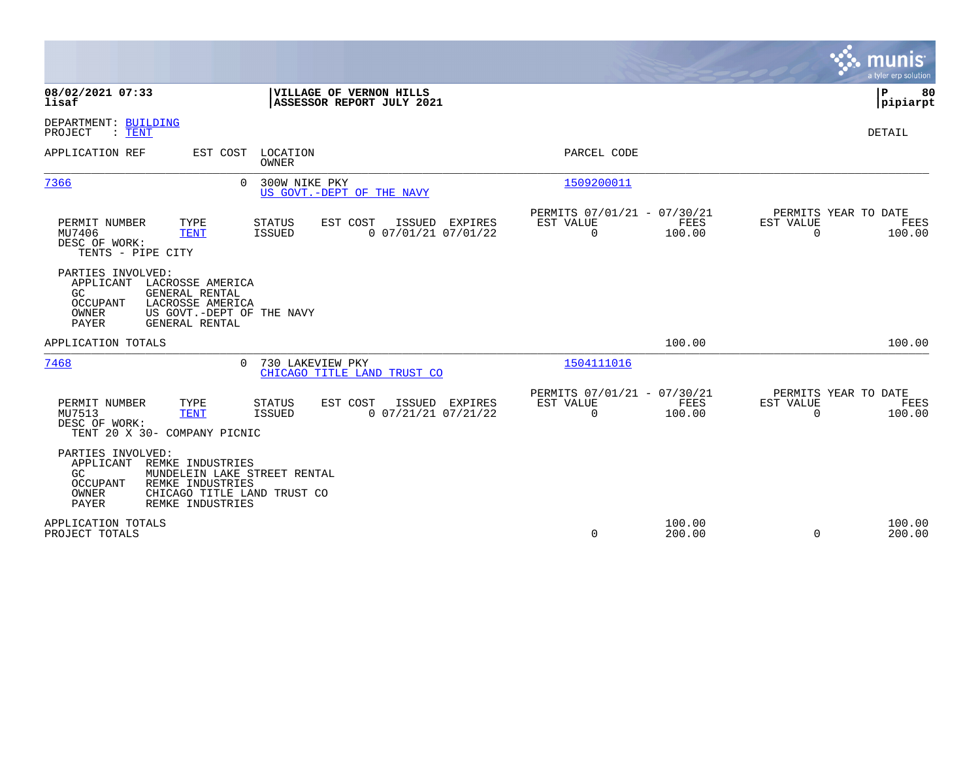|                                                                                                                                                                                                              |                                                                 | munis<br>a tyler erp solution                                   |
|--------------------------------------------------------------------------------------------------------------------------------------------------------------------------------------------------------------|-----------------------------------------------------------------|-----------------------------------------------------------------|
| 08/02/2021 07:33<br>VILLAGE OF VERNON HILLS<br>ASSESSOR REPORT JULY 2021<br>lisaf                                                                                                                            |                                                                 | l P<br>80<br> pipiarpt                                          |
| DEPARTMENT: BUILDING<br>PROJECT<br>$:$ TENT                                                                                                                                                                  |                                                                 | DETAIL                                                          |
| APPLICATION REF<br>LOCATION<br>EST COST<br>OWNER                                                                                                                                                             | PARCEL CODE                                                     |                                                                 |
| 7366<br>300W NIKE PKY<br>0<br>US GOVT. - DEPT OF THE NAVY                                                                                                                                                    | 1509200011                                                      |                                                                 |
| TYPE<br>ISSUED EXPIRES<br>PERMIT NUMBER<br>STATUS<br>EST COST<br><b>ISSUED</b><br>0 07/01/21 07/01/22<br>MU7406<br>TENT<br>DESC OF WORK:<br>TENTS - PIPE CITY                                                | PERMITS 07/01/21 - 07/30/21<br>EST VALUE<br>FEES<br>100.00<br>0 | PERMITS YEAR TO DATE<br>EST VALUE<br>FEES<br>$\Omega$<br>100.00 |
| PARTIES INVOLVED:<br>APPLICANT<br>LACROSSE AMERICA<br>GENERAL RENTAL<br>GC.<br><b>OCCUPANT</b><br>LACROSSE AMERICA<br>US GOVT.-DEPT OF THE NAVY<br>OWNER<br>PAYER<br>GENERAL RENTAL                          |                                                                 |                                                                 |
| APPLICATION TOTALS                                                                                                                                                                                           | 100.00                                                          | 100.00                                                          |
| 7468<br>0<br>730 LAKEVIEW PKY<br>CHICAGO TITLE LAND TRUST CO                                                                                                                                                 | 1504111016                                                      |                                                                 |
| TYPE<br>PERMIT NUMBER<br>STATUS<br>EST COST<br>ISSUED EXPIRES<br>MU7513<br><b>ISSUED</b><br>$0$ $07/21/21$ $07/21/22$<br><b>TENT</b><br>DESC OF WORK:<br>TENT 20 X 30- COMPANY PICNIC                        | PERMITS 07/01/21 - 07/30/21<br>EST VALUE<br>FEES<br>100.00<br>0 | PERMITS YEAR TO DATE<br>EST VALUE<br>FEES<br>$\Omega$<br>100.00 |
| PARTIES INVOLVED:<br>APPLICANT<br>REMKE INDUSTRIES<br>MUNDELEIN LAKE STREET RENTAL<br>GC.<br>REMKE INDUSTRIES<br><b>OCCUPANT</b><br><b>OWNER</b><br>CHICAGO TITLE LAND TRUST CO<br>PAYER<br>REMKE INDUSTRIES |                                                                 |                                                                 |
| APPLICATION TOTALS<br>PROJECT TOTALS                                                                                                                                                                         | 100.00<br>0<br>200.00                                           | 100.00<br>0<br>200.00                                           |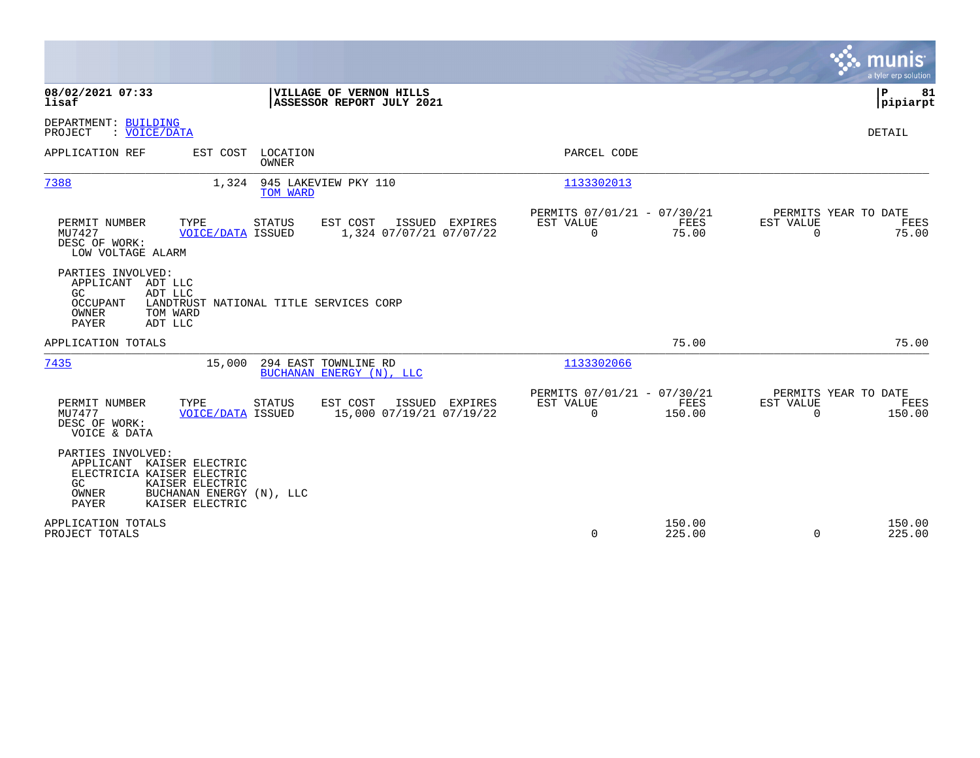|                                                                                                                                                                         |                                                                              | munis<br>a tyler erp solution                                   |
|-------------------------------------------------------------------------------------------------------------------------------------------------------------------------|------------------------------------------------------------------------------|-----------------------------------------------------------------|
| 08/02/2021 07:33<br>VILLAGE OF VERNON HILLS<br>ASSESSOR REPORT JULY 2021<br>lisaf                                                                                       |                                                                              | ΙP<br>81<br> pipiarpt                                           |
| DEPARTMENT: BUILDING<br>PROJECT<br>: VOICE/DATA                                                                                                                         |                                                                              | <b>DETAIL</b>                                                   |
| EST COST LOCATION<br>APPLICATION REF<br><b>OWNER</b>                                                                                                                    | PARCEL CODE                                                                  |                                                                 |
| 7388<br>1,324<br>945 LAKEVIEW PKY 110<br>TOM WARD                                                                                                                       | 1133302013                                                                   |                                                                 |
| TYPE<br>EST COST<br>ISSUED EXPIRES<br>PERMIT NUMBER<br>STATUS<br>MU7427<br><b>VOICE/DATA ISSUED</b><br>1,324 07/07/21 07/07/22<br>DESC OF WORK:<br>LOW VOLTAGE ALARM    | PERMITS 07/01/21 - 07/30/21<br>EST VALUE<br>FEES<br>75.00<br>$\overline{0}$  | PERMITS YEAR TO DATE<br>EST VALUE<br>FEES<br>$\Omega$<br>75.00  |
| PARTIES INVOLVED:<br>APPLICANT ADT LLC<br>ADT LLC<br>GC.<br><b>OCCUPANT</b><br>LANDTRUST NATIONAL TITLE SERVICES CORP<br>OWNER<br>TOM WARD<br><b>PAYER</b><br>ADT LLC   |                                                                              |                                                                 |
| APPLICATION TOTALS                                                                                                                                                      | 75.00                                                                        | 75.00                                                           |
| 7435<br>294 EAST TOWNLINE RD<br>15,000<br>BUCHANAN ENERGY (N), LLC                                                                                                      | 1133302066                                                                   |                                                                 |
| EST COST<br>PERMIT NUMBER<br>TYPE<br>STATUS<br>ISSUED EXPIRES<br>MU7477<br>15,000 07/19/21 07/19/22<br><b>VOICE/DATA ISSUED</b><br>DESC OF WORK:<br>VOICE & DATA        | PERMITS 07/01/21 - 07/30/21<br>EST VALUE<br>FEES<br>$\overline{0}$<br>150.00 | PERMITS YEAR TO DATE<br>EST VALUE<br>FEES<br>150.00<br>$\Omega$ |
| PARTIES INVOLVED:<br>APPLICANT KAISER ELECTRIC<br>ELECTRICIA KAISER ELECTRIC<br>KAISER ELECTRIC<br>GC.<br>BUCHANAN ENERGY (N), LLC<br>OWNER<br>KAISER ELECTRIC<br>PAYER |                                                                              |                                                                 |
| APPLICATION TOTALS<br>PROJECT TOTALS                                                                                                                                    | 150.00<br>0<br>225.00                                                        | 150.00<br>$\mathbf 0$<br>225.00                                 |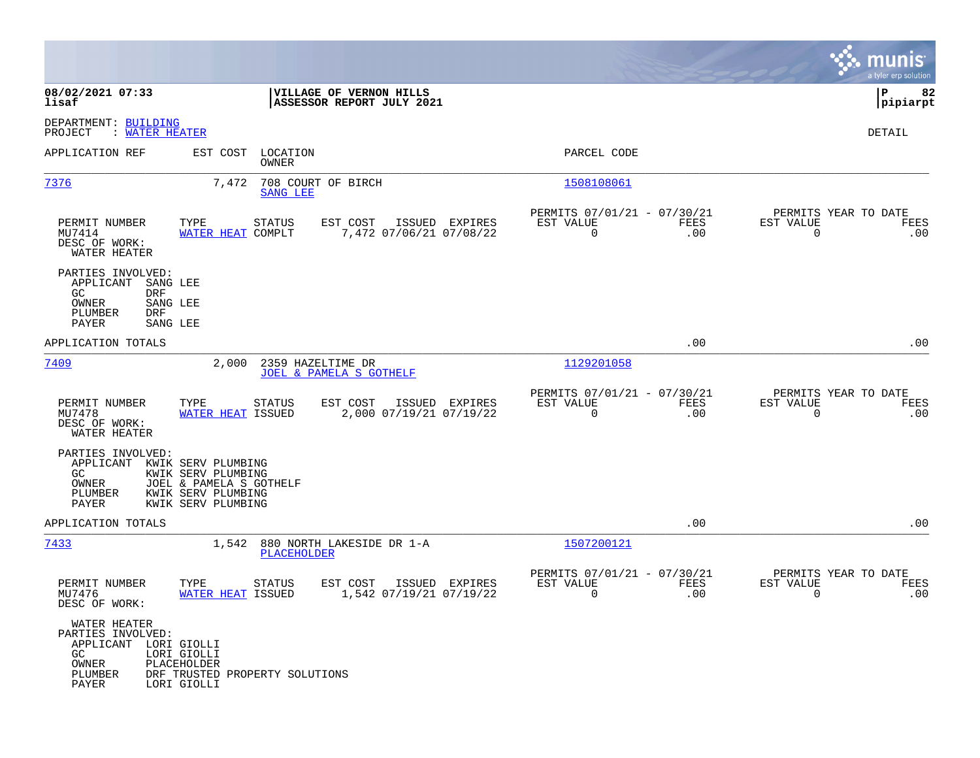|                                                                                                     |                                                                                                                 |                                                         |                                                         |                    |                          | munis<br>a tyler erp solution       |
|-----------------------------------------------------------------------------------------------------|-----------------------------------------------------------------------------------------------------------------|---------------------------------------------------------|---------------------------------------------------------|--------------------|--------------------------|-------------------------------------|
| 08/02/2021 07:33<br>lisaf                                                                           |                                                                                                                 | VILLAGE OF VERNON HILLS<br>ASSESSOR REPORT JULY 2021    |                                                         |                    |                          | 82<br>l P<br> pipiarpt              |
| DEPARTMENT: BUILDING<br>PROJECT<br>: WATER HEATER                                                   |                                                                                                                 |                                                         |                                                         |                    |                          | DETAIL                              |
| APPLICATION REF                                                                                     | EST COST<br>LOCATION<br>OWNER                                                                                   |                                                         | PARCEL CODE                                             |                    |                          |                                     |
| 7376                                                                                                | 7,472<br><b>SANG LEE</b>                                                                                        | 708 COURT OF BIRCH                                      | 1508108061                                              |                    |                          |                                     |
| PERMIT NUMBER<br>MU7414<br>DESC OF WORK:<br>WATER HEATER                                            | TYPE<br>STATUS<br>WATER HEAT COMPLT                                                                             | ISSUED EXPIRES<br>EST COST<br>7,472 07/06/21 07/08/22   | PERMITS 07/01/21 - 07/30/21<br>EST VALUE<br>$\mathbf 0$ | FEES<br>.00        | EST VALUE<br>$\mathbf 0$ | PERMITS YEAR TO DATE<br>FEES<br>.00 |
| PARTIES INVOLVED:<br>APPLICANT<br>SANG LEE<br>GC.<br>DRF<br>OWNER<br>PLUMBER<br><b>DRF</b><br>PAYER | SANG LEE<br>SANG LEE                                                                                            |                                                         |                                                         |                    |                          |                                     |
| APPLICATION TOTALS                                                                                  |                                                                                                                 |                                                         |                                                         | .00                |                          | .00                                 |
| 7409                                                                                                | 2,000                                                                                                           | 2359 HAZELTIME DR<br><b>JOEL &amp; PAMELA S GOTHELF</b> | 1129201058                                              |                    |                          |                                     |
| PERMIT NUMBER<br>MU7478<br>DESC OF WORK:<br>WATER HEATER                                            | STATUS<br>TYPE<br>WATER HEAT ISSUED                                                                             | EST COST<br>ISSUED EXPIRES<br>2,000 07/19/21 07/19/22   | PERMITS 07/01/21 - 07/30/21<br>EST VALUE<br>$\mathbf 0$ | FEES<br>.00        | EST VALUE<br>$\mathbf 0$ | PERMITS YEAR TO DATE<br>FEES<br>.00 |
| PARTIES INVOLVED:<br>APPLICANT<br>GC<br>OWNER<br>PLUMBER<br>PAYER                                   | KWIK SERV PLUMBING<br>KWIK SERV PLUMBING<br>JOEL & PAMELA S GOTHELF<br>KWIK SERV PLUMBING<br>KWIK SERV PLUMBING |                                                         |                                                         |                    |                          |                                     |
| APPLICATION TOTALS                                                                                  |                                                                                                                 |                                                         |                                                         | .00                |                          | .00                                 |
| 7433                                                                                                | 1,542<br><b>PLACEHOLDER</b>                                                                                     | 880 NORTH LAKESIDE DR 1-A                               | 1507200121                                              |                    |                          |                                     |
| PERMIT NUMBER<br>MU7476<br>DESC OF WORK:                                                            | TYPE<br>STATUS<br>WATER HEAT ISSUED                                                                             | ISSUED EXPIRES<br>EST COST<br>1,542 07/19/21 07/19/22   | PERMITS 07/01/21 - 07/30/21<br>EST VALUE<br>0           | <b>FEES</b><br>.00 | EST VALUE<br>0           | PERMITS YEAR TO DATE<br>FEES<br>.00 |
| WATER HEATER<br>PARTIES INVOLVED:<br>APPLICANT LORI GIOLLI<br>GC<br>OWNER<br>PLUMBER<br>PAYER       | LORI GIOLLI<br>PLACEHOLDER<br>DRF TRUSTED PROPERTY SOLUTIONS<br>LORI GIOLLI                                     |                                                         |                                                         |                    |                          |                                     |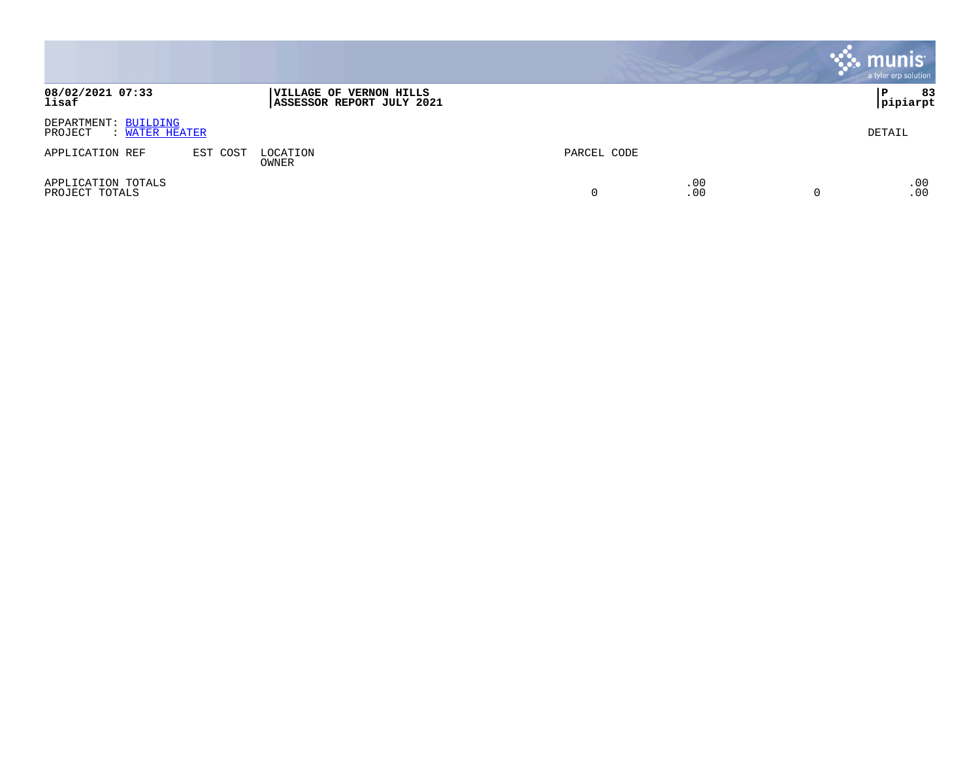|                                                   |          |                                                             |             |            | <b>munis</b><br>a tyler erp solution |
|---------------------------------------------------|----------|-------------------------------------------------------------|-------------|------------|--------------------------------------|
| 08/02/2021 07:33<br>lisaf                         |          | <b>VILLAGE OF VERNON HILLS</b><br>ASSESSOR REPORT JULY 2021 |             |            | 83<br>۱P.<br> pipiarpt               |
| DEPARTMENT: BUILDING<br>PROJECT<br>: WATER HEATER |          |                                                             |             |            | DETAIL                               |
| APPLICATION REF                                   | EST COST | LOCATION<br>OWNER                                           | PARCEL CODE |            |                                      |
| APPLICATION TOTALS<br>PROJECT TOTALS              |          |                                                             |             | .00<br>.00 | .00<br>.00                           |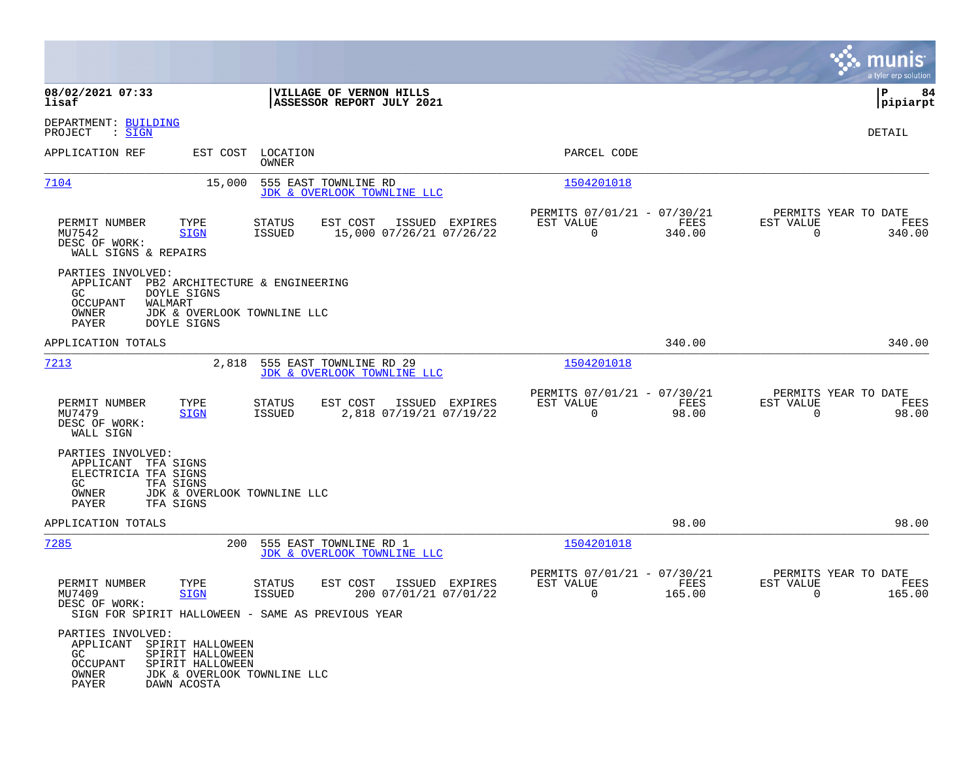|                                                                                                                                                   |                                                                                                                                     |                                                                           | munis<br>a tyler erp solution                                         |
|---------------------------------------------------------------------------------------------------------------------------------------------------|-------------------------------------------------------------------------------------------------------------------------------------|---------------------------------------------------------------------------|-----------------------------------------------------------------------|
| 08/02/2021 07:33<br>lisaf                                                                                                                         | VILLAGE OF VERNON HILLS<br>ASSESSOR REPORT JULY 2021                                                                                |                                                                           | ΙP<br>84<br> pipiarpt                                                 |
| DEPARTMENT: BUILDING<br>PROJECT<br>: SIGN                                                                                                         |                                                                                                                                     |                                                                           | DETAIL                                                                |
| APPLICATION REF<br>EST COST                                                                                                                       | LOCATION<br>OWNER                                                                                                                   | PARCEL CODE                                                               |                                                                       |
| 7104<br>15,000                                                                                                                                    | 555 EAST TOWNLINE RD<br>JDK & OVERLOOK TOWNLINE LLC                                                                                 | 1504201018                                                                |                                                                       |
| TYPE<br>PERMIT NUMBER<br>MU7542<br><b>SIGN</b><br>DESC OF WORK:<br>WALL SIGNS & REPAIRS                                                           | EST COST<br>STATUS<br>ISSUED EXPIRES<br>ISSUED<br>15,000 07/26/21 07/26/22                                                          | PERMITS 07/01/21 - 07/30/21<br>EST VALUE<br>FEES<br>$\mathbf 0$<br>340.00 | PERMITS YEAR TO DATE<br>EST VALUE<br>FEES<br>$\overline{0}$<br>340.00 |
| PARTIES INVOLVED:<br>APPLICANT<br>GC.<br>DOYLE SIGNS<br><b>OCCUPANT</b><br>WALMART<br>OWNER<br>PAYER<br>DOYLE SIGNS                               | PB2 ARCHITECTURE & ENGINEERING<br>JDK & OVERLOOK TOWNLINE LLC                                                                       |                                                                           |                                                                       |
| APPLICATION TOTALS                                                                                                                                |                                                                                                                                     | 340.00                                                                    | 340.00                                                                |
| 7213<br>2,818                                                                                                                                     | 555 EAST TOWNLINE RD 29<br>JDK & OVERLOOK TOWNLINE LLC                                                                              | 1504201018                                                                |                                                                       |
| PERMIT NUMBER<br>TYPE<br>MU7479<br><b>SIGN</b><br>DESC OF WORK:<br>WALL SIGN                                                                      | EST COST<br>ISSUED EXPIRES<br><b>STATUS</b><br><b>ISSUED</b><br>2,818 07/19/21 07/19/22                                             | PERMITS 07/01/21 - 07/30/21<br>EST VALUE<br>FEES<br>0<br>98.00            | PERMITS YEAR TO DATE<br>EST VALUE<br>FEES<br>$\mathbf 0$<br>98.00     |
| PARTIES INVOLVED:<br>APPLICANT<br>TFA SIGNS<br>ELECTRICIA TFA SIGNS<br>GC.<br>TFA SIGNS<br>OWNER<br>PAYER<br>TFA SIGNS                            | JDK & OVERLOOK TOWNLINE LLC                                                                                                         |                                                                           |                                                                       |
| APPLICATION TOTALS                                                                                                                                |                                                                                                                                     | 98.00                                                                     | 98.00                                                                 |
| 7285                                                                                                                                              | 200<br>555 EAST TOWNLINE RD 1<br>JDK & OVERLOOK TOWNLINE LLC                                                                        | 1504201018                                                                |                                                                       |
| PERMIT NUMBER<br>TYPE<br>MU7409<br><b>SIGN</b><br>DESC OF WORK:                                                                                   | STATUS<br>EST COST<br>ISSUED EXPIRES<br><b>ISSUED</b><br>200 07/01/21 07/01/22<br>SIGN FOR SPIRIT HALLOWEEN - SAME AS PREVIOUS YEAR | PERMITS 07/01/21 - 07/30/21<br>EST VALUE<br>FEES<br>0<br>165.00           | PERMITS YEAR TO DATE<br>EST VALUE<br>FEES<br>0<br>165.00              |
| PARTIES INVOLVED:<br>APPLICANT SPIRIT HALLOWEEN<br>SPIRIT HALLOWEEN<br>GC<br><b>OCCUPANT</b><br>SPIRIT HALLOWEEN<br>OWNER<br>PAYER<br>DAWN ACOSTA | JDK & OVERLOOK TOWNLINE LLC                                                                                                         |                                                                           |                                                                       |